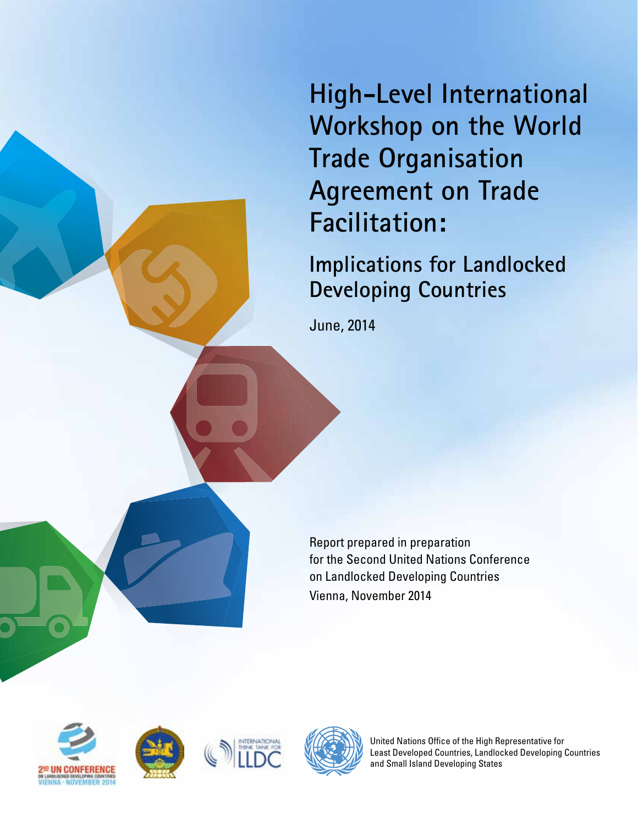**High-Level International Workshop on the World Trade Organisation Agreement on Trade Facilitation:**

**Implications for Landlocked Developing Countries**

June, 2014

Report prepared in preparation for the Second United Nations Conference on Landlocked Developing Countries Vienna, November 2014









United Nations Office of the High Representative for Least Developed Countries, Landlocked Developing Countries and Small Island Developing States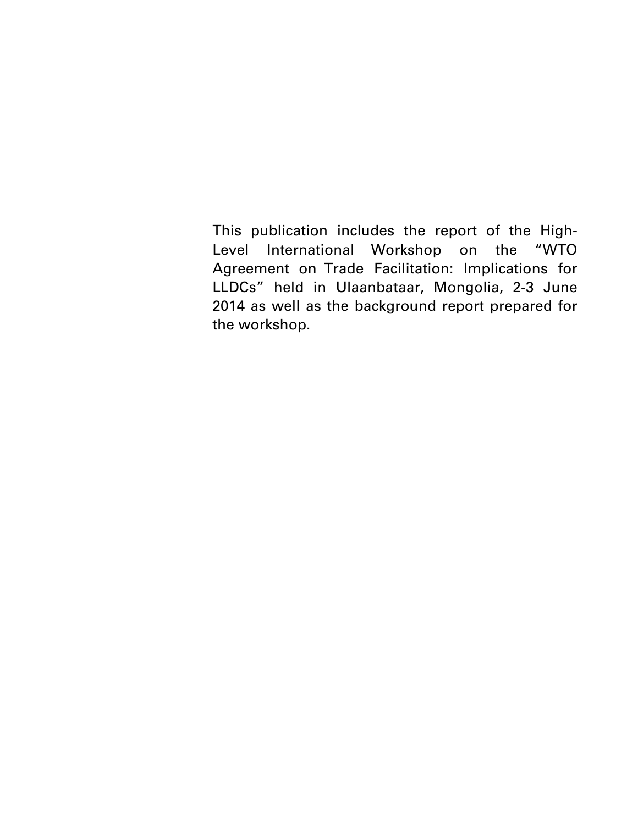This publication includes the report of the High-Level International Workshop on the "WTO Agreement on Trade Facilitation: Implications for LLDCs" held in Ulaanbataar, Mongolia, 2-3 June 2014 as well as the background report prepared for the workshop.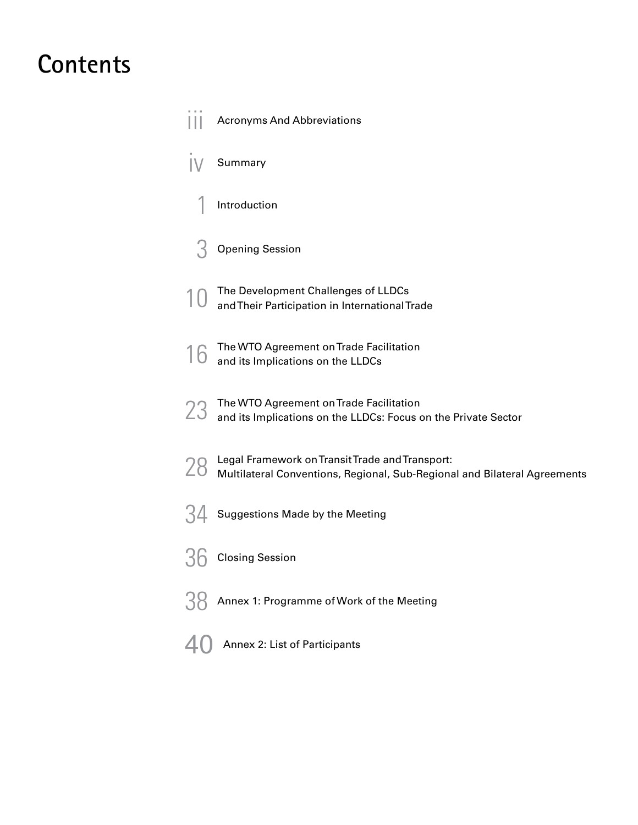### **Contents**

|    | <b>Acronyms And Abbreviations</b>                                                                                            |
|----|------------------------------------------------------------------------------------------------------------------------------|
|    | Summary                                                                                                                      |
|    | Introduction                                                                                                                 |
|    | <b>Opening Session</b>                                                                                                       |
|    | The Development Challenges of LLDCs<br>and Their Participation in International Trade                                        |
| 16 | The WTO Agreement on Trade Facilitation<br>and its Implications on the LLDCs                                                 |
| 23 | The WTO Agreement on Trade Facilitation<br>and its Implications on the LLDCs: Focus on the Private Sector                    |
| 28 | Legal Framework on Transit Trade and Transport:<br>Multilateral Conventions, Regional, Sub-Regional and Bilateral Agreements |
|    | Suggestions Made by the Meeting                                                                                              |
|    | <b>Closing Session</b>                                                                                                       |
|    | Annex 1: Programme of Work of the Meeting                                                                                    |
|    | Annex 2: List of Participants                                                                                                |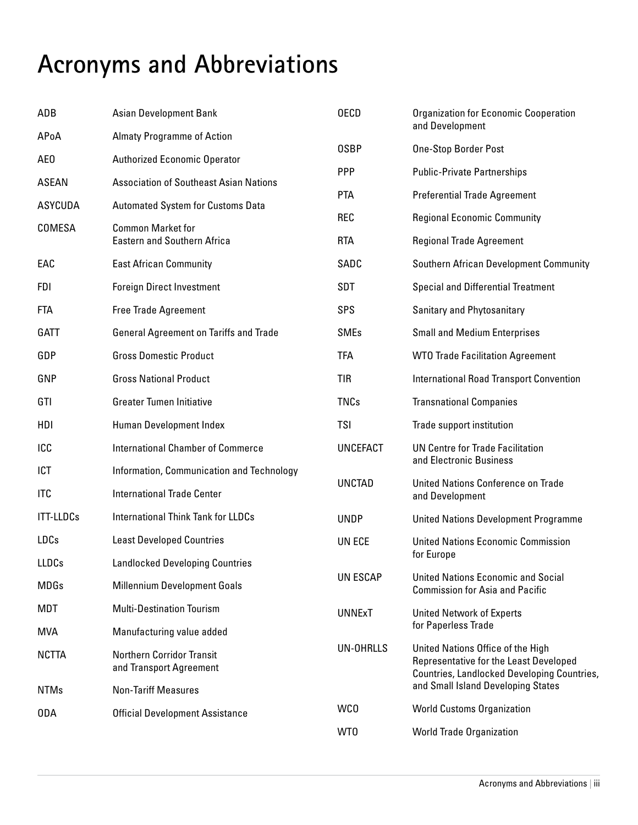# **Acronyms and Abbreviations**

| ADB              | <b>Asian Development Bank</b>                                  | <b>OECD</b>                | <b>Organization for Economic Cooperation</b><br>and Development                                                            |
|------------------|----------------------------------------------------------------|----------------------------|----------------------------------------------------------------------------------------------------------------------------|
| APoA             | <b>Almaty Programme of Action</b>                              |                            |                                                                                                                            |
| AE0              | <b>Authorized Economic Operator</b>                            | <b>OSBP</b>                | One-Stop Border Post                                                                                                       |
| <b>ASEAN</b>     | <b>Association of Southeast Asian Nations</b>                  | <b>PPP</b>                 | <b>Public-Private Partnerships</b>                                                                                         |
| <b>ASYCUDA</b>   | <b>Automated System for Customs Data</b>                       | <b>PTA</b>                 | <b>Preferential Trade Agreement</b>                                                                                        |
| COMESA           | <b>Common Market for</b><br><b>Eastern and Southern Africa</b> | <b>REC</b>                 | <b>Regional Economic Community</b>                                                                                         |
|                  |                                                                | <b>RTA</b>                 | <b>Regional Trade Agreement</b>                                                                                            |
| EAC              | <b>East African Community</b>                                  | SADC                       | Southern African Development Community                                                                                     |
| FDI              | <b>Foreign Direct Investment</b>                               | SDT                        | <b>Special and Differential Treatment</b>                                                                                  |
| <b>FTA</b>       | <b>Free Trade Agreement</b>                                    | <b>SPS</b>                 | Sanitary and Phytosanitary                                                                                                 |
| GATT             | <b>General Agreement on Tariffs and Trade</b>                  | <b>SMEs</b>                | <b>Small and Medium Enterprises</b>                                                                                        |
| GDP              | <b>Gross Domestic Product</b>                                  | <b>TFA</b>                 | <b>WTO Trade Facilitation Agreement</b>                                                                                    |
| GNP              | <b>Gross National Product</b>                                  | <b>TIR</b>                 | <b>International Road Transport Convention</b>                                                                             |
| GTI              | <b>Greater Tumen Initiative</b>                                | <b>TNCs</b>                | <b>Transnational Companies</b>                                                                                             |
| HDI              | Human Development Index                                        | <b>TSI</b>                 | Trade support institution                                                                                                  |
| ICC              | <b>International Chamber of Commerce</b>                       | <b>UNCEFACT</b>            | UN Centre for Trade Facilitation                                                                                           |
| ICT              | Information, Communication and Technology                      |                            | and Electronic Business<br>United Nations Conference on Trade<br>and Development                                           |
| <b>ITC</b>       | <b>International Trade Center</b>                              | <b>UNCTAD</b>              |                                                                                                                            |
| <b>ITT-LLDCs</b> | <b>International Think Tank for LLDCs</b>                      | <b>UNDP</b>                | <b>United Nations Development Programme</b>                                                                                |
| <b>LDCs</b>      | <b>Least Developed Countries</b>                               | UN ECE                     | <b>United Nations Economic Commission</b>                                                                                  |
| <b>LLDCs</b>     | <b>Landlocked Developing Countries</b>                         |                            | for Europe                                                                                                                 |
| <b>MDGs</b>      | <b>Millennium Development Goals</b>                            | <b>UN ESCAP</b>            | <b>United Nations Economic and Social</b><br><b>Commission for Asia and Pacific</b>                                        |
| MDT              | <b>Multi-Destination Tourism</b>                               | <b>UNNExT</b><br>UN-OHRLLS | <b>United Network of Experts</b><br>for Paperless Trade                                                                    |
| <b>MVA</b>       | Manufacturing value added                                      |                            |                                                                                                                            |
| <b>NCTTA</b>     | <b>Northern Corridor Transit</b><br>and Transport Agreement    |                            | United Nations Office of the High<br>Representative for the Least Developed<br>Countries, Landlocked Developing Countries, |
| <b>NTMs</b>      | <b>Non-Tariff Measures</b>                                     |                            | and Small Island Developing States                                                                                         |
| 0DA              | <b>Official Development Assistance</b>                         | WC <sub>0</sub>            | <b>World Customs Organization</b>                                                                                          |
|                  |                                                                | WT0                        | <b>World Trade Organization</b>                                                                                            |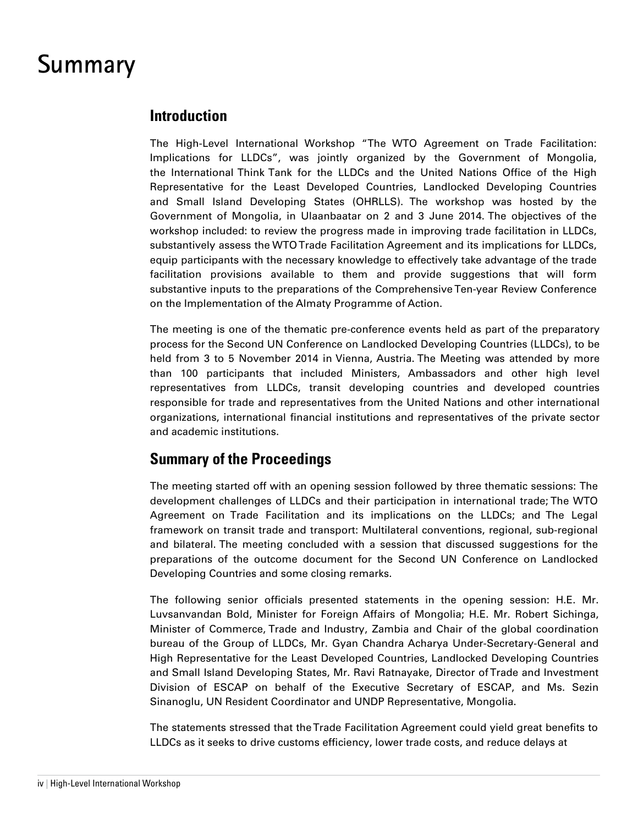### **Summary**

### **Introduction**

The High-Level International Workshop "The WTO Agreement on Trade Facilitation: Implications for LLDCs", was jointly organized by the Government of Mongolia, the International Think Tank for the LLDCs and the United Nations Office of the High Representative for the Least Developed Countries, Landlocked Developing Countries and Small Island Developing States (OHRLLS). The workshop was hosted by the Government of Mongolia, in Ulaanbaatar on 2 and 3 June 2014. The objectives of the workshop included: to review the progress made in improving trade facilitation in LLDCs, substantively assess the WTO Trade Facilitation Agreement and its implications for LLDCs, equip participants with the necessary knowledge to effectively take advantage of the trade facilitation provisions available to them and provide suggestions that will form substantive inputs to the preparations of the Comprehensive Ten-year Review Conference on the Implementation of the Almaty Programme of Action.

The meeting is one of the thematic pre-conference events held as part of the preparatory process for the Second UN Conference on Landlocked Developing Countries (LLDCs), to be held from 3 to 5 November 2014 in Vienna, Austria. The Meeting was attended by more than 100 participants that included Ministers, Ambassadors and other high level representatives from LLDCs, transit developing countries and developed countries responsible for trade and representatives from the United Nations and other international organizations, international financial institutions and representatives of the private sector and academic institutions.

### **Summary of the Proceedings**

The meeting started off with an opening session followed by three thematic sessions: The development challenges of LLDCs and their participation in international trade; The WTO Agreement on Trade Facilitation and its implications on the LLDCs; and The Legal framework on transit trade and transport: Multilateral conventions, regional, sub-regional and bilateral. The meeting concluded with a session that discussed suggestions for the preparations of the outcome document for the Second UN Conference on Landlocked Developing Countries and some closing remarks.

The following senior officials presented statements in the opening session: H.E. Mr. Luvsanvandan Bold, Minister for Foreign Affairs of Mongolia; H.E. Mr. Robert Sichinga, Minister of Commerce, Trade and Industry, Zambia and Chair of the global coordination bureau of the Group of LLDCs, Mr. Gyan Chandra Acharya Under-Secretary-General and High Representative for the Least Developed Countries, Landlocked Developing Countries and Small Island Developing States, Mr. Ravi Ratnayake, Director of Trade and Investment Division of ESCAP on behalf of the Executive Secretary of ESCAP, and Ms. Sezin Sinanoglu, UN Resident Coordinator and UNDP Representative, Mongolia.

The statements stressed that the Trade Facilitation Agreement could yield great benefits to LLDCs as it seeks to drive customs efficiency, lower trade costs, and reduce delays at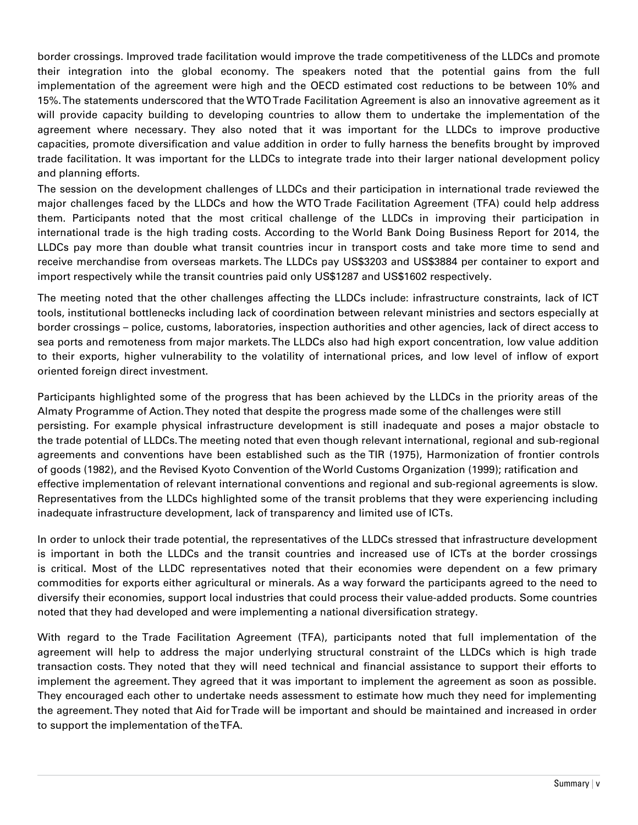border crossings. Improved trade facilitation would improve the trade competitiveness of the LLDCs and promote their integration into the global economy. The speakers noted that the potential gains from the full implementation of the agreement were high and the OECD estimated cost reductions to be between 10% and 15%. The statements underscored that the WTO Trade Facilitation Agreement is also an innovative agreement as it will provide capacity building to developing countries to allow them to undertake the implementation of the agreement where necessary. They also noted that it was important for the LLDCs to improve productive capacities, promote diversification and value addition in order to fully harness the benefits brought by improved trade facilitation. It was important for the LLDCs to integrate trade into their larger national development policy and planning efforts.

The session on the development challenges of LLDCs and their participation in international trade reviewed the major challenges faced by the LLDCs and how the WTO Trade Facilitation Agreement (TFA) could help address them. Participants noted that the most critical challenge of the LLDCs in improving their participation in international trade is the high trading costs. According to the World Bank Doing Business Report for 2014, the LLDCs pay more than double what transit countries incur in transport costs and take more time to send and receive merchandise from overseas markets. The LLDCs pay US\$3203 and US\$3884 per container to export and import respectively while the transit countries paid only US\$1287 and US\$1602 respectively.

The meeting noted that the other challenges affecting the LLDCs include: infrastructure constraints, lack of ICT tools, institutional bottlenecks including lack of coordination between relevant ministries and sectors especially at border crossings – police, customs, laboratories, inspection authorities and other agencies, lack of direct access to sea ports and remoteness from major markets. The LLDCs also had high export concentration, low value addition to their exports, higher vulnerability to the volatility of international prices, and low level of inflow of export oriented foreign direct investment.

Participants highlighted some of the progress that has been achieved by the LLDCs in the priority areas of the Almaty Programme of Action. They noted that despite the progress made some of the challenges were still persisting. For example physical infrastructure development is still inadequate and poses a major obstacle to the trade potential of LLDCs. The meeting noted that even though relevant international, regional and sub-regional agreements and conventions have been established such as the TIR (1975), Harmonization of frontier controls of goods (1982), and the Revised Kyoto Convention of the World Customs Organization (1999); ratification and effective implementation of relevant international conventions and regional and sub-regional agreements is slow. Representatives from the LLDCs highlighted some of the transit problems that they were experiencing including inadequate infrastructure development, lack of transparency and limited use of ICTs.

In order to unlock their trade potential, the representatives of the LLDCs stressed that infrastructure development is important in both the LLDCs and the transit countries and increased use of ICTs at the border crossings is critical. Most of the LLDC representatives noted that their economies were dependent on a few primary commodities for exports either agricultural or minerals. As a way forward the participants agreed to the need to diversify their economies, support local industries that could process their value-added products. Some countries noted that they had developed and were implementing a national diversification strategy.

With regard to the Trade Facilitation Agreement (TFA), participants noted that full implementation of the agreement will help to address the major underlying structural constraint of the LLDCs which is high trade transaction costs. They noted that they will need technical and financial assistance to support their efforts to implement the agreement. They agreed that it was important to implement the agreement as soon as possible. They encouraged each other to undertake needs assessment to estimate how much they need for implementing the agreement. They noted that Aid for Trade will be important and should be maintained and increased in order to support the implementation of the TFA.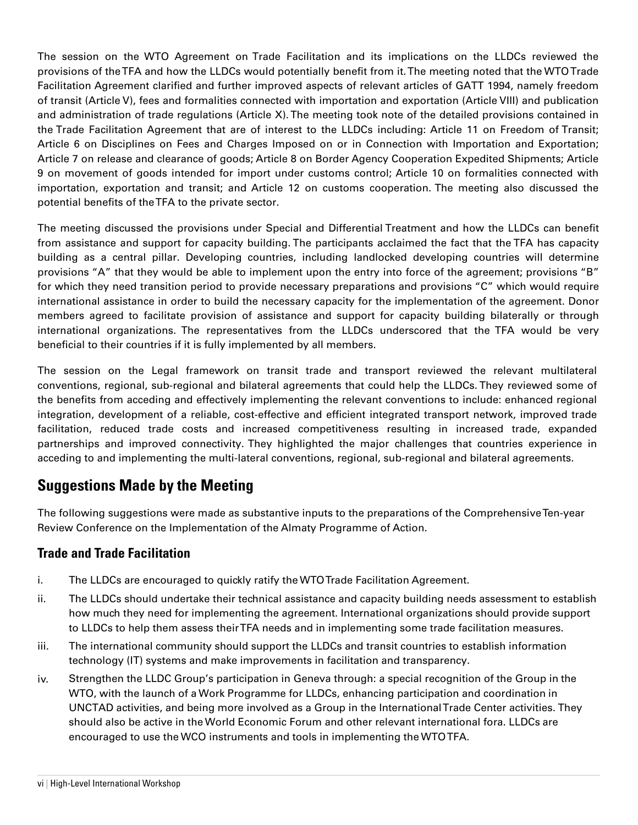The session on the WTO Agreement on Trade Facilitation and its implications on the LLDCs reviewed the provisions of the TFA and how the LLDCs would potentially benefit from it. The meeting noted that the WTO Trade Facilitation Agreement clarified and further improved aspects of relevant articles of GATT 1994, namely freedom of transit (Article V), fees and formalities connected with importation and exportation (Article VIII) and publication and administration of trade regulations (Article X). The meeting took note of the detailed provisions contained in the Trade Facilitation Agreement that are of interest to the LLDCs including: Article 11 on Freedom of Transit; Article 6 on Disciplines on Fees and Charges Imposed on or in Connection with Importation and Exportation; Article 7 on release and clearance of goods; Article 8 on Border Agency Cooperation Expedited Shipments; Article 9 on movement of goods intended for import under customs control; Article 10 on formalities connected with importation, exportation and transit; and Article 12 on customs cooperation. The meeting also discussed the potential benefits of the TFA to the private sector.

The meeting discussed the provisions under Special and Differential Treatment and how the LLDCs can benefit from assistance and support for capacity building. The participants acclaimed the fact that the TFA has capacity building as a central pillar. Developing countries, including landlocked developing countries will determine provisions "A" that they would be able to implement upon the entry into force of the agreement; provisions "B" for which they need transition period to provide necessary preparations and provisions "C" which would require international assistance in order to build the necessary capacity for the implementation of the agreement. Donor members agreed to facilitate provision of assistance and support for capacity building bilaterally or through international organizations. The representatives from the LLDCs underscored that the TFA would be very beneficial to their countries if it is fully implemented by all members.

The session on the Legal framework on transit trade and transport reviewed the relevant multilateral conventions, regional, sub-regional and bilateral agreements that could help the LLDCs. They reviewed some of the benefits from acceding and effectively implementing the relevant conventions to include: enhanced regional integration, development of a reliable, cost-effective and efficient integrated transport network, improved trade facilitation, reduced trade costs and increased competitiveness resulting in increased trade, expanded partnerships and improved connectivity. They highlighted the major challenges that countries experience in acceding to and implementing the multi-lateral conventions, regional, sub-regional and bilateral agreements.

### **Suggestions Made by the Meeting**

The following suggestions were made as substantive inputs to the preparations of the Comprehensive Ten-year Review Conference on the Implementation of the Almaty Programme of Action.

#### **Trade and Trade Facilitation**

- i. The LLDCs are encouraged to quickly ratify the WTO Trade Facilitation Agreement.
- ii. The LLDCs should undertake their technical assistance and capacity building needs assessment to establish how much they need for implementing the agreement. International organizations should provide support to LLDCs to help them assess their TFA needs and in implementing some trade facilitation measures.
- iii. The international community should support the LLDCs and transit countries to establish information technology (IT) systems and make improvements in facilitation and transparency.
- iv. Strengthen the LLDC Group's participation in Geneva through: a special recognition of the Group in the WTO, with the launch of a Work Programme for LLDCs, enhancing participation and coordination in UNCTAD activities, and being more involved as a Group in the International Trade Center activities. They should also be active in the World Economic Forum and other relevant international fora. LLDCs are encouraged to use the WCO instruments and tools in implementing the WTO TFA.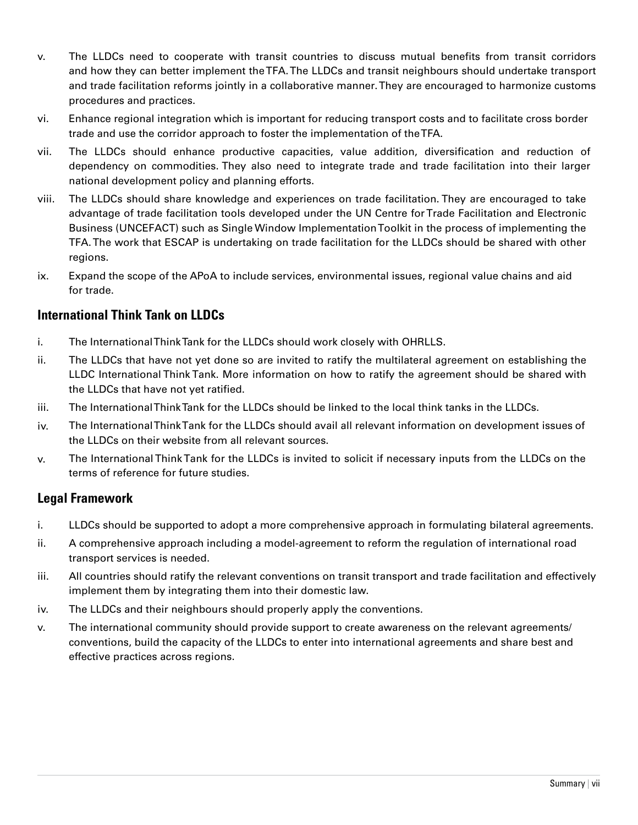- v. The LLDCs need to cooperate with transit countries to discuss mutual benefits from transit corridors and how they can better implement the TFA. The LLDCs and transit neighbours should undertake transport and trade facilitation reforms jointly in a collaborative manner. They are encouraged to harmonize customs procedures and practices.
- vi. Enhance regional integration which is important for reducing transport costs and to facilitate cross border trade and use the corridor approach to foster the implementation of the TFA.
- vii. The LLDCs should enhance productive capacities, value addition, diversification and reduction of dependency on commodities. They also need to integrate trade and trade facilitation into their larger national development policy and planning efforts.
- viii. The LLDCs should share knowledge and experiences on trade facilitation. They are encouraged to take advantage of trade facilitation tools developed under the UN Centre for Trade Facilitation and Electronic Business (UNCEFACT) such as Single Window Implementation Toolkit in the process of implementing the TFA. The work that ESCAP is undertaking on trade facilitation for the LLDCs should be shared with other regions.
- ix. Expand the scope of the APoA to include services, environmental issues, regional value chains and aid for trade.

#### **International Think Tank on LLDCs**

- i. The International Think Tank for the LLDCs should work closely with OHRLLS.
- ii. The LLDCs that have not yet done so are invited to ratify the multilateral agreement on establishing the LLDC International Think Tank. More information on how to ratify the agreement should be shared with the LLDCs that have not yet ratified.
- iii. The International Think Tank for the LLDCs should be linked to the local think tanks in the LLDCs.
- iv. The International Think Tank for the LLDCs should avail all relevant information on development issues of the LLDCs on their website from all relevant sources.
- v. The International Think Tank for the LLDCs is invited to solicit if necessary inputs from the LLDCs on the terms of reference for future studies.

#### **Legal Framework**

- i. LLDCs should be supported to adopt a more comprehensive approach in formulating bilateral agreements.
- ii. A comprehensive approach including a model-agreement to reform the regulation of international road transport services is needed.
- iii. All countries should ratify the relevant conventions on transit transport and trade facilitation and effectively implement them by integrating them into their domestic law.
- iv. The LLDCs and their neighbours should properly apply the conventions.
- v. The international community should provide support to create awareness on the relevant agreements/ conventions, build the capacity of the LLDCs to enter into international agreements and share best and effective practices across regions.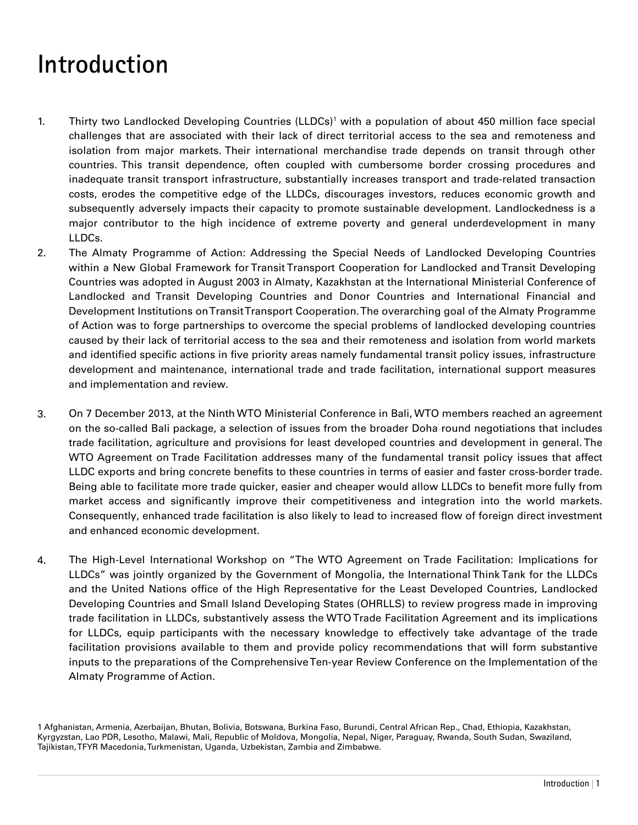## **Introduction**

- 1. Thirty two Landlocked Developing Countries (LLDCs)<sup>1</sup> with a population of about 450 million face special challenges that are associated with their lack of direct territorial access to the sea and remoteness and isolation from major markets. Their international merchandise trade depends on transit through other countries. This transit dependence, often coupled with cumbersome border crossing procedures and inadequate transit transport infrastructure, substantially increases transport and trade-related transaction costs, erodes the competitive edge of the LLDCs, discourages investors, reduces economic growth and subsequently adversely impacts their capacity to promote sustainable development. Landlockedness is a major contributor to the high incidence of extreme poverty and general underdevelopment in many LLDCs.
- 2. The Almaty Programme of Action: Addressing the Special Needs of Landlocked Developing Countries within a New Global Framework for Transit Transport Cooperation for Landlocked and Transit Developing Countries was adopted in August 2003 in Almaty, Kazakhstan at the International Ministerial Conference of Landlocked and Transit Developing Countries and Donor Countries and International Financial and Development Institutions on Transit Transport Cooperation. The overarching goal of the Almaty Programme of Action was to forge partnerships to overcome the special problems of landlocked developing countries caused by their lack of territorial access to the sea and their remoteness and isolation from world markets and identified specific actions in five priority areas namely fundamental transit policy issues, infrastructure development and maintenance, international trade and trade facilitation, international support measures and implementation and review.
- 3. On 7 December 2013, at the Ninth WTO Ministerial Conference in Bali, WTO members reached an agreement on the so-called Bali package, a selection of issues from the broader Doha round negotiations that includes trade facilitation, agriculture and provisions for least developed countries and development in general. The WTO Agreement on Trade Facilitation addresses many of the fundamental transit policy issues that affect LLDC exports and bring concrete benefits to these countries in terms of easier and faster cross-border trade. Being able to facilitate more trade quicker, easier and cheaper would allow LLDCs to benefit more fully from market access and significantly improve their competitiveness and integration into the world markets. Consequently, enhanced trade facilitation is also likely to lead to increased flow of foreign direct investment and enhanced economic development.
- 4. The High-Level International Workshop on "The WTO Agreement on Trade Facilitation: Implications for LLDCs" was jointly organized by the Government of Mongolia, the International Think Tank for the LLDCs and the United Nations office of the High Representative for the Least Developed Countries, Landlocked Developing Countries and Small Island Developing States (OHRLLS) to review progress made in improving trade facilitation in LLDCs, substantively assess the WTO Trade Facilitation Agreement and its implications for LLDCs, equip participants with the necessary knowledge to effectively take advantage of the trade facilitation provisions available to them and provide policy recommendations that will form substantive inputs to the preparations of the Comprehensive Ten-year Review Conference on the Implementation of the Almaty Programme of Action.

<sup>1</sup> Afghanistan, Armenia, Azerbaijan, Bhutan, Bolivia, Botswana, Burkina Faso, Burundi, Central African Rep., Chad, Ethiopia, Kazakhstan, Kyrgyzstan, Lao PDR, Lesotho, Malawi, Mali, Republic of Moldova, Mongolia, Nepal, Niger, Paraguay, Rwanda, South Sudan, Swaziland, Tajikistan, TFYR Macedonia, Turkmenistan, Uganda, Uzbekistan, Zambia and Zimbabwe.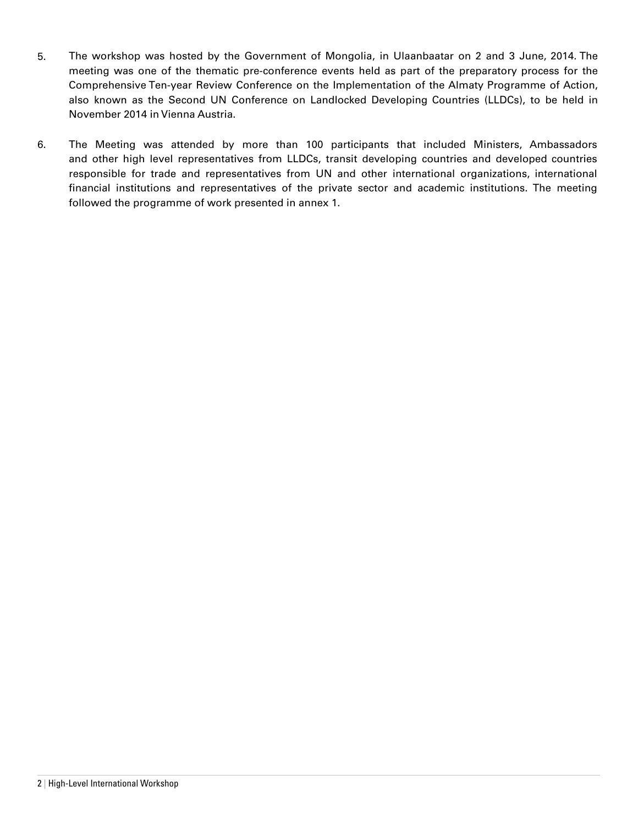- 5. The workshop was hosted by the Government of Mongolia, in Ulaanbaatar on 2 and 3 June, 2014. The meeting was one of the thematic pre-conference events held as part of the preparatory process for the Comprehensive Ten-year Review Conference on the Implementation of the Almaty Programme of Action, also known as the Second UN Conference on Landlocked Developing Countries (LLDCs), to be held in November 2014 in Vienna Austria.
- 6. The Meeting was attended by more than 100 participants that included Ministers, Ambassadors and other high level representatives from LLDCs, transit developing countries and developed countries responsible for trade and representatives from UN and other international organizations, international financial institutions and representatives of the private sector and academic institutions. The meeting followed the programme of work presented in annex 1.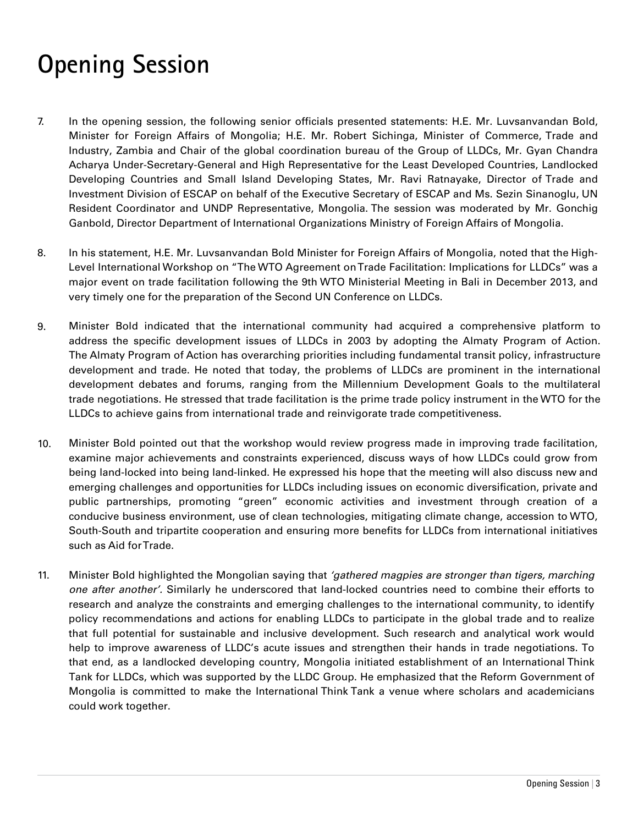# **Opening Session**

- 7. In the opening session, the following senior officials presented statements: H.E. Mr. Luvsanvandan Bold, Minister for Foreign Affairs of Mongolia; H.E. Mr. Robert Sichinga, Minister of Commerce, Trade and Industry, Zambia and Chair of the global coordination bureau of the Group of LLDCs, Mr. Gyan Chandra Acharya Under-Secretary-General and High Representative for the Least Developed Countries, Landlocked Developing Countries and Small Island Developing States, Mr. Ravi Ratnayake, Director of Trade and Investment Division of ESCAP on behalf of the Executive Secretary of ESCAP and Ms. Sezin Sinanoglu, UN Resident Coordinator and UNDP Representative, Mongolia. The session was moderated by Mr. Gonchig Ganbold, Director Department of International Organizations Ministry of Foreign Affairs of Mongolia.
- 8. In his statement, H.E. Mr. Luvsanvandan Bold Minister for Foreign Affairs of Mongolia, noted that the High-Level International Workshop on "The WTO Agreement on Trade Facilitation: Implications for LLDCs" was a major event on trade facilitation following the 9th WTO Ministerial Meeting in Bali in December 2013, and very timely one for the preparation of the Second UN Conference on LLDCs.
- 9. Minister Bold indicated that the international community had acquired a comprehensive platform to address the specific development issues of LLDCs in 2003 by adopting the Almaty Program of Action. The Almaty Program of Action has overarching priorities including fundamental transit policy, infrastructure development and trade. He noted that today, the problems of LLDCs are prominent in the international development debates and forums, ranging from the Millennium Development Goals to the multilateral trade negotiations. He stressed that trade facilitation is the prime trade policy instrument in the WTO for the LLDCs to achieve gains from international trade and reinvigorate trade competitiveness.
- 10. Minister Bold pointed out that the workshop would review progress made in improving trade facilitation, examine major achievements and constraints experienced, discuss ways of how LLDCs could grow from being land-locked into being land-linked. He expressed his hope that the meeting will also discuss new and emerging challenges and opportunities for LLDCs including issues on economic diversification, private and public partnerships, promoting "green" economic activities and investment through creation of a conducive business environment, use of clean technologies, mitigating climate change, accession to WTO, South-South and tripartite cooperation and ensuring more benefits for LLDCs from international initiatives such as Aid for Trade.
- 11. Minister Bold highlighted the Mongolian saying that *'gathered magpies are stronger than tigers, marching one after another'.* Similarly he underscored that land-locked countries need to combine their efforts to research and analyze the constraints and emerging challenges to the international community, to identify policy recommendations and actions for enabling LLDCs to participate in the global trade and to realize that full potential for sustainable and inclusive development. Such research and analytical work would help to improve awareness of LLDC's acute issues and strengthen their hands in trade negotiations. To that end, as a landlocked developing country, Mongolia initiated establishment of an International Think Tank for LLDCs, which was supported by the LLDC Group. He emphasized that the Reform Government of Mongolia is committed to make the International Think Tank a venue where scholars and academicians could work together.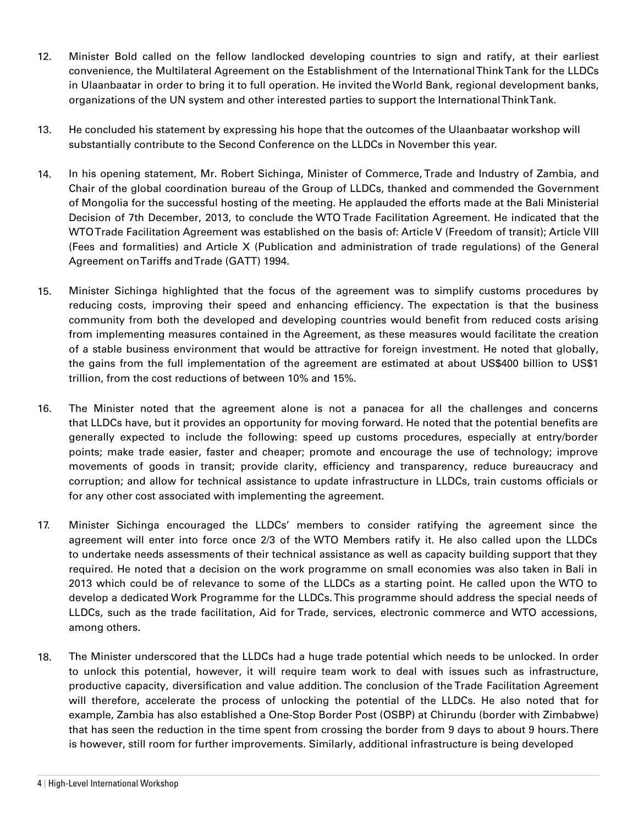- 12. Minister Bold called on the fellow landlocked developing countries to sign and ratify, at their earliest convenience, the Multilateral Agreement on the Establishment of the International Think Tank for the LLDCs in Ulaanbaatar in order to bring it to full operation. He invited the World Bank, regional development banks, organizations of the UN system and other interested parties to support the International Think Tank.
- 13. He concluded his statement by expressing his hope that the outcomes of the Ulaanbaatar workshop will substantially contribute to the Second Conference on the LLDCs in November this year.
- 14. In his opening statement, Mr. Robert Sichinga, Minister of Commerce, Trade and Industry of Zambia, and Chair of the global coordination bureau of the Group of LLDCs, thanked and commended the Government of Mongolia for the successful hosting of the meeting. He applauded the efforts made at the Bali Ministerial Decision of 7th December, 2013, to conclude the WTO Trade Facilitation Agreement. He indicated that the WTO Trade Facilitation Agreement was established on the basis of: Article V (Freedom of transit); Article VIII (Fees and formalities) and Article X (Publication and administration of trade regulations) of the General Agreement on Tariffs and Trade (GATT) 1994.
- 15. Minister Sichinga highlighted that the focus of the agreement was to simplify customs procedures by reducing costs, improving their speed and enhancing efficiency. The expectation is that the business community from both the developed and developing countries would benefit from reduced costs arising from implementing measures contained in the Agreement, as these measures would facilitate the creation of a stable business environment that would be attractive for foreign investment. He noted that globally, the gains from the full implementation of the agreement are estimated at about US\$400 billion to US\$1 trillion, from the cost reductions of between 10% and 15%.
- 16. The Minister noted that the agreement alone is not a panacea for all the challenges and concerns that LLDCs have, but it provides an opportunity for moving forward. He noted that the potential benefits are generally expected to include the following: speed up customs procedures, especially at entry/border points; make trade easier, faster and cheaper; promote and encourage the use of technology; improve movements of goods in transit; provide clarity, efficiency and transparency, reduce bureaucracy and corruption; and allow for technical assistance to update infrastructure in LLDCs, train customs officials or for any other cost associated with implementing the agreement.
- 17. Minister Sichinga encouraged the LLDCs' members to consider ratifying the agreement since the agreement will enter into force once 2/3 of the WTO Members ratify it. He also called upon the LLDCs to undertake needs assessments of their technical assistance as well as capacity building support that they required. He noted that a decision on the work programme on small economies was also taken in Bali in 2013 which could be of relevance to some of the LLDCs as a starting point. He called upon the WTO to develop a dedicated Work Programme for the LLDCs. This programme should address the special needs of LLDCs, such as the trade facilitation, Aid for Trade, services, electronic commerce and WTO accessions, among others.
- 18. The Minister underscored that the LLDCs had a huge trade potential which needs to be unlocked. In order to unlock this potential, however, it will require team work to deal with issues such as infrastructure, productive capacity, diversification and value addition. The conclusion of the Trade Facilitation Agreement will therefore, accelerate the process of unlocking the potential of the LLDCs. He also noted that for example, Zambia has also established a One-Stop Border Post (OSBP) at Chirundu (border with Zimbabwe) that has seen the reduction in the time spent from crossing the border from 9 days to about 9 hours. There is however, still room for further improvements. Similarly, additional infrastructure is being developed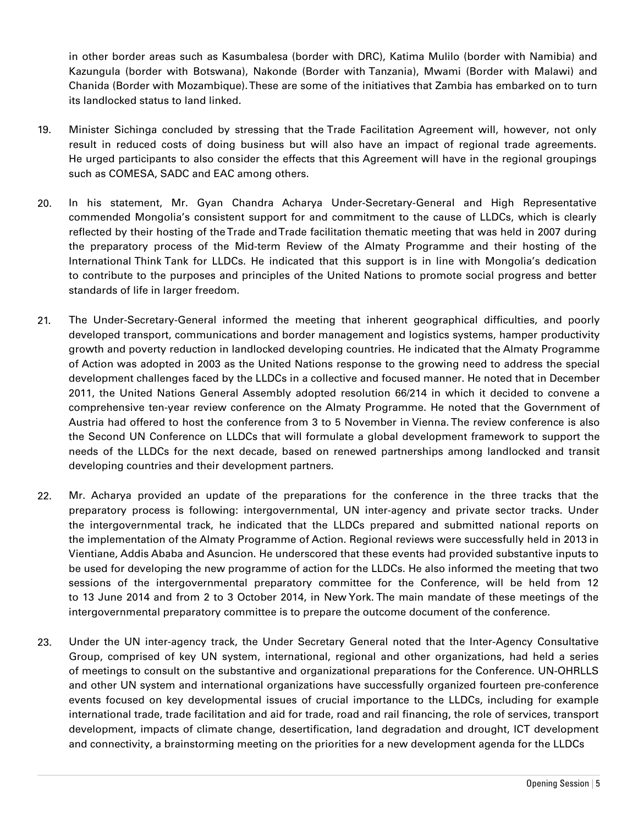in other border areas such as Kasumbalesa (border with DRC), Katima Mulilo (border with Namibia) and Kazungula (border with Botswana), Nakonde (Border with Tanzania), Mwami (Border with Malawi) and Chanida (Border with Mozambique). These are some of the initiatives that Zambia has embarked on to turn its landlocked status to land linked.

- 19. Minister Sichinga concluded by stressing that the Trade Facilitation Agreement will, however, not only result in reduced costs of doing business but will also have an impact of regional trade agreements. He urged participants to also consider the effects that this Agreement will have in the regional groupings such as COMESA, SADC and EAC among others.
- 20. In his statement, Mr. Gyan Chandra Acharya Under-Secretary-General and High Representative commended Mongolia's consistent support for and commitment to the cause of LLDCs, which is clearly reflected by their hosting of the Trade and Trade facilitation thematic meeting that was held in 2007 during the preparatory process of the Mid-term Review of the Almaty Programme and their hosting of the International Think Tank for LLDCs. He indicated that this support is in line with Mongolia's dedication to contribute to the purposes and principles of the United Nations to promote social progress and better standards of life in larger freedom.
- 21. The Under-Secretary-General informed the meeting that inherent geographical difficulties, and poorly developed transport, communications and border management and logistics systems, hamper productivity growth and poverty reduction in landlocked developing countries. He indicated that the Almaty Programme of Action was adopted in 2003 as the United Nations response to the growing need to address the special development challenges faced by the LLDCs in a collective and focused manner. He noted that in December 2011, the United Nations General Assembly adopted resolution 66/214 in which it decided to convene a comprehensive ten-year review conference on the Almaty Programme. He noted that the Government of Austria had offered to host the conference from 3 to 5 November in Vienna. The review conference is also the Second UN Conference on LLDCs that will formulate a global development framework to support the needs of the LLDCs for the next decade, based on renewed partnerships among landlocked and transit developing countries and their development partners.
- 22. Mr. Acharya provided an update of the preparations for the conference in the three tracks that the preparatory process is following: intergovernmental, UN inter-agency and private sector tracks. Under the intergovernmental track, he indicated that the LLDCs prepared and submitted national reports on the implementation of the Almaty Programme of Action. Regional reviews were successfully held in 2013 in Vientiane, Addis Ababa and Asuncion. He underscored that these events had provided substantive inputs to be used for developing the new programme of action for the LLDCs. He also informed the meeting that two sessions of the intergovernmental preparatory committee for the Conference, will be held from 12 to 13 June 2014 and from 2 to 3 October 2014, in New York. The main mandate of these meetings of the intergovernmental preparatory committee is to prepare the outcome document of the conference.
- 23. Under the UN inter-agency track, the Under Secretary General noted that the Inter-Agency Consultative Group, comprised of key UN system, international, regional and other organizations, had held a series of meetings to consult on the substantive and organizational preparations for the Conference. UN-OHRLLS and other UN system and international organizations have successfully organized fourteen pre-conference events focused on key developmental issues of crucial importance to the LLDCs, including for example international trade, trade facilitation and aid for trade, road and rail financing, the role of services, transport development, impacts of climate change, desertification, land degradation and drought, ICT development and connectivity, a brainstorming meeting on the priorities for a new development agenda for the LLDCs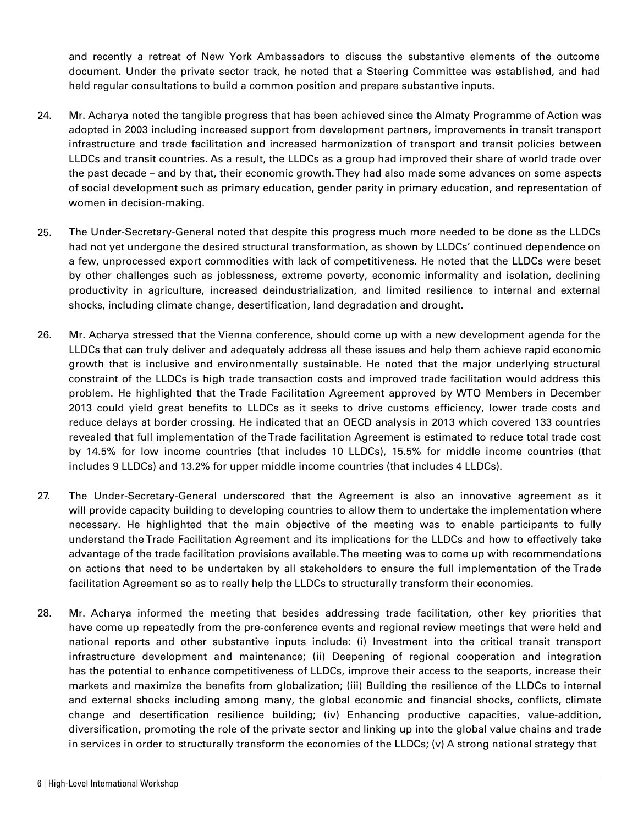and recently a retreat of New York Ambassadors to discuss the substantive elements of the outcome document. Under the private sector track, he noted that a Steering Committee was established, and had held regular consultations to build a common position and prepare substantive inputs.

- 24. Mr. Acharya noted the tangible progress that has been achieved since the Almaty Programme of Action was adopted in 2003 including increased support from development partners, improvements in transit transport infrastructure and trade facilitation and increased harmonization of transport and transit policies between LLDCs and transit countries. As a result, the LLDCs as a group had improved their share of world trade over the past decade – and by that, their economic growth. They had also made some advances on some aspects of social development such as primary education, gender parity in primary education, and representation of women in decision-making.
- 25. The Under-Secretary-General noted that despite this progress much more needed to be done as the LLDCs had not yet undergone the desired structural transformation, as shown by LLDCs' continued dependence on a few, unprocessed export commodities with lack of competitiveness. He noted that the LLDCs were beset by other challenges such as joblessness, extreme poverty, economic informality and isolation, declining productivity in agriculture, increased deindustrialization, and limited resilience to internal and external shocks, including climate change, desertification, land degradation and drought.
- 26. Mr. Acharya stressed that the Vienna conference, should come up with a new development agenda for the LLDCs that can truly deliver and adequately address all these issues and help them achieve rapid economic growth that is inclusive and environmentally sustainable. He noted that the major underlying structural constraint of the LLDCs is high trade transaction costs and improved trade facilitation would address this problem. He highlighted that the Trade Facilitation Agreement approved by WTO Members in December 2013 could yield great benefits to LLDCs as it seeks to drive customs efficiency, lower trade costs and reduce delays at border crossing. He indicated that an OECD analysis in 2013 which covered 133 countries revealed that full implementation of the Trade facilitation Agreement is estimated to reduce total trade cost by 14.5% for low income countries (that includes 10 LLDCs), 15.5% for middle income countries (that includes 9 LLDCs) and 13.2% for upper middle income countries (that includes 4 LLDCs).
- 27. The Under-Secretary-General underscored that the Agreement is also an innovative agreement as it will provide capacity building to developing countries to allow them to undertake the implementation where necessary. He highlighted that the main objective of the meeting was to enable participants to fully understand the Trade Facilitation Agreement and its implications for the LLDCs and how to effectively take advantage of the trade facilitation provisions available. The meeting was to come up with recommendations on actions that need to be undertaken by all stakeholders to ensure the full implementation of the Trade facilitation Agreement so as to really help the LLDCs to structurally transform their economies.
- 28. Mr. Acharya informed the meeting that besides addressing trade facilitation, other key priorities that have come up repeatedly from the pre-conference events and regional review meetings that were held and national reports and other substantive inputs include: (i) Investment into the critical transit transport infrastructure development and maintenance; (ii) Deepening of regional cooperation and integration has the potential to enhance competitiveness of LLDCs, improve their access to the seaports, increase their markets and maximize the benefits from globalization; (iii) Building the resilience of the LLDCs to internal and external shocks including among many, the global economic and financial shocks, conflicts, climate change and desertification resilience building; (iv) Enhancing productive capacities, value-addition, diversification, promoting the role of the private sector and linking up into the global value chains and trade in services in order to structurally transform the economies of the LLDCs; (v) A strong national strategy that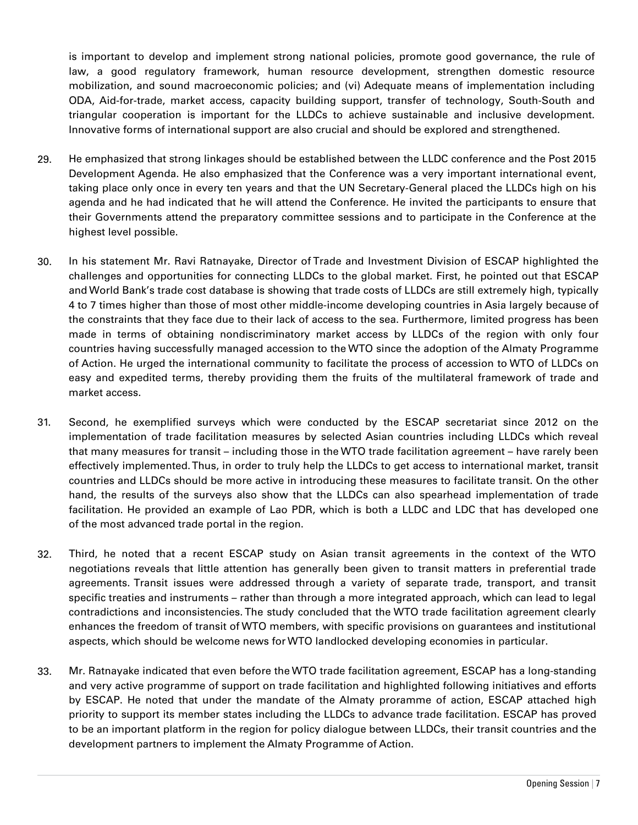is important to develop and implement strong national policies, promote good governance, the rule of law, a good regulatory framework, human resource development, strengthen domestic resource mobilization, and sound macroeconomic policies; and (vi) Adequate means of implementation including ODA, Aid-for-trade, market access, capacity building support, transfer of technology, South-South and triangular cooperation is important for the LLDCs to achieve sustainable and inclusive development. Innovative forms of international support are also crucial and should be explored and strengthened.

- 29. He emphasized that strong linkages should be established between the LLDC conference and the Post 2015 Development Agenda. He also emphasized that the Conference was a very important international event, taking place only once in every ten years and that the UN Secretary-General placed the LLDCs high on his agenda and he had indicated that he will attend the Conference. He invited the participants to ensure that their Governments attend the preparatory committee sessions and to participate in the Conference at the highest level possible.
- 30. In his statement Mr. Ravi Ratnayake, Director of Trade and Investment Division of ESCAP highlighted the challenges and opportunities for connecting LLDCs to the global market. First, he pointed out that ESCAP and World Bank's trade cost database is showing that trade costs of LLDCs are still extremely high, typically 4 to 7 times higher than those of most other middle-income developing countries in Asia largely because of the constraints that they face due to their lack of access to the sea. Furthermore, limited progress has been made in terms of obtaining nondiscriminatory market access by LLDCs of the region with only four countries having successfully managed accession to the WTO since the adoption of the Almaty Programme of Action. He urged the international community to facilitate the process of accession to WTO of LLDCs on easy and expedited terms, thereby providing them the fruits of the multilateral framework of trade and market access.
- 31. Second, he exemplified surveys which were conducted by the ESCAP secretariat since 2012 on the implementation of trade facilitation measures by selected Asian countries including LLDCs which reveal that many measures for transit – including those in the WTO trade facilitation agreement – have rarely been effectively implemented. Thus, in order to truly help the LLDCs to get access to international market, transit countries and LLDCs should be more active in introducing these measures to facilitate transit. On the other hand, the results of the surveys also show that the LLDCs can also spearhead implementation of trade facilitation. He provided an example of Lao PDR, which is both a LLDC and LDC that has developed one of the most advanced trade portal in the region.
- 32. Third, he noted that a recent ESCAP study on Asian transit agreements in the context of the WTO negotiations reveals that little attention has generally been given to transit matters in preferential trade agreements. Transit issues were addressed through a variety of separate trade, transport, and transit specific treaties and instruments – rather than through a more integrated approach, which can lead to legal contradictions and inconsistencies. The study concluded that the WTO trade facilitation agreement clearly enhances the freedom of transit of WTO members, with specific provisions on guarantees and institutional aspects, which should be welcome news for WTO landlocked developing economies in particular.
- 33. Mr. Ratnayake indicated that even before the WTO trade facilitation agreement, ESCAP has a long-standing and very active programme of support on trade facilitation and highlighted following initiatives and efforts by ESCAP. He noted that under the mandate of the Almaty proramme of action, ESCAP attached high priority to support its member states including the LLDCs to advance trade facilitation. ESCAP has proved to be an important platform in the region for policy dialogue between LLDCs, their transit countries and the development partners to implement the Almaty Programme of Action.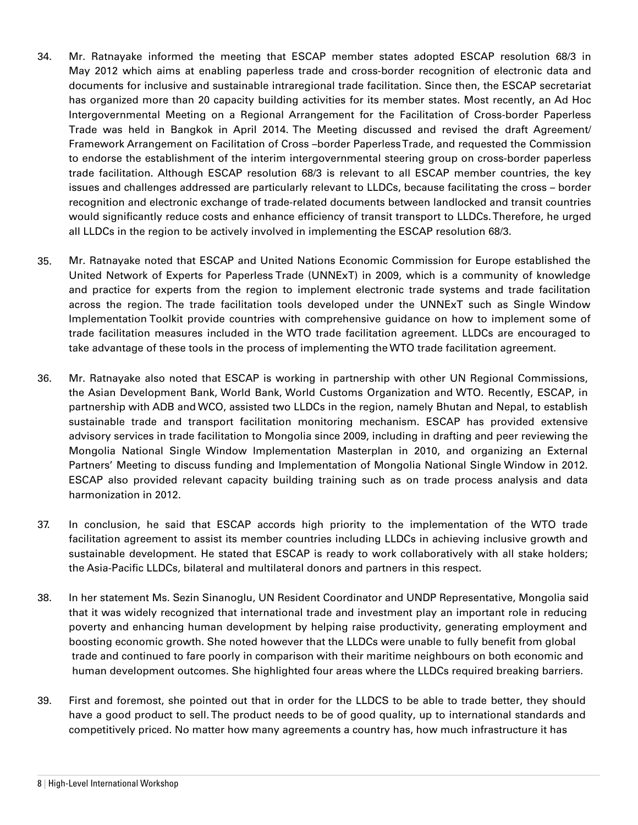- 34. Mr. Ratnayake informed the meeting that ESCAP member states adopted ESCAP resolution 68/3 in May 2012 which aims at enabling paperless trade and cross-border recognition of electronic data and documents for inclusive and sustainable intraregional trade facilitation. Since then, the ESCAP secretariat has organized more than 20 capacity building activities for its member states. Most recently, an Ad Hoc Intergovernmental Meeting on a Regional Arrangement for the Facilitation of Cross-border Paperless Trade was held in Bangkok in April 2014. The Meeting discussed and revised the draft Agreement/ Framework Arrangement on Facilitation of Cross –border Paperless Trade, and requested the Commission to endorse the establishment of the interim intergovernmental steering group on cross-border paperless trade facilitation. Although ESCAP resolution 68/3 is relevant to all ESCAP member countries, the key issues and challenges addressed are particularly relevant to LLDCs, because facilitating the cross – border recognition and electronic exchange of trade-related documents between landlocked and transit countries would significantly reduce costs and enhance efficiency of transit transport to LLDCs. Therefore, he urged all LLDCs in the region to be actively involved in implementing the ESCAP resolution 68/3.
- 35. Mr. Ratnayake noted that ESCAP and United Nations Economic Commission for Europe established the United Network of Experts for Paperless Trade (UNNExT) in 2009, which is a community of knowledge and practice for experts from the region to implement electronic trade systems and trade facilitation across the region. The trade facilitation tools developed under the UNNExT such as Single Window Implementation Toolkit provide countries with comprehensive guidance on how to implement some of trade facilitation measures included in the WTO trade facilitation agreement. LLDCs are encouraged to take advantage of these tools in the process of implementing the WTO trade facilitation agreement.
- 36. Mr. Ratnayake also noted that ESCAP is working in partnership with other UN Regional Commissions, the Asian Development Bank, World Bank, World Customs Organization and WTO. Recently, ESCAP, in partnership with ADB and WCO, assisted two LLDCs in the region, namely Bhutan and Nepal, to establish sustainable trade and transport facilitation monitoring mechanism. ESCAP has provided extensive advisory services in trade facilitation to Mongolia since 2009, including in drafting and peer reviewing the Mongolia National Single Window Implementation Masterplan in 2010, and organizing an External Partners' Meeting to discuss funding and Implementation of Mongolia National Single Window in 2012. ESCAP also provided relevant capacity building training such as on trade process analysis and data harmonization in 2012.
- 37. In conclusion, he said that ESCAP accords high priority to the implementation of the WTO trade facilitation agreement to assist its member countries including LLDCs in achieving inclusive growth and sustainable development. He stated that ESCAP is ready to work collaboratively with all stake holders; the Asia-Pacific LLDCs, bilateral and multilateral donors and partners in this respect.
- 38. In her statement Ms. Sezin Sinanoglu, UN Resident Coordinator and UNDP Representative, Mongolia said that it was widely recognized that international trade and investment play an important role in reducing poverty and enhancing human development by helping raise productivity, generating employment and boosting economic growth. She noted however that the LLDCs were unable to fully benefit from global trade and continued to fare poorly in comparison with their maritime neighbours on both economic and human development outcomes. She highlighted four areas where the LLDCs required breaking barriers.
- 39. First and foremost, she pointed out that in order for the LLDCS to be able to trade better, they should have a good product to sell. The product needs to be of good quality, up to international standards and competitively priced. No matter how many agreements a country has, how much infrastructure it has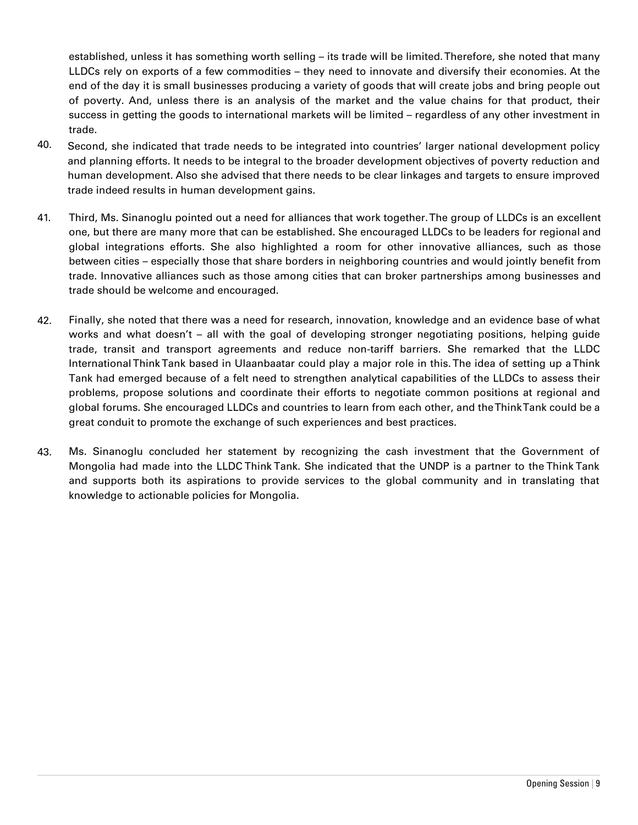established, unless it has something worth selling – its trade will be limited. Therefore, she noted that many LLDCs rely on exports of a few commodities – they need to innovate and diversify their economies. At the end of the day it is small businesses producing a variety of goods that will create jobs and bring people out of poverty. And, unless there is an analysis of the market and the value chains for that product, their success in getting the goods to international markets will be limited – regardless of any other investment in trade.

- 40. Second, she indicated that trade needs to be integrated into countries' larger national development policy and planning efforts. It needs to be integral to the broader development objectives of poverty reduction and human development. Also she advised that there needs to be clear linkages and targets to ensure improved trade indeed results in human development gains.
- 41. Third, Ms. Sinanoglu pointed out a need for alliances that work together. The group of LLDCs is an excellent one, but there are many more that can be established. She encouraged LLDCs to be leaders for regional and global integrations efforts. She also highlighted a room for other innovative alliances, such as those between cities – especially those that share borders in neighboring countries and would jointly benefit from trade. Innovative alliances such as those among cities that can broker partnerships among businesses and trade should be welcome and encouraged.
- 42. Finally, she noted that there was a need for research, innovation, knowledge and an evidence base of what works and what doesn't – all with the goal of developing stronger negotiating positions, helping guide trade, transit and transport agreements and reduce non-tariff barriers. She remarked that the LLDC International Think Tank based in Ulaanbaatar could play a major role in this. The idea of setting up a Think Tank had emerged because of a felt need to strengthen analytical capabilities of the LLDCs to assess their problems, propose solutions and coordinate their efforts to negotiate common positions at regional and global forums. She encouraged LLDCs and countries to learn from each other, and the Think Tank could be a great conduit to promote the exchange of such experiences and best practices.
- 43. Ms. Sinanoglu concluded her statement by recognizing the cash investment that the Government of Mongolia had made into the LLDC Think Tank. She indicated that the UNDP is a partner to the Think Tank and supports both its aspirations to provide services to the global community and in translating that knowledge to actionable policies for Mongolia.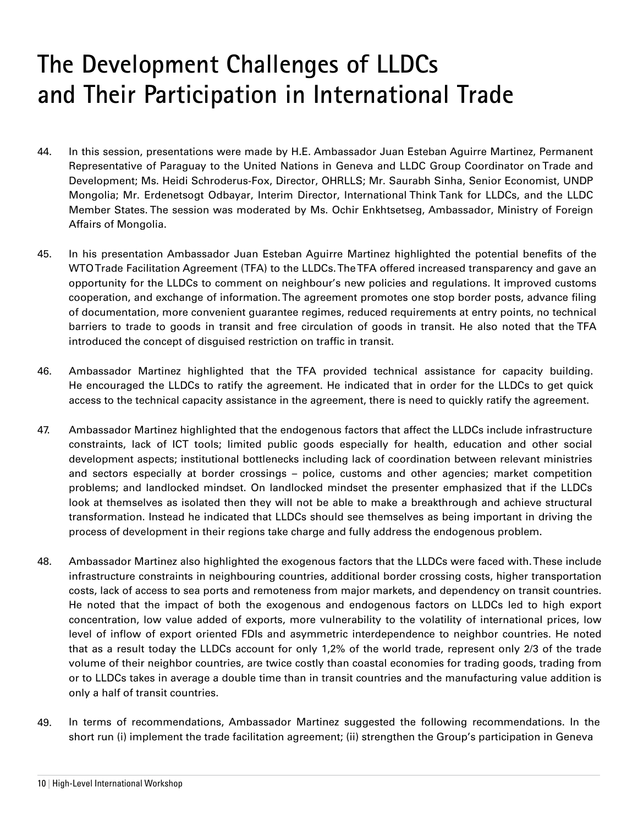## **The Development Challenges of LLDCs and Their Participation in International Trade**

- 44. In this session, presentations were made by H.E. Ambassador Juan Esteban Aguirre Martinez, Permanent Representative of Paraguay to the United Nations in Geneva and LLDC Group Coordinator on Trade and Development; Ms. Heidi Schroderus-Fox, Director, OHRLLS; Mr. Saurabh Sinha, Senior Economist, UNDP Mongolia; Mr. Erdenetsogt Odbayar, Interim Director, International Think Tank for LLDCs, and the LLDC Member States. The session was moderated by Ms. Ochir Enkhtsetseg, Ambassador, Ministry of Foreign Affairs of Mongolia.
- 45. In his presentation Ambassador Juan Esteban Aguirre Martinez highlighted the potential benefits of the WTO Trade Facilitation Agreement (TFA) to the LLDCs. The TFA offered increased transparency and gave an opportunity for the LLDCs to comment on neighbour's new policies and regulations. It improved customs cooperation, and exchange of information. The agreement promotes one stop border posts, advance filing of documentation, more convenient guarantee regimes, reduced requirements at entry points, no technical barriers to trade to goods in transit and free circulation of goods in transit. He also noted that the TFA introduced the concept of disguised restriction on traffic in transit.
- 46. Ambassador Martinez highlighted that the TFA provided technical assistance for capacity building. He encouraged the LLDCs to ratify the agreement. He indicated that in order for the LLDCs to get quick access to the technical capacity assistance in the agreement, there is need to quickly ratify the agreement.
- 47. Ambassador Martinez highlighted that the endogenous factors that affect the LLDCs include infrastructure constraints, lack of ICT tools; limited public goods especially for health, education and other social development aspects; institutional bottlenecks including lack of coordination between relevant ministries and sectors especially at border crossings – police, customs and other agencies; market competition problems; and landlocked mindset. On landlocked mindset the presenter emphasized that if the LLDCs look at themselves as isolated then they will not be able to make a breakthrough and achieve structural transformation. Instead he indicated that LLDCs should see themselves as being important in driving the process of development in their regions take charge and fully address the endogenous problem.
- 48. Ambassador Martinez also highlighted the exogenous factors that the LLDCs were faced with. These include infrastructure constraints in neighbouring countries, additional border crossing costs, higher transportation costs, lack of access to sea ports and remoteness from major markets, and dependency on transit countries. He noted that the impact of both the exogenous and endogenous factors on LLDCs led to high export concentration, low value added of exports, more vulnerability to the volatility of international prices, low level of inflow of export oriented FDIs and asymmetric interdependence to neighbor countries. He noted that as a result today the LLDCs account for only 1,2% of the world trade, represent only 2/3 of the trade volume of their neighbor countries, are twice costly than coastal economies for trading goods, trading from or to LLDCs takes in average a double time than in transit countries and the manufacturing value addition is only a half of transit countries.
- 49. In terms of recommendations, Ambassador Martinez suggested the following recommendations. In the short run (i) implement the trade facilitation agreement; (ii) strengthen the Group's participation in Geneva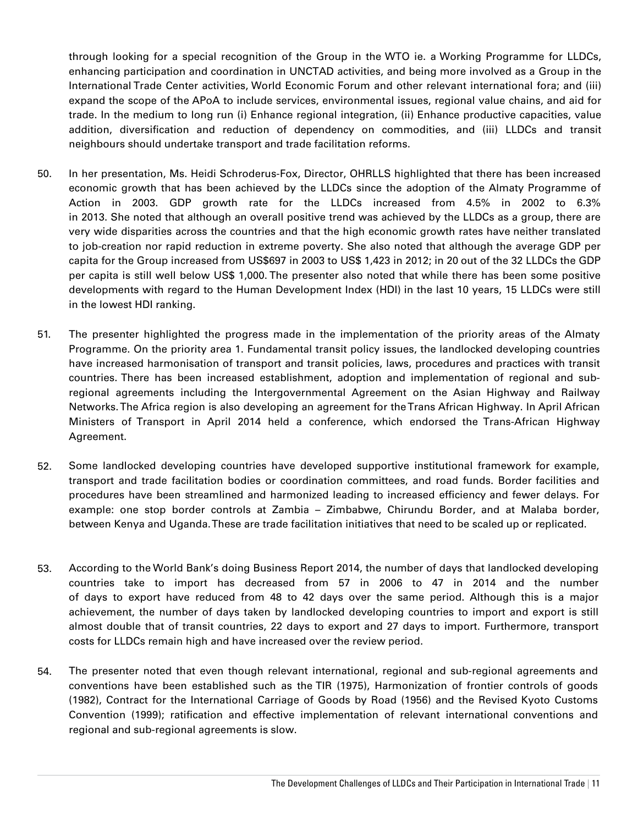through looking for a special recognition of the Group in the WTO ie. a Working Programme for LLDCs, enhancing participation and coordination in UNCTAD activities, and being more involved as a Group in the International Trade Center activities, World Economic Forum and other relevant international fora; and (iii) expand the scope of the APoA to include services, environmental issues, regional value chains, and aid for trade. In the medium to long run (i) Enhance regional integration, (ii) Enhance productive capacities, value addition, diversification and reduction of dependency on commodities, and (iii) LLDCs and transit neighbours should undertake transport and trade facilitation reforms.

- 50. In her presentation, Ms. Heidi Schroderus-Fox, Director, OHRLLS highlighted that there has been increased economic growth that has been achieved by the LLDCs since the adoption of the Almaty Programme of Action in 2003. GDP growth rate for the LLDCs increased from 4.5% in 2002 to 6.3% in 2013. She noted that although an overall positive trend was achieved by the LLDCs as a group, there are very wide disparities across the countries and that the high economic growth rates have neither translated to job-creation nor rapid reduction in extreme poverty. She also noted that although the average GDP per capita for the Group increased from US\$697 in 2003 to US\$ 1,423 in 2012; in 20 out of the 32 LLDCs the GDP per capita is still well below US\$ 1,000. The presenter also noted that while there has been some positive developments with regard to the Human Development Index (HDI) in the last 10 years, 15 LLDCs were still in the lowest HDI ranking.
- 51. The presenter highlighted the progress made in the implementation of the priority areas of the Almaty Programme. On the priority area 1. Fundamental transit policy issues, the landlocked developing countries have increased harmonisation of transport and transit policies, laws, procedures and practices with transit countries. There has been increased establishment, adoption and implementation of regional and subregional agreements including the Intergovernmental Agreement on the Asian Highway and Railway Networks. The Africa region is also developing an agreement for the Trans African Highway. In April African Ministers of Transport in April 2014 held a conference, which endorsed the Trans-African Highway Agreement.
- 52. Some landlocked developing countries have developed supportive institutional framework for example, transport and trade facilitation bodies or coordination committees, and road funds. Border facilities and procedures have been streamlined and harmonized leading to increased efficiency and fewer delays. For example: one stop border controls at Zambia – Zimbabwe, Chirundu Border, and at Malaba border, between Kenya and Uganda. These are trade facilitation initiatives that need to be scaled up or replicated.
- 53. According to the World Bank's doing Business Report 2014, the number of days that landlocked developing countries take to import has decreased from 57 in 2006 to 47 in 2014 and the number of days to export have reduced from 48 to 42 days over the same period. Although this is a major achievement, the number of days taken by landlocked developing countries to import and export is still almost double that of transit countries, 22 days to export and 27 days to import. Furthermore, transport costs for LLDCs remain high and have increased over the review period.
- 54. The presenter noted that even though relevant international, regional and sub-regional agreements and conventions have been established such as the TIR (1975), Harmonization of frontier controls of goods (1982), Contract for the International Carriage of Goods by Road (1956) and the Revised Kyoto Customs Convention (1999); ratification and effective implementation of relevant international conventions and regional and sub-regional agreements is slow.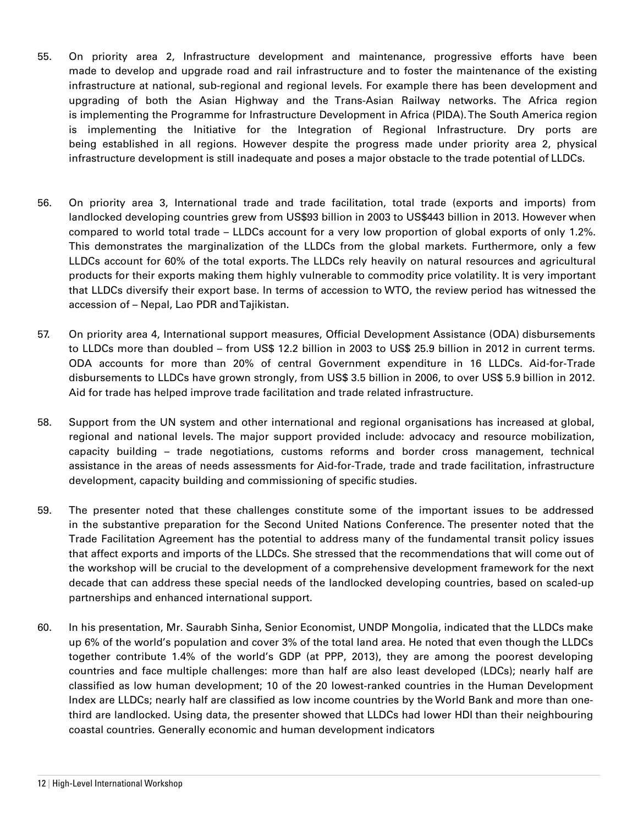- 55. On priority area 2, Infrastructure development and maintenance, progressive efforts have been made to develop and upgrade road and rail infrastructure and to foster the maintenance of the existing infrastructure at national, sub-regional and regional levels. For example there has been development and upgrading of both the Asian Highway and the Trans-Asian Railway networks. The Africa region is implementing the Programme for Infrastructure Development in Africa (PIDA). The South America region is implementing the Initiative for the Integration of Regional Infrastructure. Dry ports are being established in all regions. However despite the progress made under priority area 2, physical infrastructure development is still inadequate and poses a major obstacle to the trade potential of LLDCs.
- 56. On priority area 3, International trade and trade facilitation, total trade (exports and imports) from landlocked developing countries grew from US\$93 billion in 2003 to US\$443 billion in 2013. However when compared to world total trade – LLDCs account for a very low proportion of global exports of only 1.2%. This demonstrates the marginalization of the LLDCs from the global markets. Furthermore, only a few LLDCs account for 60% of the total exports. The LLDCs rely heavily on natural resources and agricultural products for their exports making them highly vulnerable to commodity price volatility. It is very important that LLDCs diversify their export base. In terms of accession to WTO, the review period has witnessed the accession of – Nepal, Lao PDR and Tajikistan.
- 57. On priority area 4, International support measures, Official Development Assistance (ODA) disbursements to LLDCs more than doubled – from US\$ 12.2 billion in 2003 to US\$ 25.9 billion in 2012 in current terms. ODA accounts for more than 20% of central Government expenditure in 16 LLDCs. Aid-for-Trade disbursements to LLDCs have grown strongly, from US\$ 3.5 billion in 2006, to over US\$ 5.9 billion in 2012. Aid for trade has helped improve trade facilitation and trade related infrastructure.
- 58. Support from the UN system and other international and regional organisations has increased at global, regional and national levels. The major support provided include: advocacy and resource mobilization, capacity building – trade negotiations, customs reforms and border cross management, technical assistance in the areas of needs assessments for Aid-for-Trade, trade and trade facilitation, infrastructure development, capacity building and commissioning of specific studies.
- 59. The presenter noted that these challenges constitute some of the important issues to be addressed in the substantive preparation for the Second United Nations Conference. The presenter noted that the Trade Facilitation Agreement has the potential to address many of the fundamental transit policy issues that affect exports and imports of the LLDCs. She stressed that the recommendations that will come out of the workshop will be crucial to the development of a comprehensive development framework for the next decade that can address these special needs of the landlocked developing countries, based on scaled-up partnerships and enhanced international support.
- 60. In his presentation, Mr. Saurabh Sinha, Senior Economist, UNDP Mongolia, indicated that the LLDCs make up 6% of the world's population and cover 3% of the total land area. He noted that even though the LLDCs together contribute 1.4% of the world's GDP (at PPP, 2013), they are among the poorest developing countries and face multiple challenges: more than half are also least developed (LDCs); nearly half are classified as low human development; 10 of the 20 lowest-ranked countries in the Human Development Index are LLDCs; nearly half are classified as low income countries by the World Bank and more than onethird are landlocked. Using data, the presenter showed that LLDCs had lower HDI than their neighbouring coastal countries. Generally economic and human development indicators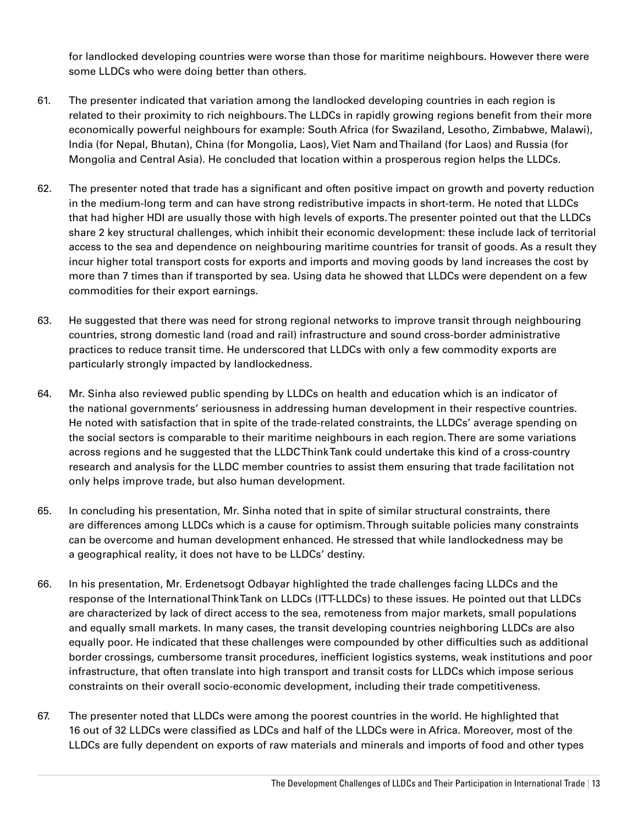for landlocked developing countries were worse than those for maritime neighbours. However there were some LLDCs who were doing better than others.

- 61. The presenter indicated that variation among the landlocked developing countries in each region is related to their proximity to rich neighbours. The LLDCs in rapidly growing regions benefit from their more economically powerful neighbours for example: South Africa (for Swaziland, Lesotho, Zimbabwe, Malawi), India (for Nepal, Bhutan), China (for Mongolia, Laos), Viet Nam and Thailand (for Laos) and Russia (for Mongolia and Central Asia). He concluded that location within a prosperous region helps the LLDCs.
- 62. The presenter noted that trade has a significant and often positive impact on growth and poverty reduction in the medium-long term and can have strong redistributive impacts in short-term. He noted that LLDCs that had higher HDI are usually those with high levels of exports. The presenter pointed out that the LLDCs share 2 key structural challenges, which inhibit their economic development: these include lack of territorial access to the sea and dependence on neighbouring maritime countries for transit of goods. As a result they incur higher total transport costs for exports and imports and moving goods by land increases the cost by more than 7 times than if transported by sea. Using data he showed that LLDCs were dependent on a few commodities for their export earnings.
- 63. He suggested that there was need for strong regional networks to improve transit through neighbouring countries, strong domestic land (road and rail) infrastructure and sound cross-border administrative practices to reduce transit time. He underscored that LLDCs with only a few commodity exports are particularly strongly impacted by landlockedness.
- 64. Mr. Sinha also reviewed public spending by LLDCs on health and education which is an indicator of the national governments' seriousness in addressing human development in their respective countries. He noted with satisfaction that in spite of the trade-related constraints, the LLDCs' average spending on the social sectors is comparable to their maritime neighbours in each region. There are some variations across regions and he suggested that the LLDC Think Tank could undertake this kind of a cross-country research and analysis for the LLDC member countries to assist them ensuring that trade facilitation not only helps improve trade, but also human development.
- 65. In concluding his presentation, Mr. Sinha noted that in spite of similar structural constraints, there are differences among LLDCs which is a cause for optimism. Through suitable policies many constraints can be overcome and human development enhanced. He stressed that while landlockedness may be a geographical reality, it does not have to be LLDCs' destiny.
- 66. In his presentation, Mr. Erdenetsogt Odbayar highlighted the trade challenges facing LLDCs and the response of the International Think Tank on LLDCs (ITT-LLDCs) to these issues. He pointed out that LLDCs are characterized by lack of direct access to the sea, remoteness from major markets, small populations and equally small markets. In many cases, the transit developing countries neighboring LLDCs are also equally poor. He indicated that these challenges were compounded by other difficulties such as additional border crossings, cumbersome transit procedures, inefficient logistics systems, weak institutions and poor infrastructure, that often translate into high transport and transit costs for LLDCs which impose serious constraints on their overall socio-economic development, including their trade competitiveness.
- 67. The presenter noted that LLDCs were among the poorest countries in the world. He highlighted that 16 out of 32 LLDCs were classified as LDCs and half of the LLDCs were in Africa. Moreover, most of the LLDCs are fully dependent on exports of raw materials and minerals and imports of food and other types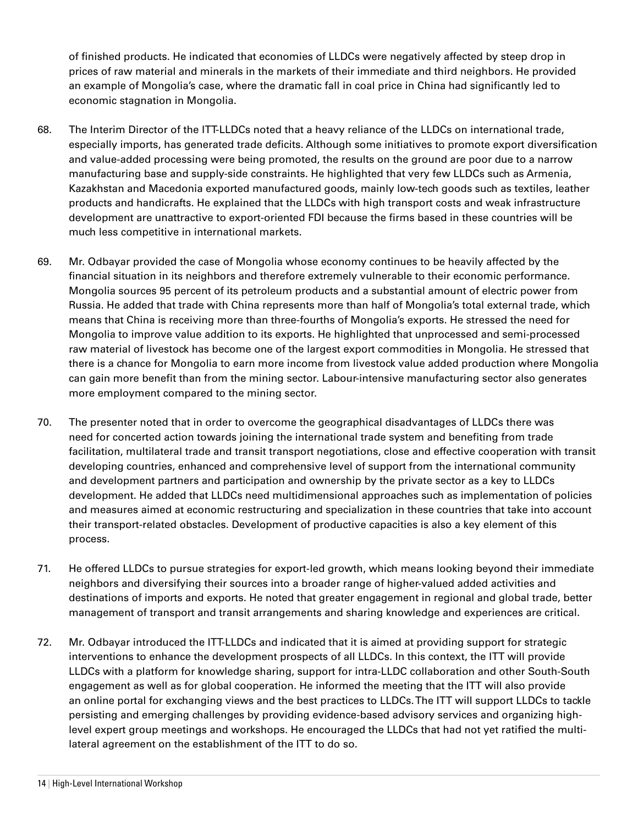of finished products. He indicated that economies of LLDCs were negatively affected by steep drop in prices of raw material and minerals in the markets of their immediate and third neighbors. He provided an example of Mongolia's case, where the dramatic fall in coal price in China had significantly led to economic stagnation in Mongolia.

- 68. The Interim Director of the ITT-LLDCs noted that a heavy reliance of the LLDCs on international trade, especially imports, has generated trade deficits. Although some initiatives to promote export diversification and value-added processing were being promoted, the results on the ground are poor due to a narrow manufacturing base and supply-side constraints. He highlighted that very few LLDCs such as Armenia, Kazakhstan and Macedonia exported manufactured goods, mainly low-tech goods such as textiles, leather products and handicrafts. He explained that the LLDCs with high transport costs and weak infrastructure development are unattractive to export-oriented FDI because the firms based in these countries will be much less competitive in international markets.
- 69. Mr. Odbayar provided the case of Mongolia whose economy continues to be heavily affected by the financial situation in its neighbors and therefore extremely vulnerable to their economic performance. Mongolia sources 95 percent of its petroleum products and a substantial amount of electric power from Russia. He added that trade with China represents more than half of Mongolia's total external trade, which means that China is receiving more than three-fourths of Mongolia's exports. He stressed the need for Mongolia to improve value addition to its exports. He highlighted that unprocessed and semi-processed raw material of livestock has become one of the largest export commodities in Mongolia. He stressed that there is a chance for Mongolia to earn more income from livestock value added production where Mongolia can gain more benefit than from the mining sector. Labour-intensive manufacturing sector also generates more employment compared to the mining sector.
- 70. The presenter noted that in order to overcome the geographical disadvantages of LLDCs there was need for concerted action towards joining the international trade system and benefiting from trade facilitation, multilateral trade and transit transport negotiations, close and effective cooperation with transit developing countries, enhanced and comprehensive level of support from the international community and development partners and participation and ownership by the private sector as a key to LLDCs development. He added that LLDCs need multidimensional approaches such as implementation of policies and measures aimed at economic restructuring and specialization in these countries that take into account their transport-related obstacles. Development of productive capacities is also a key element of this process.
- 71. He offered LLDCs to pursue strategies for export-led growth, which means looking beyond their immediate neighbors and diversifying their sources into a broader range of higher-valued added activities and destinations of imports and exports. He noted that greater engagement in regional and global trade, better management of transport and transit arrangements and sharing knowledge and experiences are critical.
- 72. Mr. Odbayar introduced the ITT-LLDCs and indicated that it is aimed at providing support for strategic interventions to enhance the development prospects of all LLDCs. In this context, the ITT will provide LLDCs with a platform for knowledge sharing, support for intra-LLDC collaboration and other South-South engagement as well as for global cooperation. He informed the meeting that the ITT will also provide an online portal for exchanging views and the best practices to LLDCs. The ITT will support LLDCs to tackle persisting and emerging challenges by providing evidence-based advisory services and organizing highlevel expert group meetings and workshops. He encouraged the LLDCs that had not yet ratified the multilateral agreement on the establishment of the ITT to do so.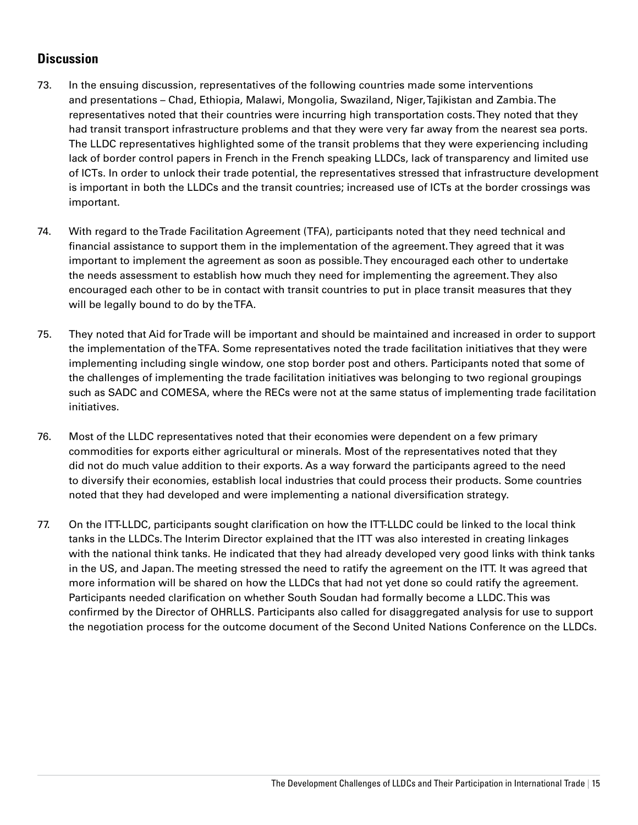#### **Discussion**

- 73. In the ensuing discussion, representatives of the following countries made some interventions and presentations – Chad, Ethiopia, Malawi, Mongolia, Swaziland, Niger, Tajikistan and Zambia. The representatives noted that their countries were incurring high transportation costs. They noted that they had transit transport infrastructure problems and that they were very far away from the nearest sea ports. The LLDC representatives highlighted some of the transit problems that they were experiencing including lack of border control papers in French in the French speaking LLDCs, lack of transparency and limited use of ICTs. In order to unlock their trade potential, the representatives stressed that infrastructure development is important in both the LLDCs and the transit countries; increased use of ICTs at the border crossings was important.
- 74. With regard to the Trade Facilitation Agreement (TFA), participants noted that they need technical and financial assistance to support them in the implementation of the agreement. They agreed that it was important to implement the agreement as soon as possible. They encouraged each other to undertake the needs assessment to establish how much they need for implementing the agreement. They also encouraged each other to be in contact with transit countries to put in place transit measures that they will be legally bound to do by the TFA.
- 75. They noted that Aid for Trade will be important and should be maintained and increased in order to support the implementation of the TFA. Some representatives noted the trade facilitation initiatives that they were implementing including single window, one stop border post and others. Participants noted that some of the challenges of implementing the trade facilitation initiatives was belonging to two regional groupings such as SADC and COMESA, where the RECs were not at the same status of implementing trade facilitation initiatives.
- 76. Most of the LLDC representatives noted that their economies were dependent on a few primary commodities for exports either agricultural or minerals. Most of the representatives noted that they did not do much value addition to their exports. As a way forward the participants agreed to the need to diversify their economies, establish local industries that could process their products. Some countries noted that they had developed and were implementing a national diversification strategy.
- 77. On the ITT-LLDC, participants sought clarification on how the ITT-LLDC could be linked to the local think tanks in the LLDCs. The Interim Director explained that the ITT was also interested in creating linkages with the national think tanks. He indicated that they had already developed very good links with think tanks in the US, and Japan. The meeting stressed the need to ratify the agreement on the ITT. It was agreed that more information will be shared on how the LLDCs that had not yet done so could ratify the agreement. Participants needed clarification on whether South Soudan had formally become a LLDC. This was confirmed by the Director of OHRLLS. Participants also called for disaggregated analysis for use to support the negotiation process for the outcome document of the Second United Nations Conference on the LLDCs.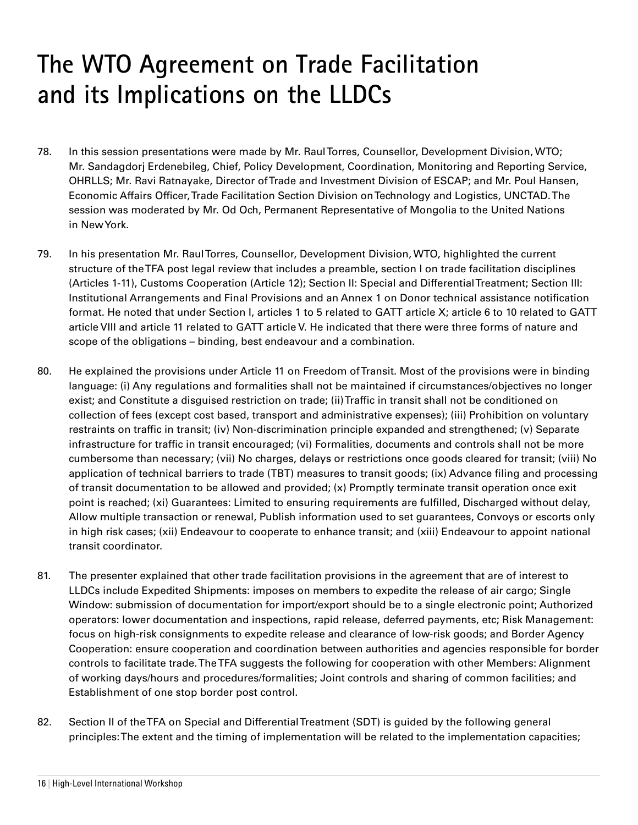## **The WTO Agreement on Trade Facilitation and its Implications on the LLDCs**

- 78. In this session presentations were made by Mr. Raul Torres, Counsellor, Development Division, WTO; Mr. Sandagdorj Erdenebileg, Chief, Policy Development, Coordination, Monitoring and Reporting Service, OHRLLS; Mr. Ravi Ratnayake, Director of Trade and Investment Division of ESCAP; and Mr. Poul Hansen, Economic Affairs Officer, Trade Facilitation Section Division on Technology and Logistics, UNCTAD. The session was moderated by Mr. Od Och, Permanent Representative of Mongolia to the United Nations in New York.
- 79. In his presentation Mr. Raul Torres, Counsellor, Development Division, WTO, highlighted the current structure of the TFA post legal review that includes a preamble, section I on trade facilitation disciplines (Articles 1-11), Customs Cooperation (Article 12); Section II: Special and Differential Treatment; Section III: Institutional Arrangements and Final Provisions and an Annex 1 on Donor technical assistance notification format. He noted that under Section I, articles 1 to 5 related to GATT article X; article 6 to 10 related to GATT article VIII and article 11 related to GATT article V. He indicated that there were three forms of nature and scope of the obligations – binding, best endeavour and a combination.
- 80. He explained the provisions under Article 11 on Freedom of Transit. Most of the provisions were in binding language: (i) Any regulations and formalities shall not be maintained if circumstances/objectives no longer exist; and Constitute a disguised restriction on trade; (ii) Traffic in transit shall not be conditioned on collection of fees (except cost based, transport and administrative expenses); (iii) Prohibition on voluntary restraints on traffic in transit; (iv) Non-discrimination principle expanded and strengthened; (v) Separate infrastructure for traffic in transit encouraged; (vi) Formalities, documents and controls shall not be more cumbersome than necessary; (vii) No charges, delays or restrictions once goods cleared for transit; (viii) No application of technical barriers to trade (TBT) measures to transit goods; (ix) Advance filing and processing of transit documentation to be allowed and provided; (x) Promptly terminate transit operation once exit point is reached; (xi) Guarantees: Limited to ensuring requirements are fulfilled, Discharged without delay, Allow multiple transaction or renewal, Publish information used to set guarantees, Convoys or escorts only in high risk cases; (xii) Endeavour to cooperate to enhance transit; and (xiii) Endeavour to appoint national transit coordinator.
- 81. The presenter explained that other trade facilitation provisions in the agreement that are of interest to LLDCs include Expedited Shipments: imposes on members to expedite the release of air cargo; Single Window: submission of documentation for import/export should be to a single electronic point; Authorized operators: lower documentation and inspections, rapid release, deferred payments, etc; Risk Management: focus on high-risk consignments to expedite release and clearance of low-risk goods; and Border Agency Cooperation: ensure cooperation and coordination between authorities and agencies responsible for border controls to facilitate trade. The TFA suggests the following for cooperation with other Members: Alignment of working days/hours and procedures/formalities; Joint controls and sharing of common facilities; and Establishment of one stop border post control.
- 82. Section II of the TFA on Special and Differential Treatment (SDT) is guided by the following general principles: The extent and the timing of implementation will be related to the implementation capacities;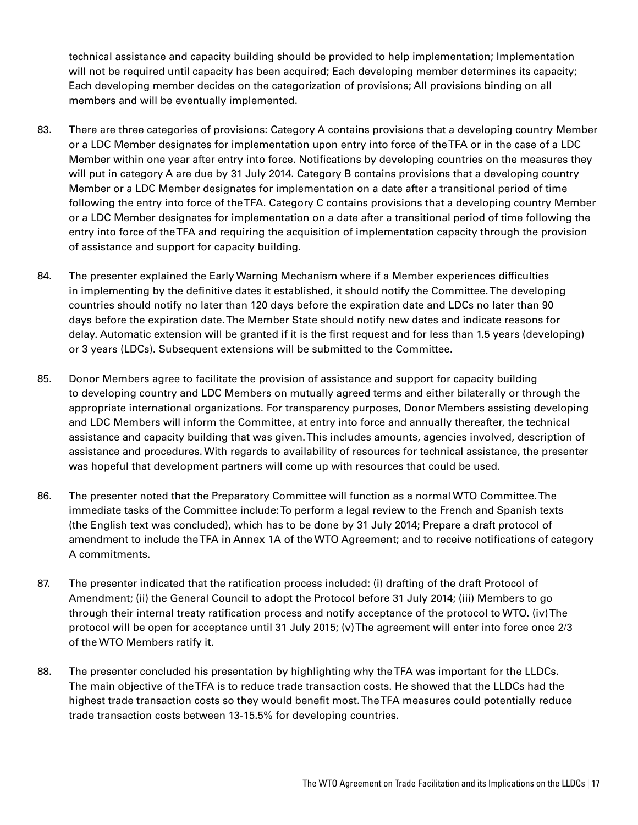technical assistance and capacity building should be provided to help implementation; Implementation will not be required until capacity has been acquired; Each developing member determines its capacity; Each developing member decides on the categorization of provisions; All provisions binding on all members and will be eventually implemented.

- 83. There are three categories of provisions: Category A contains provisions that a developing country Member or a LDC Member designates for implementation upon entry into force of the TFA or in the case of a LDC Member within one year after entry into force. Notifications by developing countries on the measures they will put in category A are due by 31 July 2014. Category B contains provisions that a developing country Member or a LDC Member designates for implementation on a date after a transitional period of time following the entry into force of the TFA. Category C contains provisions that a developing country Member or a LDC Member designates for implementation on a date after a transitional period of time following the entry into force of the TFA and requiring the acquisition of implementation capacity through the provision of assistance and support for capacity building.
- 84. The presenter explained the Early Warning Mechanism where if a Member experiences difficulties in implementing by the definitive dates it established, it should notify the Committee. The developing countries should notify no later than 120 days before the expiration date and LDCs no later than 90 days before the expiration date. The Member State should notify new dates and indicate reasons for delay. Automatic extension will be granted if it is the first request and for less than 1.5 years (developing) or 3 years (LDCs). Subsequent extensions will be submitted to the Committee.
- 85. Donor Members agree to facilitate the provision of assistance and support for capacity building to developing country and LDC Members on mutually agreed terms and either bilaterally or through the appropriate international organizations. For transparency purposes, Donor Members assisting developing and LDC Members will inform the Committee, at entry into force and annually thereafter, the technical assistance and capacity building that was given. This includes amounts, agencies involved, description of assistance and procedures. With regards to availability of resources for technical assistance, the presenter was hopeful that development partners will come up with resources that could be used.
- 86. The presenter noted that the Preparatory Committee will function as a normal WTO Committee. The immediate tasks of the Committee include: To perform a legal review to the French and Spanish texts (the English text was concluded), which has to be done by 31 July 2014; Prepare a draft protocol of amendment to include the TFA in Annex 1A of the WTO Agreement; and to receive notifications of category A commitments.
- 87. The presenter indicated that the ratification process included: (i) drafting of the draft Protocol of Amendment; (ii) the General Council to adopt the Protocol before 31 July 2014; (iii) Members to go through their internal treaty ratification process and notify acceptance of the protocol to WTO. (iv) The protocol will be open for acceptance until 31 July 2015; (v) The agreement will enter into force once 2/3 of the WTO Members ratify it.
- 88. The presenter concluded his presentation by highlighting why the TFA was important for the LLDCs. The main objective of the TFA is to reduce trade transaction costs. He showed that the LLDCs had the highest trade transaction costs so they would benefit most. The TFA measures could potentially reduce trade transaction costs between 13-15.5% for developing countries.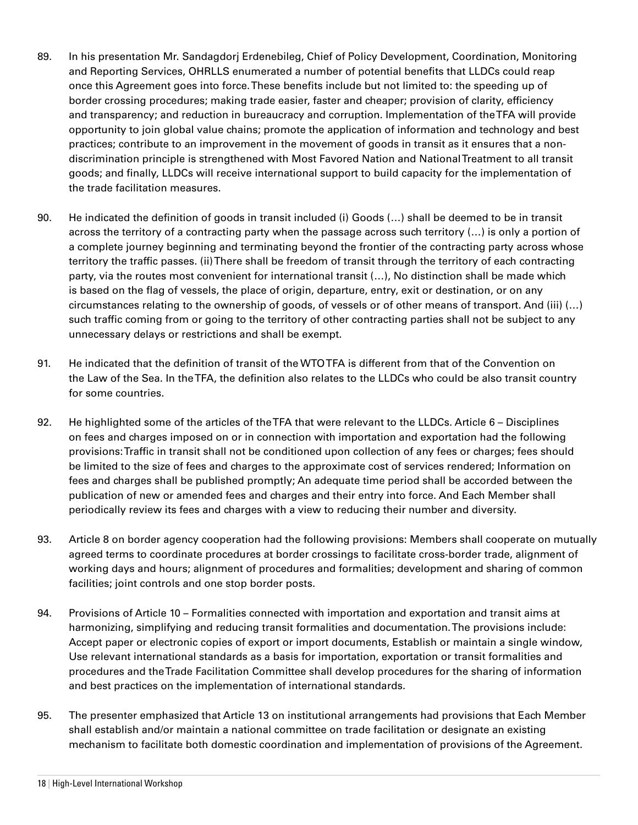- 89. In his presentation Mr. Sandagdorj Erdenebileg, Chief of Policy Development, Coordination, Monitoring and Reporting Services, OHRLLS enumerated a number of potential benefits that LLDCs could reap once this Agreement goes into force. These benefits include but not limited to: the speeding up of border crossing procedures; making trade easier, faster and cheaper; provision of clarity, efficiency and transparency; and reduction in bureaucracy and corruption. Implementation of the TFA will provide opportunity to join global value chains; promote the application of information and technology and best practices; contribute to an improvement in the movement of goods in transit as it ensures that a nondiscrimination principle is strengthened with Most Favored Nation and National Treatment to all transit goods; and finally, LLDCs will receive international support to build capacity for the implementation of the trade facilitation measures.
- 90. He indicated the definition of goods in transit included (i) Goods (…) shall be deemed to be in transit across the territory of a contracting party when the passage across such territory (…) is only a portion of a complete journey beginning and terminating beyond the frontier of the contracting party across whose territory the traffic passes. (ii) There shall be freedom of transit through the territory of each contracting party, via the routes most convenient for international transit (…), No distinction shall be made which is based on the flag of vessels, the place of origin, departure, entry, exit or destination, or on any circumstances relating to the ownership of goods, of vessels or of other means of transport. And (iii) (…) such traffic coming from or going to the territory of other contracting parties shall not be subject to any unnecessary delays or restrictions and shall be exempt.
- 91. He indicated that the definition of transit of the WTO TFA is different from that of the Convention on the Law of the Sea. In the TFA, the definition also relates to the LLDCs who could be also transit country for some countries.
- 92. He highlighted some of the articles of the TFA that were relevant to the LLDCs. Article 6 Disciplines on fees and charges imposed on or in connection with importation and exportation had the following provisions: Traffic in transit shall not be conditioned upon collection of any fees or charges; fees should be limited to the size of fees and charges to the approximate cost of services rendered; Information on fees and charges shall be published promptly; An adequate time period shall be accorded between the publication of new or amended fees and charges and their entry into force. And Each Member shall periodically review its fees and charges with a view to reducing their number and diversity.
- 93. Article 8 on border agency cooperation had the following provisions: Members shall cooperate on mutually agreed terms to coordinate procedures at border crossings to facilitate cross-border trade, alignment of working days and hours; alignment of procedures and formalities; development and sharing of common facilities; joint controls and one stop border posts.
- 94. Provisions of Article 10 Formalities connected with importation and exportation and transit aims at harmonizing, simplifying and reducing transit formalities and documentation. The provisions include: Accept paper or electronic copies of export or import documents, Establish or maintain a single window, Use relevant international standards as a basis for importation, exportation or transit formalities and procedures and the Trade Facilitation Committee shall develop procedures for the sharing of information and best practices on the implementation of international standards.
- 95. The presenter emphasized that Article 13 on institutional arrangements had provisions that Each Member shall establish and/or maintain a national committee on trade facilitation or designate an existing mechanism to facilitate both domestic coordination and implementation of provisions of the Agreement.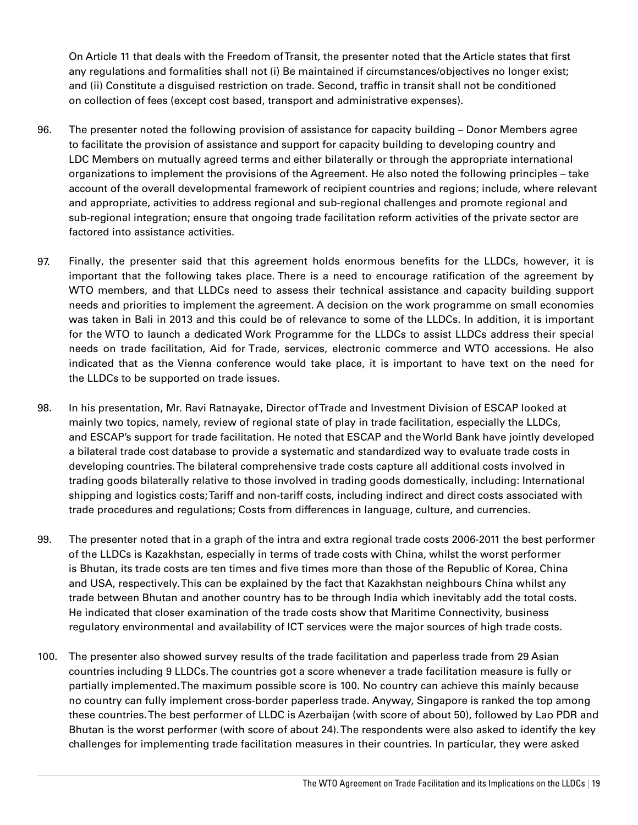On Article 11 that deals with the Freedom of Transit, the presenter noted that the Article states that first any regulations and formalities shall not (i) Be maintained if circumstances/objectives no longer exist; and (ii) Constitute a disguised restriction on trade. Second, traffic in transit shall not be conditioned on collection of fees (except cost based, transport and administrative expenses).

- 96. The presenter noted the following provision of assistance for capacity building Donor Members agree to facilitate the provision of assistance and support for capacity building to developing country and LDC Members on mutually agreed terms and either bilaterally or through the appropriate international organizations to implement the provisions of the Agreement. He also noted the following principles – take account of the overall developmental framework of recipient countries and regions; include, where relevant and appropriate, activities to address regional and sub-regional challenges and promote regional and sub-regional integration; ensure that ongoing trade facilitation reform activities of the private sector are factored into assistance activities.
- 97. Finally, the presenter said that this agreement holds enormous benefits for the LLDCs, however, it is important that the following takes place. There is a need to encourage ratification of the agreement by WTO members, and that LLDCs need to assess their technical assistance and capacity building support needs and priorities to implement the agreement. A decision on the work programme on small economies was taken in Bali in 2013 and this could be of relevance to some of the LLDCs. In addition, it is important for the WTO to launch a dedicated Work Programme for the LLDCs to assist LLDCs address their special needs on trade facilitation, Aid for Trade, services, electronic commerce and WTO accessions. He also indicated that as the Vienna conference would take place, it is important to have text on the need for the LLDCs to be supported on trade issues.
- 98. In his presentation, Mr. Ravi Ratnayake, Director of Trade and Investment Division of ESCAP looked at mainly two topics, namely, review of regional state of play in trade facilitation, especially the LLDCs, and ESCAP's support for trade facilitation. He noted that ESCAP and the World Bank have jointly developed a bilateral trade cost database to provide a systematic and standardized way to evaluate trade costs in developing countries. The bilateral comprehensive trade costs capture all additional costs involved in trading goods bilaterally relative to those involved in trading goods domestically, including: International shipping and logistics costs; Tariff and non-tariff costs, including indirect and direct costs associated with trade procedures and regulations; Costs from differences in language, culture, and currencies.
- 99. The presenter noted that in a graph of the intra and extra regional trade costs 2006-2011 the best performer of the LLDCs is Kazakhstan, especially in terms of trade costs with China, whilst the worst performer is Bhutan, its trade costs are ten times and five times more than those of the Republic of Korea, China and USA, respectively. This can be explained by the fact that Kazakhstan neighbours China whilst any trade between Bhutan and another country has to be through India which inevitably add the total costs. He indicated that closer examination of the trade costs show that Maritime Connectivity, business regulatory environmental and availability of ICT services were the major sources of high trade costs.
- 100. The presenter also showed survey results of the trade facilitation and paperless trade from 29 Asian countries including 9 LLDCs. The countries got a score whenever a trade facilitation measure is fully or partially implemented. The maximum possible score is 100. No country can achieve this mainly because no country can fully implement cross-border paperless trade. Anyway, Singapore is ranked the top among these countries. The best performer of LLDC is Azerbaijan (with score of about 50), followed by Lao PDR and Bhutan is the worst performer (with score of about 24). The respondents were also asked to identify the key challenges for implementing trade facilitation measures in their countries. In particular, they were asked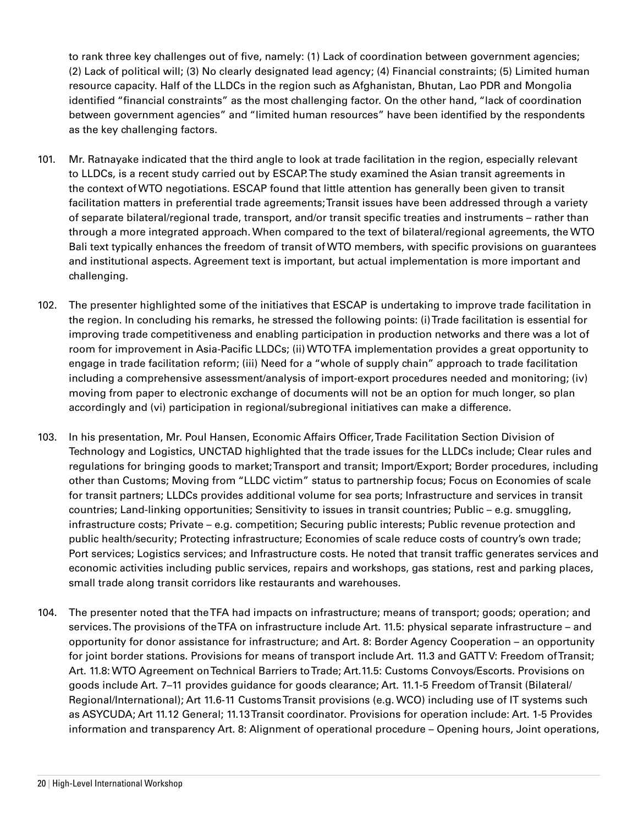to rank three key challenges out of five, namely: (1) Lack of coordination between government agencies; (2) Lack of political will; (3) No clearly designated lead agency; (4) Financial constraints; (5) Limited human resource capacity. Half of the LLDCs in the region such as Afghanistan, Bhutan, Lao PDR and Mongolia identified "financial constraints" as the most challenging factor. On the other hand, "lack of coordination between government agencies" and "limited human resources" have been identified by the respondents as the key challenging factors.

- 101. Mr. Ratnayake indicated that the third angle to look at trade facilitation in the region, especially relevant to LLDCs, is a recent study carried out by ESCAP. The study examined the Asian transit agreements in the context of WTO negotiations. ESCAP found that little attention has generally been given to transit facilitation matters in preferential trade agreements; Transit issues have been addressed through a variety of separate bilateral/regional trade, transport, and/or transit specific treaties and instruments – rather than through a more integrated approach. When compared to the text of bilateral/regional agreements, the WTO Bali text typically enhances the freedom of transit of WTO members, with specific provisions on guarantees and institutional aspects. Agreement text is important, but actual implementation is more important and challenging.
- 102. The presenter highlighted some of the initiatives that ESCAP is undertaking to improve trade facilitation in the region. In concluding his remarks, he stressed the following points: (i) Trade facilitation is essential for improving trade competitiveness and enabling participation in production networks and there was a lot of room for improvement in Asia-Pacific LLDCs; (ii) WTO TFA implementation provides a great opportunity to engage in trade facilitation reform; (iii) Need for a "whole of supply chain" approach to trade facilitation including a comprehensive assessment/analysis of import-export procedures needed and monitoring; (iv) moving from paper to electronic exchange of documents will not be an option for much longer, so plan accordingly and (vi) participation in regional/subregional initiatives can make a difference.
- 103. In his presentation, Mr. Poul Hansen, Economic Affairs Officer, Trade Facilitation Section Division of Technology and Logistics, UNCTAD highlighted that the trade issues for the LLDCs include; Clear rules and regulations for bringing goods to market; Transport and transit; Import/Export; Border procedures, including other than Customs; Moving from "LLDC victim" status to partnership focus; Focus on Economies of scale for transit partners; LLDCs provides additional volume for sea ports; Infrastructure and services in transit countries; Land-linking opportunities; Sensitivity to issues in transit countries; Public – e.g. smuggling, infrastructure costs; Private – e.g. competition; Securing public interests; Public revenue protection and public health/security; Protecting infrastructure; Economies of scale reduce costs of country's own trade; Port services; Logistics services; and Infrastructure costs. He noted that transit traffic generates services and economic activities including public services, repairs and workshops, gas stations, rest and parking places, small trade along transit corridors like restaurants and warehouses.
- 104. The presenter noted that the TFA had impacts on infrastructure; means of transport; goods; operation; and services. The provisions of the TFA on infrastructure include Art. 11.5: physical separate infrastructure – and opportunity for donor assistance for infrastructure; and Art. 8: Border Agency Cooperation – an opportunity for joint border stations. Provisions for means of transport include Art. 11.3 and GATT V: Freedom of Transit; Art. 11.8: WTO Agreement on Technical Barriers to Trade; Art.11.5: Customs Convoys/Escorts. Provisions on goods include Art. 7–11 provides guidance for goods clearance; Art. 11.1-5 Freedom of Transit (Bilateral/ Regional/International); Art 11.6-11 Customs Transit provisions (e.g. WCO) including use of IT systems such as ASYCUDA; Art 11.12 General; 11.13 Transit coordinator. Provisions for operation include: Art. 1-5 Provides information and transparency Art. 8: Alignment of operational procedure – Opening hours, Joint operations,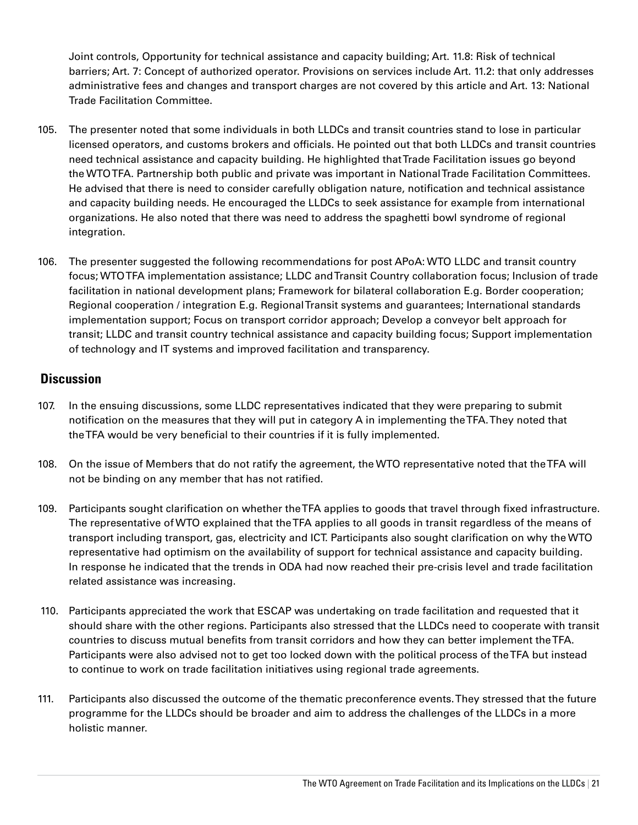Joint controls, Opportunity for technical assistance and capacity building; Art. 11.8: Risk of technical barriers; Art. 7: Concept of authorized operator. Provisions on services include Art. 11.2: that only addresses administrative fees and changes and transport charges are not covered by this article and Art. 13: National Trade Facilitation Committee.

- 105. The presenter noted that some individuals in both LLDCs and transit countries stand to lose in particular licensed operators, and customs brokers and officials. He pointed out that both LLDCs and transit countries need technical assistance and capacity building. He highlighted that Trade Facilitation issues go beyond the WTO TFA. Partnership both public and private was important in National Trade Facilitation Committees. He advised that there is need to consider carefully obligation nature, notification and technical assistance and capacity building needs. He encouraged the LLDCs to seek assistance for example from international organizations. He also noted that there was need to address the spaghetti bowl syndrome of regional integration.
- 106. The presenter suggested the following recommendations for post APoA: WTO LLDC and transit country focus; WTO TFA implementation assistance; LLDC and Transit Country collaboration focus; Inclusion of trade facilitation in national development plans; Framework for bilateral collaboration E.g. Border cooperation; Regional cooperation / integration E.g. Regional Transit systems and guarantees; International standards implementation support; Focus on transport corridor approach; Develop a conveyor belt approach for transit; LLDC and transit country technical assistance and capacity building focus; Support implementation of technology and IT systems and improved facilitation and transparency.

#### **Discussion**

- 107. In the ensuing discussions, some LLDC representatives indicated that they were preparing to submit notification on the measures that they will put in category A in implementing the TFA. They noted that theTFA would be very beneficial to their countries if it is fully implemented.
- 108. On the issue of Members that do not ratify the agreement, the WTO representative noted that the TFA will not be binding on any member that has not ratified.
- 109. Participants sought clarification on whether the TFA applies to goods that travel through fixed infrastructure. The representative of WTO explained that the TFA applies to all goods in transit regardless of the means of transport including transport, gas, electricity and ICT. Participants also sought clarification on why the WTO representative had optimism on the availability of support for technical assistance and capacity building. In response he indicated that the trends in ODA had now reached their pre-crisis level and trade facilitation related assistance was increasing.
- 110. Participants appreciated the work that ESCAP was undertaking on trade facilitation and requested that it should share with the other regions. Participants also stressed that the LLDCs need to cooperate with transit countries to discuss mutual benefits from transit corridors and how they can better implement the TFA. Participants were also advised not to get too locked down with the political process of the TFA but instead to continue to work on trade facilitation initiatives using regional trade agreements.
- 111. Participants also discussed the outcome of the thematic preconference events. They stressed that the future programme for the LLDCs should be broader and aim to address the challenges of the LLDCs in a more holistic manner.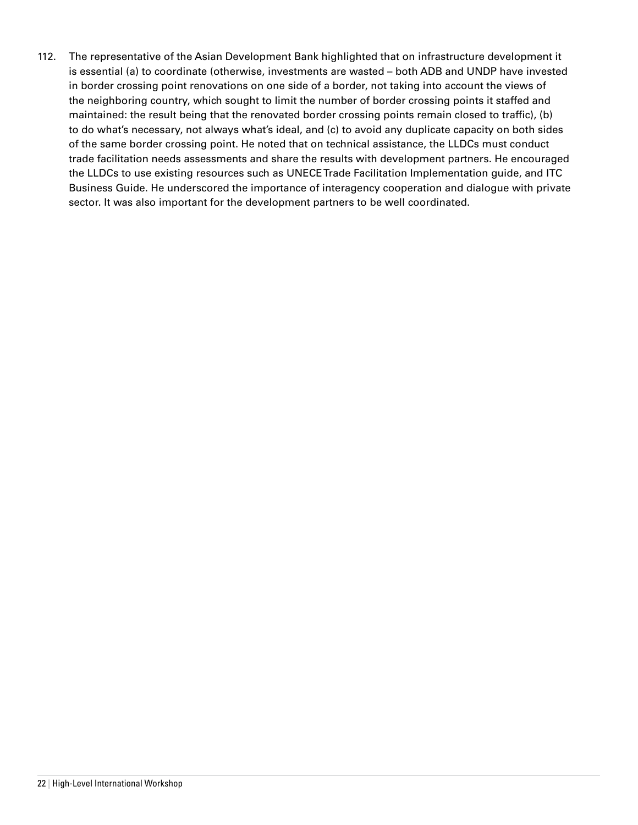112. The representative of the Asian Development Bank highlighted that on infrastructure development it is essential (a) to coordinate (otherwise, investments are wasted – both ADB and UNDP have invested in border crossing point renovations on one side of a border, not taking into account the views of the neighboring country, which sought to limit the number of border crossing points it staffed and maintained: the result being that the renovated border crossing points remain closed to traffic), (b) to do what's necessary, not always what's ideal, and (c) to avoid any duplicate capacity on both sides of the same border crossing point. He noted that on technical assistance, the LLDCs must conduct trade facilitation needs assessments and share the results with development partners. He encouraged the LLDCs to use existing resources such as UNECE Trade Facilitation Implementation guide, and ITC Business Guide. He underscored the importance of interagency cooperation and dialogue with private sector. It was also important for the development partners to be well coordinated.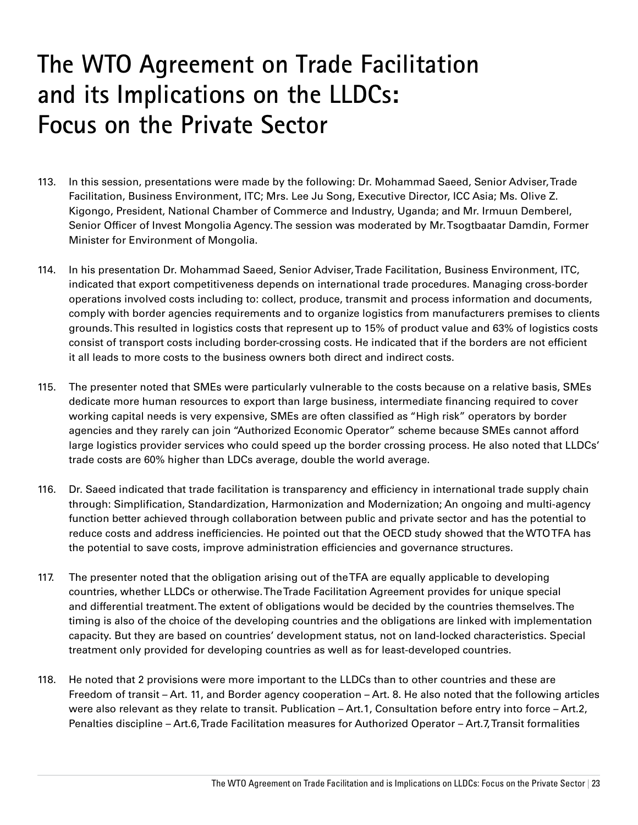## **The WTO Agreement on Trade Facilitation and its Implications on the LLDCs: Focus on the Private Sector**

- 113. In this session, presentations were made by the following: Dr. Mohammad Saeed, Senior Adviser, Trade Facilitation, Business Environment, ITC; Mrs. Lee Ju Song, Executive Director, ICC Asia; Ms. Olive Z. Kigongo, President, National Chamber of Commerce and Industry, Uganda; and Mr. Irmuun Demberel, Senior Officer of Invest Mongolia Agency. The session was moderated by Mr. Tsogtbaatar Damdin, Former Minister for Environment of Mongolia.
- 114. In his presentation Dr. Mohammad Saeed, Senior Adviser, Trade Facilitation, Business Environment, ITC, indicated that export competitiveness depends on international trade procedures. Managing cross-border operations involved costs including to: collect, produce, transmit and process information and documents, comply with border agencies requirements and to organize logistics from manufacturers premises to clients grounds. This resulted in logistics costs that represent up to 15% of product value and 63% of logistics costs consist of transport costs including border-crossing costs. He indicated that if the borders are not efficient it all leads to more costs to the business owners both direct and indirect costs.
- 115. The presenter noted that SMEs were particularly vulnerable to the costs because on a relative basis, SMEs dedicate more human resources to export than large business, intermediate financing required to cover working capital needs is very expensive, SMEs are often classified as "High risk" operators by border agencies and they rarely can join "Authorized Economic Operator" scheme because SMEs cannot afford large logistics provider services who could speed up the border crossing process. He also noted that LLDCs' trade costs are 60% higher than LDCs average, double the world average.
- 116. Dr. Saeed indicated that trade facilitation is transparency and efficiency in international trade supply chain through: Simplification, Standardization, Harmonization and Modernization; An ongoing and multi-agency function better achieved through collaboration between public and private sector and has the potential to reduce costs and address inefficiencies. He pointed out that the OECD study showed that the WTO TFA has the potential to save costs, improve administration efficiencies and governance structures.
- 117. The presenter noted that the obligation arising out of the TFA are equally applicable to developing countries, whether LLDCs or otherwise. The Trade Facilitation Agreement provides for unique special and differential treatment. The extent of obligations would be decided by the countries themselves. The timing is also of the choice of the developing countries and the obligations are linked with implementation capacity. But they are based on countries' development status, not on land-locked characteristics. Special treatment only provided for developing countries as well as for least-developed countries.
- 118. He noted that 2 provisions were more important to the LLDCs than to other countries and these are Freedom of transit – Art. 11, and Border agency cooperation – Art. 8. He also noted that the following articles were also relevant as they relate to transit. Publication – Art.1, Consultation before entry into force – Art.2, Penalties discipline – Art.6, Trade Facilitation measures for Authorized Operator – Art.7, Transit formalities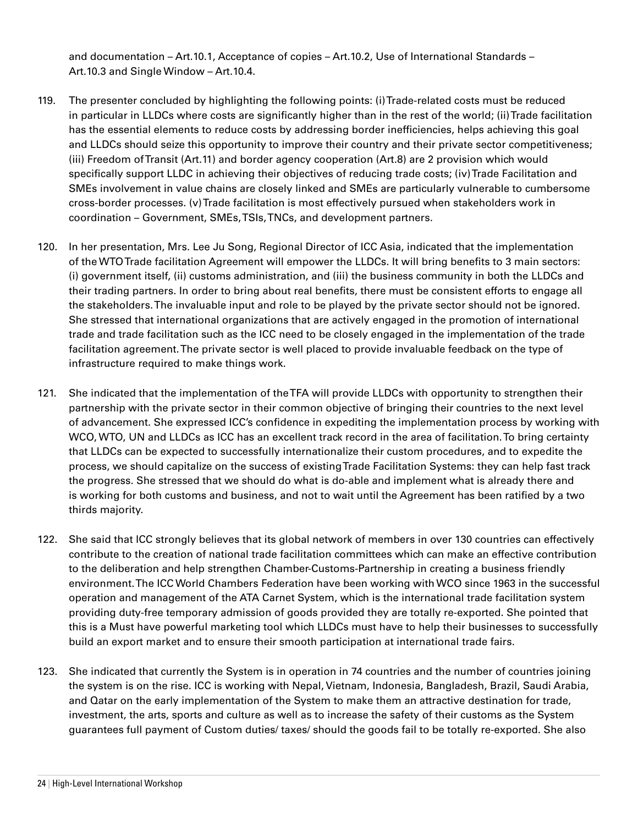and documentation – Art.10.1, Acceptance of copies – Art.10.2, Use of International Standards – Art.10.3 and Single Window – Art.10.4.

- 119. The presenter concluded by highlighting the following points: (i) Trade-related costs must be reduced in particular in LLDCs where costs are significantly higher than in the rest of the world; (ii) Trade facilitation has the essential elements to reduce costs by addressing border inefficiencies, helps achieving this goal and LLDCs should seize this opportunity to improve their country and their private sector competitiveness; (iii) Freedom of Transit (Art.11) and border agency cooperation (Art.8) are 2 provision which would specifically support LLDC in achieving their objectives of reducing trade costs; (iv) Trade Facilitation and SMEs involvement in value chains are closely linked and SMEs are particularly vulnerable to cumbersome cross-border processes. (v) Trade facilitation is most effectively pursued when stakeholders work in coordination – Government, SMEs, TSIs, TNCs, and development partners.
- 120. In her presentation, Mrs. Lee Ju Song, Regional Director of ICC Asia, indicated that the implementation of the WTO Trade facilitation Agreement will empower the LLDCs. It will bring benefits to 3 main sectors: (i) government itself, (ii) customs administration, and (iii) the business community in both the LLDCs and their trading partners. In order to bring about real benefits, there must be consistent efforts to engage all the stakeholders. The invaluable input and role to be played by the private sector should not be ignored. She stressed that international organizations that are actively engaged in the promotion of international trade and trade facilitation such as the ICC need to be closely engaged in the implementation of the trade facilitation agreement. The private sector is well placed to provide invaluable feedback on the type of infrastructure required to make things work.
- 121. She indicated that the implementation of the TFA will provide LLDCs with opportunity to strengthen their partnership with the private sector in their common objective of bringing their countries to the next level of advancement. She expressed ICC's confidence in expediting the implementation process by working with WCO, WTO, UN and LLDCs as ICC has an excellent track record in the area of facilitation. To bring certainty that LLDCs can be expected to successfully internationalize their custom procedures, and to expedite the process, we should capitalize on the success of existing Trade Facilitation Systems: they can help fast track the progress. She stressed that we should do what is do-able and implement what is already there and is working for both customs and business, and not to wait until the Agreement has been ratified by a two thirds majority.
- 122. She said that ICC strongly believes that its global network of members in over 130 countries can effectively contribute to the creation of national trade facilitation committees which can make an effective contribution to the deliberation and help strengthen Chamber-Customs-Partnership in creating a business friendly environment. The ICC World Chambers Federation have been working with WCO since 1963 in the successful operation and management of the ATA Carnet System, which is the international trade facilitation system providing duty-free temporary admission of goods provided they are totally re-exported. She pointed that this is a Must have powerful marketing tool which LLDCs must have to help their businesses to successfully build an export market and to ensure their smooth participation at international trade fairs.
- 123. She indicated that currently the System is in operation in 74 countries and the number of countries joining the system is on the rise. ICC is working with Nepal, Vietnam, Indonesia, Bangladesh, Brazil, Saudi Arabia, and Qatar on the early implementation of the System to make them an attractive destination for trade, investment, the arts, sports and culture as well as to increase the safety of their customs as the System guarantees full payment of Custom duties/ taxes/ should the goods fail to be totally re-exported. She also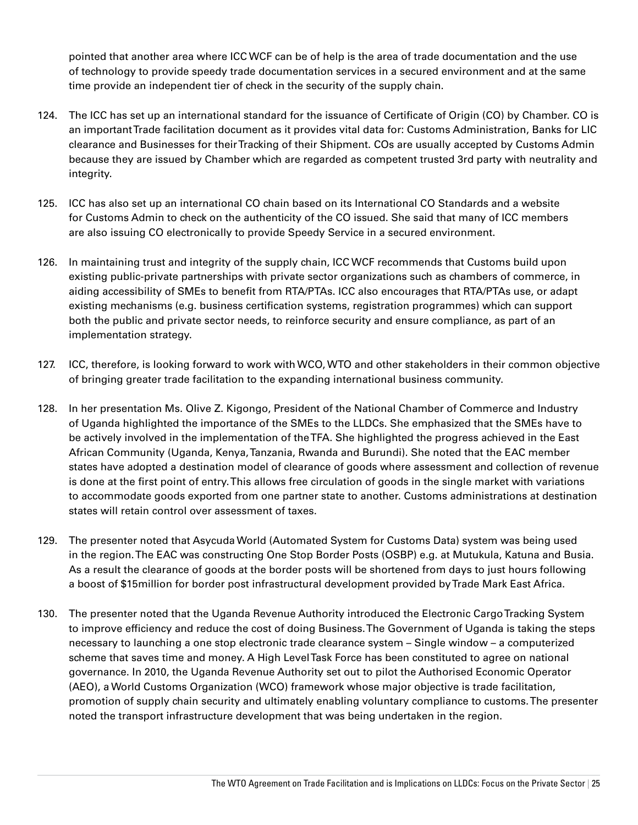pointed that another area where ICC WCF can be of help is the area of trade documentation and the use of technology to provide speedy trade documentation services in a secured environment and at the same time provide an independent tier of check in the security of the supply chain.

- 124. The ICC has set up an international standard for the issuance of Certificate of Origin (CO) by Chamber. CO is an important Trade facilitation document as it provides vital data for: Customs Administration, Banks for LIC clearance and Businesses for their Tracking of their Shipment. COs are usually accepted by Customs Admin because they are issued by Chamber which are regarded as competent trusted 3rd party with neutrality and integrity.
- 125. ICC has also set up an international CO chain based on its International CO Standards and a website for Customs Admin to check on the authenticity of the CO issued. She said that many of ICC members are also issuing CO electronically to provide Speedy Service in a secured environment.
- 126. In maintaining trust and integrity of the supply chain, ICC WCF recommends that Customs build upon existing public-private partnerships with private sector organizations such as chambers of commerce, in aiding accessibility of SMEs to benefit from RTA/PTAs. ICC also encourages that RTA/PTAs use, or adapt existing mechanisms (e.g. business certification systems, registration programmes) which can support both the public and private sector needs, to reinforce security and ensure compliance, as part of an implementation strategy.
- 127. ICC, therefore, is looking forward to work with WCO, WTO and other stakeholders in their common objective of bringing greater trade facilitation to the expanding international business community.
- 128. In her presentation Ms. Olive Z. Kigongo, President of the National Chamber of Commerce and Industry of Uganda highlighted the importance of the SMEs to the LLDCs. She emphasized that the SMEs have to be actively involved in the implementation of the TFA. She highlighted the progress achieved in the East African Community (Uganda, Kenya, Tanzania, Rwanda and Burundi). She noted that the EAC member states have adopted a destination model of clearance of goods where assessment and collection of revenue is done at the first point of entry. This allows free circulation of goods in the single market with variations to accommodate goods exported from one partner state to another. Customs administrations at destination states will retain control over assessment of taxes.
- 129. The presenter noted that Asycuda World (Automated System for Customs Data) system was being used in the region. The EAC was constructing One Stop Border Posts (OSBP) e.g. at Mutukula, Katuna and Busia. As a result the clearance of goods at the border posts will be shortened from days to just hours following a boost of \$15million for border post infrastructural development provided by Trade Mark East Africa.
- 130. The presenter noted that the Uganda Revenue Authority introduced the Electronic Cargo Tracking System to improve efficiency and reduce the cost of doing Business. The Government of Uganda is taking the steps necessary to launching a one stop electronic trade clearance system – Single window – a computerized scheme that saves time and money. A High Level Task Force has been constituted to agree on national governance. In 2010, the Uganda Revenue Authority set out to pilot the Authorised Economic Operator (AEO), a World Customs Organization (WCO) framework whose major objective is trade facilitation, promotion of supply chain security and ultimately enabling voluntary compliance to customs. The presenter noted the transport infrastructure development that was being undertaken in the region.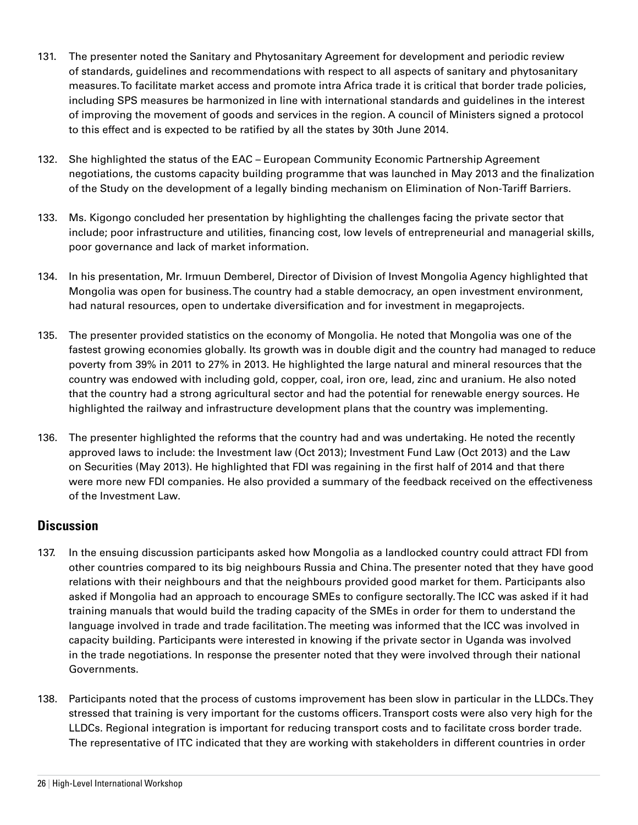- 131. The presenter noted the Sanitary and Phytosanitary Agreement for development and periodic review of standards, guidelines and recommendations with respect to all aspects of sanitary and phytosanitary measures. To facilitate market access and promote intra Africa trade it is critical that border trade policies, including SPS measures be harmonized in line with international standards and guidelines in the interest of improving the movement of goods and services in the region. A council of Ministers signed a protocol to this effect and is expected to be ratified by all the states by 30th June 2014.
- 132. She highlighted the status of the EAC European Community Economic Partnership Agreement negotiations, the customs capacity building programme that was launched in May 2013 and the finalization of the Study on the development of a legally binding mechanism on Elimination of Non-Tariff Barriers.
- 133. Ms. Kigongo concluded her presentation by highlighting the challenges facing the private sector that include; poor infrastructure and utilities, financing cost, low levels of entrepreneurial and managerial skills, poor governance and lack of market information.
- 134. In his presentation, Mr. Irmuun Demberel, Director of Division of Invest Mongolia Agency highlighted that Mongolia was open for business. The country had a stable democracy, an open investment environment, had natural resources, open to undertake diversification and for investment in megaprojects.
- 135. The presenter provided statistics on the economy of Mongolia. He noted that Mongolia was one of the fastest growing economies globally. Its growth was in double digit and the country had managed to reduce poverty from 39% in 2011 to 27% in 2013. He highlighted the large natural and mineral resources that the country was endowed with including gold, copper, coal, iron ore, lead, zinc and uranium. He also noted that the country had a strong agricultural sector and had the potential for renewable energy sources. He highlighted the railway and infrastructure development plans that the country was implementing.
- 136. The presenter highlighted the reforms that the country had and was undertaking. He noted the recently approved laws to include: the Investment law (Oct 2013); Investment Fund Law (Oct 2013) and the Law on Securities (May 2013). He highlighted that FDI was regaining in the first half of 2014 and that there were more new FDI companies. He also provided a summary of the feedback received on the effectiveness of the Investment Law.

## **Discussion**

- 137. In the ensuing discussion participants asked how Mongolia as a landlocked country could attract FDI from other countries compared to its big neighbours Russia and China. The presenter noted that they have good relations with their neighbours and that the neighbours provided good market for them. Participants also asked if Mongolia had an approach to encourage SMEs to configure sectorally. The ICC was asked if it had training manuals that would build the trading capacity of the SMEs in order for them to understand the language involved in trade and trade facilitation. The meeting was informed that the ICC was involved in capacity building. Participants were interested in knowing if the private sector in Uganda was involved in the trade negotiations. In response the presenter noted that they were involved through their national Governments.
- 138. Participants noted that the process of customs improvement has been slow in particular in the LLDCs. They stressed that training is very important for the customs officers. Transport costs were also very high for the LLDCs. Regional integration is important for reducing transport costs and to facilitate cross border trade. The representative of ITC indicated that they are working with stakeholders in different countries in order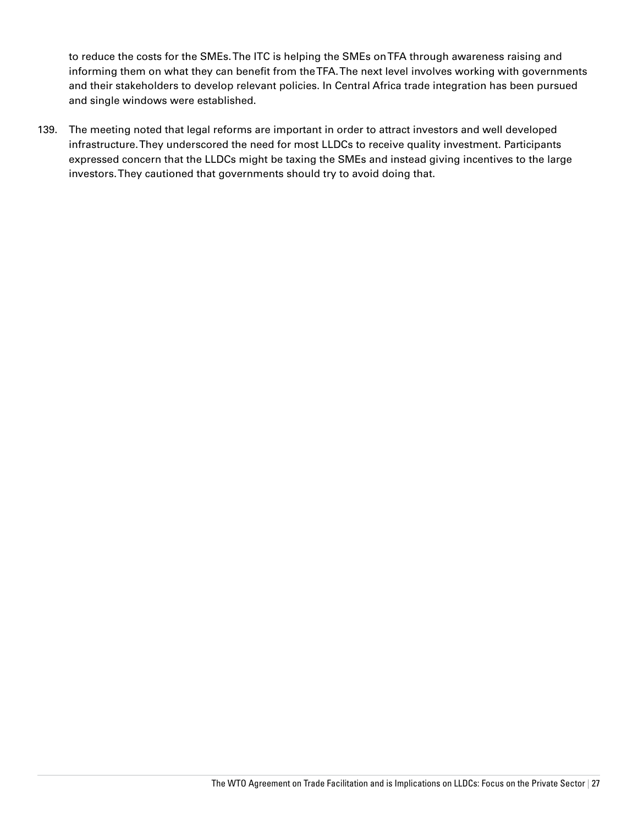to reduce the costs for the SMEs. The ITC is helping the SMEs on TFA through awareness raising and informing them on what they can benefit from the TFA. The next level involves working with governments and their stakeholders to develop relevant policies. In Central Africa trade integration has been pursued and single windows were established.

139. The meeting noted that legal reforms are important in order to attract investors and well developed infrastructure. They underscored the need for most LLDCs to receive quality investment. Participants expressed concern that the LLDCs might be taxing the SMEs and instead giving incentives to the large investors. They cautioned that governments should try to avoid doing that.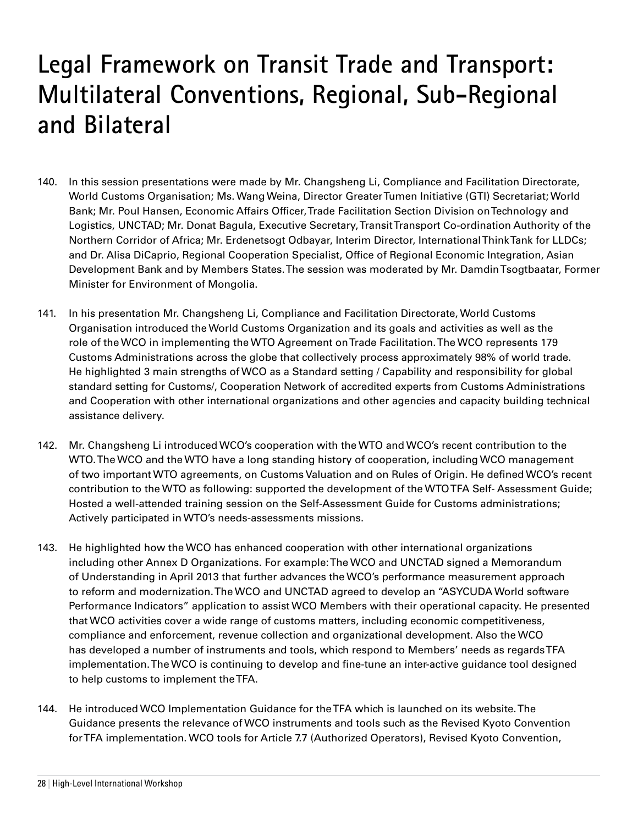# **Legal Framework on Transit Trade and Transport: Multilateral Conventions, Regional, Sub-Regional and Bilateral**

- 140. In this session presentations were made by Mr. Changsheng Li, Compliance and Facilitation Directorate, World Customs Organisation; Ms. Wang Weina, Director Greater Tumen Initiative (GTI) Secretariat; World Bank; Mr. Poul Hansen, Economic Affairs Officer, Trade Facilitation Section Division on Technology and Logistics, UNCTAD; Mr. Donat Bagula, Executive Secretary, Transit Transport Co-ordination Authority of the Northern Corridor of Africa; Mr. Erdenetsogt Odbayar, Interim Director, International Think Tank for LLDCs; and Dr. Alisa DiCaprio, Regional Cooperation Specialist, Office of Regional Economic Integration, Asian Development Bank and by Members States. The session was moderated by Mr. Damdin Tsogtbaatar, Former Minister for Environment of Mongolia.
- 141. In his presentation Mr. Changsheng Li, Compliance and Facilitation Directorate, World Customs Organisation introduced the World Customs Organization and its goals and activities as well as the role of the WCO in implementing the WTO Agreement on Trade Facilitation. The WCO represents 179 Customs Administrations across the globe that collectively process approximately 98% of world trade. He highlighted 3 main strengths of WCO as a Standard setting / Capability and responsibility for global standard setting for Customs/, Cooperation Network of accredited experts from Customs Administrations and Cooperation with other international organizations and other agencies and capacity building technical assistance delivery.
- 142. Mr. Changsheng Li introduced WCO's cooperation with the WTO and WCO's recent contribution to the WTO. The WCO and the WTO have a long standing history of cooperation, including WCO management of two important WTO agreements, on Customs Valuation and on Rules of Origin. He defined WCO's recent contribution to the WTO as following: supported the development of the WTO TFA Self- Assessment Guide; Hosted a well-attended training session on the Self-Assessment Guide for Customs administrations; Actively participated in WTO's needs-assessments missions.
- 143. He highlighted how the WCO has enhanced cooperation with other international organizations including other Annex D Organizations. For example: The WCO and UNCTAD signed a Memorandum of Understanding in April 2013 that further advances the WCO's performance measurement approach to reform and modernization. The WCO and UNCTAD agreed to develop an "ASYCUDA World software Performance Indicators" application to assist WCO Members with their operational capacity. He presented that WCO activities cover a wide range of customs matters, including economic competitiveness, compliance and enforcement, revenue collection and organizational development. Also the WCO has developed a number of instruments and tools, which respond to Members' needs as regards TFA implementation. The WCO is continuing to develop and fine-tune an inter-active guidance tool designed to help customs to implement the TFA.
- 144. He introduced WCO Implementation Guidance for the TFA which is launched on its website. The Guidance presents the relevance of WCO instruments and tools such as the Revised Kyoto Convention for TFA implementation. WCO tools for Article 7.7 (Authorized Operators), Revised Kyoto Convention,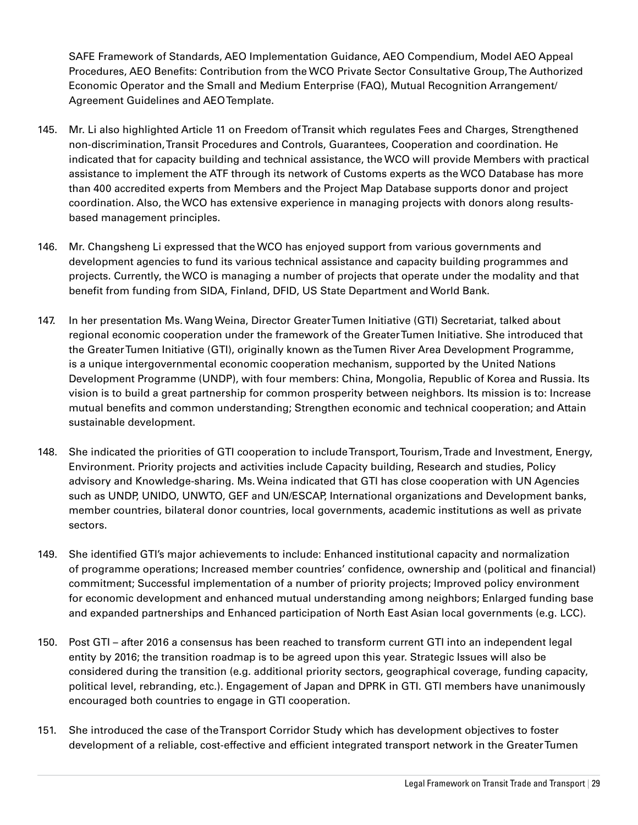SAFE Framework of Standards, AEO Implementation Guidance, AEO Compendium, Model AEO Appeal Procedures, AEO Benefits: Contribution from the WCO Private Sector Consultative Group, The Authorized Economic Operator and the Small and Medium Enterprise (FAQ), Mutual Recognition Arrangement/ Agreement Guidelines and AEO Template.

- 145. Mr. Li also highlighted Article 11 on Freedom of Transit which regulates Fees and Charges, Strengthened non-discrimination, Transit Procedures and Controls, Guarantees, Cooperation and coordination. He indicated that for capacity building and technical assistance, the WCO will provide Members with practical assistance to implement the ATF through its network of Customs experts as the WCO Database has more than 400 accredited experts from Members and the Project Map Database supports donor and project coordination. Also, the WCO has extensive experience in managing projects with donors along resultsbased management principles.
- 146. Mr. Changsheng Li expressed that the WCO has enjoyed support from various governments and development agencies to fund its various technical assistance and capacity building programmes and projects. Currently, the WCO is managing a number of projects that operate under the modality and that benefit from funding from SIDA, Finland, DFID, US State Department and World Bank.
- 147. In her presentation Ms. Wang Weina, Director Greater Tumen Initiative (GTI) Secretariat, talked about regional economic cooperation under the framework of the Greater Tumen Initiative. She introduced that the Greater Tumen Initiative (GTI), originally known as the Tumen River Area Development Programme, is a unique intergovernmental economic cooperation mechanism, supported by the United Nations Development Programme (UNDP), with four members: China, Mongolia, Republic of Korea and Russia. Its vision is to build a great partnership for common prosperity between neighbors. Its mission is to: Increase mutual benefits and common understanding; Strengthen economic and technical cooperation; and Attain sustainable development.
- 148. She indicated the priorities of GTI cooperation to include Transport, Tourism, Trade and Investment, Energy, Environment. Priority projects and activities include Capacity building, Research and studies, Policy advisory and Knowledge-sharing. Ms. Weina indicated that GTI has close cooperation with UN Agencies such as UNDP, UNIDO, UNWTO, GEF and UN/ESCAP, International organizations and Development banks, member countries, bilateral donor countries, local governments, academic institutions as well as private sectors.
- 149. She identified GTI's major achievements to include: Enhanced institutional capacity and normalization of programme operations; Increased member countries' confidence, ownership and (political and financial) commitment; Successful implementation of a number of priority projects; Improved policy environment for economic development and enhanced mutual understanding among neighbors; Enlarged funding base and expanded partnerships and Enhanced participation of North East Asian local governments (e.g. LCC).
- 150. Post GTI after 2016 a consensus has been reached to transform current GTI into an independent legal entity by 2016; the transition roadmap is to be agreed upon this year. Strategic Issues will also be considered during the transition (e.g. additional priority sectors, geographical coverage, funding capacity, political level, rebranding, etc.). Engagement of Japan and DPRK in GTI. GTI members have unanimously encouraged both countries to engage in GTI cooperation.
- 151. She introduced the case of the Transport Corridor Study which has development objectives to foster development of a reliable, cost-effective and efficient integrated transport network in the Greater Tumen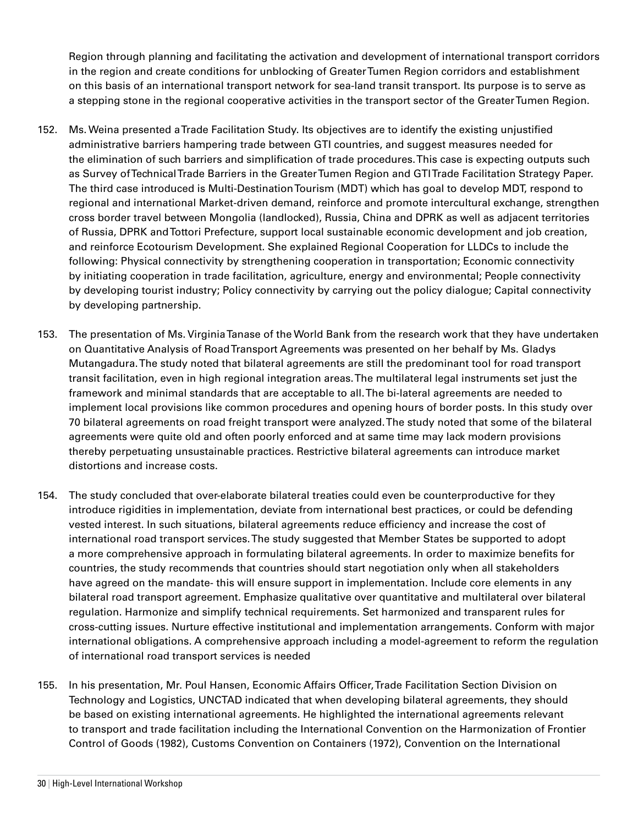Region through planning and facilitating the activation and development of international transport corridors in the region and create conditions for unblocking of Greater Tumen Region corridors and establishment on this basis of an international transport network for sea-land transit transport. Its purpose is to serve as a stepping stone in the regional cooperative activities in the transport sector of the Greater Tumen Region.

- 152. Ms. Weina presented a Trade Facilitation Study. Its objectives are to identify the existing unjustified administrative barriers hampering trade between GTI countries, and suggest measures needed for the elimination of such barriers and simplification of trade procedures. This case is expecting outputs such as Survey of Technical Trade Barriers in the Greater Tumen Region and GTI Trade Facilitation Strategy Paper. The third case introduced is Multi-Destination Tourism (MDT) which has goal to develop MDT, respond to regional and international Market-driven demand, reinforce and promote intercultural exchange, strengthen cross border travel between Mongolia (landlocked), Russia, China and DPRK as well as adjacent territories of Russia, DPRK and Tottori Prefecture, support local sustainable economic development and job creation, and reinforce Ecotourism Development. She explained Regional Cooperation for LLDCs to include the following: Physical connectivity by strengthening cooperation in transportation; Economic connectivity by initiating cooperation in trade facilitation, agriculture, energy and environmental; People connectivity by developing tourist industry; Policy connectivity by carrying out the policy dialogue; Capital connectivity by developing partnership.
- 153. The presentation of Ms. Virginia Tanase of the World Bank from the research work that they have undertaken on Quantitative Analysis of Road Transport Agreements was presented on her behalf by Ms. Gladys Mutangadura. The study noted that bilateral agreements are still the predominant tool for road transport transit facilitation, even in high regional integration areas. The multilateral legal instruments set just the framework and minimal standards that are acceptable to all. The bi-lateral agreements are needed to implement local provisions like common procedures and opening hours of border posts. In this study over 70 bilateral agreements on road freight transport were analyzed. The study noted that some of the bilateral agreements were quite old and often poorly enforced and at same time may lack modern provisions thereby perpetuating unsustainable practices. Restrictive bilateral agreements can introduce market distortions and increase costs.
- 154. The study concluded that over-elaborate bilateral treaties could even be counterproductive for they introduce rigidities in implementation, deviate from international best practices, or could be defending vested interest. In such situations, bilateral agreements reduce efficiency and increase the cost of international road transport services. The study suggested that Member States be supported to adopt a more comprehensive approach in formulating bilateral agreements. In order to maximize benefits for countries, the study recommends that countries should start negotiation only when all stakeholders have agreed on the mandate- this will ensure support in implementation. Include core elements in any bilateral road transport agreement. Emphasize qualitative over quantitative and multilateral over bilateral regulation. Harmonize and simplify technical requirements. Set harmonized and transparent rules for cross-cutting issues. Nurture effective institutional and implementation arrangements. Conform with major international obligations. A comprehensive approach including a model-agreement to reform the regulation of international road transport services is needed
- 155. In his presentation, Mr. Poul Hansen, Economic Affairs Officer, Trade Facilitation Section Division on Technology and Logistics, UNCTAD indicated that when developing bilateral agreements, they should be based on existing international agreements. He highlighted the international agreements relevant to transport and trade facilitation including the International Convention on the Harmonization of Frontier Control of Goods (1982), Customs Convention on Containers (1972), Convention on the International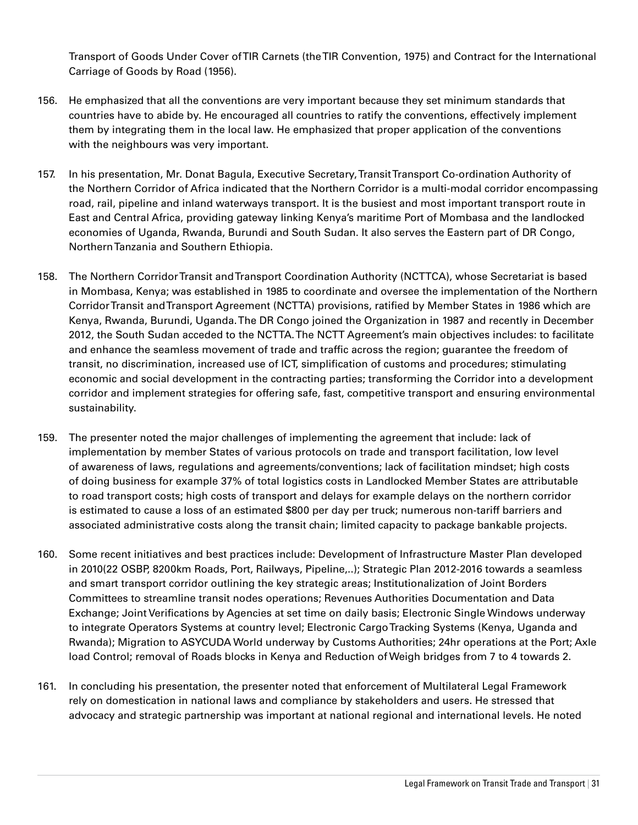Transport of Goods Under Cover of TIR Carnets (the TIR Convention, 1975) and Contract for the International Carriage of Goods by Road (1956).

- 156. He emphasized that all the conventions are very important because they set minimum standards that countries have to abide by. He encouraged all countries to ratify the conventions, effectively implement them by integrating them in the local law. He emphasized that proper application of the conventions with the neighbours was very important.
- 157. In his presentation, Mr. Donat Bagula, Executive Secretary, Transit Transport Co-ordination Authority of the Northern Corridor of Africa indicated that the Northern Corridor is a multi-modal corridor encompassing road, rail, pipeline and inland waterways transport. It is the busiest and most important transport route in East and Central Africa, providing gateway linking Kenya's maritime Port of Mombasa and the landlocked economies of Uganda, Rwanda, Burundi and South Sudan. It also serves the Eastern part of DR Congo, Northern Tanzania and Southern Ethiopia.
- 158. The Northern Corridor Transit and Transport Coordination Authority (NCTTCA), whose Secretariat is based in Mombasa, Kenya; was established in 1985 to coordinate and oversee the implementation of the Northern Corridor Transit and Transport Agreement (NCTTA) provisions, ratified by Member States in 1986 which are Kenya, Rwanda, Burundi, Uganda. The DR Congo joined the Organization in 1987 and recently in December 2012, the South Sudan acceded to the NCTTA. The NCTT Agreement's main objectives includes: to facilitate and enhance the seamless movement of trade and traffic across the region; guarantee the freedom of transit, no discrimination, increased use of ICT, simplification of customs and procedures; stimulating economic and social development in the contracting parties; transforming the Corridor into a development corridor and implement strategies for offering safe, fast, competitive transport and ensuring environmental sustainability.
- 159. The presenter noted the major challenges of implementing the agreement that include: lack of implementation by member States of various protocols on trade and transport facilitation, low level of awareness of laws, regulations and agreements/conventions; lack of facilitation mindset; high costs of doing business for example 37% of total logistics costs in Landlocked Member States are attributable to road transport costs; high costs of transport and delays for example delays on the northern corridor is estimated to cause a loss of an estimated \$800 per day per truck; numerous non-tariff barriers and associated administrative costs along the transit chain; limited capacity to package bankable projects.
- 160. Some recent initiatives and best practices include: Development of Infrastructure Master Plan developed in 2010(22 OSBP, 8200km Roads, Port, Railways, Pipeline,..); Strategic Plan 2012-2016 towards a seamless and smart transport corridor outlining the key strategic areas; Institutionalization of Joint Borders Committees to streamline transit nodes operations; Revenues Authorities Documentation and Data Exchange; Joint Verifications by Agencies at set time on daily basis; Electronic Single Windows underway to integrate Operators Systems at country level; Electronic Cargo Tracking Systems (Kenya, Uganda and Rwanda); Migration to ASYCUDA World underway by Customs Authorities; 24hr operations at the Port; Axle load Control; removal of Roads blocks in Kenya and Reduction of Weigh bridges from 7 to 4 towards 2.
- 161. In concluding his presentation, the presenter noted that enforcement of Multilateral Legal Framework rely on domestication in national laws and compliance by stakeholders and users. He stressed that advocacy and strategic partnership was important at national regional and international levels. He noted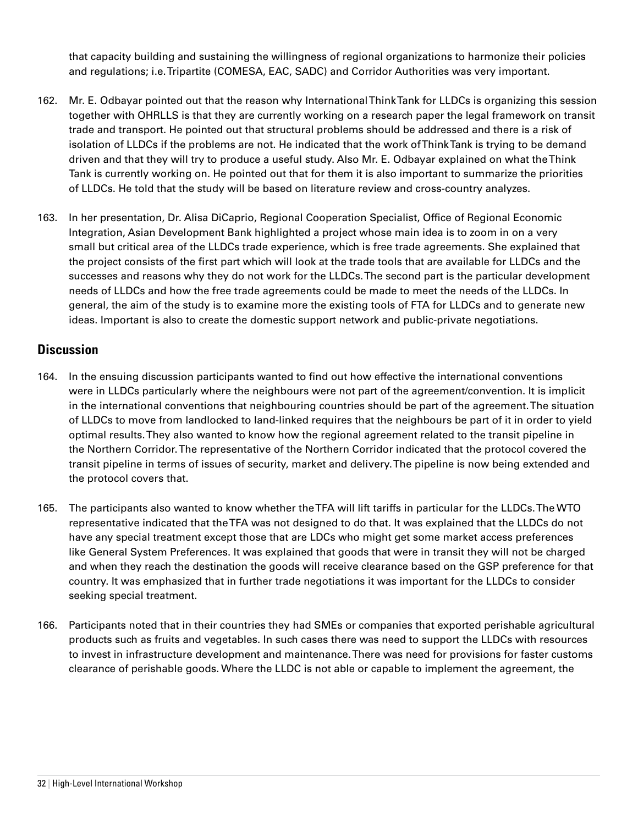that capacity building and sustaining the willingness of regional organizations to harmonize their policies and regulations; i.e. Tripartite (COMESA, EAC, SADC) and Corridor Authorities was very important.

- 162. Mr. E. Odbayar pointed out that the reason why International Think Tank for LLDCs is organizing this session together with OHRLLS is that they are currently working on a research paper the legal framework on transit trade and transport. He pointed out that structural problems should be addressed and there is a risk of isolation of LLDCs if the problems are not. He indicated that the work of Think Tank is trying to be demand driven and that they will try to produce a useful study. Also Mr. E. Odbayar explained on what the Think Tank is currently working on. He pointed out that for them it is also important to summarize the priorities of LLDCs. He told that the study will be based on literature review and cross-country analyzes.
- 163. In her presentation, Dr. Alisa DiCaprio, Regional Cooperation Specialist, Office of Regional Economic Integration, Asian Development Bank highlighted a project whose main idea is to zoom in on a very small but critical area of the LLDCs trade experience, which is free trade agreements. She explained that the project consists of the first part which will look at the trade tools that are available for LLDCs and the successes and reasons why they do not work for the LLDCs. The second part is the particular development needs of LLDCs and how the free trade agreements could be made to meet the needs of the LLDCs. In general, the aim of the study is to examine more the existing tools of FTA for LLDCs and to generate new ideas. Important is also to create the domestic support network and public-private negotiations.

## **Discussion**

- 164. In the ensuing discussion participants wanted to find out how effective the international conventions were in LLDCs particularly where the neighbours were not part of the agreement/convention. It is implicit in the international conventions that neighbouring countries should be part of the agreement. The situation of LLDCs to move from landlocked to land-linked requires that the neighbours be part of it in order to yield optimal results. They also wanted to know how the regional agreement related to the transit pipeline in the Northern Corridor. The representative of the Northern Corridor indicated that the protocol covered the transit pipeline in terms of issues of security, market and delivery. The pipeline is now being extended and the protocol covers that.
- 165. The participants also wanted to know whether the TFA will lift tariffs in particular for the LLDCs. The WTO representative indicated that the TFA was not designed to do that. It was explained that the LLDCs do not have any special treatment except those that are LDCs who might get some market access preferences like General System Preferences. It was explained that goods that were in transit they will not be charged and when they reach the destination the goods will receive clearance based on the GSP preference for that country. It was emphasized that in further trade negotiations it was important for the LLDCs to consider seeking special treatment.
- 166. Participants noted that in their countries they had SMEs or companies that exported perishable agricultural products such as fruits and vegetables. In such cases there was need to support the LLDCs with resources to invest in infrastructure development and maintenance. There was need for provisions for faster customs clearance of perishable goods. Where the LLDC is not able or capable to implement the agreement, the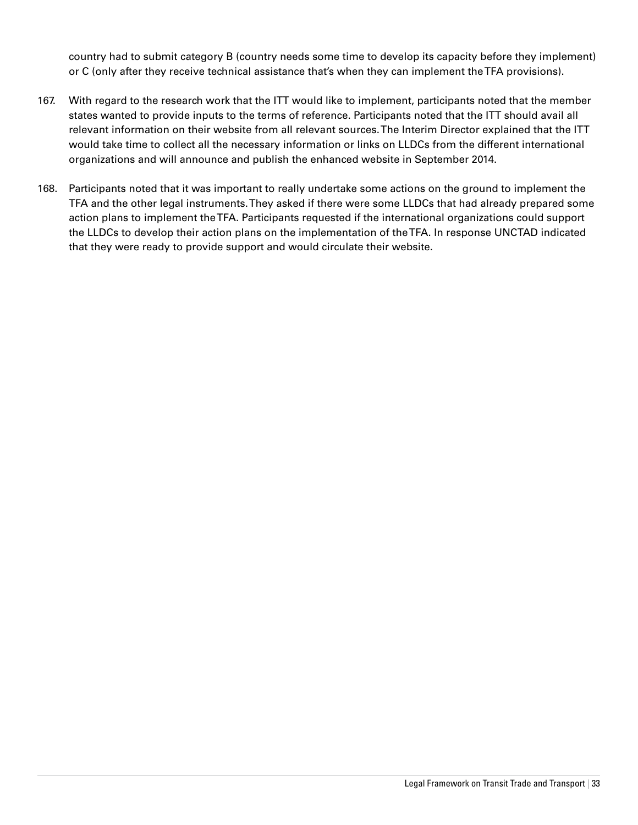country had to submit category B (country needs some time to develop its capacity before they implement) or C (only after they receive technical assistance that's when they can implement the TFA provisions).

- 167. With regard to the research work that the ITT would like to implement, participants noted that the member states wanted to provide inputs to the terms of reference. Participants noted that the ITT should avail all relevant information on their website from all relevant sources. The Interim Director explained that the ITT would take time to collect all the necessary information or links on LLDCs from the different international organizations and will announce and publish the enhanced website in September 2014.
- 168. Participants noted that it was important to really undertake some actions on the ground to implement the TFA and the other legal instruments. They asked if there were some LLDCs that had already prepared some action plans to implement the TFA. Participants requested if the international organizations could support the LLDCs to develop their action plans on the implementation of the TFA. In response UNCTAD indicated that they were ready to provide support and would circulate their website.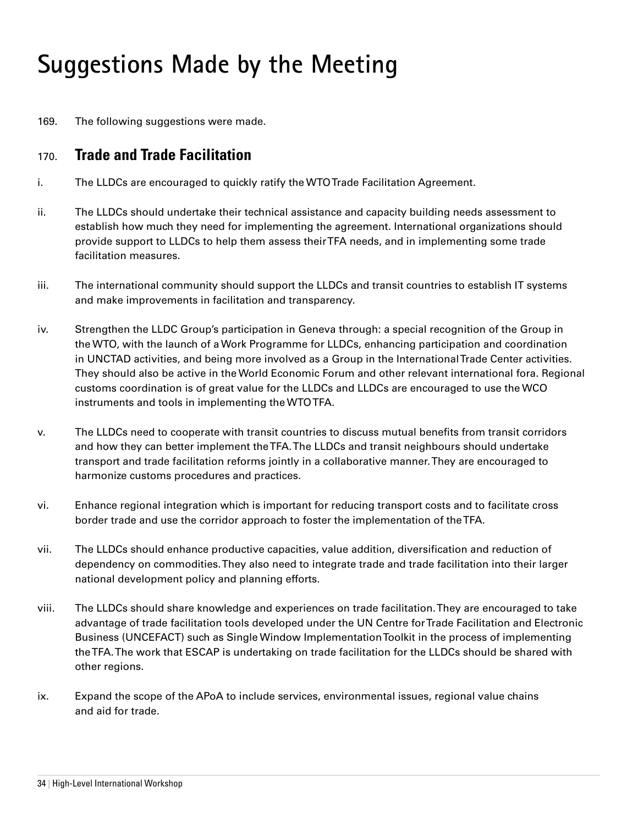# **Suggestions Made by the Meeting**

169. The following suggestions were made.

# 170. **Trade and Trade Facilitation**

- i. The LLDCs are encouraged to quickly ratify the WTO Trade Facilitation Agreement.
- ii. The LLDCs should undertake their technical assistance and capacity building needs assessment to establish how much they need for implementing the agreement. International organizations should provide support to LLDCs to help them assess their TFA needs, and in implementing some trade facilitation measures.
- iii. The international community should support the LLDCs and transit countries to establish IT systems and make improvements in facilitation and transparency.
- iv. Strengthen the LLDC Group's participation in Geneva through: a special recognition of the Group in the WTO, with the launch of a Work Programme for LLDCs, enhancing participation and coordination in UNCTAD activities, and being more involved as a Group in the International Trade Center activities. They should also be active in the World Economic Forum and other relevant international fora. Regional customs coordination is of great value for the LLDCs and LLDCs are encouraged to use the WCO instruments and tools in implementing the WTO TFA.
- v. The LLDCs need to cooperate with transit countries to discuss mutual benefits from transit corridors and how they can better implement the TFA. The LLDCs and transit neighbours should undertake transport and trade facilitation reforms jointly in a collaborative manner. They are encouraged to harmonize customs procedures and practices.
- vi. Enhance regional integration which is important for reducing transport costs and to facilitate cross border trade and use the corridor approach to foster the implementation of the TFA.
- vii. The LLDCs should enhance productive capacities, value addition, diversification and reduction of dependency on commodities. They also need to integrate trade and trade facilitation into their larger national development policy and planning efforts.
- viii. The LLDCs should share knowledge and experiences on trade facilitation. They are encouraged to take advantage of trade facilitation tools developed under the UN Centre for Trade Facilitation and Electronic Business (UNCEFACT) such as Single Window Implementation Toolkit in the process of implementing the TFA. The work that ESCAP is undertaking on trade facilitation for the LLDCs should be shared with other regions.
- ix. Expand the scope of the APoA to include services, environmental issues, regional value chains and aid for trade.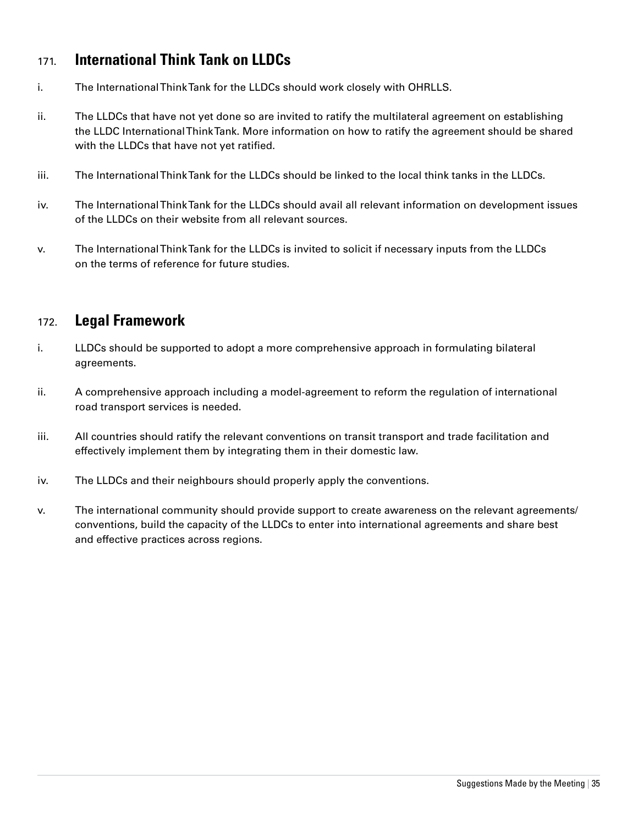# 171. **International Think Tank on LLDCs**

- i. The International Think Tank for the LLDCs should work closely with OHRLLS.
- ii. The LLDCs that have not yet done so are invited to ratify the multilateral agreement on establishing the LLDC International Think Tank. More information on how to ratify the agreement should be shared with the LLDCs that have not yet ratified.
- iii. The International Think Tank for the LLDCs should be linked to the local think tanks in the LLDCs.
- iv. The International Think Tank for the LLDCs should avail all relevant information on development issues of the LLDCs on their website from all relevant sources.
- v. The International Think Tank for the LLDCs is invited to solicit if necessary inputs from the LLDCs on the terms of reference for future studies.

# 172. **Legal Framework**

- i. LLDCs should be supported to adopt a more comprehensive approach in formulating bilateral agreements.
- ii. A comprehensive approach including a model-agreement to reform the regulation of international road transport services is needed.
- iii. All countries should ratify the relevant conventions on transit transport and trade facilitation and effectively implement them by integrating them in their domestic law.
- iv. The LLDCs and their neighbours should properly apply the conventions.
- v. The international community should provide support to create awareness on the relevant agreements/ conventions, build the capacity of the LLDCs to enter into international agreements and share best and effective practices across regions.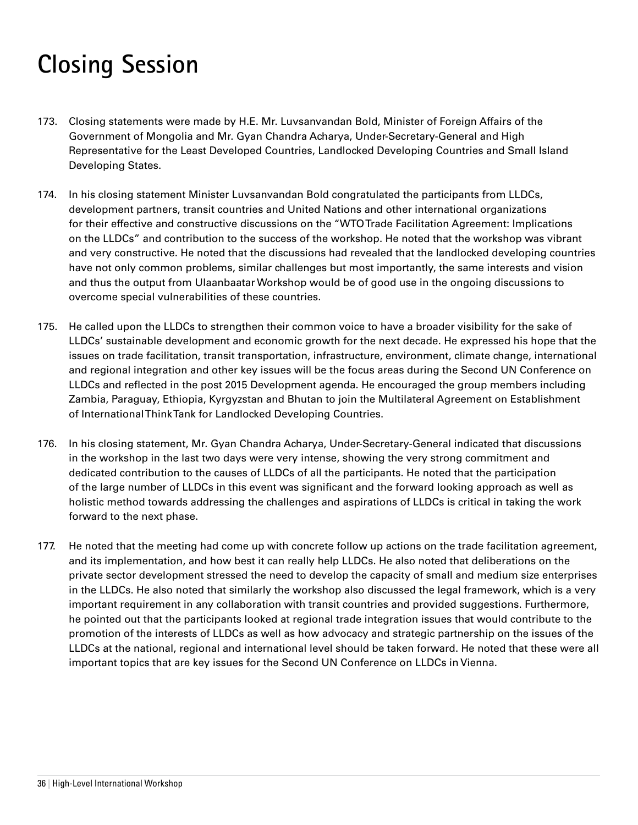# **Closing Session**

- 173. Closing statements were made by H.E. Mr. Luvsanvandan Bold, Minister of Foreign Affairs of the Government of Mongolia and Mr. Gyan Chandra Acharya, Under-Secretary-General and High Representative for the Least Developed Countries, Landlocked Developing Countries and Small Island Developing States.
- 174. In his closing statement Minister Luvsanvandan Bold congratulated the participants from LLDCs, development partners, transit countries and United Nations and other international organizations for their effective and constructive discussions on the "WTO Trade Facilitation Agreement: Implications on the LLDCs" and contribution to the success of the workshop. He noted that the workshop was vibrant and very constructive. He noted that the discussions had revealed that the landlocked developing countries have not only common problems, similar challenges but most importantly, the same interests and vision and thus the output from Ulaanbaatar Workshop would be of good use in the ongoing discussions to overcome special vulnerabilities of these countries.
- 175. He called upon the LLDCs to strengthen their common voice to have a broader visibility for the sake of LLDCs' sustainable development and economic growth for the next decade. He expressed his hope that the issues on trade facilitation, transit transportation, infrastructure, environment, climate change, international and regional integration and other key issues will be the focus areas during the Second UN Conference on LLDCs and reflected in the post 2015 Development agenda. He encouraged the group members including Zambia, Paraguay, Ethiopia, Kyrgyzstan and Bhutan to join the Multilateral Agreement on Establishment of International Think Tank for Landlocked Developing Countries.
- 176. In his closing statement, Mr. Gyan Chandra Acharya, Under-Secretary-General indicated that discussions in the workshop in the last two days were very intense, showing the very strong commitment and dedicated contribution to the causes of LLDCs of all the participants. He noted that the participation of the large number of LLDCs in this event was significant and the forward looking approach as well as holistic method towards addressing the challenges and aspirations of LLDCs is critical in taking the work forward to the next phase.
- 177. He noted that the meeting had come up with concrete follow up actions on the trade facilitation agreement, and its implementation, and how best it can really help LLDCs. He also noted that deliberations on the private sector development stressed the need to develop the capacity of small and medium size enterprises in the LLDCs. He also noted that similarly the workshop also discussed the legal framework, which is a very important requirement in any collaboration with transit countries and provided suggestions. Furthermore, he pointed out that the participants looked at regional trade integration issues that would contribute to the promotion of the interests of LLDCs as well as how advocacy and strategic partnership on the issues of the LLDCs at the national, regional and international level should be taken forward. He noted that these were all important topics that are key issues for the Second UN Conference on LLDCs in Vienna.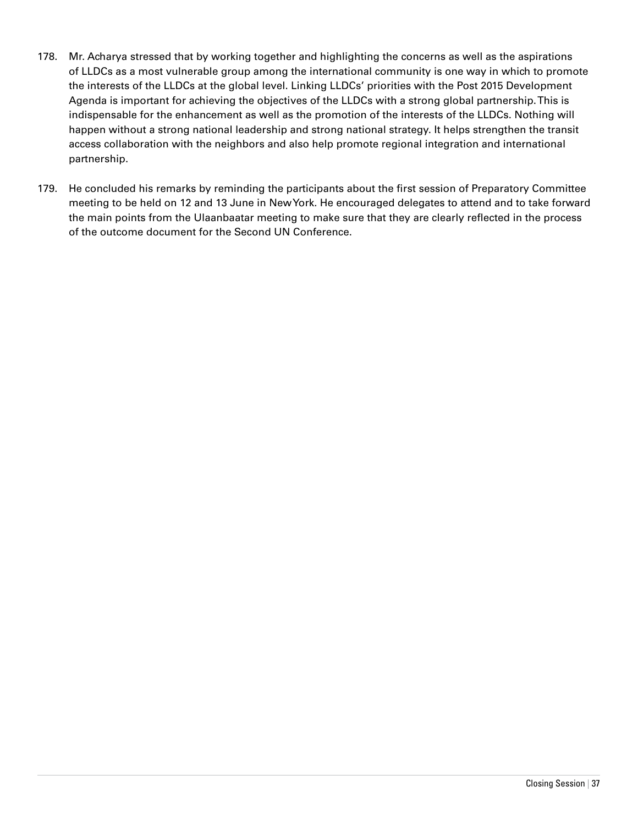- 178. Mr. Acharya stressed that by working together and highlighting the concerns as well as the aspirations of LLDCs as a most vulnerable group among the international community is one way in which to promote the interests of the LLDCs at the global level. Linking LLDCs' priorities with the Post 2015 Development Agenda is important for achieving the objectives of the LLDCs with a strong global partnership. This is indispensable for the enhancement as well as the promotion of the interests of the LLDCs. Nothing will happen without a strong national leadership and strong national strategy. It helps strengthen the transit access collaboration with the neighbors and also help promote regional integration and international partnership.
- 179. He concluded his remarks by reminding the participants about the first session of Preparatory Committee meeting to be held on 12 and 13 June in New York. He encouraged delegates to attend and to take forward the main points from the Ulaanbaatar meeting to make sure that they are clearly reflected in the process of the outcome document for the Second UN Conference.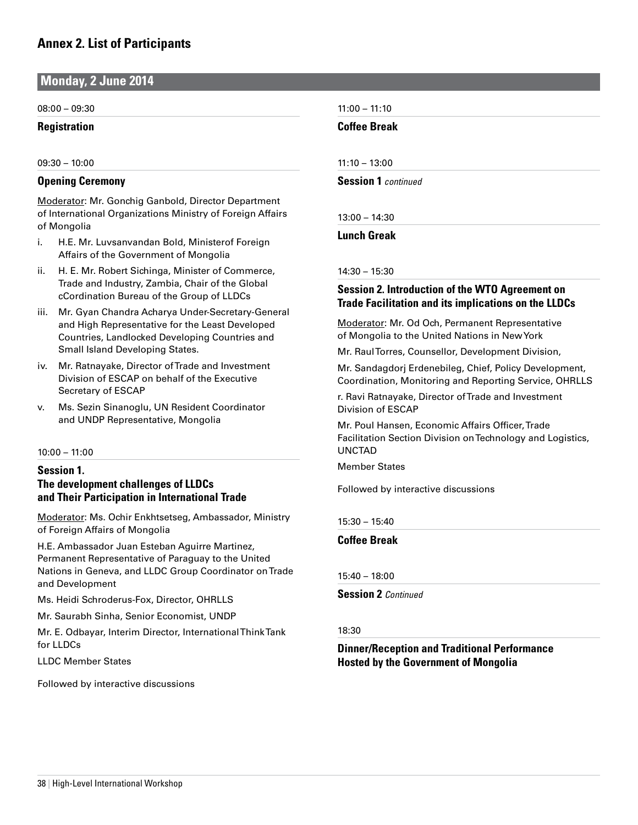**Monday, 2 June 2014**

08:00 – 09:30

**Registration**

09:30 – 10:00

#### **Opening Ceremony**

Moderator: Mr. Gonchig Ganbold, Director Department of International Organizations Ministry of Foreign Affairs of Mongolia

- i. H.E. Mr. Luvsanvandan Bold, Ministerof Foreign Affairs of the Government of Mongolia
- ii. H. E. Mr. Robert Sichinga, Minister of Commerce, Trade and Industry, Zambia, Chair of the Global cCordination Bureau of the Group of LLDCs
- iii. Mr. Gyan Chandra Acharya Under-Secretary-General and High Representative for the Least Developed Countries, Landlocked Developing Countries and Small Island Developing States.
- iv. Mr. Ratnayake, Director of Trade and Investment Division of ESCAP on behalf of the Executive Secretary of ESCAP
- v. Ms. Sezin Sinanoglu, UN Resident Coordinator and UNDP Representative, Mongolia

10:00 – 11:00

### **Session 1.**

#### **The development challenges of LLDCs and Their Participation in International Trade**

Moderator: Ms. Ochir Enkhtsetseg, Ambassador, Ministry of Foreign Affairs of Mongolia

H.E. Ambassador Juan Esteban Aguirre Martinez, Permanent Representative of Paraguay to the United Nations in Geneva, and LLDC Group Coordinator on Trade and Development

Ms. Heidi Schroderus-Fox, Director, OHRLLS

Mr. Saurabh Sinha, Senior Economist, UNDP

Mr. E. Odbayar, Interim Director, International Think Tank for LLDCs

LLDC Member States

Followed by interactive discussions

11:00 – 11:10

**Coffee Break**

11:10 – 13:00

**Session 1** *continued*

13:00 – 14:30

**Lunch Greak**

14:30 – 15:30

#### **Session 2. Introduction of the WTO Agreement on Trade Facilitation and its implications on the LLDCs**

Moderator: Mr. Od Och, Permanent Representative of Mongolia to the United Nations in New York

Mr. Raul Torres, Counsellor, Development Division,

Mr. Sandagdorj Erdenebileg, Chief, Policy Development, Coordination, Monitoring and Reporting Service, OHRLLS

r. Ravi Ratnayake, Director of Trade and Investment Division of ESCAP

Mr. Poul Hansen, Economic Affairs Officer, Trade Facilitation Section Division on Technology and Logistics, UNCTAD

Member States

Followed by interactive discussions

15:30 – 15:40

**Coffee Break**

15:40 – 18:00

**Session 2** *Continued*

#### 18:30

### **Dinner/Reception and Traditional Performance Hosted by the Government of Mongolia**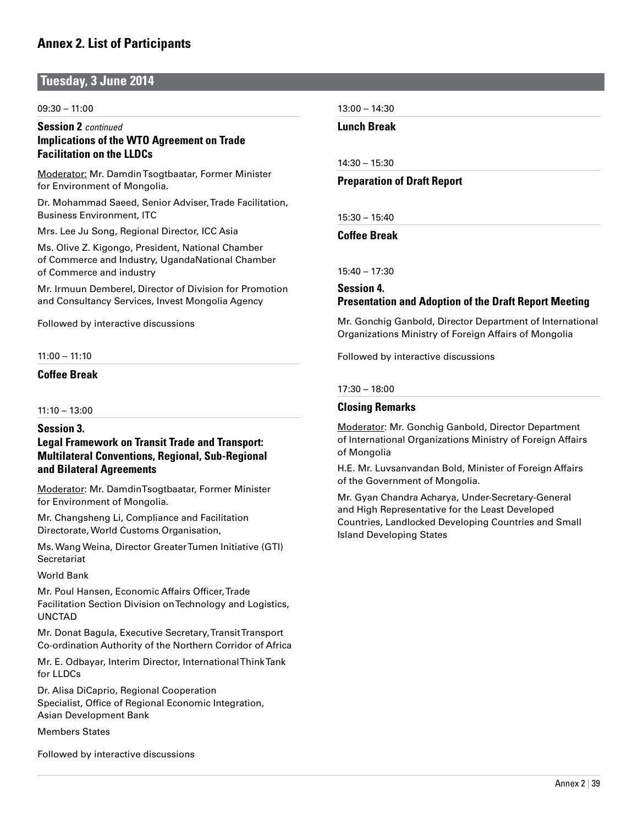### **Tuesday, 3 June 2014**

#### 09:30 – 11:00

#### **Session 2** *continued*  **Implications of the WTO Agreement on Trade Facilitation on the LLDCs**

Moderator: Mr. Damdin Tsogtbaatar, Former Minister for Environment of Mongolia.

Dr. Mohammad Saeed, Senior Adviser, Trade Facilitation, Business Environment, ITC

Mrs. Lee Ju Song, Regional Director, ICC Asia

Ms. Olive Z. Kigongo, President, National Chamber of Commerce and Industry, UgandaNational Chamber of Commerce and industry

Mr. Irmuun Demberel, Director of Division for Promotion and Consultancy Services, Invest Mongolia Agency

Followed by interactive discussions

#### 11:00 – 11:10

#### **Coffee Break**

 $11:10 - 13:00$ 

#### **Session 3.**

#### **Legal Framework on Transit Trade and Transport: Multilateral Conventions, Regional, Sub-Regional and Bilateral Agreements**

Moderator: Mr. DamdinTsogtbaatar, Former Minister for Environment of Mongolia.

Mr. Changsheng Li, Compliance and Facilitation Directorate, World Customs Organisation,

Ms. Wang Weina, Director Greater Tumen Initiative (GTI) **Secretariat** 

#### World Bank

Mr. Poul Hansen, Economic Affairs Officer, Trade Facilitation Section Division on Technology and Logistics, UNCTAD

Mr. Donat Bagula, Executive Secretary, Transit Transport Co-ordination Authority of the Northern Corridor of Africa

Mr. E. Odbayar, Interim Director, International Think Tank for LLDCs

Dr. Alisa DiCaprio, Regional Cooperation Specialist, Office of Regional Economic Integration, Asian Development Bank

Members States

Followed by interactive discussions

13:00 – 14:30

**Lunch Break**

14:30 – 15:30

#### **Preparation of Draft Report**

15:30 – 15:40

**Coffee Break**

15:40 – 17:30

### **Session 4. Presentation and Adoption of the Draft Report Meeting**

Mr. Gonchig Ganbold, Director Department of International Organizations Ministry of Foreign Affairs of Mongolia

Followed by interactive discussions

#### 17:30 – 18:00

#### **Closing Remarks**

Moderator: Mr. Gonchig Ganbold, Director Department of International Organizations Ministry of Foreign Affairs of Mongolia

H.E. Mr. Luvsanvandan Bold, Minister of Foreign Affairs of the Government of Mongolia.

Mr. Gyan Chandra Acharya, Under-Secretary-General and High Representative for the Least Developed Countries, Landlocked Developing Countries and Small Island Developing States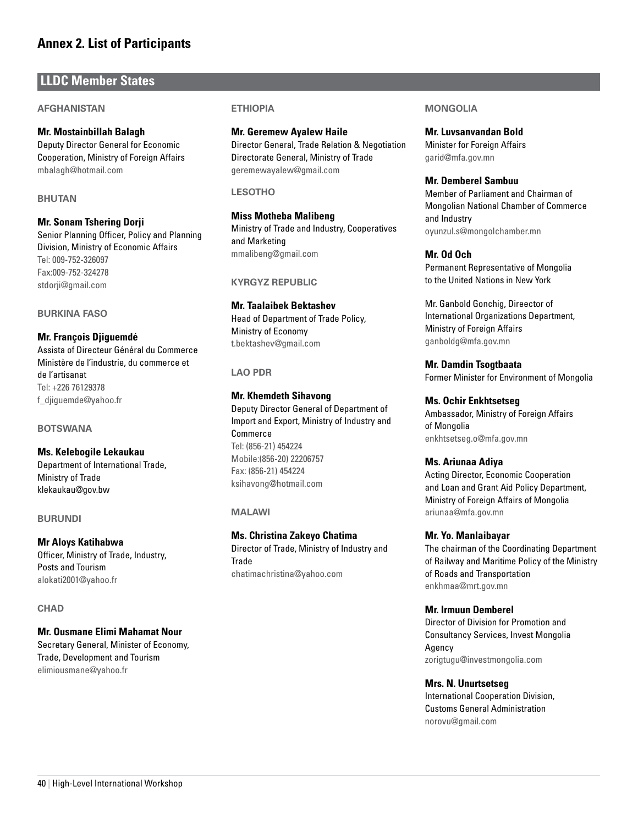### **LLDC Member States**

#### **Afghanistan**

#### **Mr. Mostainbillah Balagh**

Deputy Director General for Economic Cooperation, Ministry of Foreign Affairs mbalagh@hotmail.com

#### **Bhutan**

**Mr. Sonam Tshering Dorji** Senior Planning Officer, Policy and Planning Division, Ministry of Economic Affairs Tel: 009-752-326097 Fax:009-752-324278 stdorji@gmail.com

#### **Burkina Faso**

**Mr. François Djiguemdé** Assista of Directeur Général du Commerce Ministère de l'industrie, du commerce et de l'artisanat Tel: +226 76129378 f\_djiguemde@yahoo.fr

#### **Botswana**

**Ms. Kelebogile Lekaukau** Department of International Trade, Ministry of Trade klekaukau@gov.bw

#### **Burundi**

#### **Mr Aloys Katihabwa**

Officer, Ministry of Trade, Industry, Posts and Tourism alokati2001@yahoo.fr

#### **Chad**

#### **Mr. Ousmane Elimi Mahamat Nour**

Secretary General, Minister of Economy, Trade, Development and Tourism elimiousmane@yahoo.fr

#### **Ethiopia**

**Mr. Geremew Ayalew Haile** Director General, Trade Relation & Negotiation Directorate General, Ministry of Trade geremewayalew@gmail.com

#### **Lesotho**

**Miss Motheba Malibeng** Ministry of Trade and Industry, Cooperatives and Marketing mmalibeng@gmail.com

#### **Kyrgyz Republic**

**Mr. Taalaibek Bektashev** Head of Department of Trade Policy, Ministry of Economy t.bektashev@gmail.com

#### **Lao PDR**

**Mr. Khemdeth Sihavong** Deputy Director General of Department of Import and Export, Ministry of Industry and Commerce Tel: (856-21) 454224 Mobile:(856-20) 22206757 Fax: (856-21) 454224 ksihavong@hotmail.com

#### **Malawi**

#### **Ms. Christina Zakeyo Chatima**

Director of Trade, Ministry of Industry and **Trade** chatimachristina@yahoo.com

#### **Mongolia**

**Mr. Luvsanvandan Bold** Minister for Foreign Affairs garid@mfa.gov.mn

#### **Mr. Demberel Sambuu**

Member of Parliament and Chairman of Mongolian National Chamber of Commerce and Industry oyunzul.s@mongolchamber.mn

#### **Mr. Od Och**

Permanent Representative of Mongolia to the United Nations in New York

Mr. Ganbold Gonchig, Direector of International Organizations Department, Ministry of Foreign Affairs ganboldg@mfa.gov.mn

#### **Mr. Damdin Tsogtbaata**

Former Minister for Environment of Mongolia

#### **Ms. Ochir Enkhtsetseg**

Ambassador, Ministry of Foreign Affairs of Mongolia enkhtsetseg.o@mfa.gov.mn

#### **Ms. Ariunaa Adiya**

Acting Director, Economic Cooperation and Loan and Grant Aid Policy Department, Ministry of Foreign Affairs of Mongolia ariunaa@mfa.gov.mn

#### **Mr. Yo. Manlaibayar**

The chairman of the Coordinating Department of Railway and Maritime Policy of the Ministry of Roads and Transportation enkhmaa@mrt.gov.mn

#### **Mr. Irmuun Demberel**

Director of Division for Promotion and Consultancy Services, Invest Mongolia Agency zorigtugu@investmongolia.com

#### **Mrs. N. Unurtsetseg**

International Cooperation Division, Customs General Administration norovu@gmail.com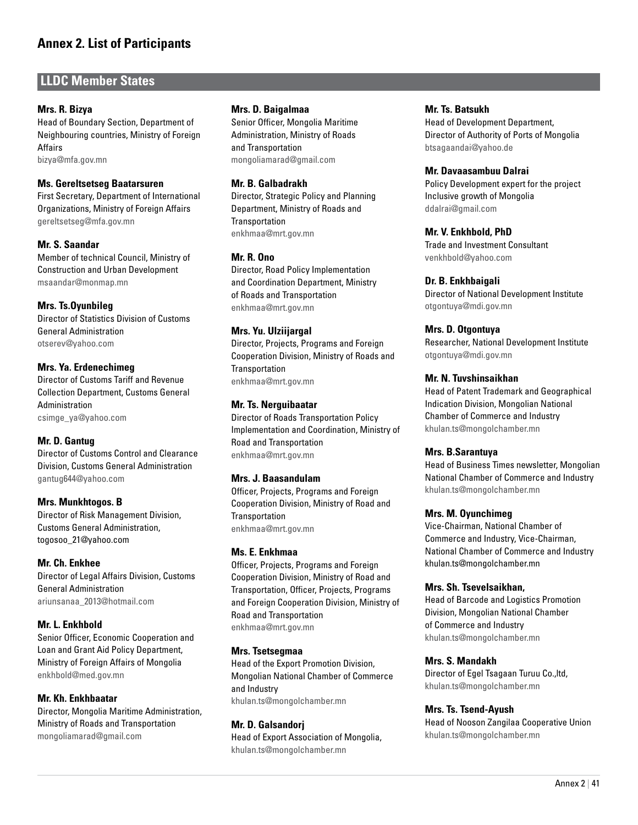## **LLDC Member States**

#### **Mrs. R. Bizya**

Head of Boundary Section, Department of Neighbouring countries, Ministry of Foreign Affairs bizya@mfa.gov.mn

#### **Ms. Gereltsetseg Baatarsuren**

First Secretary, Department of International Organizations, Ministry of Foreign Affairs gereltsetseg@mfa.gov.mn

#### **Mr. S. Saandar**

Member of technical Council, Ministry of Construction and Urban Development msaandar@monmap.mn

#### **Mrs. Ts.Oyunbileg**

Director of Statistics Division of Customs General Administration otserev@yahoo.com

#### **Mrs. Ya. Erdenechimeg**

Director of Customs Tariff and Revenue Collection Department, Customs General Administration csimge\_ya@yahoo.com

#### **Mr. D. Gantug**

Director of Customs Control and Clearance Division, Customs General Administration gantug644@yahoo.com

#### **Mrs. Munkhtogos. B**

Director of Risk Management Division, Customs General Administration, togosoo\_21@yahoo.com

#### **Mr. Ch. Enkhee**

Director of Legal Affairs Division, Customs General Administration ariunsanaa\_2013@hotmail.com

#### **Mr. L. Enkhbold**

Senior Officer, Economic Cooperation and Loan and Grant Aid Policy Department, Ministry of Foreign Affairs of Mongolia enkhbold@med.gov.mn

#### **Mr. Kh. Enkhbaatar**

Director, Mongolia Maritime Administration, Ministry of Roads and Transportation mongoliamarad@gmail.com

#### **Mrs. D. Baigalmaa**

Senior Officer, Mongolia Maritime Administration, Ministry of Roads and Transportation mongoliamarad@gmail.com

#### **Mr. B. Galbadrakh**

Director, Strategic Policy and Planning Department, Ministry of Roads and **Transportation** enkhmaa@mrt.gov.mn

#### **Mr. R. Ono**

Director, Road Policy Implementation and Coordination Department, Ministry of Roads and Transportation enkhmaa@mrt.gov.mn

#### **Mrs. Yu. Ulziijargal**

Director, Projects, Programs and Foreign Cooperation Division, Ministry of Roads and **Transportation** enkhmaa@mrt.gov.mn

#### **Mr. Ts. Nerguibaatar**

Director of Roads Transportation Policy Implementation and Coordination, Ministry of Road and Transportation enkhmaa@mrt.gov.mn

#### **Mrs. J. Baasandulam**

Officer, Projects, Programs and Foreign Cooperation Division, Ministry of Road and **Transportation** enkhmaa@mrt.gov.mn

#### **Ms. E. Enkhmaa**

Officer, Projects, Programs and Foreign Cooperation Division, Ministry of Road and Transportation, Officer, Projects, Programs and Foreign Cooperation Division, Ministry of Road and Transportation enkhmaa@mrt.gov.mn

#### **Mrs. Tsetsegmaa**

Head of the Export Promotion Division, Mongolian National Chamber of Commerce and Industry khulan.ts@mongolchamber.mn

#### **Mr. D. Galsandorj**

Head of Export Association of Mongolia, khulan.ts@mongolchamber.mn

#### **Mr. Ts. Batsukh**

Head of Development Department, Director of Authority of Ports of Mongolia btsagaandai@yahoo.de

#### **Mr. Davaasambuu Dalrai**

Policy Development expert for the project Inclusive growth of Mongolia ddalrai@gmail.com

#### **Mr. V. Enkhbold, PhD**

Trade and Investment Consultant venkhbold@yahoo.com

#### **Dr. B. Enkhbaigali**

Director of National Development Institute otgontuya@mdi.gov.mn

#### **Mrs. D. Otgontuya**

Researcher, National Development Institute otgontuya@mdi.gov.mn

#### **Mr. N. Tuvshinsaikhan**

Head of Patent Trademark and Geographical Indication Division, Mongolian National Chamber of Commerce and Industry khulan.ts@mongolchamber.mn

#### **Mrs. B.Sarantuya**

Head of Business Times newsletter, Mongolian National Chamber of Commerce and Industry khulan.ts@mongolchamber.mn

#### **Mrs. M. Oyunchimeg**

Vice-Chairman, National Chamber of Commerce and Industry, Vice-Chairman, National Chamber of Commerce and Industry khulan.ts@mongolchamber.mn

#### **Mrs. Sh. Tsevelsaikhan,**

Head of Barcode and Logistics Promotion Division, Mongolian National Chamber of Commerce and Industry khulan.ts@mongolchamber.mn

#### **Mrs. S. Mandakh**

Director of Egel Tsagaan Turuu Co.,ltd, khulan.ts@mongolchamber.mn

#### **Mrs. Ts. Tsend-Ayush**

Head of Nooson Zangilaa Cooperative Union khulan.ts@mongolchamber.mn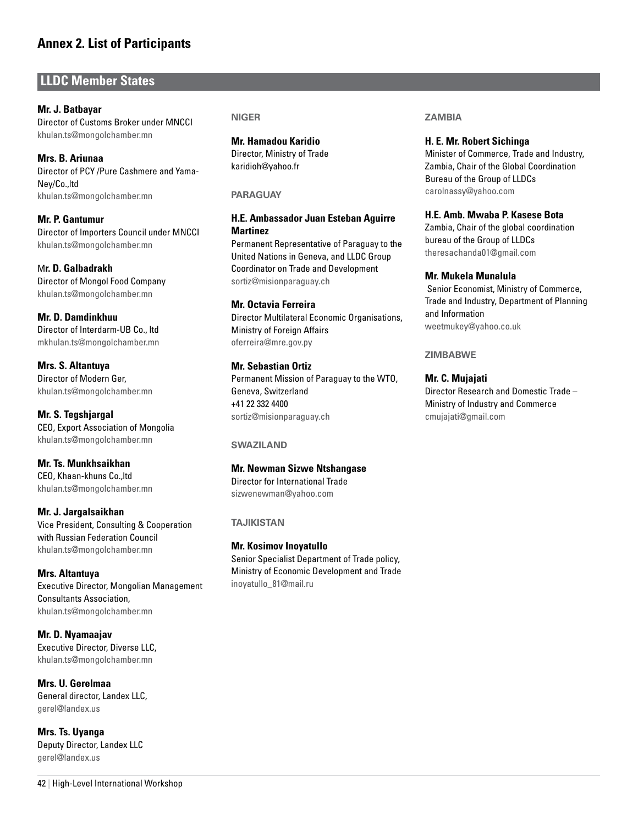## **LLDC Member States**

**Mr. J. Batbayar** Director of Customs Broker under MNCCI khulan.ts@mongolchamber.mn

**Mrs. B. Ariunaa** Director of PCY /Pure Cashmere and Yama-Ney/Co.,ltd khulan.ts@mongolchamber.mn

**Mr. P. Gantumur** Director of Importers Council under MNCCI khulan.ts@mongolchamber.mn

M**r. D. Galbadrakh** Director of Mongol Food Company khulan.ts@mongolchamber.mn

**Mr. D. Damdinkhuu** Director of Interdarm-UB Co., ltd mkhulan.ts@mongolchamber.mn

**Mrs. S. Altantuya** Director of Modern Ger, khulan.ts@mongolchamber.mn

**Mr. S. Tegshjargal** CEO, Export Association of Mongolia khulan.ts@mongolchamber.mn

**Mr. Ts. Munkhsaikhan** CEO, Khaan-khuns Co.,ltd khulan.ts@mongolchamber.mn

**Mr. J. Jargalsaikhan** Vice President, Consulting & Cooperation with Russian Federation Council khulan.ts@mongolchamber.mn

**Mrs. Altantuya** Executive Director, Mongolian Management Consultants Association, khulan.ts@mongolchamber.mn

**Mr. D. Nyamaajav** Executive Director, Diverse LLC, khulan.ts@mongolchamber.mn

**Mrs. U. Gerelmaa** General director, Landex LLC, gerel@landex.us

**Mrs. Ts. Uyanga** Deputy Director, Landex LLC gerel@landex.us

**Niger**

**Mr. Hamadou Karidio** Director, Ministry of Trade karidioh@yahoo.fr

#### **Paraguay**

#### **H.E. Ambassador Juan Esteban Aguirre Martinez**

Permanent Representative of Paraguay to the United Nations in Geneva, and LLDC Group Coordinator on Trade and Development sortiz@misionparaguay.ch

#### **Mr. Octavia Ferreira**

Director Multilateral Economic Organisations, Ministry of Foreign Affairs oferreira@mre.gov.py

#### **Mr. Sebastian Ortiz**

Permanent Mission of Paraguay to the WTO, Geneva, Switzerland +41 22 332 4400 sortiz@misionparaguay.ch

**Swaziland** 

### **Mr. Newman Sizwe Ntshangase**

Director for International Trade sizwenewman@yahoo.com

**Tajikistan** 

#### **Mr. Kosimov Inoyatullo**

Senior Specialist Department of Trade policy, Ministry of Economic Development and Trade inoyatullo\_81@mail.ru

#### **Zambia**

**H. E. Mr. Robert Sichinga**

Minister of Commerce, Trade and Industry, Zambia, Chair of the Global Coordination Bureau of the Group of LLDCs carolnassy@yahoo.com

#### **H.E. Amb. Mwaba P. Kasese Bota**

Zambia, Chair of the global coordination bureau of the Group of LLDCs theresachanda01@gmail.com

#### **Mr. Mukela Munalula**

 Senior Economist, Ministry of Commerce, Trade and Industry, Department of Planning and Information weetmukey@yahoo.co.uk

#### **Zimbabwe**

#### **Mr. C. Mujajati**

Director Research and Domestic Trade – Ministry of Industry and Commerce cmujajati@gmail.com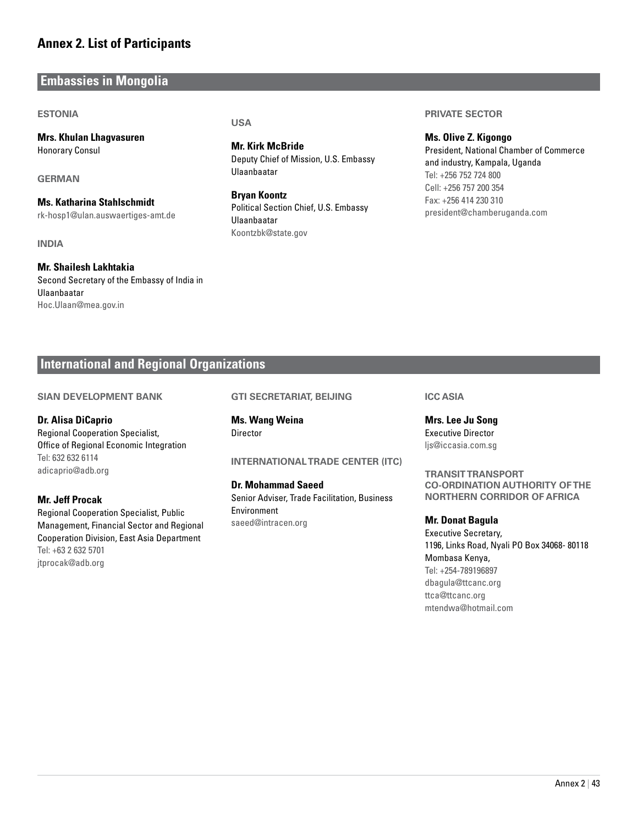## **Embassies in Mongolia**

#### **Estonia**

**Mrs. Khulan Lhagvasuren** Honorary Consul

**German** 

**Ms. Katharina Stahlschmidt** rk-hosp1@ulan.auswaertiges-amt.de

**India**

#### **Mr. Shailesh Lakhtakia** Second Secretary of the Embassy of India in Ulaanbaatar Hoc.Ulaan@mea.gov.in

**USA**

**Mr. Kirk McBride** Deputy Chief of Mission, U.S. Embassy Ulaanbaatar

**Bryan Koontz** Political Section Chief, U.S. Embassy Ulaanbaatar Koontzbk@state.gov

#### **Private Sector**

**Ms. Olive Z. Kigongo** President, National Chamber of Commerce and industry, Kampala, Uganda Tel: +256 752 724 800 Cell: +256 757 200 354 Fax: +256 414 230 310 president@chamberuganda.com

### **International and Regional Organizations**

#### **sian Development Bank**

#### **Dr. Alisa DiCaprio**

Regional Cooperation Specialist, Office of Regional Economic Integration Tel: 632 632 6114 adicaprio@adb.org

#### **Mr. Jeff Procak**

Regional Cooperation Specialist, Public Management, Financial Sector and Regional Cooperation Division, East Asia Department Tel: +63 2 632 5701 jtprocak@adb.org

#### **GTI Secretariat, Beijing**

**Ms. Wang Weina Director** 

#### **InternationalTrade Center (ITC)**

**Dr. Mohammad Saeed** Senior Adviser, Trade Facilitation, Business

Environment saeed@intracen.org

#### **ICC Asia**

**Mrs. Lee Ju Song** Executive Director ljs@iccasia.com.sg

**Transit Transport Co-ordination Authority of the Northern Corridor of Africa**

**Mr. Donat Bagula** Executive Secretary, 1196, Links Road, Nyali PO Box 34068- 80118 Mombasa Kenya, Tel: +254-789196897 dbagula@ttcanc.org ttca@ttcanc.org mtendwa@hotmail.com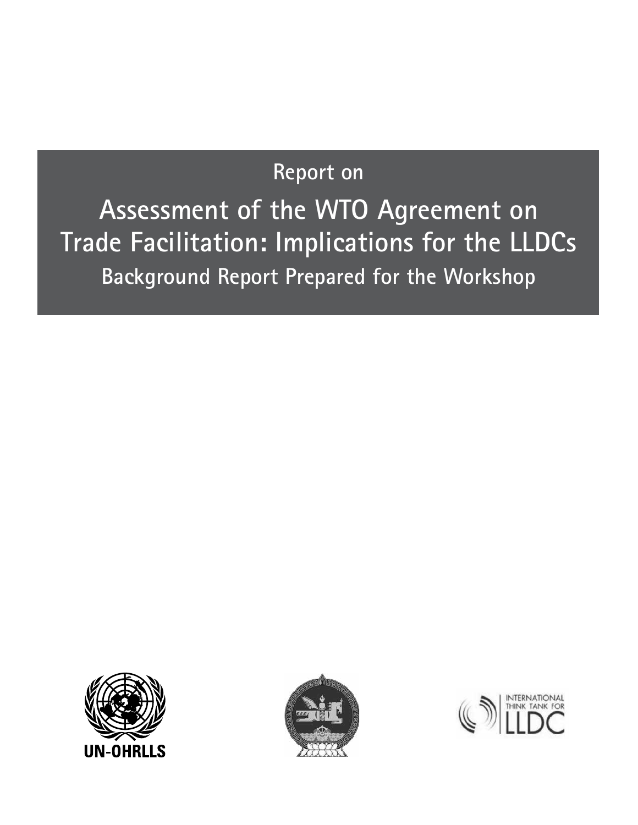# **Report on**

**Assessment of the WTO Agreement on Trade Facilitation: Implications for the LLDCs Background Report Prepared for the Workshop**





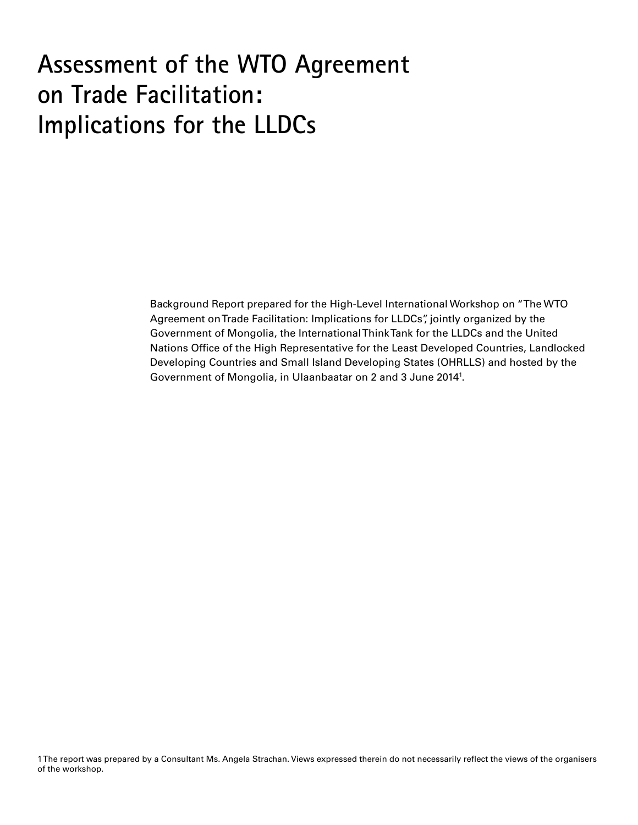# **Assessment of the WTO Agreement on Trade Facilitation: Implications for the LLDCs**

Background Report prepared for the High-Level International Workshop on "The WTO Agreement on Trade Facilitation: Implications for LLDCs", jointly organized by the Government of Mongolia, the International Think Tank for the LLDCs and the United Nations Office of the High Representative for the Least Developed Countries, Landlocked Developing Countries and Small Island Developing States (OHRLLS) and hosted by the Government of Mongolia, in Ulaanbaatar on 2 and 3 June 20141 .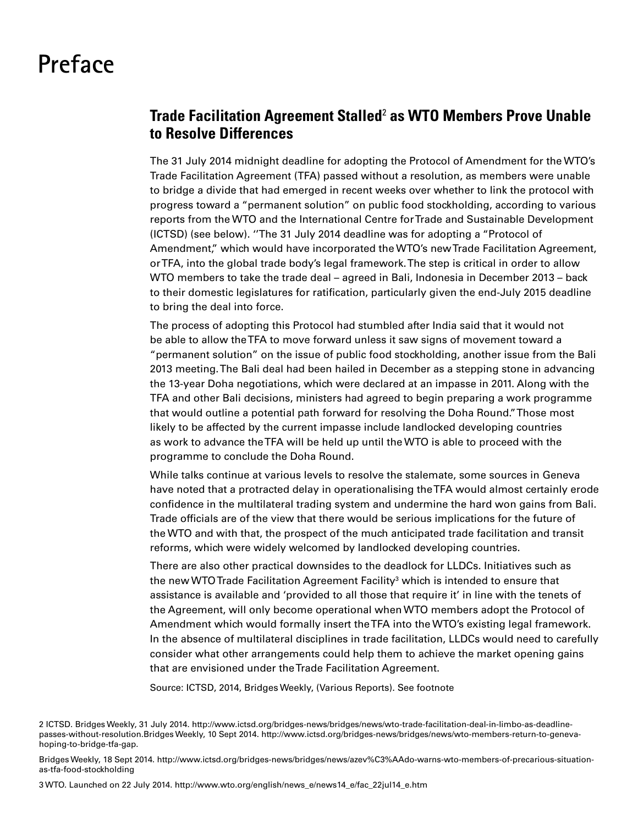# **Preface**

# **Trade Facilitation Agreement Stalled**<sup>2</sup>  **as WTO Members Prove Unable to Resolve Differences**

The 31 July 2014 midnight deadline for adopting the Protocol of Amendment for the WTO's Trade Facilitation Agreement (TFA) passed without a resolution, as members were unable to bridge a divide that had emerged in recent weeks over whether to link the protocol with progress toward a "permanent solution" on public food stockholding, according to various reports from the WTO and the International Centre for Trade and Sustainable Development (ICTSD) (see below). ''The 31 July 2014 deadline was for adopting a "Protocol of Amendment," which would have incorporated the WTO's new Trade Facilitation Agreement, or TFA, into the global trade body's legal framework. The step is critical in order to allow WTO members to take the trade deal – agreed in Bali, Indonesia in December 2013 – back to their domestic legislatures for ratification, particularly given the end-July 2015 deadline to bring the deal into force.

The process of adopting this Protocol had stumbled after India said that it would not be able to allow the TFA to move forward unless it saw signs of movement toward a "permanent solution" on the issue of public food stockholding, another issue from the Bali 2013 meeting. The Bali deal had been hailed in December as a stepping stone in advancing the 13-year Doha negotiations, which were declared at an impasse in 2011. Along with the TFA and other Bali decisions, ministers had agreed to begin preparing a work programme that would outline a potential path forward for resolving the Doha Round.'' Those most likely to be affected by the current impasse include landlocked developing countries as work to advance the TFA will be held up until the WTO is able to proceed with the programme to conclude the Doha Round.

While talks continue at various levels to resolve the stalemate, some sources in Geneva have noted that a protracted delay in operationalising the TFA would almost certainly erode confidence in the multilateral trading system and undermine the hard won gains from Bali. Trade officials are of the view that there would be serious implications for the future of the WTO and with that, the prospect of the much anticipated trade facilitation and transit reforms, which were widely welcomed by landlocked developing countries.

There are also other practical downsides to the deadlock for LLDCs. Initiatives such as the new WTO Trade Facilitation Agreement Facility $^3$  which is intended to ensure that assistance is available and 'provided to all those that require it' in line with the tenets of the Agreement, will only become operational when WTO members adopt the Protocol of Amendment which would formally insert the TFA into the WTO's existing legal framework. In the absence of multilateral disciplines in trade facilitation, LLDCs would need to carefully consider what other arrangements could help them to achieve the market opening gains that are envisioned under the Trade Facilitation Agreement.

Source: ICTSD, 2014, Bridges Weekly, (Various Reports). See footnote

2 ICTSD. Bridges Weekly, 31 July 2014. http://www.ictsd.org/bridges-news/bridges/news/wto-trade-facilitation-deal-in-limbo-as-deadlinepasses-without-resolution.Bridges Weekly, 10 Sept 2014. http://www.ictsd.org/bridges-news/bridges/news/wto-members-return-to-genevahoping-to-bridge-tfa-gap.

Bridges Weekly, 18 Sept 2014. http://www.ictsd.org/bridges-news/bridges/news/azev%C3%AAdo-warns-wto-members-of-precarious-situationas-tfa-food-stockholding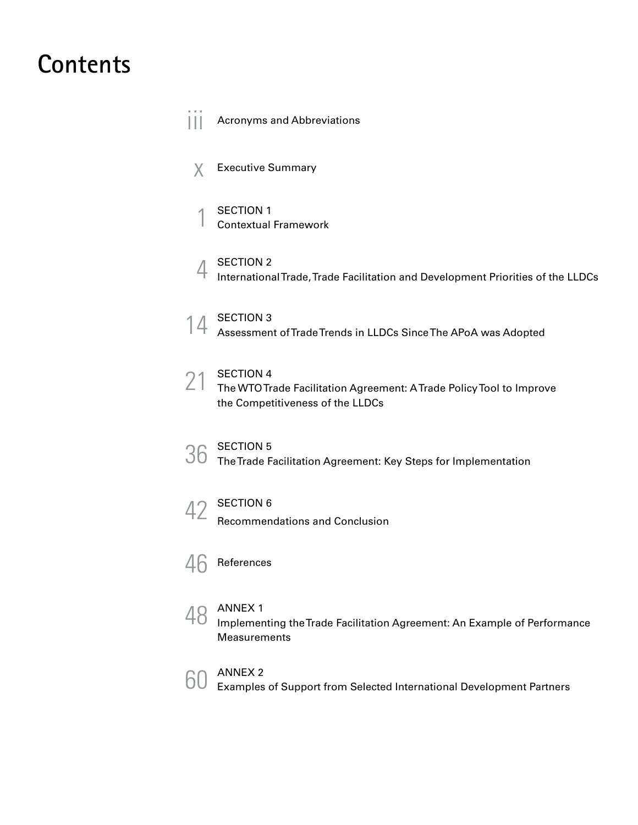# **Contents**

||| Acronyms and Abbreviations

- $X$  Executive Summary
- SECTION 1<br>Contextual Framework
- 4 SECTION 2<br>International Trade, Trade Facilitation and Development Priorities of the LLDCs
- 14 SECTION 3<br>Assessment of Trade Trends in LLDCs Since The APoA was Adopted

### SECTION 4

21 SECTION 4<br>The WTO Trade Facilitation Agreement: A Trade Policy Tool to Improve the Competitiveness of the LLDCs

SECTION 5<br>36 The Trade Facilitation Agreement: Key Steps for Implementation



42 SECTION 6<br>Recommendations and Conclusion



48 ANNEX 1 Implementing the Trade Facilitation Agreement: An Example of Performance Measurements



ANNEX 2 60 Examples of Support from Selected International Development Partners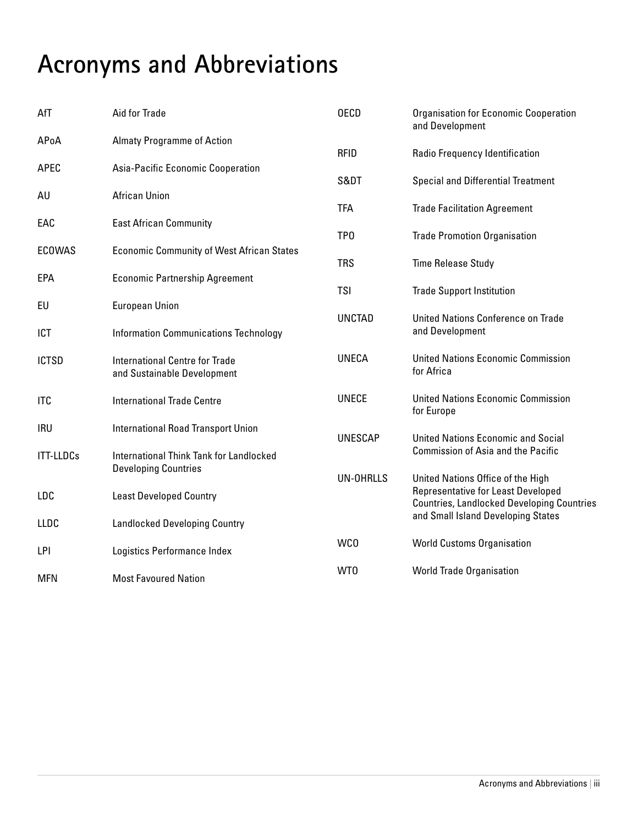# **Acronyms and Abbreviations**

| AfT              | Aid for Trade                                                                 | <b>OECD</b>      | <b>Organisation for Economic Cooperation</b><br>and Development                                                                     |
|------------------|-------------------------------------------------------------------------------|------------------|-------------------------------------------------------------------------------------------------------------------------------------|
| APoA             | <b>Almaty Programme of Action</b>                                             | <b>RFID</b>      | Radio Frequency Identification                                                                                                      |
| APEC             | Asia-Pacific Economic Cooperation                                             | S&DT             | <b>Special and Differential Treatment</b>                                                                                           |
| AU               | <b>African Union</b>                                                          | <b>TFA</b>       | <b>Trade Facilitation Agreement</b>                                                                                                 |
| EAC              | <b>East African Community</b>                                                 | TP <sub>0</sub>  | <b>Trade Promotion Organisation</b>                                                                                                 |
| <b>ECOWAS</b>    | <b>Economic Community of West African States</b>                              | <b>TRS</b>       | <b>Time Release Study</b>                                                                                                           |
| EPA              | <b>Economic Partnership Agreement</b>                                         | <b>TSI</b>       |                                                                                                                                     |
| EU               | <b>European Union</b>                                                         | <b>UNCTAD</b>    | <b>Trade Support Institution</b><br>United Nations Conference on Trade                                                              |
| ICT              | <b>Information Communications Technology</b>                                  |                  | and Development                                                                                                                     |
| <b>ICTSD</b>     | <b>International Centre for Trade</b><br>and Sustainable Development          | <b>UNECA</b>     | <b>United Nations Economic Commission</b><br>for Africa                                                                             |
| <b>ITC</b>       | <b>International Trade Centre</b>                                             | <b>UNECE</b>     | <b>United Nations Economic Commission</b><br>for Europe                                                                             |
| <b>IRU</b>       | <b>International Road Transport Union</b>                                     | <b>UNESCAP</b>   | <b>United Nations Economic and Social</b>                                                                                           |
| <b>ITT-LLDCs</b> | <b>International Think Tank for Landlocked</b><br><b>Developing Countries</b> |                  | <b>Commission of Asia and the Pacific</b>                                                                                           |
| LDC              | <b>Least Developed Country</b>                                                | <b>UN-OHRLLS</b> | United Nations Office of the High<br><b>Representative for Least Developed</b><br><b>Countries, Landlocked Developing Countries</b> |
| <b>LLDC</b>      | <b>Landlocked Developing Country</b>                                          |                  | and Small Island Developing States                                                                                                  |
| LPI              | Logistics Performance Index                                                   | <b>WCO</b>       | <b>World Customs Organisation</b>                                                                                                   |
| <b>MFN</b>       | <b>Most Favoured Nation</b>                                                   | WT0              | <b>World Trade Organisation</b>                                                                                                     |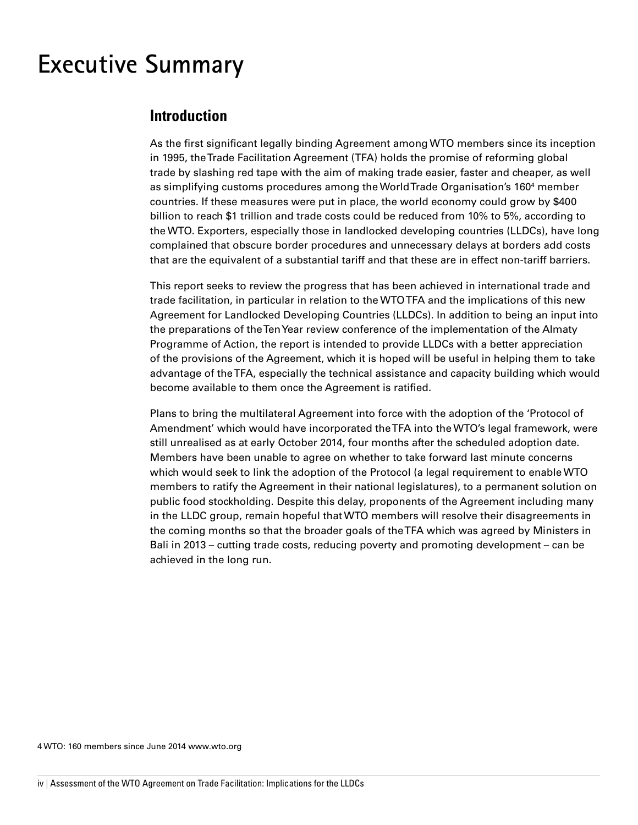# **Executive Summary**

# **Introduction**

As the first significant legally binding Agreement among WTO members since its inception in 1995, the Trade Facilitation Agreement (TFA) holds the promise of reforming global trade by slashing red tape with the aim of making trade easier, faster and cheaper, as well as simplifying customs procedures among the World Trade Organisation's 1604 member countries. If these measures were put in place, the world economy could grow by \$400 billion to reach \$1 trillion and trade costs could be reduced from 10% to 5%, according to the WTO. Exporters, especially those in landlocked developing countries (LLDCs), have long complained that obscure border procedures and unnecessary delays at borders add costs that are the equivalent of a substantial tariff and that these are in effect non-tariff barriers.

This report seeks to review the progress that has been achieved in international trade and trade facilitation, in particular in relation to the WTO TFA and the implications of this new Agreement for Landlocked Developing Countries (LLDCs). In addition to being an input into the preparations of the Ten Year review conference of the implementation of the Almaty Programme of Action, the report is intended to provide LLDCs with a better appreciation of the provisions of the Agreement, which it is hoped will be useful in helping them to take advantage of the TFA, especially the technical assistance and capacity building which would become available to them once the Agreement is ratified.

Plans to bring the multilateral Agreement into force with the adoption of the 'Protocol of Amendment' which would have incorporated the TFA into the WTO's legal framework, were still unrealised as at early October 2014, four months after the scheduled adoption date. Members have been unable to agree on whether to take forward last minute concerns which would seek to link the adoption of the Protocol (a legal requirement to enable WTO members to ratify the Agreement in their national legislatures), to a permanent solution on public food stockholding. Despite this delay, proponents of the Agreement including many in the LLDC group, remain hopeful that WTO members will resolve their disagreements in the coming months so that the broader goals of the TFA which was agreed by Ministers in Bali in 2013 – cutting trade costs, reducing poverty and promoting development – can be achieved in the long run.

4 WTO: 160 members since June 2014 www.wto.org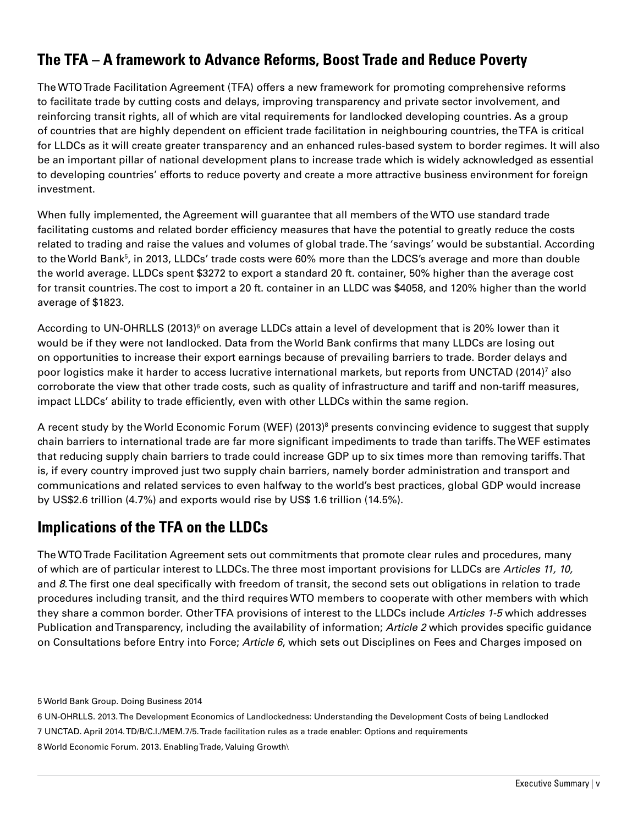# **The TFA – A framework to Advance Reforms, Boost Trade and Reduce Poverty**

The WTO Trade Facilitation Agreement (TFA) offers a new framework for promoting comprehensive reforms to facilitate trade by cutting costs and delays, improving transparency and private sector involvement, and reinforcing transit rights, all of which are vital requirements for landlocked developing countries. As a group of countries that are highly dependent on efficient trade facilitation in neighbouring countries, the TFA is critical for LLDCs as it will create greater transparency and an enhanced rules-based system to border regimes. It will also be an important pillar of national development plans to increase trade which is widely acknowledged as essential to developing countries' efforts to reduce poverty and create a more attractive business environment for foreign investment.

When fully implemented, the Agreement will guarantee that all members of the WTO use standard trade facilitating customs and related border efficiency measures that have the potential to greatly reduce the costs related to trading and raise the values and volumes of global trade. The 'savings' would be substantial. According to the World Bank<sup>5</sup>, in 2013, LLDCs' trade costs were 60% more than the LDCS's average and more than double the world average. LLDCs spent \$3272 to export a standard 20 ft. container, 50% higher than the average cost for transit countries. The cost to import a 20 ft. container in an LLDC was \$4058, and 120% higher than the world average of \$1823.

According to UN-OHRLLS (2013)<sup>6</sup> on average LLDCs attain a level of development that is 20% lower than it would be if they were not landlocked. Data from the World Bank confirms that many LLDCs are losing out on opportunities to increase their export earnings because of prevailing barriers to trade. Border delays and poor logistics make it harder to access lucrative international markets, but reports from UNCTAD (2014)<sup>7</sup> also corroborate the view that other trade costs, such as quality of infrastructure and tariff and non-tariff measures, impact LLDCs' ability to trade efficiently, even with other LLDCs within the same region.

A recent study by the World Economic Forum (WEF) (2013)<sup>8</sup> presents convincing evidence to suggest that supply chain barriers to international trade are far more significant impediments to trade than tariffs. The WEF estimates that reducing supply chain barriers to trade could increase GDP up to six times more than removing tariffs. That is, if every country improved just two supply chain barriers, namely border administration and transport and communications and related services to even halfway to the world's best practices, global GDP would increase by US\$2.6 trillion (4.7%) and exports would rise by US\$ 1.6 trillion (14.5%).

# **Implications of the TFA on the LLDCs**

The WTO Trade Facilitation Agreement sets out commitments that promote clear rules and procedures, many of which are of particular interest to LLDCs. The three most important provisions for LLDCs are *Articles 11, 10,*  and *8*. The first one deal specifically with freedom of transit, the second sets out obligations in relation to trade procedures including transit, and the third requires WTO members to cooperate with other members with which they share a common border. Other TFA provisions of interest to the LLDCs include *Articles 1-5* which addresses Publication and Transparency, including the availability of information; *Article 2* which provides specific guidance on Consultations before Entry into Force; *Article 6*, which sets out Disciplines on Fees and Charges imposed on

5 World Bank Group. Doing Business 2014

6 UN-OHRLLS. 2013. The Development Economics of Landlockedness: Understanding the Development Costs of being Landlocked 7 UNCTAD. April 2014. TD/B/C.I./MEM.7/5. Trade facilitation rules as a trade enabler: Options and requirements 8 World Economic Forum. 2013. Enabling Trade, Valuing Growth\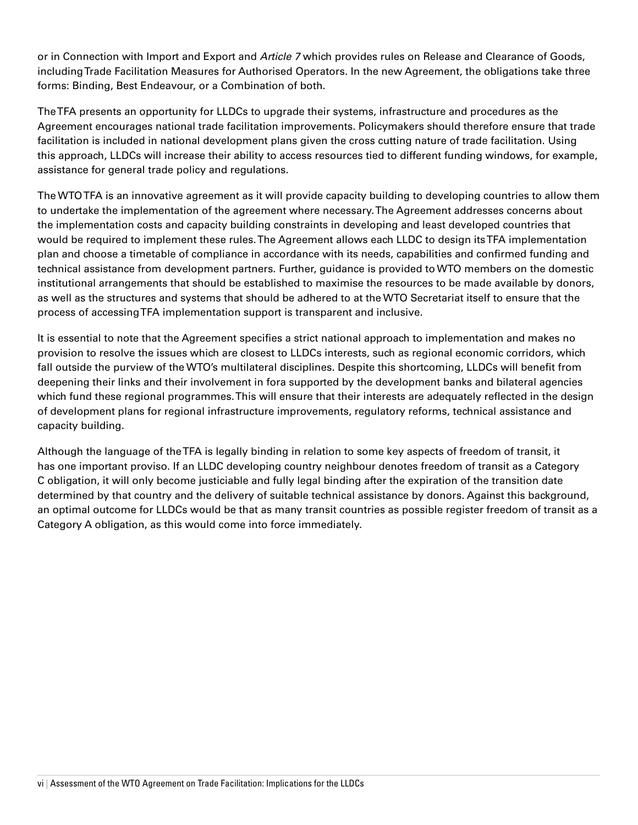or in Connection with Import and Export and *Article 7* which provides rules on Release and Clearance of Goods, including Trade Facilitation Measures for Authorised Operators. In the new Agreement, the obligations take three forms: Binding, Best Endeavour, or a Combination of both.

The TFA presents an opportunity for LLDCs to upgrade their systems, infrastructure and procedures as the Agreement encourages national trade facilitation improvements. Policymakers should therefore ensure that trade facilitation is included in national development plans given the cross cutting nature of trade facilitation. Using this approach, LLDCs will increase their ability to access resources tied to different funding windows, for example, assistance for general trade policy and regulations.

The WTO TFA is an innovative agreement as it will provide capacity building to developing countries to allow them to undertake the implementation of the agreement where necessary. The Agreement addresses concerns about the implementation costs and capacity building constraints in developing and least developed countries that would be required to implement these rules. The Agreement allows each LLDC to design its TFA implementation plan and choose a timetable of compliance in accordance with its needs, capabilities and confirmed funding and technical assistance from development partners. Further, guidance is provided to WTO members on the domestic institutional arrangements that should be established to maximise the resources to be made available by donors, as well as the structures and systems that should be adhered to at the WTO Secretariat itself to ensure that the process of accessing TFA implementation support is transparent and inclusive.

It is essential to note that the Agreement specifies a strict national approach to implementation and makes no provision to resolve the issues which are closest to LLDCs interests, such as regional economic corridors, which fall outside the purview of the WTO's multilateral disciplines. Despite this shortcoming, LLDCs will benefit from deepening their links and their involvement in fora supported by the development banks and bilateral agencies which fund these regional programmes. This will ensure that their interests are adequately reflected in the design of development plans for regional infrastructure improvements, regulatory reforms, technical assistance and capacity building.

Although the language of the TFA is legally binding in relation to some key aspects of freedom of transit, it has one important proviso. If an LLDC developing country neighbour denotes freedom of transit as a Category C obligation, it will only become justiciable and fully legal binding after the expiration of the transition date determined by that country and the delivery of suitable technical assistance by donors. Against this background, an optimal outcome for LLDCs would be that as many transit countries as possible register freedom of transit as a Category A obligation, as this would come into force immediately.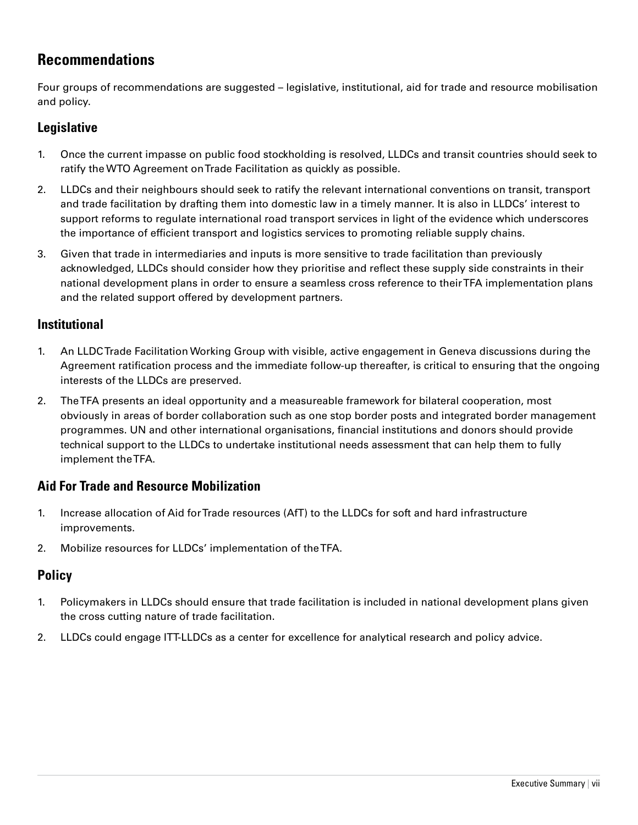# **Recommendations**

Four groups of recommendations are suggested – legislative, institutional, aid for trade and resource mobilisation and policy.

## **Legislative**

- 1. Once the current impasse on public food stockholding is resolved, LLDCs and transit countries should seek to ratify the WTO Agreement on Trade Facilitation as quickly as possible.
- 2. LLDCs and their neighbours should seek to ratify the relevant international conventions on transit, transport and trade facilitation by drafting them into domestic law in a timely manner. It is also in LLDCs' interest to support reforms to regulate international road transport services in light of the evidence which underscores the importance of efficient transport and logistics services to promoting reliable supply chains.
- 3. Given that trade in intermediaries and inputs is more sensitive to trade facilitation than previously acknowledged, LLDCs should consider how they prioritise and reflect these supply side constraints in their national development plans in order to ensure a seamless cross reference to their TFA implementation plans and the related support offered by development partners.

### **Institutional**

- 1. An LLDC Trade Facilitation Working Group with visible, active engagement in Geneva discussions during the Agreement ratification process and the immediate follow-up thereafter, is critical to ensuring that the ongoing interests of the LLDCs are preserved.
- 2. The TFA presents an ideal opportunity and a measureable framework for bilateral cooperation, most obviously in areas of border collaboration such as one stop border posts and integrated border management programmes. UN and other international organisations, financial institutions and donors should provide technical support to the LLDCs to undertake institutional needs assessment that can help them to fully implement the TFA.

## **Aid For Trade and Resource Mobilization**

- 1. Increase allocation of Aid for Trade resources (AfT) to the LLDCs for soft and hard infrastructure improvements.
- 2. Mobilize resources for LLDCs' implementation of the TFA.

## **Policy**

- 1. Policymakers in LLDCs should ensure that trade facilitation is included in national development plans given the cross cutting nature of trade facilitation.
- 2. LLDCs could engage ITT-LLDCs as a center for excellence for analytical research and policy advice.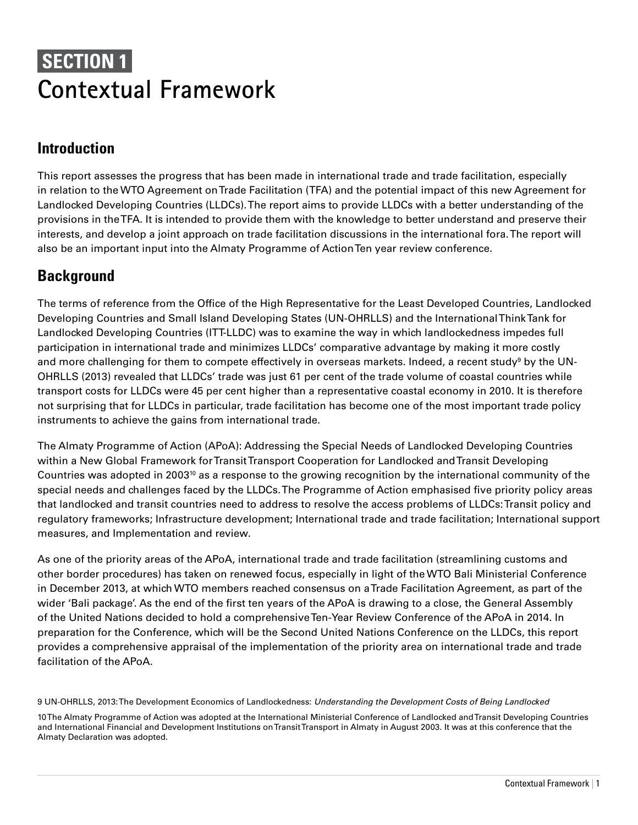# **SECTION 1 Contextual Framework**

# **Introduction**

This report assesses the progress that has been made in international trade and trade facilitation, especially in relation to the WTO Agreement on Trade Facilitation (TFA) and the potential impact of this new Agreement for Landlocked Developing Countries (LLDCs). The report aims to provide LLDCs with a better understanding of the provisions in the TFA. It is intended to provide them with the knowledge to better understand and preserve their interests, and develop a joint approach on trade facilitation discussions in the international fora. The report will also be an important input into the Almaty Programme of Action Ten year review conference.

# **Background**

The terms of reference from the Office of the High Representative for the Least Developed Countries, Landlocked Developing Countries and Small Island Developing States (UN-OHRLLS) and the International Think Tank for Landlocked Developing Countries (ITT-LLDC) was to examine the way in which landlockedness impedes full participation in international trade and minimizes LLDCs' comparative advantage by making it more costly and more challenging for them to compete effectively in overseas markets. Indeed, a recent study $^{\circ}$  by the UN-OHRLLS (2013) revealed that LLDCs' trade was just 61 per cent of the trade volume of coastal countries while transport costs for LLDCs were 45 per cent higher than a representative coastal economy in 2010. It is therefore not surprising that for LLDCs in particular, trade facilitation has become one of the most important trade policy instruments to achieve the gains from international trade.

The Almaty Programme of Action (APoA): Addressing the Special Needs of Landlocked Developing Countries within a New Global Framework for Transit Transport Cooperation for Landlocked and Transit Developing Countries was adopted in 200310 as a response to the growing recognition by the international community of the special needs and challenges faced by the LLDCs. The Programme of Action emphasised five priority policy areas that landlocked and transit countries need to address to resolve the access problems of LLDCs: Transit policy and regulatory frameworks; Infrastructure development; International trade and trade facilitation; International support measures, and Implementation and review.

As one of the priority areas of the APoA, international trade and trade facilitation (streamlining customs and other border procedures) has taken on renewed focus, especially in light of the WTO Bali Ministerial Conference in December 2013, at which WTO members reached consensus on a Trade Facilitation Agreement, as part of the wider 'Bali package'. As the end of the first ten years of the APoA is drawing to a close, the General Assembly of the United Nations decided to hold a comprehensive Ten-Year Review Conference of the APoA in 2014. In preparation for the Conference, which will be the Second United Nations Conference on the LLDCs, this report provides a comprehensive appraisal of the implementation of the priority area on international trade and trade facilitation of the APoA.

9 UN-OHRLLS, 2013: The Development Economics of Landlockedness: *Understanding the Development Costs of Being Landlocked*

10 The Almaty Programme of Action was adopted at the International Ministerial Conference of Landlocked and Transit Developing Countries and International Financial and Development Institutions on Transit Transport in Almaty in August 2003. It was at this conference that the Almaty Declaration was adopted.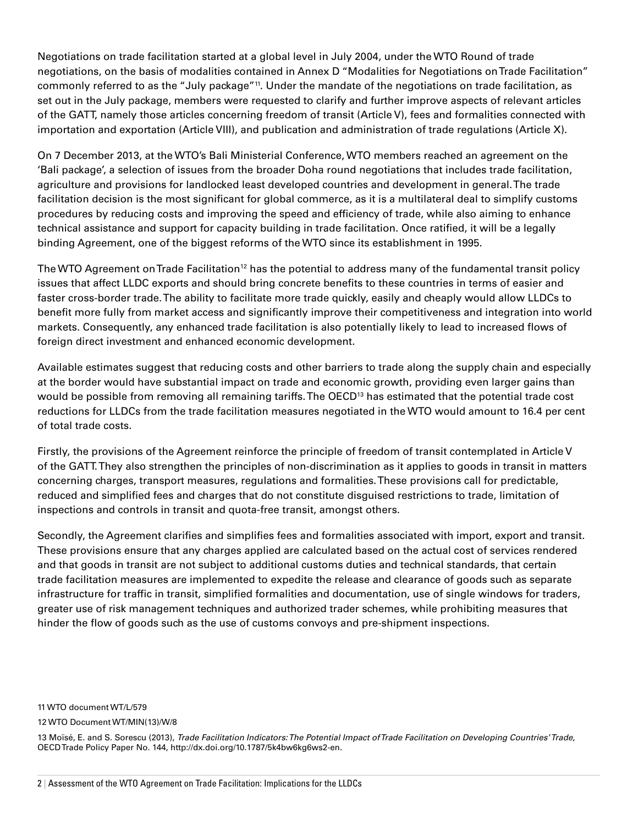Negotiations on trade facilitation started at a global level in July 2004, under the WTO Round of trade negotiations, on the basis of modalities contained in Annex D "Modalities for Negotiations on Trade Facilitation" commonly referred to as the "July package"<sup>11</sup>. Under the mandate of the negotiations on trade facilitation, as set out in the July package, members were requested to clarify and further improve aspects of relevant articles of the GATT, namely those articles concerning freedom of transit (Article V), fees and formalities connected with importation and exportation (Article VIII), and publication and administration of trade regulations (Article X).

On 7 December 2013, at the WTO's Bali Ministerial Conference, WTO members reached an agreement on the 'Bali package', a selection of issues from the broader Doha round negotiations that includes trade facilitation, agriculture and provisions for landlocked least developed countries and development in general. The trade facilitation decision is the most significant for global commerce, as it is a multilateral deal to simplify customs procedures by reducing costs and improving the speed and efficiency of trade, while also aiming to enhance technical assistance and support for capacity building in trade facilitation. Once ratified, it will be a legally binding Agreement, one of the biggest reforms of the WTO since its establishment in 1995.

The WTO Agreement on Trade Facilitation<sup>12</sup> has the potential to address many of the fundamental transit policy issues that affect LLDC exports and should bring concrete benefits to these countries in terms of easier and faster cross-border trade. The ability to facilitate more trade quickly, easily and cheaply would allow LLDCs to benefit more fully from market access and significantly improve their competitiveness and integration into world markets. Consequently, any enhanced trade facilitation is also potentially likely to lead to increased flows of foreign direct investment and enhanced economic development.

Available estimates suggest that reducing costs and other barriers to trade along the supply chain and especially at the border would have substantial impact on trade and economic growth, providing even larger gains than would be possible from removing all remaining tariffs. The OECD<sup>13</sup> has estimated that the potential trade cost reductions for LLDCs from the trade facilitation measures negotiated in the WTO would amount to 16.4 per cent of total trade costs.

Firstly, the provisions of the Agreement reinforce the principle of freedom of transit contemplated in Article V of the GATT. They also strengthen the principles of non-discrimination as it applies to goods in transit in matters concerning charges, transport measures, regulations and formalities. These provisions call for predictable, reduced and simplified fees and charges that do not constitute disguised restrictions to trade, limitation of inspections and controls in transit and quota-free transit, amongst others.

Secondly, the Agreement clarifies and simplifies fees and formalities associated with import, export and transit. These provisions ensure that any charges applied are calculated based on the actual cost of services rendered and that goods in transit are not subject to additional customs duties and technical standards, that certain trade facilitation measures are implemented to expedite the release and clearance of goods such as separate infrastructure for traffic in transit, simplified formalities and documentation, use of single windows for traders, greater use of risk management techniques and authorized trader schemes, while prohibiting measures that hinder the flow of goods such as the use of customs convoys and pre-shipment inspections.

11 WTO document WT/L/579

12 WTO Document WT/MIN(13)/W/8

13 Moïsé, E. and S. Sorescu (2013), *Trade Facilitation Indicators: The Potential Impact of Trade Facilitation on Developing Countries' Trade*, OECD Trade Policy Paper No. 144, http://dx.doi.org/10.1787/5k4bw6kg6ws2-en.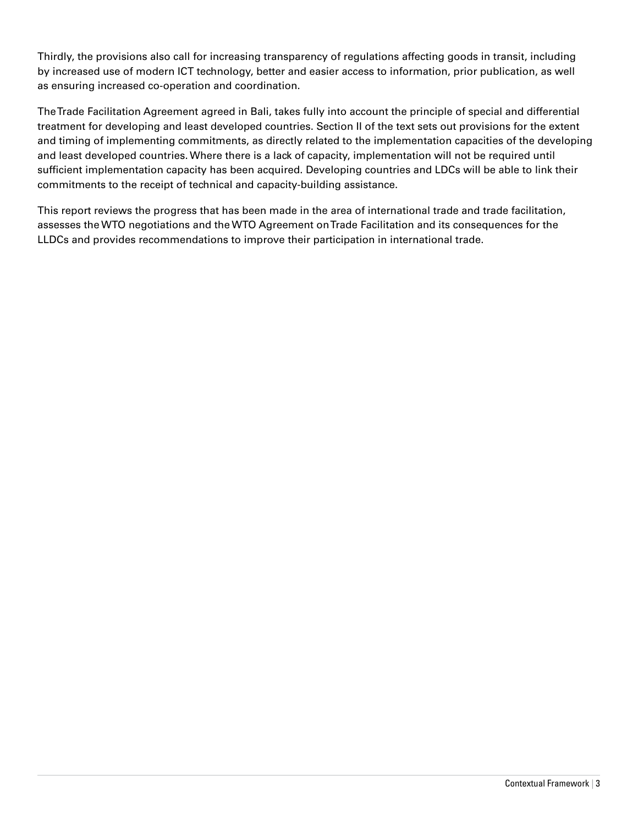Thirdly, the provisions also call for increasing transparency of regulations affecting goods in transit, including by increased use of modern ICT technology, better and easier access to information, prior publication, as well as ensuring increased co-operation and coordination.

The Trade Facilitation Agreement agreed in Bali, takes fully into account the principle of special and differential treatment for developing and least developed countries. Section II of the text sets out provisions for the extent and timing of implementing commitments, as directly related to the implementation capacities of the developing and least developed countries. Where there is a lack of capacity, implementation will not be required until sufficient implementation capacity has been acquired. Developing countries and LDCs will be able to link their commitments to the receipt of technical and capacity-building assistance.

This report reviews the progress that has been made in the area of international trade and trade facilitation, assesses the WTO negotiations and the WTO Agreement on Trade Facilitation and its consequences for the LLDCs and provides recommendations to improve their participation in international trade.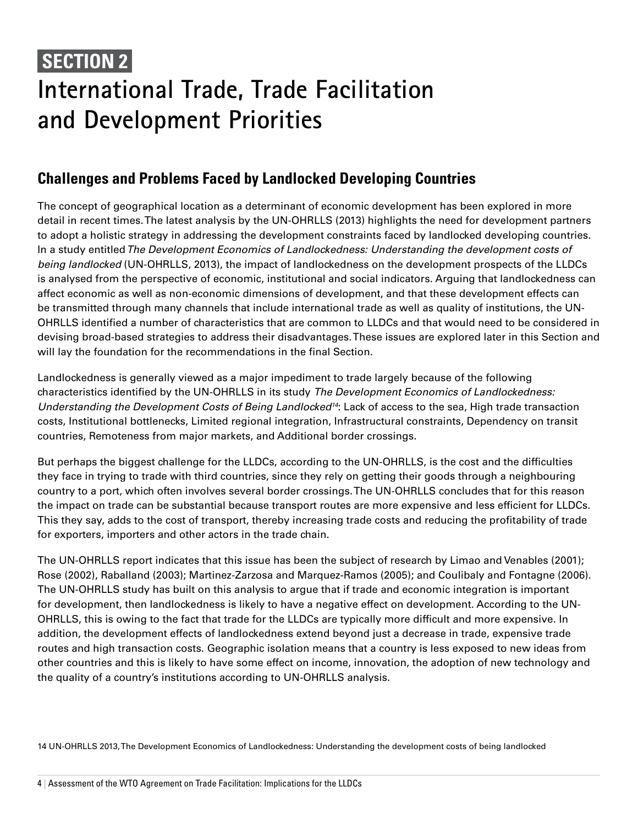# **SECTION 2 International Trade, Trade Facilitation and Development Priorities**

# **Challenges and Problems Faced by Landlocked Developing Countries**

The concept of geographical location as a determinant of economic development has been explored in more detail in recent times. The latest analysis by the UN-OHRLLS (2013) highlights the need for development partners to adopt a holistic strategy in addressing the development constraints faced by landlocked developing countries. In a study entitled *The Development Economics of Landlockedness: Understanding the development costs of being landlocked* (UN-OHRLLS, 2013), the impact of landlockedness on the development prospects of the LLDCs is analysed from the perspective of economic, institutional and social indicators. Arguing that landlockedness can affect economic as well as non-economic dimensions of development, and that these development effects can be transmitted through many channels that include international trade as well as quality of institutions, the UN-OHRLLS identified a number of characteristics that are common to LLDCs and that would need to be considered in devising broad-based strategies to address their disadvantages. These issues are explored later in this Section and will lay the foundation for the recommendations in the final Section.

Landlockedness is generally viewed as a major impediment to trade largely because of the following characteristics identified by the UN-OHRLLS in its study *The Development Economics of Landlockedness: Understanding the Development Costs of Being Landlocked14*: Lack of access to the sea, High trade transaction costs, Institutional bottlenecks, Limited regional integration, Infrastructural constraints, Dependency on transit countries, Remoteness from major markets, and Additional border crossings.

But perhaps the biggest challenge for the LLDCs, according to the UN-OHRLLS, is the cost and the difficulties they face in trying to trade with third countries, since they rely on getting their goods through a neighbouring country to a port, which often involves several border crossings. The UN-OHRLLS concludes that for this reason the impact on trade can be substantial because transport routes are more expensive and less efficient for LLDCs. This they say, adds to the cost of transport, thereby increasing trade costs and reducing the profitability of trade for exporters, importers and other actors in the trade chain.

The UN-OHRLLS report indicates that this issue has been the subject of research by Limao and Venables (2001); Rose (2002), Raballand (2003); Martinez-Zarzosa and Marquez-Ramos (2005); and Coulibaly and Fontagne (2006). The UN-OHRLLS study has built on this analysis to argue that if trade and economic integration is important for development, then landlockedness is likely to have a negative effect on development. According to the UN-OHRLLS, this is owing to the fact that trade for the LLDCs are typically more difficult and more expensive. In addition, the development effects of landlockedness extend beyond just a decrease in trade, expensive trade routes and high transaction costs. Geographic isolation means that a country is less exposed to new ideas from other countries and this is likely to have some effect on income, innovation, the adoption of new technology and the quality of a country's institutions according to UN-OHRLLS analysis.

14 UN-OHRLLS 2013, The Development Economics of Landlockedness: Understanding the development costs of being landlocked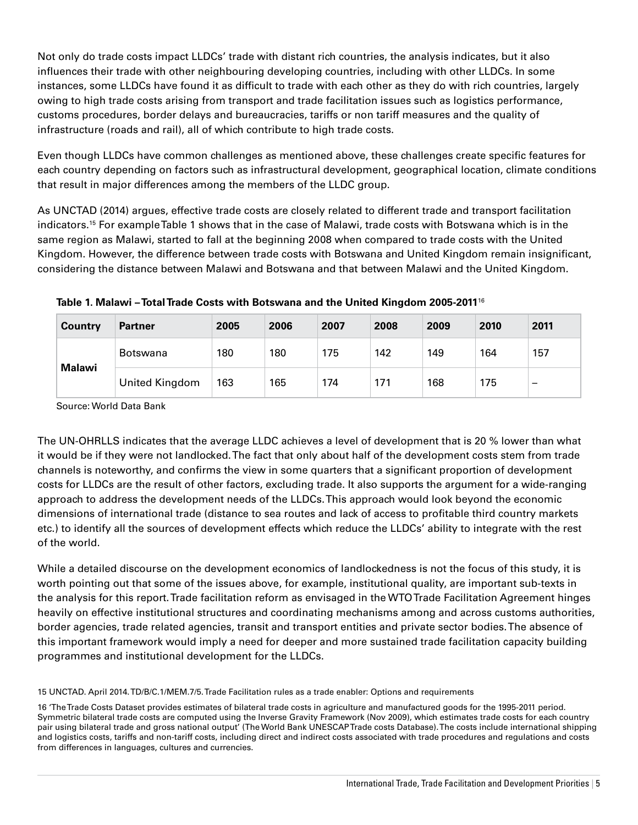Not only do trade costs impact LLDCs' trade with distant rich countries, the analysis indicates, but it also influences their trade with other neighbouring developing countries, including with other LLDCs. In some instances, some LLDCs have found it as difficult to trade with each other as they do with rich countries, largely owing to high trade costs arising from transport and trade facilitation issues such as logistics performance, customs procedures, border delays and bureaucracies, tariffs or non tariff measures and the quality of infrastructure (roads and rail), all of which contribute to high trade costs.

Even though LLDCs have common challenges as mentioned above, these challenges create specific features for each country depending on factors such as infrastructural development, geographical location, climate conditions that result in major differences among the members of the LLDC group.

As UNCTAD (2014) argues, effective trade costs are closely related to different trade and transport facilitation indicators.15 For example Table 1 shows that in the case of Malawi, trade costs with Botswana which is in the same region as Malawi, started to fall at the beginning 2008 when compared to trade costs with the United Kingdom. However, the difference between trade costs with Botswana and United Kingdom remain insignificant, considering the distance between Malawi and Botswana and that between Malawi and the United Kingdom.

| <b>Country</b> | <b>Partner</b> | 2005 | 2006 | 2007 | 2008 | 2009 | 2010 | 2011 |
|----------------|----------------|------|------|------|------|------|------|------|
| Malawi         | Botswana       | 180  | 180  | 175  | 142  | 149  | 164  | 157  |
|                | United Kingdom | 163  | 165  | 174  | 171  | 168  | 175  | -    |

**Table 1. Malawi – Total Trade Costs with Botswana and the United Kingdom 2005-2011**<sup>16</sup>

Source: World Data Bank

The UN-OHRLLS indicates that the average LLDC achieves a level of development that is 20 % lower than what it would be if they were not landlocked. The fact that only about half of the development costs stem from trade channels is noteworthy, and confirms the view in some quarters that a significant proportion of development costs for LLDCs are the result of other factors, excluding trade. It also supports the argument for a wide-ranging approach to address the development needs of the LLDCs. This approach would look beyond the economic dimensions of international trade (distance to sea routes and lack of access to profitable third country markets etc.) to identify all the sources of development effects which reduce the LLDCs' ability to integrate with the rest of the world.

While a detailed discourse on the development economics of landlockedness is not the focus of this study, it is worth pointing out that some of the issues above, for example, institutional quality, are important sub-texts in the analysis for this report. Trade facilitation reform as envisaged in the WTO Trade Facilitation Agreement hinges heavily on effective institutional structures and coordinating mechanisms among and across customs authorities, border agencies, trade related agencies, transit and transport entities and private sector bodies. The absence of this important framework would imply a need for deeper and more sustained trade facilitation capacity building programmes and institutional development for the LLDCs.

15 UNCTAD. April 2014. TD/B/C.1/MEM.7/5. Trade Facilitation rules as a trade enabler: Options and requirements

16 'The Trade Costs Dataset provides estimates of bilateral trade costs in agriculture and manufactured goods for the 1995-2011 period. Symmetric bilateral trade costs are computed using the Inverse Gravity Framework (Nov 2009), which estimates trade costs for each country pair using bilateral trade and gross national output' (The World Bank UNESCAP Trade costs Database). The costs include international shipping and logistics costs, tariffs and non-tariff costs, including direct and indirect costs associated with trade procedures and regulations and costs from differences in languages, cultures and currencies.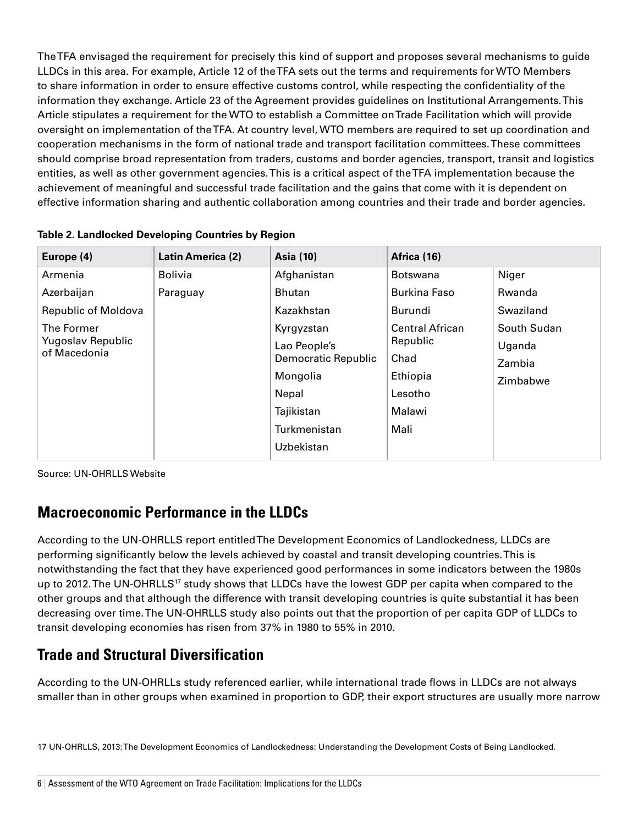The TFA envisaged the requirement for precisely this kind of support and proposes several mechanisms to guide LLDCs in this area. For example, Article 12 of the TFA sets out the terms and requirements for WTO Members to share information in order to ensure effective customs control, while respecting the confidentiality of the information they exchange. Article 23 of the Agreement provides guidelines on Institutional Arrangements. This Article stipulates a requirement for the WTO to establish a Committee on Trade Facilitation which will provide oversight on implementation of the TFA. At country level, WTO members are required to set up coordination and cooperation mechanisms in the form of national trade and transport facilitation committees. These committees should comprise broad representation from traders, customs and border agencies, transport, transit and logistics entities, as well as other government agencies. This is a critical aspect of the TFA implementation because the achievement of meaningful and successful trade facilitation and the gains that come with it is dependent on effective information sharing and authentic collaboration among countries and their trade and border agencies.

| Europe (4)                                                                                             | Latin America (2)          | <b>Asia (10)</b>                                                                                                                                                 | Africa (16)                                                                                                                                     |                                                                             |  |  |
|--------------------------------------------------------------------------------------------------------|----------------------------|------------------------------------------------------------------------------------------------------------------------------------------------------------------|-------------------------------------------------------------------------------------------------------------------------------------------------|-----------------------------------------------------------------------------|--|--|
| Armenia<br>Azerbaijan<br><b>Republic of Moldova</b><br>The Former<br>Yugoslav Republic<br>of Macedonia | <b>Bolivia</b><br>Paraguay | Afghanistan<br><b>Bhutan</b><br>Kazakhstan<br>Kyrgyzstan<br>Lao People's<br>Democratic Republic<br>Mongolia<br>Nepal<br>Tajikistan<br>Turkmenistan<br>Uzbekistan | <b>Botswana</b><br><b>Burkina Faso</b><br><b>Burundi</b><br><b>Central African</b><br>Republic<br>Chad<br>Ethiopia<br>Lesotho<br>Malawi<br>Mali | Niger<br>Rwanda<br>Swaziland<br>South Sudan<br>Uganda<br>Zambia<br>Zimbabwe |  |  |

| Table 2. Landlocked Developing Countries by Region |  |  |
|----------------------------------------------------|--|--|
|                                                    |  |  |

Source: UN-OHRLLS Website

# **Macroeconomic Performance in the LLDCs**

According to the UN-OHRLLS report entitled The Development Economics of Landlockedness, LLDCs are performing significantly below the levels achieved by coastal and transit developing countries. This is notwithstanding the fact that they have experienced good performances in some indicators between the 1980s up to 2012. The UN-OHRLLS<sup>17</sup> study shows that LLDCs have the lowest GDP per capita when compared to the other groups and that although the difference with transit developing countries is quite substantial it has been decreasing over time. The UN-OHRLLS study also points out that the proportion of per capita GDP of LLDCs to transit developing economies has risen from 37% in 1980 to 55% in 2010.

# **Trade and Structural Diversification**

According to the UN-OHRLLs study referenced earlier, while international trade flows in LLDCs are not always smaller than in other groups when examined in proportion to GDP, their export structures are usually more narrow

17 UN-OHRLLS, 2013: The Development Economics of Landlockedness: Understanding the Development Costs of Being Landlocked.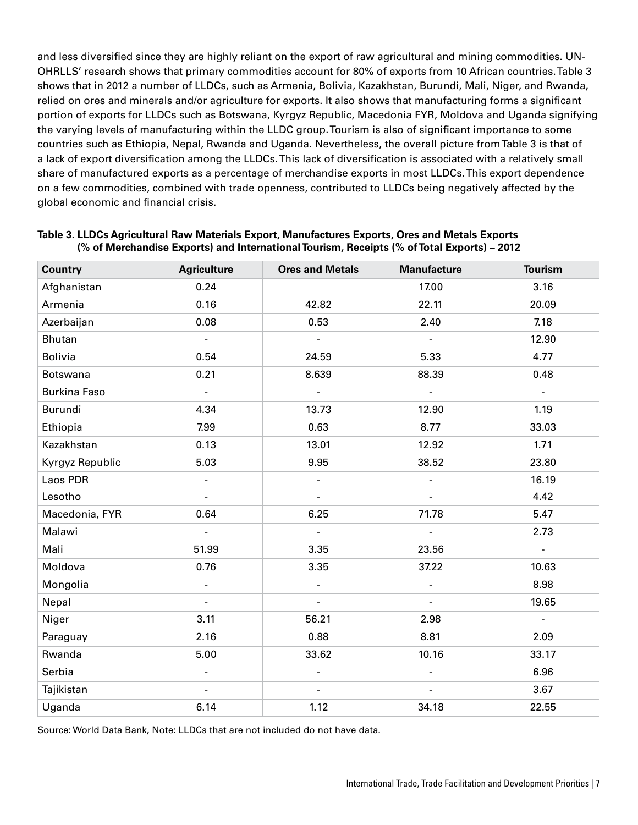and less diversified since they are highly reliant on the export of raw agricultural and mining commodities. UN-OHRLLS' research shows that primary commodities account for 80% of exports from 10 African countries. Table 3 shows that in 2012 a number of LLDCs, such as Armenia, Bolivia, Kazakhstan, Burundi, Mali, Niger, and Rwanda, relied on ores and minerals and/or agriculture for exports. It also shows that manufacturing forms a significant portion of exports for LLDCs such as Botswana, Kyrgyz Republic, Macedonia FYR, Moldova and Uganda signifying the varying levels of manufacturing within the LLDC group. Tourism is also of significant importance to some countries such as Ethiopia, Nepal, Rwanda and Uganda. Nevertheless, the overall picture from Table 3 is that of a lack of export diversification among the LLDCs. This lack of diversification is associated with a relatively small share of manufactured exports as a percentage of merchandise exports in most LLDCs. This export dependence on a few commodities, combined with trade openness, contributed to LLDCs being negatively affected by the global economic and financial crisis.

| <b>Country</b>      | <b>Agriculture</b>       | <b>Ores and Metals</b> | <b>Manufacture</b>       | <b>Tourism</b> |
|---------------------|--------------------------|------------------------|--------------------------|----------------|
| Afghanistan         | 0.24                     |                        | 17.00                    | 3.16           |
| Armenia             | 0.16                     | 42.82                  | 22.11                    | 20.09          |
| Azerbaijan          | 0.08                     | 0.53                   | 2.40                     | 7.18           |
| <b>Bhutan</b>       | $\overline{\phantom{a}}$ | ÷,                     | $\overline{a}$           | 12.90          |
| <b>Bolivia</b>      | 0.54                     | 24.59                  | 5.33                     | 4.77           |
| <b>Botswana</b>     | 0.21                     | 8.639                  | 88.39                    | 0.48           |
| <b>Burkina Faso</b> | $\blacksquare$           | $\blacksquare$         | $\blacksquare$           | $\blacksquare$ |
| Burundi             | 4.34                     | 13.73                  | 12.90                    | 1.19           |
| Ethiopia            | 7.99                     | 0.63                   | 8.77                     | 33.03          |
| Kazakhstan          | 0.13                     | 13.01                  | 12.92                    | 1.71           |
| Kyrgyz Republic     | 5.03                     | 9.95                   | 38.52                    | 23.80          |
| Laos PDR            | $\overline{\phantom{a}}$ | ÷,                     | $\overline{a}$           | 16.19          |
| Lesotho             | $\Box$                   | $\blacksquare$         | $\blacksquare$           | 4.42           |
| Macedonia, FYR      | 0.64                     | 6.25                   | 71.78                    | 5.47           |
| Malawi              | $\mathbf{r}$             | $\blacksquare$         | $\overline{a}$           | 2.73           |
| Mali                | 51.99                    | 3.35                   | 23.56                    | $\blacksquare$ |
| Moldova             | 0.76                     | 3.35                   | 37.22                    | 10.63          |
| Mongolia            | $\overline{a}$           | $\overline{a}$         | $\overline{a}$           | 8.98           |
| Nepal               | $\blacksquare$           | $\blacksquare$         | $\overline{\phantom{0}}$ | 19.65          |
| Niger               | 3.11                     | 56.21                  | 2.98                     | $\omega$       |
| Paraguay            | 2.16                     | 0.88                   | 8.81                     | 2.09           |
| Rwanda              | 5.00                     | 33.62                  | 10.16                    | 33.17          |
| Serbia              | $\blacksquare$           | $\blacksquare$         | $\blacksquare$           | 6.96           |
| Tajikistan          | $\blacksquare$           | $\blacksquare$         | $\overline{a}$           | 3.67           |
| Uganda              | 6.14                     | 1.12                   | 34.18                    | 22.55          |

#### **Table 3. LLDCs Agricultural Raw Materials Export, Manufactures Exports, Ores and Metals Exports (% of Merchandise Exports) and International Tourism, Receipts (% of Total Exports) – 2012**

Source: World Data Bank, Note: LLDCs that are not included do not have data.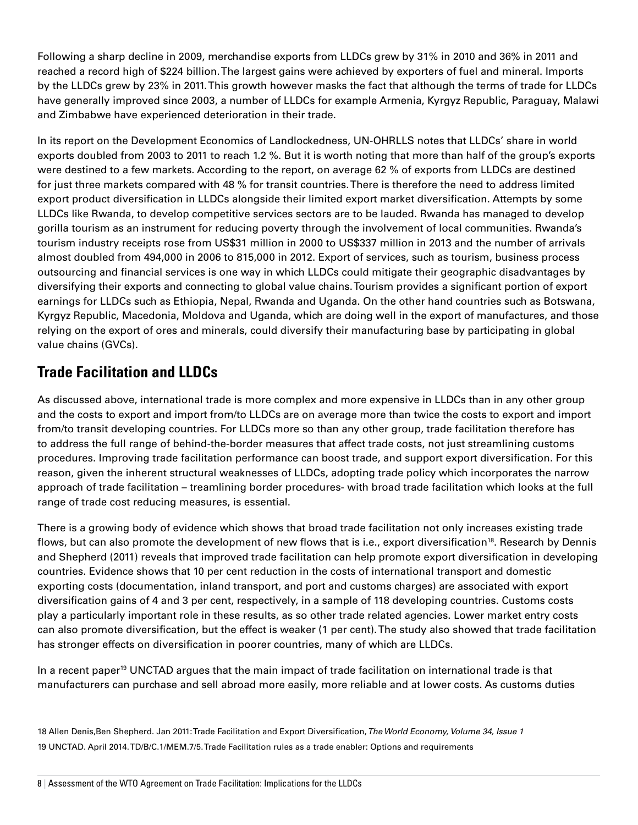Following a sharp decline in 2009, merchandise exports from LLDCs grew by 31% in 2010 and 36% in 2011 and reached a record high of \$224 billion. The largest gains were achieved by exporters of fuel and mineral. Imports by the LLDCs grew by 23% in 2011. This growth however masks the fact that although the terms of trade for LLDCs have generally improved since 2003, a number of LLDCs for example Armenia, Kyrgyz Republic, Paraguay, Malawi and Zimbabwe have experienced deterioration in their trade.

In its report on the Development Economics of Landlockedness, UN-OHRLLS notes that LLDCs' share in world exports doubled from 2003 to 2011 to reach 1.2 %. But it is worth noting that more than half of the group's exports were destined to a few markets. According to the report, on average 62 % of exports from LLDCs are destined for just three markets compared with 48 % for transit countries. There is therefore the need to address limited export product diversification in LLDCs alongside their limited export market diversification. Attempts by some LLDCs like Rwanda, to develop competitive services sectors are to be lauded. Rwanda has managed to develop gorilla tourism as an instrument for reducing poverty through the involvement of local communities. Rwanda's tourism industry receipts rose from US\$31 million in 2000 to US\$337 million in 2013 and the number of arrivals almost doubled from 494,000 in 2006 to 815,000 in 2012. Export of services, such as tourism, business process outsourcing and financial services is one way in which LLDCs could mitigate their geographic disadvantages by diversifying their exports and connecting to global value chains. Tourism provides a significant portion of export earnings for LLDCs such as Ethiopia, Nepal, Rwanda and Uganda. On the other hand countries such as Botswana, Kyrgyz Republic, Macedonia, Moldova and Uganda, which are doing well in the export of manufactures, and those relying on the export of ores and minerals, could diversify their manufacturing base by participating in global value chains (GVCs).

# **Trade Facilitation and LLDCs**

As discussed above, international trade is more complex and more expensive in LLDCs than in any other group and the costs to export and import from/to LLDCs are on average more than twice the costs to export and import from/to transit developing countries. For LLDCs more so than any other group, trade facilitation therefore has to address the full range of behind-the-border measures that affect trade costs, not just streamlining customs procedures. Improving trade facilitation performance can boost trade, and support export diversification. For this reason, given the inherent structural weaknesses of LLDCs, adopting trade policy which incorporates the narrow approach of trade facilitation – treamlining border procedures- with broad trade facilitation which looks at the full range of trade cost reducing measures, is essential.

There is a growing body of evidence which shows that broad trade facilitation not only increases existing trade flows, but can also promote the development of new flows that is i.e., export diversification<sup>18</sup>. Research by Dennis and Shepherd (2011) reveals that improved trade facilitation can help promote export diversification in developing countries. Evidence shows that 10 per cent reduction in the costs of international transport and domestic exporting costs (documentation, inland transport, and port and customs charges) are associated with export diversification gains of 4 and 3 per cent, respectively, in a sample of 118 developing countries. Customs costs play a particularly important role in these results, as so other trade related agencies. Lower market entry costs can also promote diversification, but the effect is weaker (1 per cent). The study also showed that trade facilitation has stronger effects on diversification in poorer countries, many of which are LLDCs.

In a recent paper<sup>19</sup> UNCTAD argues that the main impact of trade facilitation on international trade is that manufacturers can purchase and sell abroad more easily, more reliable and at lower costs. As customs duties

18 Allen Denis,Ben Shepherd. Jan 2011: Trade Facilitation and Export Diversification, *The World Economy, Volume 34, Issue 1* 19 UNCTAD. April 2014. TD/B/C.1/MEM.7/5. Trade Facilitation rules as a trade enabler: Options and requirements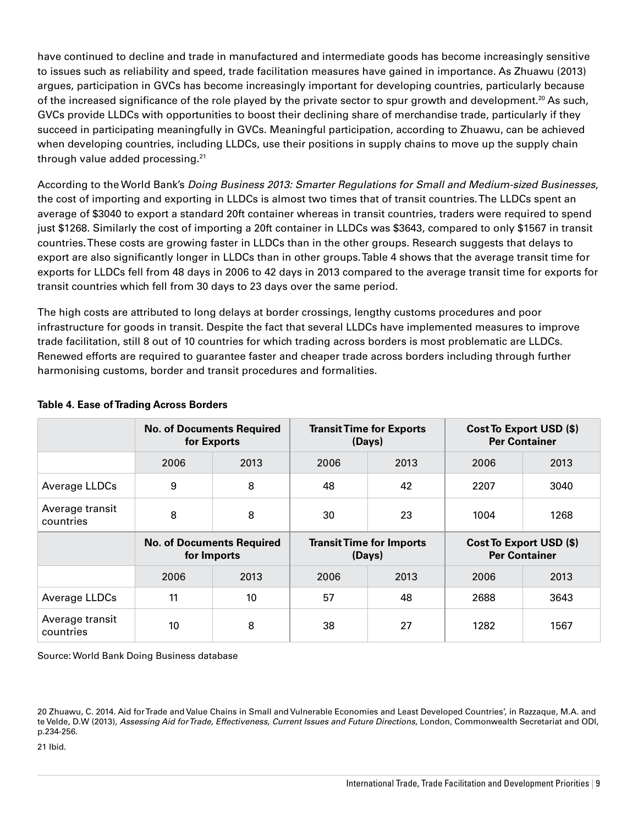have continued to decline and trade in manufactured and intermediate goods has become increasingly sensitive to issues such as reliability and speed, trade facilitation measures have gained in importance. As Zhuawu (2013) argues, participation in GVCs has become increasingly important for developing countries, particularly because of the increased significance of the role played by the private sector to spur growth and development.<sup>20</sup> As such, GVCs provide LLDCs with opportunities to boost their declining share of merchandise trade, particularly if they succeed in participating meaningfully in GVCs. Meaningful participation, according to Zhuawu, can be achieved when developing countries, including LLDCs, use their positions in supply chains to move up the supply chain through value added processing.21

According to the World Bank's *Doing Business 2013: Smarter Regulations for Small and Medium-sized Businesses*, the cost of importing and exporting in LLDCs is almost two times that of transit countries. The LLDCs spent an average of \$3040 to export a standard 20ft container whereas in transit countries, traders were required to spend just \$1268. Similarly the cost of importing a 20ft container in LLDCs was \$3643, compared to only \$1567 in transit countries. These costs are growing faster in LLDCs than in the other groups. Research suggests that delays to export are also significantly longer in LLDCs than in other groups. Table 4 shows that the average transit time for exports for LLDCs fell from 48 days in 2006 to 42 days in 2013 compared to the average transit time for exports for transit countries which fell from 30 days to 23 days over the same period.

The high costs are attributed to long delays at border crossings, lengthy customs procedures and poor infrastructure for goods in transit. Despite the fact that several LLDCs have implemented measures to improve trade facilitation, still 8 out of 10 countries for which trading across borders is most problematic are LLDCs. Renewed efforts are required to guarantee faster and cheaper trade across borders including through further harmonising customs, border and transit procedures and formalities.

|                              | <b>No. of Documents Required</b><br>for Exports |      |      | <b>Transit Time for Exports</b><br>(Days) | Cost To Export USD (\$)<br><b>Per Container</b> |                                                 |  |  |
|------------------------------|-------------------------------------------------|------|------|-------------------------------------------|-------------------------------------------------|-------------------------------------------------|--|--|
|                              | 2006                                            | 2013 | 2006 | 2013                                      | 2006                                            | 2013                                            |  |  |
| Average LLDCs                | 9                                               | 8    | 48   | 42                                        | 2207                                            | 3040                                            |  |  |
| Average transit<br>countries | 8<br>8                                          |      | 30   | 23                                        | 1004                                            | 1268                                            |  |  |
|                              | <b>No. of Documents Required</b><br>for Imports |      |      |                                           |                                                 | Cost To Export USD (\$)<br><b>Per Container</b> |  |  |
|                              |                                                 |      |      | <b>Transit Time for Imports</b><br>(Days) |                                                 |                                                 |  |  |
|                              | 2006                                            | 2013 | 2006 | 2013                                      | 2006                                            | 2013                                            |  |  |
| Average LLDCs                | 11                                              | 10   | 57   | 48                                        | 2688                                            | 3643                                            |  |  |

#### **Table 4. Ease of Trading Across Borders**

Source: World Bank Doing Business database

21 Ibid.

<sup>20</sup> Zhuawu, C. 2014. Aid for Trade and Value Chains in Small and Vulnerable Economies and Least Developed Countries', in Razzaque, M.A. and te Velde, D.W (2013), *Assessing Aid for Trade, Effectiveness, Current Issues and Future Directions*, London, Commonwealth Secretariat and ODI, p.234-256.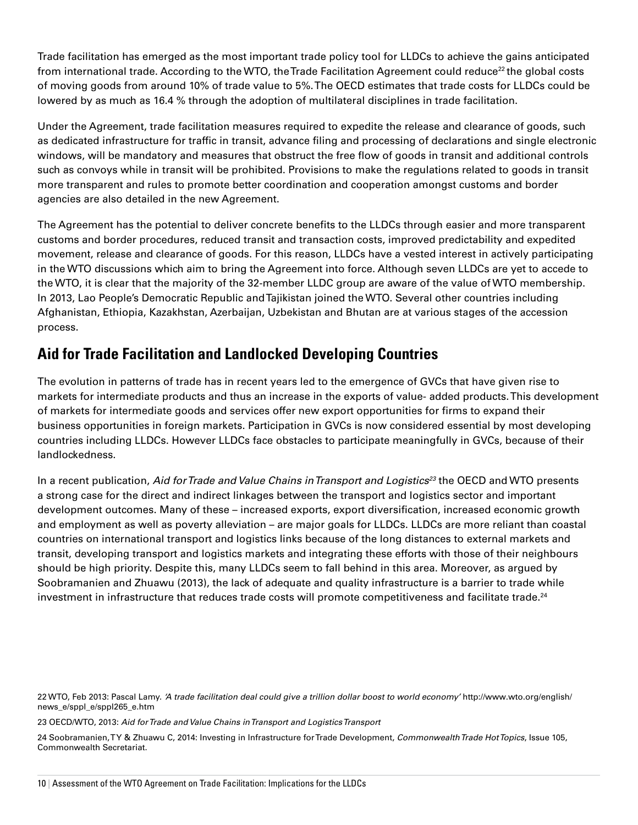Trade facilitation has emerged as the most important trade policy tool for LLDCs to achieve the gains anticipated from international trade. According to the WTO, the Trade Facilitation Agreement could reduce<sup>22</sup> the global costs of moving goods from around 10% of trade value to 5%. The OECD estimates that trade costs for LLDCs could be lowered by as much as 16.4 % through the adoption of multilateral disciplines in trade facilitation.

Under the Agreement, trade facilitation measures required to expedite the release and clearance of goods, such as dedicated infrastructure for traffic in transit, advance filing and processing of declarations and single electronic windows, will be mandatory and measures that obstruct the free flow of goods in transit and additional controls such as convoys while in transit will be prohibited. Provisions to make the regulations related to goods in transit more transparent and rules to promote better coordination and cooperation amongst customs and border agencies are also detailed in the new Agreement.

The Agreement has the potential to deliver concrete benefits to the LLDCs through easier and more transparent customs and border procedures, reduced transit and transaction costs, improved predictability and expedited movement, release and clearance of goods. For this reason, LLDCs have a vested interest in actively participating in the WTO discussions which aim to bring the Agreement into force. Although seven LLDCs are yet to accede to the WTO, it is clear that the majority of the 32-member LLDC group are aware of the value of WTO membership. In 2013, Lao People's Democratic Republic and Tajikistan joined the WTO. Several other countries including Afghanistan, Ethiopia, Kazakhstan, Azerbaijan, Uzbekistan and Bhutan are at various stages of the accession process.

# **Aid for Trade Facilitation and Landlocked Developing Countries**

The evolution in patterns of trade has in recent years led to the emergence of GVCs that have given rise to markets for intermediate products and thus an increase in the exports of value- added products. This development of markets for intermediate goods and services offer new export opportunities for firms to expand their business opportunities in foreign markets. Participation in GVCs is now considered essential by most developing countries including LLDCs. However LLDCs face obstacles to participate meaningfully in GVCs, because of their landlockedness.

In a recent publication, *Aid for Trade and Value Chains in Transport and Logistics23* the OECD and WTO presents a strong case for the direct and indirect linkages between the transport and logistics sector and important development outcomes. Many of these – increased exports, export diversification, increased economic growth and employment as well as poverty alleviation – are major goals for LLDCs. LLDCs are more reliant than coastal countries on international transport and logistics links because of the long distances to external markets and transit, developing transport and logistics markets and integrating these efforts with those of their neighbours should be high priority. Despite this, many LLDCs seem to fall behind in this area. Moreover, as argued by Soobramanien and Zhuawu (2013), the lack of adequate and quality infrastructure is a barrier to trade while investment in infrastructure that reduces trade costs will promote competitiveness and facilitate trade.<sup>24</sup>

23 OECD/WTO, 2013: *Aid for Trade and Value Chains in Transport and Logistics Transport*

24 Soobramanien, T Y & Zhuawu C, 2014: Investing in Infrastructure for Trade Development, *Commonwealth Trade Hot Topics*, Issue 105, Commonwealth Secretariat.

<sup>22</sup> WTO, Feb 2013: Pascal Lamy. *'A trade facilitation deal could give a trillion dollar boost to world economy'* http://www.wto.org/english/ news\_e/sppl\_e/sppl265\_e.htm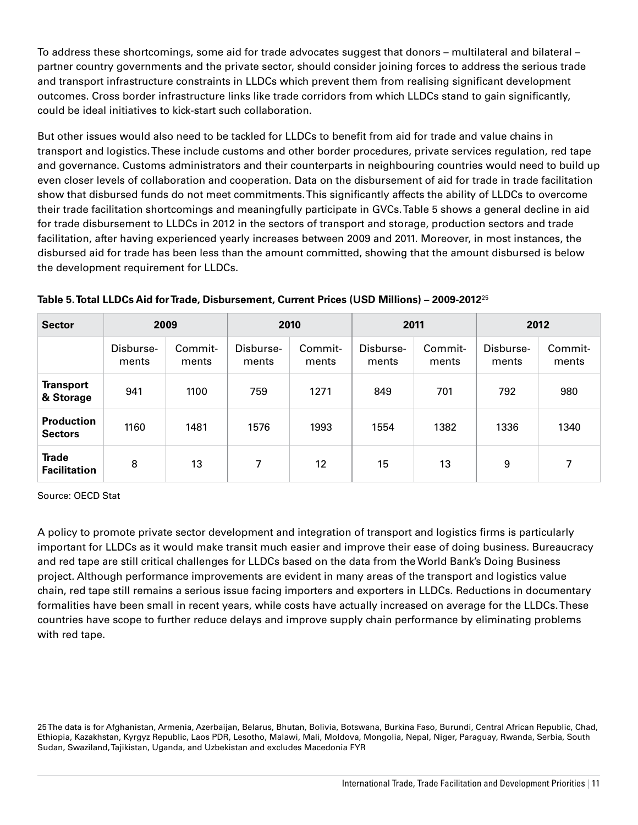To address these shortcomings, some aid for trade advocates suggest that donors – multilateral and bilateral – partner country governments and the private sector, should consider joining forces to address the serious trade and transport infrastructure constraints in LLDCs which prevent them from realising significant development outcomes. Cross border infrastructure links like trade corridors from which LLDCs stand to gain significantly, could be ideal initiatives to kick-start such collaboration.

But other issues would also need to be tackled for LLDCs to benefit from aid for trade and value chains in transport and logistics. These include customs and other border procedures, private services regulation, red tape and governance. Customs administrators and their counterparts in neighbouring countries would need to build up even closer levels of collaboration and cooperation. Data on the disbursement of aid for trade in trade facilitation show that disbursed funds do not meet commitments. This significantly affects the ability of LLDCs to overcome their trade facilitation shortcomings and meaningfully participate in GVCs. Table 5 shows a general decline in aid for trade disbursement to LLDCs in 2012 in the sectors of transport and storage, production sectors and trade facilitation, after having experienced yearly increases between 2009 and 2011. Moreover, in most instances, the disbursed aid for trade has been less than the amount committed, showing that the amount disbursed is below the development requirement for LLDCs.

| <b>Sector</b>                       | 2009               |                  |                    | 2010             | 2011               |                  |                    | 2012             |  |
|-------------------------------------|--------------------|------------------|--------------------|------------------|--------------------|------------------|--------------------|------------------|--|
|                                     | Disburse-<br>ments | Commit-<br>ments | Disburse-<br>ments | Commit-<br>ments | Disburse-<br>ments | Commit-<br>ments | Disburse-<br>ments | Commit-<br>ments |  |
| <b>Transport</b><br>& Storage       | 941                | 1100             | 759                | 1271             | 849                | 701              | 792                | 980              |  |
| <b>Production</b><br><b>Sectors</b> | 1160               | 1481             | 1576               | 1993             | 1554               | 1382             | 1336               | 1340             |  |
| <b>Trade</b><br><b>Facilitation</b> | 8                  | 13               | 7                  | 12 <sup>°</sup>  | 15                 | 13               | 9                  | 7                |  |

**Table 5. Total LLDCs Aid for Trade, Disbursement, Current Prices (USD Millions) – 2009-2012**<sup>25</sup>

Source: OECD Stat

A policy to promote private sector development and integration of transport and logistics firms is particularly important for LLDCs as it would make transit much easier and improve their ease of doing business. Bureaucracy and red tape are still critical challenges for LLDCs based on the data from the World Bank's Doing Business project. Although performance improvements are evident in many areas of the transport and logistics value chain, red tape still remains a serious issue facing importers and exporters in LLDCs. Reductions in documentary formalities have been small in recent years, while costs have actually increased on average for the LLDCs. These countries have scope to further reduce delays and improve supply chain performance by eliminating problems with red tape.

25 The data is for Afghanistan, Armenia, Azerbaijan, Belarus, Bhutan, Bolivia, Botswana, Burkina Faso, Burundi, Central African Republic, Chad, Ethiopia, Kazakhstan, Kyrgyz Republic, Laos PDR, Lesotho, Malawi, Mali, Moldova, Mongolia, Nepal, Niger, Paraguay, Rwanda, Serbia, South Sudan, Swaziland, Tajikistan, Uganda, and Uzbekistan and excludes Macedonia FYR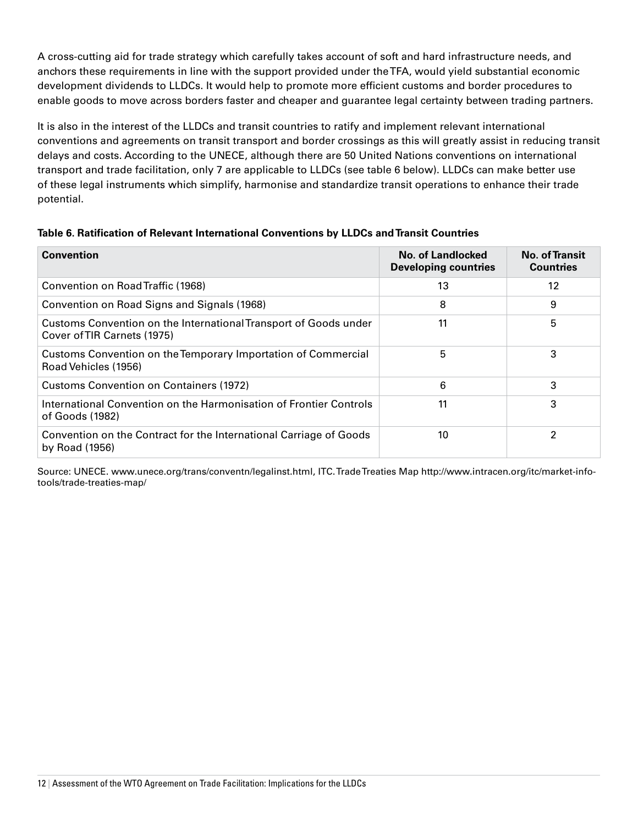A cross-cutting aid for trade strategy which carefully takes account of soft and hard infrastructure needs, and anchors these requirements in line with the support provided under the TFA, would yield substantial economic development dividends to LLDCs. It would help to promote more efficient customs and border procedures to enable goods to move across borders faster and cheaper and guarantee legal certainty between trading partners.

It is also in the interest of the LLDCs and transit countries to ratify and implement relevant international conventions and agreements on transit transport and border crossings as this will greatly assist in reducing transit delays and costs. According to the UNECE, although there are 50 United Nations conventions on international transport and trade facilitation, only 7 are applicable to LLDCs (see table 6 below). LLDCs can make better use of these legal instruments which simplify, harmonise and standardize transit operations to enhance their trade potential.

| <b>Convention</b>                                                                               | No. of Landlocked<br><b>Developing countries</b> | <b>No. of Transit</b><br><b>Countries</b> |
|-------------------------------------------------------------------------------------------------|--------------------------------------------------|-------------------------------------------|
| Convention on Road Traffic (1968)                                                               | 13                                               | 12                                        |
| Convention on Road Signs and Signals (1968)                                                     | 8                                                | 9                                         |
| Customs Convention on the International Transport of Goods under<br>Cover of TIR Carnets (1975) | 11                                               | 5                                         |
| Customs Convention on the Temporary Importation of Commercial<br>Road Vehicles (1956)           | 5                                                | 3                                         |
| <b>Customs Convention on Containers (1972)</b>                                                  | 6                                                | 3                                         |
| International Convention on the Harmonisation of Frontier Controls<br>of Goods (1982)           | 11                                               | 3                                         |
| Convention on the Contract for the International Carriage of Goods<br>by Road (1956)            | 10                                               | $\mathfrak{p}$                            |

**Table 6. Ratification of Relevant International Conventions by LLDCs and Transit Countries**

Source: UNECE. www.unece.org/trans/conventn/legalinst.html, ITC. Trade Treaties Map http://www.intracen.org/itc/market-infotools/trade-treaties-map/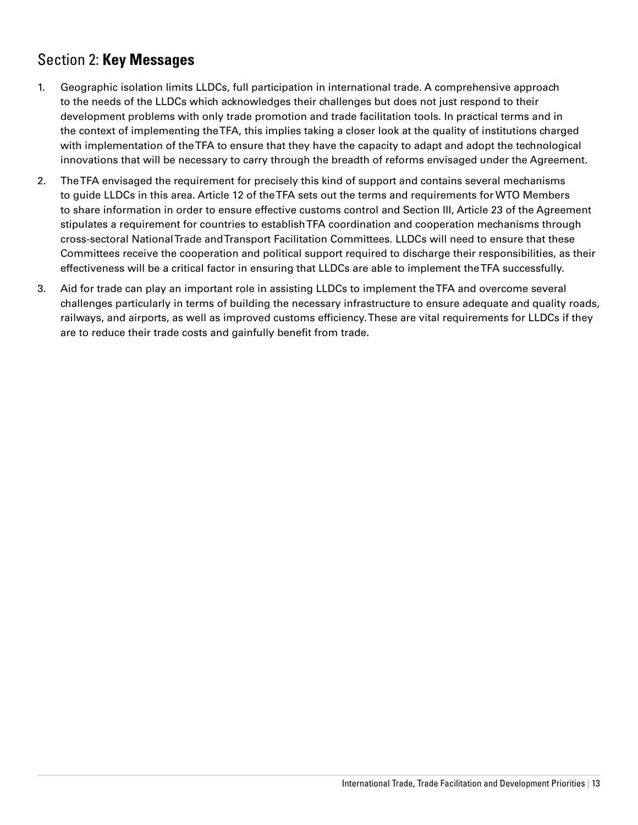# Section 2: **Key Messages**

- 1. Geographic isolation limits LLDCs, full participation in international trade. A comprehensive approach to the needs of the LLDCs which acknowledges their challenges but does not just respond to their development problems with only trade promotion and trade facilitation tools. In practical terms and in the context of implementing the TFA, this implies taking a closer look at the quality of institutions charged with implementation of the TFA to ensure that they have the capacity to adapt and adopt the technological innovations that will be necessary to carry through the breadth of reforms envisaged under the Agreement.
- 2. The TFA envisaged the requirement for precisely this kind of support and contains several mechanisms to guide LLDCs in this area. Article 12 of the TFA sets out the terms and requirements for WTO Members to share information in order to ensure effective customs control and Section III, Article 23 of the Agreement stipulates a requirement for countries to establish TFA coordination and cooperation mechanisms through cross-sectoral National Trade and Transport Facilitation Committees. LLDCs will need to ensure that these Committees receive the cooperation and political support required to discharge their responsibilities, as their effectiveness will be a critical factor in ensuring that LLDCs are able to implement the TFA successfully.
- 3. Aid for trade can play an important role in assisting LLDCs to implement the TFA and overcome several challenges particularly in terms of building the necessary infrastructure to ensure adequate and quality roads, railways, and airports, as well as improved customs efficiency. These are vital requirements for LLDCs if they are to reduce their trade costs and gainfully benefit from trade.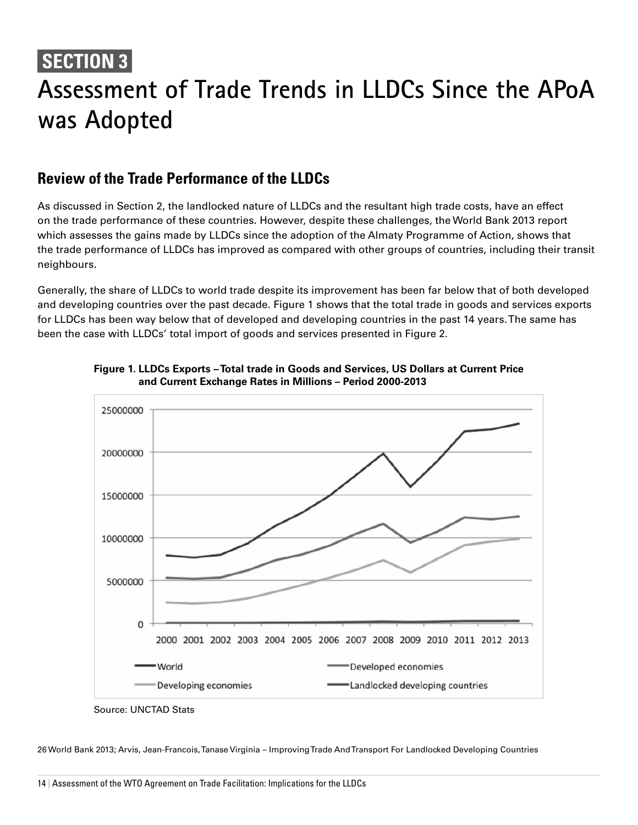# **SECTION 3**

# **Assessment of Trade Trends in LLDCs Since the APoA was Adopted**

# **Review of the Trade Performance of the LLDCs**

As discussed in Section 2, the landlocked nature of LLDCs and the resultant high trade costs, have an effect on the trade performance of these countries. However, despite these challenges, the World Bank 2013 report which assesses the gains made by LLDCs since the adoption of the Almaty Programme of Action, shows that the trade performance of LLDCs has improved as compared with other groups of countries, including their transit neighbours.

Generally, the share of LLDCs to world trade despite its improvement has been far below that of both developed and developing countries over the past decade. Figure 1 shows that the total trade in goods and services exports for LLDCs has been way below that of developed and developing countries in the past 14 years. The same has been the case with LLDCs' total import of goods and services presented in Figure 2.





26 World Bank 2013; Arvis, Jean-Francois, Tanase Virginia – Improving Trade And Transport For Landlocked Developing Countries

Source: UNCTAD Stats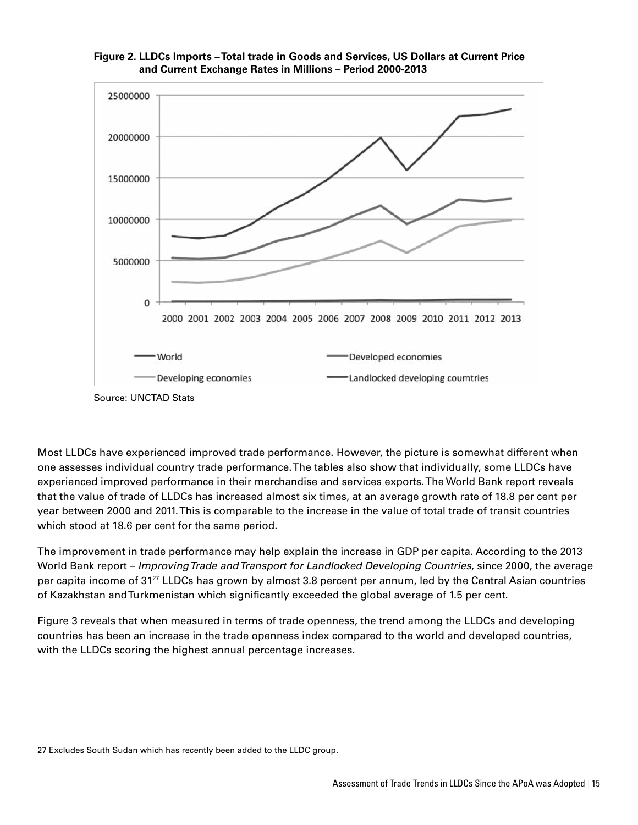

**Figure 2. LLDCs Imports – Total trade in Goods and Services, US Dollars at Current Price and Current Exchange Rates in Millions – Period 2000-2013**

Most LLDCs have experienced improved trade performance. However, the picture is somewhat different when one assesses individual country trade performance. The tables also show that individually, some LLDCs have experienced improved performance in their merchandise and services exports. The World Bank report reveals that the value of trade of LLDCs has increased almost six times, at an average growth rate of 18.8 per cent per year between 2000 and 2011. This is comparable to the increase in the value of total trade of transit countries which stood at 18.6 per cent for the same period.

The improvement in trade performance may help explain the increase in GDP per capita. According to the 2013 World Bank report – *Improving Trade and Transport for Landlocked Developing Countries*, since 2000, the average per capita income of 31<sup>27</sup> LLDCs has grown by almost 3.8 percent per annum, led by the Central Asian countries of Kazakhstan and Turkmenistan which significantly exceeded the global average of 1.5 per cent.

Figure 3 reveals that when measured in terms of trade openness, the trend among the LLDCs and developing countries has been an increase in the trade openness index compared to the world and developed countries, with the LLDCs scoring the highest annual percentage increases.

27 Excludes South Sudan which has recently been added to the LLDC group.

Source: UNCTAD Stats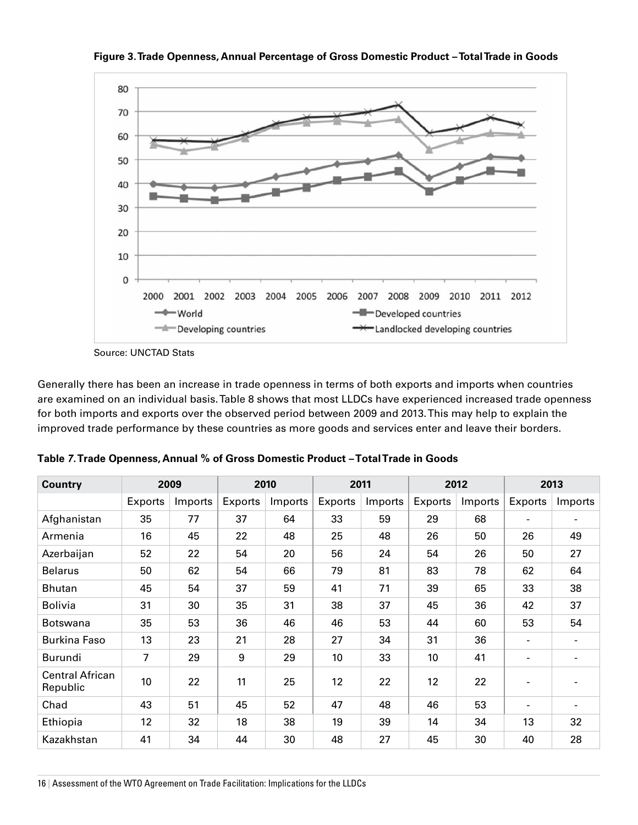

**Figure 3. Trade Openness, Annual Percentage of Gross Domestic Product – Total Trade in Goods**

Source: UNCTAD Stats

Generally there has been an increase in trade openness in terms of both exports and imports when countries are examined on an individual basis. Table 8 shows that most LLDCs have experienced increased trade openness for both imports and exports over the observed period between 2009 and 2013. This may help to explain the improved trade performance by these countries as more goods and services enter and leave their borders.

| <b>Country</b>              | 2009    |         |         | 2010    |         | 2011    |         | 2012    | 2013                     |                |  |
|-----------------------------|---------|---------|---------|---------|---------|---------|---------|---------|--------------------------|----------------|--|
|                             | Exports | Imports | Exports | Imports | Exports | Imports | Exports | Imports | Exports                  | Imports        |  |
| Afghanistan                 | 35      | 77      | 37      | 64      | 33      | 59      | 29      | 68      | $\blacksquare$           | $\blacksquare$ |  |
| Armenia                     | 16      | 45      | 22      | 48      | 25      | 48      | 26      | 50      | 26                       | 49             |  |
| Azerbaijan                  | 52      | 22      | 54      | 20      | 56      | 24      | 54      | 26      | 50                       | 27             |  |
| <b>Belarus</b>              | 50      | 62      | 54      | 66      | 79      | 81      | 83      | 78      | 62                       | 64             |  |
| <b>Bhutan</b>               | 45      | 54      | 37      | 59      | 41      | 71      | 39      | 65      | 33                       | 38             |  |
| <b>Bolivia</b>              | 31      | 30      | 35      | 31      | 38      | 37      | 45      | 36      | 42                       | 37             |  |
| <b>Botswana</b>             | 35      | 53      | 36      | 46      | 46      | 53      | 44      | 60      | 53                       | 54             |  |
| Burkina Faso                | 13      | 23      | 21      | 28      | 27      | 34      | 31      | 36      | $\overline{\phantom{a}}$ |                |  |
| Burundi                     | 7       | 29      | 9       | 29      | 10      | 33      | 10      | 41      | $\blacksquare$           | $\blacksquare$ |  |
| Central African<br>Republic | 10      | 22      | 11      | 25      | 12      | 22      | 12      | 22      |                          |                |  |
| Chad                        | 43      | 51      | 45      | 52      | 47      | 48      | 46      | 53      | $\blacksquare$           | $\sim$         |  |
| Ethiopia                    | 12      | 32      | 18      | 38      | 19      | 39      | 14      | 34      | 13                       | 32             |  |
| Kazakhstan                  | 41      | 34      | 44      | 30      | 48      | 27      | 45      | 30      | 40                       | 28             |  |

**table** *7***. trade openness, Annual % of gross domestic product – total trade in goods**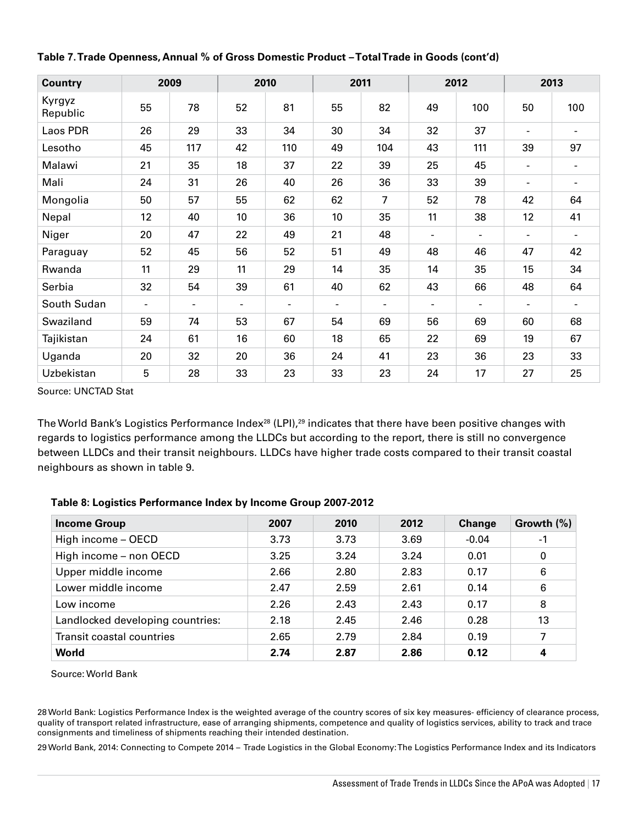| <b>Country</b>     |                | 2009           |                | 2010           |                | 2011           |                          | 2012                     |                          | 2013           |  |
|--------------------|----------------|----------------|----------------|----------------|----------------|----------------|--------------------------|--------------------------|--------------------------|----------------|--|
| Kyrgyz<br>Republic | 55             | 78             | 52             | 81             | 55             | 82             | 49                       | 100                      | 50                       | 100            |  |
| Laos PDR           | 26             | 29             | 33             | 34             | 30             | 34             | 32                       | 37                       | $\blacksquare$           | $\sim$         |  |
| Lesotho            | 45             | 117            | 42             | 110            | 49             | 104            | 43                       | 111                      | 39                       | 97             |  |
| Malawi             | 21             | 35             | 18             | 37             | 22             | 39             | 25                       | 45                       | $\blacksquare$           | $\blacksquare$ |  |
| Mali               | 24             | 31             | 26             | 40             | 26             | 36             | 33                       | 39                       | $\overline{\phantom{a}}$ | $\sim$         |  |
| Mongolia           | 50             | 57             | 55             | 62             | 62             | 7              | 52                       | 78                       | 42                       | 64             |  |
| Nepal              | 12             | 40             | 10             | 36             | 10             | 35             | 11                       | 38                       | 12                       | 41             |  |
| Niger              | 20             | 47             | 22             | 49             | 21             | 48             | $\overline{\phantom{a}}$ | $\overline{\phantom{a}}$ | $\frac{1}{2}$            | $\sim$         |  |
| Paraguay           | 52             | 45             | 56             | 52             | 51             | 49             | 48                       | 46                       | 47                       | 42             |  |
| Rwanda             | 11             | 29             | 11             | 29             | 14             | 35             | 14                       | 35                       | 15                       | 34             |  |
| Serbia             | 32             | 54             | 39             | 61             | 40             | 62             | 43                       | 66                       | 48                       | 64             |  |
| South Sudan        | $\blacksquare$ | $\blacksquare$ | $\blacksquare$ | $\blacksquare$ | $\blacksquare$ | $\blacksquare$ | $\sim$                   | Ξ.                       | $\blacksquare$           | $\sim$         |  |
| Swaziland          | 59             | 74             | 53             | 67             | 54             | 69             | 56                       | 69                       | 60                       | 68             |  |
| Tajikistan         | 24             | 61             | 16             | 60             | 18             | 65             | 22                       | 69                       | 19                       | 67             |  |
| Uganda             | 20             | 32             | 20             | 36             | 24             | 41             | 23                       | 36                       | 23                       | 33             |  |
| Uzbekistan         | 5              | 28             | 33             | 23             | 33             | 23             | 24                       | 17                       | 27                       | 25             |  |

#### **table 7. trade openness, Annual % of gross domestic product – total trade in goods (cont'd)**

Source: UNCTAD Stat

The World Bank's Logistics Performance Index<sup>28</sup> (LPI),<sup>29</sup> indicates that there have been positive changes with regards to logistics performance among the LLDCs but according to the report, there is still no convergence between LLDCs and their transit neighbours. LLDCs have higher trade costs compared to their transit coastal neighbours as shown in table 9.

#### **table 8: Logistics performance index by income group 2007-2012**

| <b>Income Group</b>              | 2007 | 2010 | 2012 | Change  | Growth $(\%)$ |
|----------------------------------|------|------|------|---------|---------------|
| High income - OECD               | 3.73 | 3.73 | 3.69 | $-0.04$ | -1            |
| High income - non OECD           | 3.25 | 3.24 | 3.24 | 0.01    | 0             |
| Upper middle income              | 2.66 | 2.80 | 2.83 | 0.17    | 6             |
| Lower middle income              | 2.47 | 2.59 | 2.61 | 0.14    | 6             |
| Low income                       | 2.26 | 2.43 | 2.43 | 0.17    | 8             |
| Landlocked developing countries: | 2.18 | 2.45 | 2.46 | 0.28    | 13            |
| Transit coastal countries        | 2.65 | 2.79 | 2.84 | 0.19    | 7             |
| <b>World</b>                     | 2.74 | 2.87 | 2.86 | 0.12    | 4             |

Source: World Bank

28 World Bank: Logistics Performance Index is the weighted average of the country scores of six key measures- efficiency of clearance process, quality of transport related infrastructure, ease of arranging shipments, competence and quality of logistics services, ability to track and trace consignments and timeliness of shipments reaching their intended destination.

29 World Bank, 2014: Connecting to Compete 2014 – Trade Logistics in the Global Economy: The Logistics Performance Index and its Indicators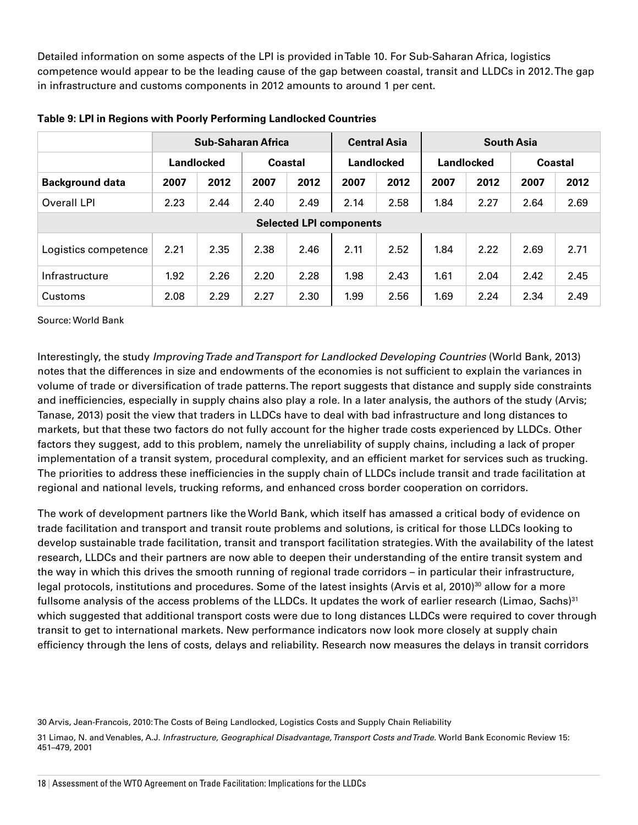Detailed information on some aspects of the LPI is provided in Table 10. For Sub-Saharan Africa, logistics competence would appear to be the leading cause of the gap between coastal, transit and LLDCs in 2012. The gap in infrastructure and customs components in 2012 amounts to around 1 per cent.

|                        |            |      | <b>Sub-Saharan Africa</b> |         |                                | <b>Central Asia</b>                    | <b>South Asia</b> |      |         |      |
|------------------------|------------|------|---------------------------|---------|--------------------------------|----------------------------------------|-------------------|------|---------|------|
|                        | Landlocked |      |                           | Coastal |                                | <b>Landlocked</b><br><b>Landlocked</b> |                   |      | Coastal |      |
| <b>Background data</b> | 2007       | 2012 | 2007                      | 2012    | 2007                           | 2012                                   | 2007              | 2012 | 2007    | 2012 |
| Overall LPI            | 2.23       | 2.44 | 2.40                      | 2.49    | 2.14                           | 2.58                                   | 1.84              | 2.27 | 2.64    | 2.69 |
|                        |            |      |                           |         | <b>Selected LPI components</b> |                                        |                   |      |         |      |
| Logistics competence   | 2.21       | 2.35 | 2.38                      | 2.46    | 2.11                           | 2.52                                   | 1.84              | 2.22 | 2.69    | 2.71 |
| Infrastructure         | 1.92       | 2.26 | 2.20                      | 2.28    | 1.98                           | 2.43                                   | 1.61              | 2.04 | 2.42    | 2.45 |
| Customs                | 2.08       | 2.29 | 2.27                      | 2.30    | 1.99                           | 2.56                                   | 1.69              | 2.24 | 2.34    | 2.49 |

**table 9: Lpi in regions with poorly performing Landlocked Countries**

Source: World Bank

Interestingly, the study *Improving Trade and Transport for Landlocked Developing Countries* (World Bank, 2013) notes that the differences in size and endowments of the economies is not sufficient to explain the variances in volume of trade or diversification of trade patterns. The report suggests that distance and supply side constraints and inefficiencies, especially in supply chains also play a role. In a later analysis, the authors of the study (Arvis; Tanase, 2013) posit the view that traders in LLDCs have to deal with bad infrastructure and long distances to markets, but that these two factors do not fully account for the higher trade costs experienced by LLDCs. Other factors they suggest, add to this problem, namely the unreliability of supply chains, including a lack of proper implementation of a transit system, procedural complexity, and an efficient market for services such as trucking. The priorities to address these inefficiencies in the supply chain of LLDCs include transit and trade facilitation at regional and national levels, trucking reforms, and enhanced cross border cooperation on corridors.

The work of development partners like the World Bank, which itself has amassed a critical body of evidence on trade facilitation and transport and transit route problems and solutions, is critical for those LLDCs looking to develop sustainable trade facilitation, transit and transport facilitation strategies. With the availability of the latest research, LLDCs and their partners are now able to deepen their understanding of the entire transit system and the way in which this drives the smooth running of regional trade corridors – in particular their infrastructure, legal protocols, institutions and procedures. Some of the latest insights (Arvis et al, 2010)<sup>30</sup> allow for a more fullsome analysis of the access problems of the LLDCs. It updates the work of earlier research (Limao, Sachs)<sup>31</sup> which suggested that additional transport costs were due to long distances LLDCs were required to cover through transit to get to international markets. New performance indicators now look more closely at supply chain efficiency through the lens of costs, delays and reliability. Research now measures the delays in transit corridors

30 Arvis, Jean-Francois, 2010: The Costs of Being Landlocked, Logistics Costs and Supply Chain Reliability

31 Limao, N. and Venables, A.J. *Infrastructure, Geographical Disadvantage, Transport Costs and Trade.* World Bank Economic Review 15: 451–479, 2001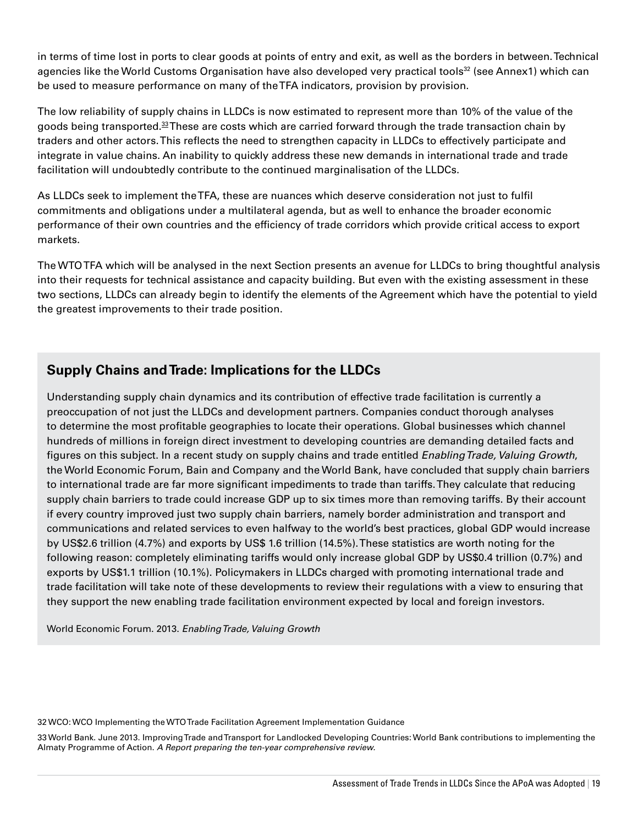in terms of time lost in ports to clear goods at points of entry and exit, as well as the borders in between. Technical agencies like the World Customs Organisation have also developed very practical tools<sup>32</sup> (see Annex1) which can be used to measure performance on many of the TFA indicators, provision by provision.

The low reliability of supply chains in LLDCs is now estimated to represent more than 10% of the value of the goods being transported.<sup>33</sup> These are costs which are carried forward through the trade transaction chain by traders and other actors. This reflects the need to strengthen capacity in LLDCs to effectively participate and integrate in value chains. An inability to quickly address these new demands in international trade and trade facilitation will undoubtedly contribute to the continued marginalisation of the LLDCs.

As LLDCs seek to implement the TFA, these are nuances which deserve consideration not just to fulfil commitments and obligations under a multilateral agenda, but as well to enhance the broader economic performance of their own countries and the efficiency of trade corridors which provide critical access to export markets.

The WTO TFA which will be analysed in the next Section presents an avenue for LLDCs to bring thoughtful analysis into their requests for technical assistance and capacity building. But even with the existing assessment in these two sections, LLDCs can already begin to identify the elements of the Agreement which have the potential to yield the greatest improvements to their trade position.

#### **Supply Chains and Trade: Implications for the LLDCs**

Understanding supply chain dynamics and its contribution of effective trade facilitation is currently a preoccupation of not just the LLDCs and development partners. Companies conduct thorough analyses to determine the most profitable geographies to locate their operations. Global businesses which channel hundreds of millions in foreign direct investment to developing countries are demanding detailed facts and figures on this subject. In a recent study on supply chains and trade entitled *Enabling Trade, Valuing Growth*, the World Economic Forum, Bain and Company and the World Bank, have concluded that supply chain barriers to international trade are far more significant impediments to trade than tariffs. They calculate that reducing supply chain barriers to trade could increase GDP up to six times more than removing tariffs. By their account if every country improved just two supply chain barriers, namely border administration and transport and communications and related services to even halfway to the world's best practices, global GDP would increase by US\$2.6 trillion (4.7%) and exports by US\$ 1.6 trillion (14.5%). These statistics are worth noting for the following reason: completely eliminating tariffs would only increase global GDP by US\$0.4 trillion (0.7%) and exports by US\$1.1 trillion (10.1%). Policymakers in LLDCs charged with promoting international trade and trade facilitation will take note of these developments to review their regulations with a view to ensuring that they support the new enabling trade facilitation environment expected by local and foreign investors.

World Economic Forum. 2013. *Enabling Trade, Valuing Growth*

32 WCO: WCO Implementing the WTO Trade Facilitation Agreement Implementation Guidance

33 World Bank. June 2013. Improving Trade and Transport for Landlocked Developing Countries: World Bank contributions to implementing the Almaty Programme of Action. *A Report preparing the ten-year comprehensive review.*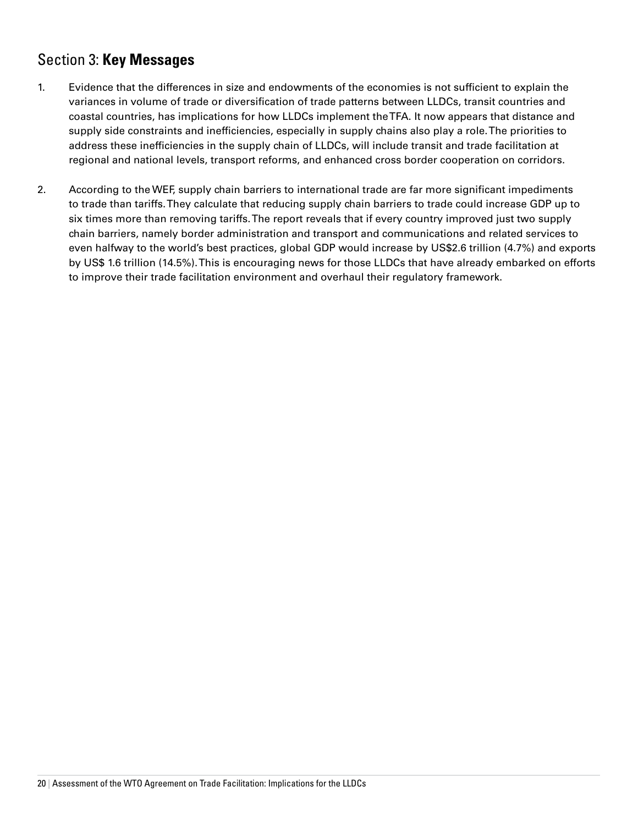# Section 3: **Key Messages**

- 1. Evidence that the differences in size and endowments of the economies is not sufficient to explain the variances in volume of trade or diversification of trade patterns between LLDCs, transit countries and coastal countries, has implications for how LLDCs implement the TFA. It now appears that distance and supply side constraints and inefficiencies, especially in supply chains also play a role. The priorities to address these inefficiencies in the supply chain of LLDCs, will include transit and trade facilitation at regional and national levels, transport reforms, and enhanced cross border cooperation on corridors.
- 2. According to the WEF, supply chain barriers to international trade are far more significant impediments to trade than tariffs. They calculate that reducing supply chain barriers to trade could increase GDP up to six times more than removing tariffs. The report reveals that if every country improved just two supply chain barriers, namely border administration and transport and communications and related services to even halfway to the world's best practices, global GDP would increase by US\$2.6 trillion (4.7%) and exports by US\$ 1.6 trillion (14.5%). This is encouraging news for those LLDCs that have already embarked on efforts to improve their trade facilitation environment and overhaul their regulatory framework.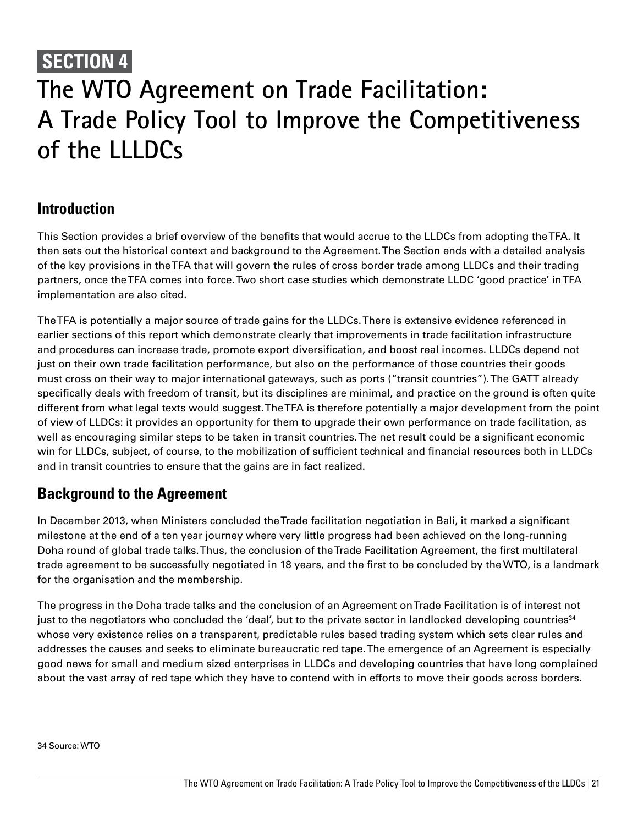# **SECTION 4 The WTO Agreement on Trade Facilitation: A Trade Policy Tool to Improve the Competitiveness of the LLLDCs**

## **Introduction**

This Section provides a brief overview of the benefits that would accrue to the LLDCs from adopting the TFA. It then sets out the historical context and background to the Agreement. The Section ends with a detailed analysis of the key provisions in the TFA that will govern the rules of cross border trade among LLDCs and their trading partners, once the TFA comes into force. Two short case studies which demonstrate LLDC 'good practice' in TFA implementation are also cited.

The TFA is potentially a major source of trade gains for the LLDCs. There is extensive evidence referenced in earlier sections of this report which demonstrate clearly that improvements in trade facilitation infrastructure and procedures can increase trade, promote export diversification, and boost real incomes. LLDCs depend not just on their own trade facilitation performance, but also on the performance of those countries their goods must cross on their way to major international gateways, such as ports ("transit countries"). The GATT already specifically deals with freedom of transit, but its disciplines are minimal, and practice on the ground is often quite different from what legal texts would suggest. The TFA is therefore potentially a major development from the point of view of LLDCs: it provides an opportunity for them to upgrade their own performance on trade facilitation, as well as encouraging similar steps to be taken in transit countries. The net result could be a significant economic win for LLDCs, subject, of course, to the mobilization of sufficient technical and financial resources both in LLDCs and in transit countries to ensure that the gains are in fact realized.

## **Background to the Agreement**

In December 2013, when Ministers concluded the Trade facilitation negotiation in Bali, it marked a significant milestone at the end of a ten year journey where very little progress had been achieved on the long-running Doha round of global trade talks. Thus, the conclusion of the Trade Facilitation Agreement, the first multilateral trade agreement to be successfully negotiated in 18 years, and the first to be concluded by the WTO, is a landmark for the organisation and the membership.

The progress in the Doha trade talks and the conclusion of an Agreement on Trade Facilitation is of interest not just to the negotiators who concluded the 'deal', but to the private sector in landlocked developing countries<sup>34</sup> whose very existence relies on a transparent, predictable rules based trading system which sets clear rules and addresses the causes and seeks to eliminate bureaucratic red tape. The emergence of an Agreement is especially good news for small and medium sized enterprises in LLDCs and developing countries that have long complained about the vast array of red tape which they have to contend with in efforts to move their goods across borders.

34 Source: WTO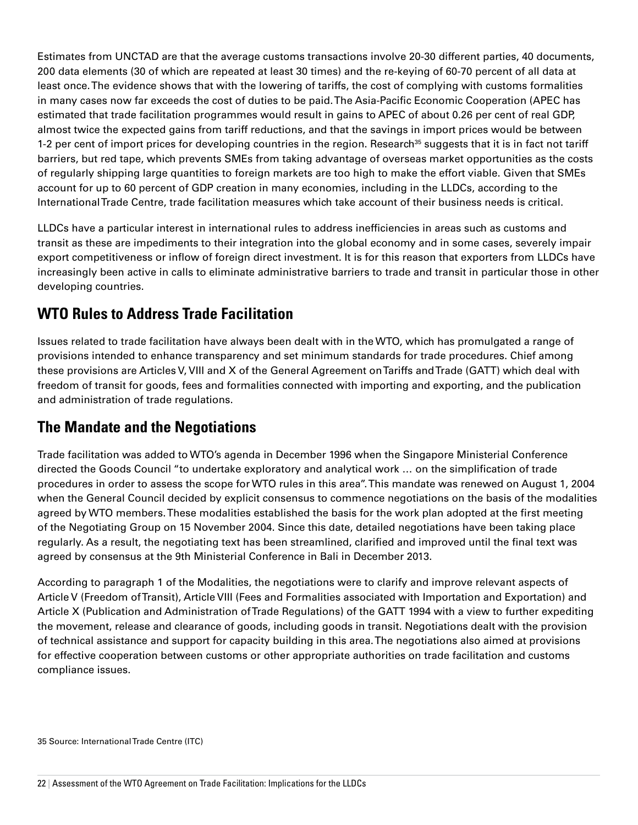Estimates from UNCTAD are that the average customs transactions involve 20-30 different parties, 40 documents, 200 data elements (30 of which are repeated at least 30 times) and the re-keying of 60-70 percent of all data at least once. The evidence shows that with the lowering of tariffs, the cost of complying with customs formalities in many cases now far exceeds the cost of duties to be paid. The Asia-Pacific Economic Cooperation (APEC has estimated that trade facilitation programmes would result in gains to APEC of about 0.26 per cent of real GDP, almost twice the expected gains from tariff reductions, and that the savings in import prices would be between 1-2 per cent of import prices for developing countries in the region. Research<sup>35</sup> suggests that it is in fact not tariff barriers, but red tape, which prevents SMEs from taking advantage of overseas market opportunities as the costs of regularly shipping large quantities to foreign markets are too high to make the effort viable. Given that SMEs account for up to 60 percent of GDP creation in many economies, including in the LLDCs, according to the International Trade Centre, trade facilitation measures which take account of their business needs is critical.

LLDCs have a particular interest in international rules to address inefficiencies in areas such as customs and transit as these are impediments to their integration into the global economy and in some cases, severely impair export competitiveness or inflow of foreign direct investment. It is for this reason that exporters from LLDCs have increasingly been active in calls to eliminate administrative barriers to trade and transit in particular those in other developing countries.

# **WTO Rules to Address Trade Facilitation**

Issues related to trade facilitation have always been dealt with in the WTO, which has promulgated a range of provisions intended to enhance transparency and set minimum standards for trade procedures. Chief among these provisions are Articles V, VIII and X of the General Agreement on Tariffs and Trade (GATT) which deal with freedom of transit for goods, fees and formalities connected with importing and exporting, and the publication and administration of trade regulations.

## **The Mandate and the Negotiations**

Trade facilitation was added to WTO's agenda in December 1996 when the Singapore Ministerial Conference directed the Goods Council "to undertake exploratory and analytical work … on the simplification of trade procedures in order to assess the scope for WTO rules in this area''. This mandate was renewed on August 1, 2004 when the General Council decided by explicit consensus to commence negotiations on the basis of the modalities agreed by WTO members. These modalities established the basis for the work plan adopted at the first meeting of the Negotiating Group on 15 November 2004. Since this date, detailed negotiations have been taking place regularly. As a result, the negotiating text has been streamlined, clarified and improved until the final text was agreed by consensus at the 9th Ministerial Conference in Bali in December 2013.

According to paragraph 1 of the Modalities, the negotiations were to clarify and improve relevant aspects of Article V (Freedom of Transit), Article VIII (Fees and Formalities associated with Importation and Exportation) and Article X (Publication and Administration of Trade Regulations) of the GATT 1994 with a view to further expediting the movement, release and clearance of goods, including goods in transit. Negotiations dealt with the provision of technical assistance and support for capacity building in this area. The negotiations also aimed at provisions for effective cooperation between customs or other appropriate authorities on trade facilitation and customs compliance issues.

35 Source: International Trade Centre (ITC)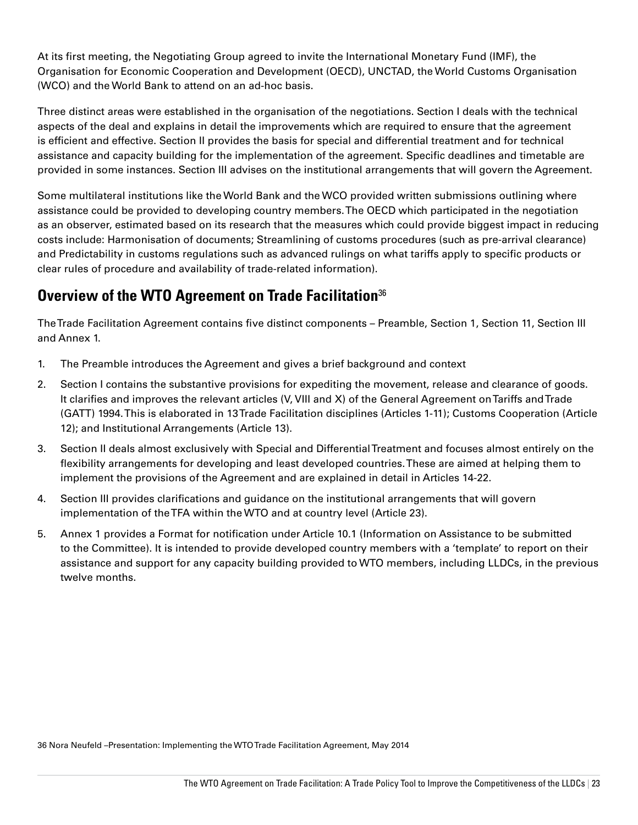At its first meeting, the Negotiating Group agreed to invite the International Monetary Fund (IMF), the Organisation for Economic Cooperation and Development (OECD), UNCTAD, the World Customs Organisation (WCO) and the World Bank to attend on an ad-hoc basis.

Three distinct areas were established in the organisation of the negotiations. Section I deals with the technical aspects of the deal and explains in detail the improvements which are required to ensure that the agreement is efficient and effective. Section II provides the basis for special and differential treatment and for technical assistance and capacity building for the implementation of the agreement. Specific deadlines and timetable are provided in some instances. Section III advises on the institutional arrangements that will govern the Agreement.

Some multilateral institutions like the World Bank and the WCO provided written submissions outlining where assistance could be provided to developing country members. The OECD which participated in the negotiation as an observer, estimated based on its research that the measures which could provide biggest impact in reducing costs include: Harmonisation of documents; Streamlining of customs procedures (such as pre-arrival clearance) and Predictability in customs regulations such as advanced rulings on what tariffs apply to specific products or clear rules of procedure and availability of trade-related information).

# **Overview of the WTO Agreement on Trade Facilitation**<sup>36</sup>

The Trade Facilitation Agreement contains five distinct components – Preamble, Section 1, Section 11, Section III and Annex 1.

- 1. The Preamble introduces the Agreement and gives a brief background and context
- 2. Section I contains the substantive provisions for expediting the movement, release and clearance of goods. It clarifies and improves the relevant articles (V, VIII and X) of the General Agreement on Tariffs and Trade (GATT) 1994. This is elaborated in 13 Trade Facilitation disciplines (Articles 1-11); Customs Cooperation (Article 12); and Institutional Arrangements (Article 13).
- 3. Section II deals almost exclusively with Special and Differential Treatment and focuses almost entirely on the flexibility arrangements for developing and least developed countries. These are aimed at helping them to implement the provisions of the Agreement and are explained in detail in Articles 14-22.
- 4. Section III provides clarifications and guidance on the institutional arrangements that will govern implementation of the TFA within the WTO and at country level (Article 23).
- 5. Annex 1 provides a Format for notification under Article 10.1 (Information on Assistance to be submitted to the Committee). It is intended to provide developed country members with a 'template' to report on their assistance and support for any capacity building provided to WTO members, including LLDCs, in the previous twelve months.

36 Nora Neufeld –Presentation: Implementing the WTO Trade Facilitation Agreement, May 2014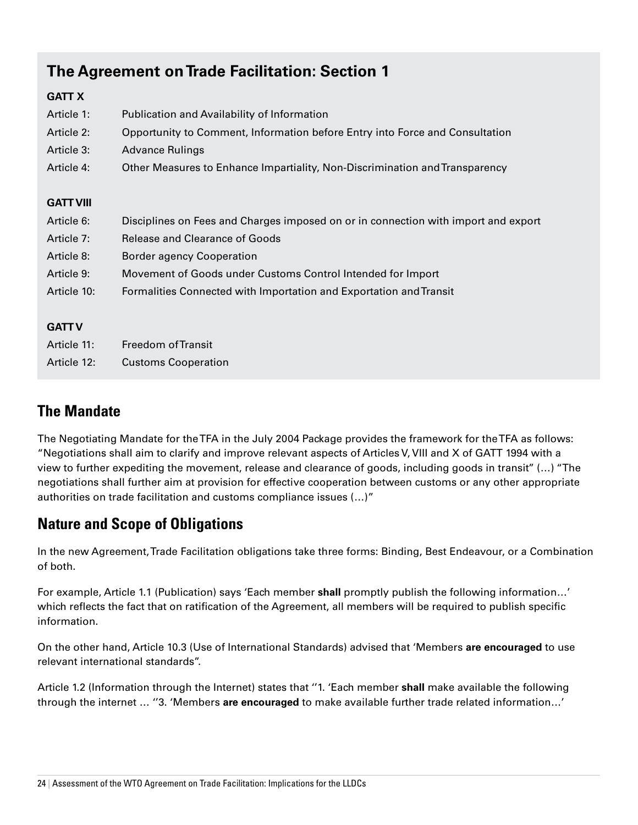# **The Agreement on Trade Facilitation: Section 1**

#### **GATT X**

| Article 1:       | Publication and Availability of Information                                        |
|------------------|------------------------------------------------------------------------------------|
| Article 2:       | Opportunity to Comment, Information before Entry into Force and Consultation       |
| Article 3:       | <b>Advance Rulings</b>                                                             |
| Article 4:       | Other Measures to Enhance Impartiality, Non-Discrimination and Transparency        |
|                  |                                                                                    |
| <b>GATT VIII</b> |                                                                                    |
| Article 6:       | Disciplines on Fees and Charges imposed on or in connection with import and export |
| Article 7:       | <b>Release and Clearance of Goods</b>                                              |
| Article 8:       | <b>Border agency Cooperation</b>                                                   |
| Article 9:       | Movement of Goods under Customs Control Intended for Import                        |
| Article 10:      | Formalities Connected with Importation and Exportation and Transit                 |
|                  |                                                                                    |
| <b>GATT V</b>    |                                                                                    |
| Article 11:      | Freedom of Transit                                                                 |
| Article 12:      | <b>Customs Cooperation</b>                                                         |

## **The Mandate**

The Negotiating Mandate for the TFA in the July 2004 Package provides the framework for the TFA as follows: "Negotiations shall aim to clarify and improve relevant aspects of Articles V, VIII and X of GATT 1994 with a view to further expediting the movement, release and clearance of goods, including goods in transit'' (…) "The negotiations shall further aim at provision for effective cooperation between customs or any other appropriate authorities on trade facilitation and customs compliance issues (…)"

# **Nature and Scope of Obligations**

In the new Agreement, Trade Facilitation obligations take three forms: Binding, Best Endeavour, or a Combination of both.

For example, Article 1.1 (Publication) says 'Each member **shall** promptly publish the following information…' which reflects the fact that on ratification of the Agreement, all members will be required to publish specific information.

On the other hand, Article 10.3 (Use of International Standards) advised that 'Members **are encouraged** to use relevant international standards''.

Article 1.2 (Information through the Internet) states that ''1. 'Each member **shall** make available the following through the internet … ''3. 'Members **are encouraged** to make available further trade related information…'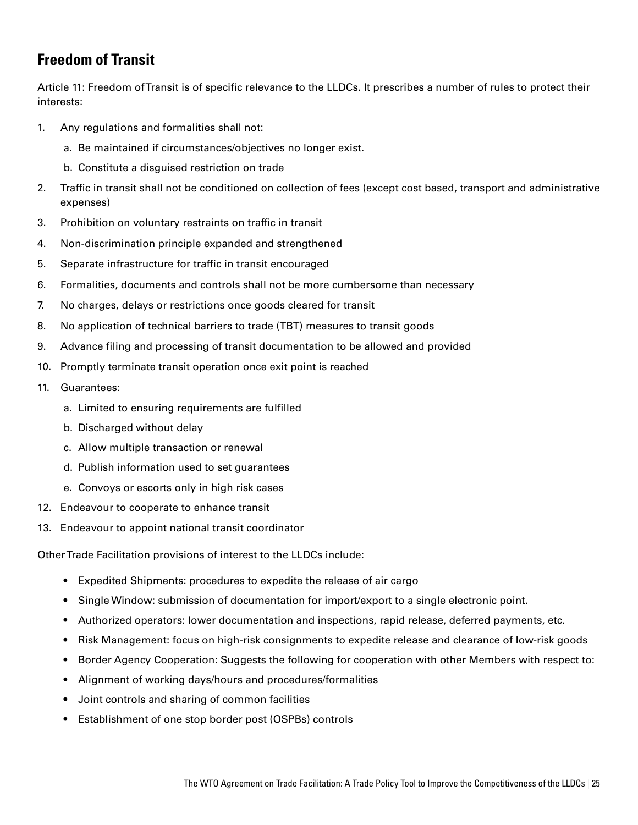# **Freedom of Transit**

Article 11: Freedom of Transit is of specific relevance to the LLDCs. It prescribes a number of rules to protect their interests:

- 1. Any regulations and formalities shall not:
	- a. Be maintained if circumstances/objectives no longer exist.
	- b. Constitute a disguised restriction on trade
- 2. Traffic in transit shall not be conditioned on collection of fees (except cost based, transport and administrative expenses)
- 3. Prohibition on voluntary restraints on traffic in transit
- 4. Non-discrimination principle expanded and strengthened
- 5. Separate infrastructure for traffic in transit encouraged
- 6. Formalities, documents and controls shall not be more cumbersome than necessary
- 7. No charges, delays or restrictions once goods cleared for transit
- 8. No application of technical barriers to trade (TBT) measures to transit goods
- 9. Advance filing and processing of transit documentation to be allowed and provided
- 10. Promptly terminate transit operation once exit point is reached
- 11. Guarantees:
	- a. Limited to ensuring requirements are fulfilled
	- b. Discharged without delay
	- c. Allow multiple transaction or renewal
	- d. Publish information used to set guarantees
	- e. Convoys or escorts only in high risk cases
- 12. Endeavour to cooperate to enhance transit
- 13. Endeavour to appoint national transit coordinator

Other Trade Facilitation provisions of interest to the LLDCs include:

- Expedited Shipments: procedures to expedite the release of air cargo
- • Single Window: submission of documentation for import/export to a single electronic point.
- • Authorized operators: lower documentation and inspections, rapid release, deferred payments, etc.
- Risk Management: focus on high-risk consignments to expedite release and clearance of low-risk goods
- Border Agency Cooperation: Suggests the following for cooperation with other Members with respect to:
- Alignment of working days/hours and procedures/formalities
- • Joint controls and sharing of common facilities
- Establishment of one stop border post (OSPBs) controls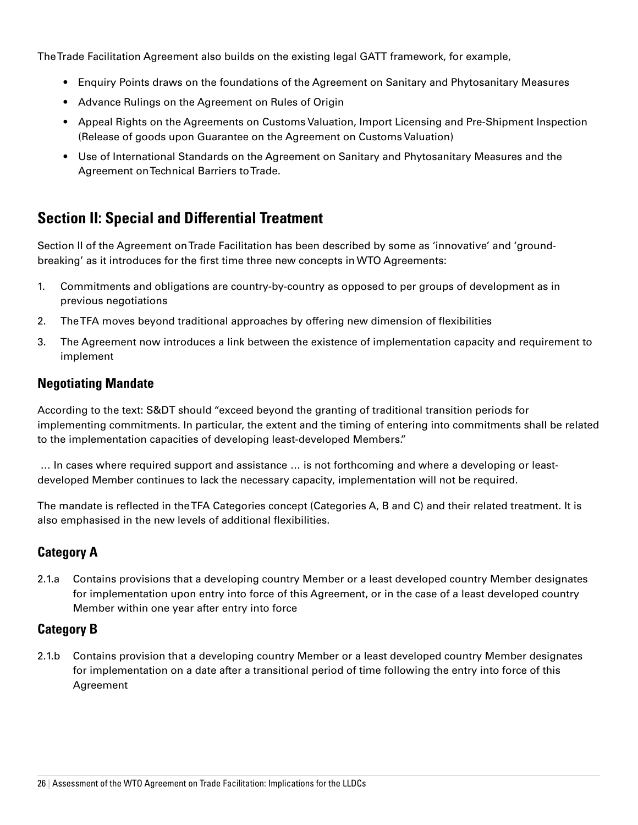The Trade Facilitation Agreement also builds on the existing legal GATT framework, for example,

- Enquiry Points draws on the foundations of the Agreement on Sanitary and Phytosanitary Measures
- • Advance Rulings on the Agreement on Rules of Origin
- Appeal Rights on the Agreements on Customs Valuation, Import Licensing and Pre-Shipment Inspection (Release of goods upon Guarantee on the Agreement on Customs Valuation)
- Use of International Standards on the Agreement on Sanitary and Phytosanitary Measures and the Agreement on Technical Barriers to Trade.

# **Section II: Special and Differential Treatment**

Section II of the Agreement on Trade Facilitation has been described by some as 'innovative' and 'groundbreaking' as it introduces for the first time three new concepts in WTO Agreements:

- 1. Commitments and obligations are country-by-country as opposed to per groups of development as in previous negotiations
- 2. The TFA moves beyond traditional approaches by offering new dimension of flexibilities
- 3. The Agreement now introduces a link between the existence of implementation capacity and requirement to implement

#### **Negotiating Mandate**

According to the text: S&DT should "exceed beyond the granting of traditional transition periods for implementing commitments. In particular, the extent and the timing of entering into commitments shall be related to the implementation capacities of developing least-developed Members."

 … In cases where required support and assistance … is not forthcoming and where a developing or leastdeveloped Member continues to lack the necessary capacity, implementation will not be required.

The mandate is reflected in the TFA Categories concept (Categories A, B and C) and their related treatment. It is also emphasised in the new levels of additional flexibilities.

#### **Category A**

2.1.a Contains provisions that a developing country Member or a least developed country Member designates for implementation upon entry into force of this Agreement, or in the case of a least developed country Member within one year after entry into force

#### **Category B**

2.1.b Contains provision that a developing country Member or a least developed country Member designates for implementation on a date after a transitional period of time following the entry into force of this Agreement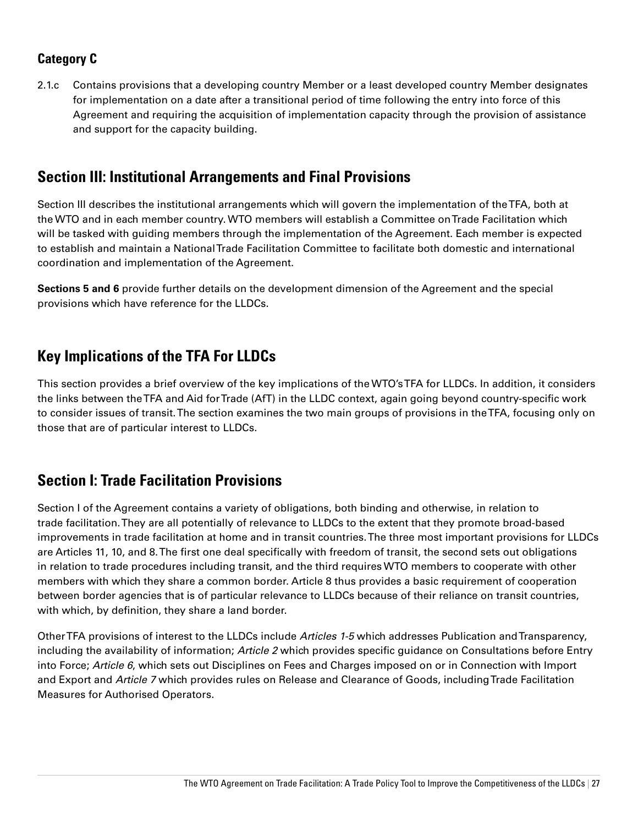#### **Category C**

2.1.c Contains provisions that a developing country Member or a least developed country Member designates for implementation on a date after a transitional period of time following the entry into force of this Agreement and requiring the acquisition of implementation capacity through the provision of assistance and support for the capacity building.

### **Section III: Institutional Arrangements and Final Provisions**

Section III describes the institutional arrangements which will govern the implementation of the TFA, both at the WTO and in each member country. WTO members will establish a Committee on Trade Facilitation which will be tasked with guiding members through the implementation of the Agreement. Each member is expected to establish and maintain a National Trade Facilitation Committee to facilitate both domestic and international coordination and implementation of the Agreement.

**Sections 5 and 6** provide further details on the development dimension of the Agreement and the special provisions which have reference for the LLDCs.

## **Key Implications of the TFA For LLDCs**

This section provides a brief overview of the key implications of the WTO's TFA for LLDCs. In addition, it considers the links between the TFA and Aid for Trade (AfT) in the LLDC context, again going beyond country-specific work to consider issues of transit. The section examines the two main groups of provisions in the TFA, focusing only on those that are of particular interest to LLDCs.

### **Section I: Trade Facilitation Provisions**

Section I of the Agreement contains a variety of obligations, both binding and otherwise, in relation to trade facilitation. They are all potentially of relevance to LLDCs to the extent that they promote broad-based improvements in trade facilitation at home and in transit countries. The three most important provisions for LLDCs are Articles 11, 10, and 8. The first one deal specifically with freedom of transit, the second sets out obligations in relation to trade procedures including transit, and the third requires WTO members to cooperate with other members with which they share a common border. Article 8 thus provides a basic requirement of cooperation between border agencies that is of particular relevance to LLDCs because of their reliance on transit countries, with which, by definition, they share a land border.

Other TFA provisions of interest to the LLDCs include *Articles 1-5* which addresses Publication and Transparency, including the availability of information; *Article 2* which provides specific guidance on Consultations before Entry into Force; *Article 6*, which sets out Disciplines on Fees and Charges imposed on or in Connection with Import and Export and *Article 7* which provides rules on Release and Clearance of Goods, including Trade Facilitation Measures for Authorised Operators.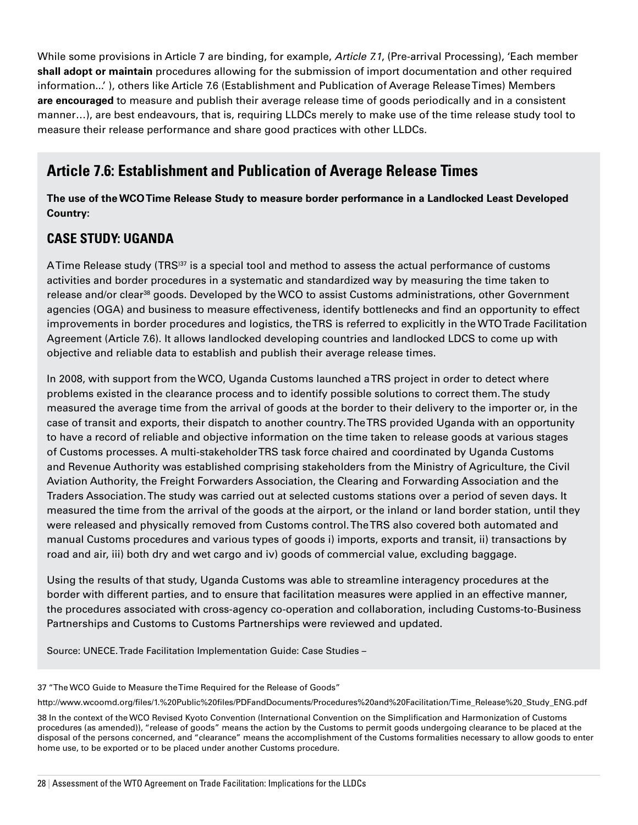While some provisions in Article 7 are binding, for example, *Article 7.1*, (Pre-arrival Processing), 'Each member **shall adopt or maintain** procedures allowing for the submission of import documentation and other required information...' ), others like Article 7.6 (Establishment and Publication of Average Release Times) Members **are encouraged** to measure and publish their average release time of goods periodically and in a consistent manner…), are best endeavours, that is, requiring LLDCs merely to make use of the time release study tool to measure their release performance and share good practices with other LLDCs.

# **Article 7.6: Establishment and Publication of Average Release Times**

**The use of the WCOTime Release Study to measure border performance in a Landlocked Least Developed Country:** 

#### **CASE STUDY: UGANDA**

A Time Release study (TRS<sup>137</sup> is a special tool and method to assess the actual performance of customs activities and border procedures in a systematic and standardized way by measuring the time taken to release and/or clear<sup>38</sup> goods. Developed by the WCO to assist Customs administrations, other Government agencies (OGA) and business to measure effectiveness, identify bottlenecks and find an opportunity to effect improvements in border procedures and logistics, the TRS is referred to explicitly in the WTO Trade Facilitation Agreement (Article 7.6). It allows landlocked developing countries and landlocked LDCS to come up with objective and reliable data to establish and publish their average release times.

In 2008, with support from the WCO, Uganda Customs launched a TRS project in order to detect where problems existed in the clearance process and to identify possible solutions to correct them. The study measured the average time from the arrival of goods at the border to their delivery to the importer or, in the case of transit and exports, their dispatch to another country. The TRS provided Uganda with an opportunity to have a record of reliable and objective information on the time taken to release goods at various stages of Customs processes. A multi-stakeholder TRS task force chaired and coordinated by Uganda Customs and Revenue Authority was established comprising stakeholders from the Ministry of Agriculture, the Civil Aviation Authority, the Freight Forwarders Association, the Clearing and Forwarding Association and the Traders Association. The study was carried out at selected customs stations over a period of seven days. It measured the time from the arrival of the goods at the airport, or the inland or land border station, until they were released and physically removed from Customs control. The TRS also covered both automated and manual Customs procedures and various types of goods i) imports, exports and transit, ii) transactions by road and air, iii) both dry and wet cargo and iv) goods of commercial value, excluding baggage.

Using the results of that study, Uganda Customs was able to streamline interagency procedures at the border with different parties, and to ensure that facilitation measures were applied in an effective manner, the procedures associated with cross-agency co-operation and collaboration, including Customs-to-Business Partnerships and Customs to Customs Partnerships were reviewed and updated.

Source: UNECE. Trade Facilitation Implementation Guide: Case Studies –

37 "The WCO Guide to Measure the Time Required for the Release of Goods"

http://www.wcoomd.org/files/1.%20Public%20files/PDFandDocuments/Procedures%20and%20Facilitation/Time\_Release%20\_Study\_ENG.pdf

38 In the context of the WCO Revised Kyoto Convention (International Convention on the Simplification and Harmonization of Customs procedures (as amended)), "release of goods" means the action by the Customs to permit goods undergoing clearance to be placed at the disposal of the persons concerned, and "clearance" means the accomplishment of the Customs formalities necessary to allow goods to enter home use, to be exported or to be placed under another Customs procedure.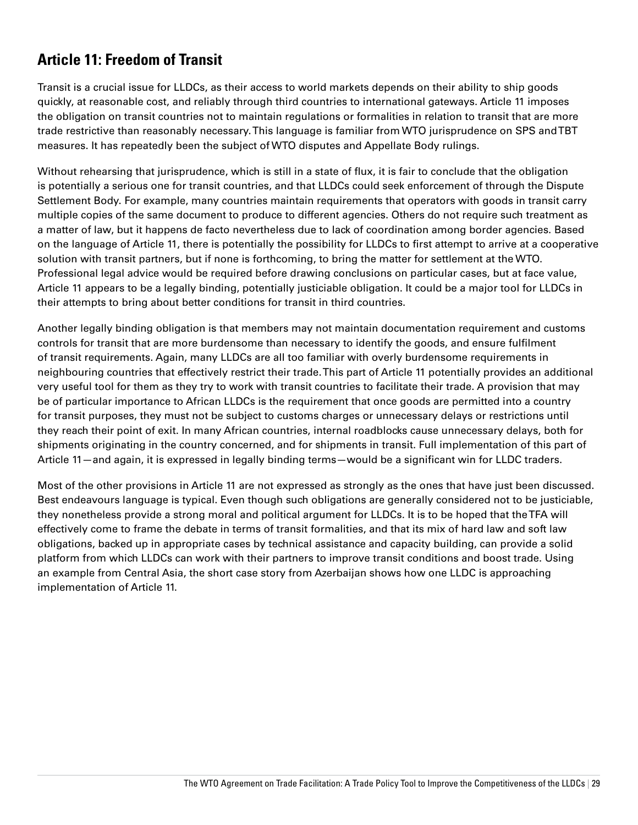# **Article 11: Freedom of Transit**

Transit is a crucial issue for LLDCs, as their access to world markets depends on their ability to ship goods quickly, at reasonable cost, and reliably through third countries to international gateways. Article 11 imposes the obligation on transit countries not to maintain regulations or formalities in relation to transit that are more trade restrictive than reasonably necessary. This language is familiar from WTO jurisprudence on SPS and TBT measures. It has repeatedly been the subject of WTO disputes and Appellate Body rulings.

Without rehearsing that jurisprudence, which is still in a state of flux, it is fair to conclude that the obligation is potentially a serious one for transit countries, and that LLDCs could seek enforcement of through the Dispute Settlement Body. For example, many countries maintain requirements that operators with goods in transit carry multiple copies of the same document to produce to different agencies. Others do not require such treatment as a matter of law, but it happens de facto nevertheless due to lack of coordination among border agencies. Based on the language of Article 11, there is potentially the possibility for LLDCs to first attempt to arrive at a cooperative solution with transit partners, but if none is forthcoming, to bring the matter for settlement at the WTO. Professional legal advice would be required before drawing conclusions on particular cases, but at face value, Article 11 appears to be a legally binding, potentially justiciable obligation. It could be a major tool for LLDCs in their attempts to bring about better conditions for transit in third countries.

Another legally binding obligation is that members may not maintain documentation requirement and customs controls for transit that are more burdensome than necessary to identify the goods, and ensure fulfilment of transit requirements. Again, many LLDCs are all too familiar with overly burdensome requirements in neighbouring countries that effectively restrict their trade. This part of Article 11 potentially provides an additional very useful tool for them as they try to work with transit countries to facilitate their trade. A provision that may be of particular importance to African LLDCs is the requirement that once goods are permitted into a country for transit purposes, they must not be subject to customs charges or unnecessary delays or restrictions until they reach their point of exit. In many African countries, internal roadblocks cause unnecessary delays, both for shipments originating in the country concerned, and for shipments in transit. Full implementation of this part of Article 11—and again, it is expressed in legally binding terms—would be a significant win for LLDC traders.

Most of the other provisions in Article 11 are not expressed as strongly as the ones that have just been discussed. Best endeavours language is typical. Even though such obligations are generally considered not to be justiciable, they nonetheless provide a strong moral and political argument for LLDCs. It is to be hoped that the TFA will effectively come to frame the debate in terms of transit formalities, and that its mix of hard law and soft law obligations, backed up in appropriate cases by technical assistance and capacity building, can provide a solid platform from which LLDCs can work with their partners to improve transit conditions and boost trade. Using an example from Central Asia, the short case story from Azerbaijan shows how one LLDC is approaching implementation of Article 11.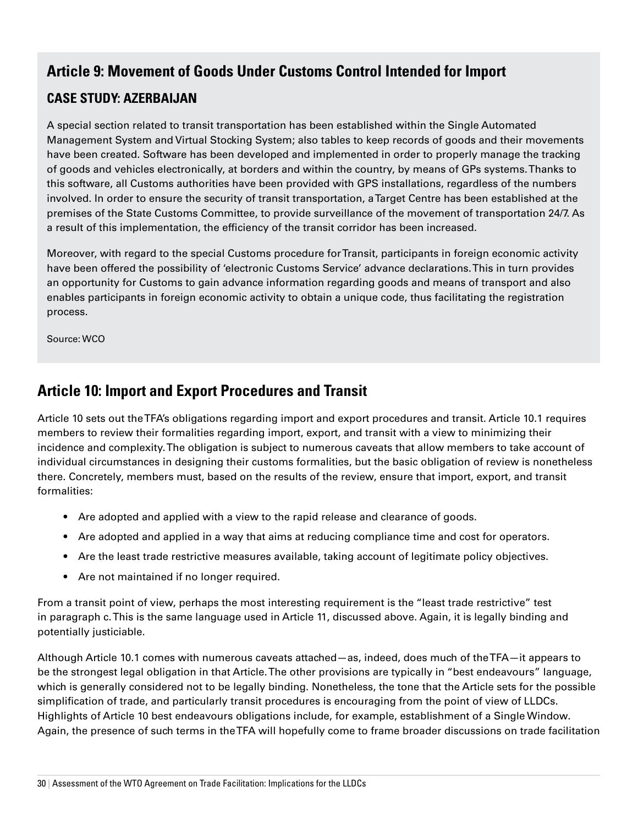# **Article 9: Movement of Goods Under Customs Control Intended for Import**

### **CASE STUDY: AZERBAIJAN**

A special section related to transit transportation has been established within the Single Automated Management System and Virtual Stocking System; also tables to keep records of goods and their movements have been created. Software has been developed and implemented in order to properly manage the tracking of goods and vehicles electronically, at borders and within the country, by means of GPs systems. Thanks to this software, all Customs authorities have been provided with GPS installations, regardless of the numbers involved. In order to ensure the security of transit transportation, a Target Centre has been established at the premises of the State Customs Committee, to provide surveillance of the movement of transportation 24/7. As a result of this implementation, the efficiency of the transit corridor has been increased.

Moreover, with regard to the special Customs procedure for Transit, participants in foreign economic activity have been offered the possibility of 'electronic Customs Service' advance declarations. This in turn provides an opportunity for Customs to gain advance information regarding goods and means of transport and also enables participants in foreign economic activity to obtain a unique code, thus facilitating the registration process.

Source: WCO

# **Article 10: Import and Export Procedures and Transit**

Article 10 sets out the TFA's obligations regarding import and export procedures and transit. Article 10.1 requires members to review their formalities regarding import, export, and transit with a view to minimizing their incidence and complexity. The obligation is subject to numerous caveats that allow members to take account of individual circumstances in designing their customs formalities, but the basic obligation of review is nonetheless there. Concretely, members must, based on the results of the review, ensure that import, export, and transit formalities:

- Are adopted and applied with a view to the rapid release and clearance of goods.
- • Are adopted and applied in a way that aims at reducing compliance time and cost for operators.
- Are the least trade restrictive measures available, taking account of legitimate policy objectives.
- Are not maintained if no longer required.

From a transit point of view, perhaps the most interesting requirement is the "least trade restrictive" test in paragraph c. This is the same language used in Article 11, discussed above. Again, it is legally binding and potentially justiciable.

Although Article 10.1 comes with numerous caveats attached—as, indeed, does much of the TFA—it appears to be the strongest legal obligation in that Article. The other provisions are typically in "best endeavours" language, which is generally considered not to be legally binding. Nonetheless, the tone that the Article sets for the possible simplification of trade, and particularly transit procedures is encouraging from the point of view of LLDCs. Highlights of Article 10 best endeavours obligations include, for example, establishment of a Single Window. Again, the presence of such terms in the TFA will hopefully come to frame broader discussions on trade facilitation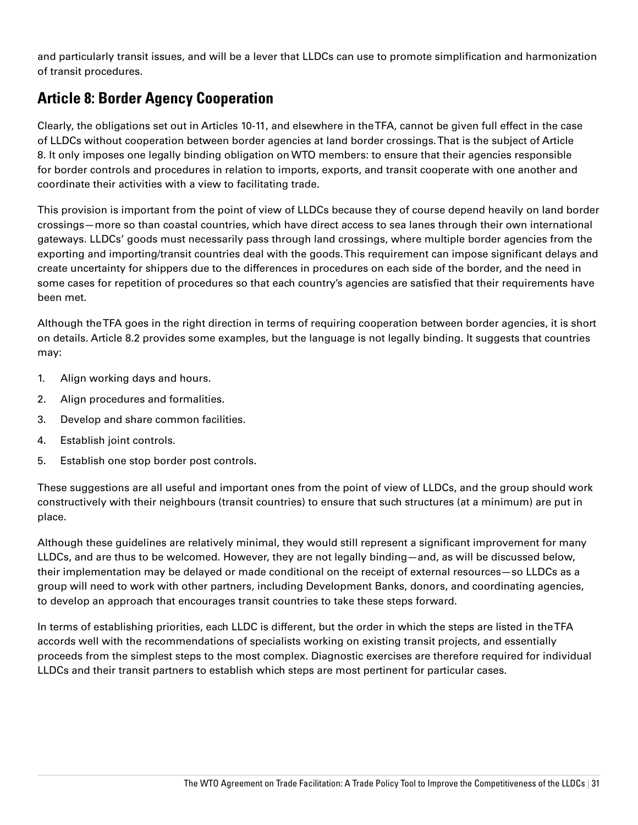and particularly transit issues, and will be a lever that LLDCs can use to promote simplification and harmonization of transit procedures.

# **Article 8: Border Agency Cooperation**

Clearly, the obligations set out in Articles 10-11, and elsewhere in the TFA, cannot be given full effect in the case of LLDCs without cooperation between border agencies at land border crossings. That is the subject of Article 8. It only imposes one legally binding obligation on WTO members: to ensure that their agencies responsible for border controls and procedures in relation to imports, exports, and transit cooperate with one another and coordinate their activities with a view to facilitating trade.

This provision is important from the point of view of LLDCs because they of course depend heavily on land border crossings—more so than coastal countries, which have direct access to sea lanes through their own international gateways. LLDCs' goods must necessarily pass through land crossings, where multiple border agencies from the exporting and importing/transit countries deal with the goods. This requirement can impose significant delays and create uncertainty for shippers due to the differences in procedures on each side of the border, and the need in some cases for repetition of procedures so that each country's agencies are satisfied that their requirements have been met.

Although the TFA goes in the right direction in terms of requiring cooperation between border agencies, it is short on details. Article 8.2 provides some examples, but the language is not legally binding. It suggests that countries may:

- 1. Align working days and hours.
- 2. Align procedures and formalities.
- 3. Develop and share common facilities.
- 4. Establish joint controls.
- 5. Establish one stop border post controls.

These suggestions are all useful and important ones from the point of view of LLDCs, and the group should work constructively with their neighbours (transit countries) to ensure that such structures (at a minimum) are put in place.

Although these guidelines are relatively minimal, they would still represent a significant improvement for many LLDCs, and are thus to be welcomed. However, they are not legally binding—and, as will be discussed below, their implementation may be delayed or made conditional on the receipt of external resources—so LLDCs as a group will need to work with other partners, including Development Banks, donors, and coordinating agencies, to develop an approach that encourages transit countries to take these steps forward.

In terms of establishing priorities, each LLDC is different, but the order in which the steps are listed in the TFA accords well with the recommendations of specialists working on existing transit projects, and essentially proceeds from the simplest steps to the most complex. Diagnostic exercises are therefore required for individual LLDCs and their transit partners to establish which steps are most pertinent for particular cases.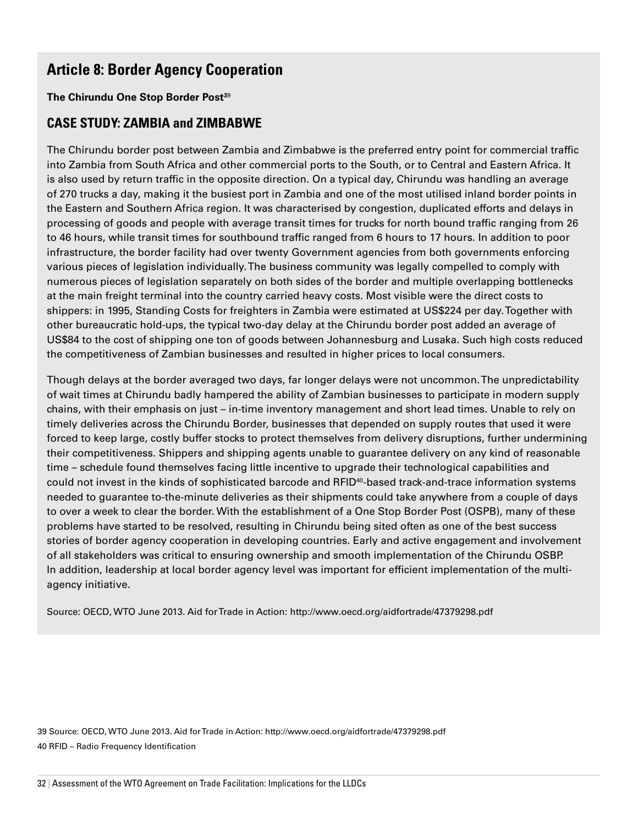# **Article 8: Border Agency Cooperation**

#### **The Chirundu One Stop Border Post<sup>39</sup>**

#### **CASE STUDY: ZAMBIA and ZIMBABWE**

The Chirundu border post between Zambia and Zimbabwe is the preferred entry point for commercial traffic into Zambia from South Africa and other commercial ports to the South, or to Central and Eastern Africa. It is also used by return traffic in the opposite direction. On a typical day, Chirundu was handling an average of 270 trucks a day, making it the busiest port in Zambia and one of the most utilised inland border points in the Eastern and Southern Africa region. It was characterised by congestion, duplicated efforts and delays in processing of goods and people with average transit times for trucks for north bound traffic ranging from 26 to 46 hours, while transit times for southbound traffic ranged from 6 hours to 17 hours. In addition to poor infrastructure, the border facility had over twenty Government agencies from both governments enforcing various pieces of legislation individually. The business community was legally compelled to comply with numerous pieces of legislation separately on both sides of the border and multiple overlapping bottlenecks at the main freight terminal into the country carried heavy costs. Most visible were the direct costs to shippers: in 1995, Standing Costs for freighters in Zambia were estimated at US\$224 per day. Together with other bureaucratic hold-ups, the typical two-day delay at the Chirundu border post added an average of US\$84 to the cost of shipping one ton of goods between Johannesburg and Lusaka. Such high costs reduced the competitiveness of Zambian businesses and resulted in higher prices to local consumers.

Though delays at the border averaged two days, far longer delays were not uncommon. The unpredictability of wait times at Chirundu badly hampered the ability of Zambian businesses to participate in modern supply chains, with their emphasis on just – in-time inventory management and short lead times. Unable to rely on timely deliveries across the Chirundu Border, businesses that depended on supply routes that used it were forced to keep large, costly buffer stocks to protect themselves from delivery disruptions, further undermining their competitiveness. Shippers and shipping agents unable to guarantee delivery on any kind of reasonable time – schedule found themselves facing little incentive to upgrade their technological capabilities and could not invest in the kinds of sophisticated barcode and RFID<sup>40</sup>-based track-and-trace information systems needed to guarantee to-the-minute deliveries as their shipments could take anywhere from a couple of days to over a week to clear the border. With the establishment of a One Stop Border Post (OSPB), many of these problems have started to be resolved, resulting in Chirundu being sited often as one of the best success stories of border agency cooperation in developing countries. Early and active engagement and involvement of all stakeholders was critical to ensuring ownership and smooth implementation of the Chirundu OSBP. In addition, leadership at local border agency level was important for efficient implementation of the multiagency initiative.

Source: OECD, WTO June 2013. Aid for Trade in Action: http://www.oecd.org/aidfortrade/47379298.pdf

39 Source: OECD, WTO June 2013. Aid for Trade in Action: http://www.oecd.org/aidfortrade/47379298.pdf 40 RFID – Radio Frequency Identification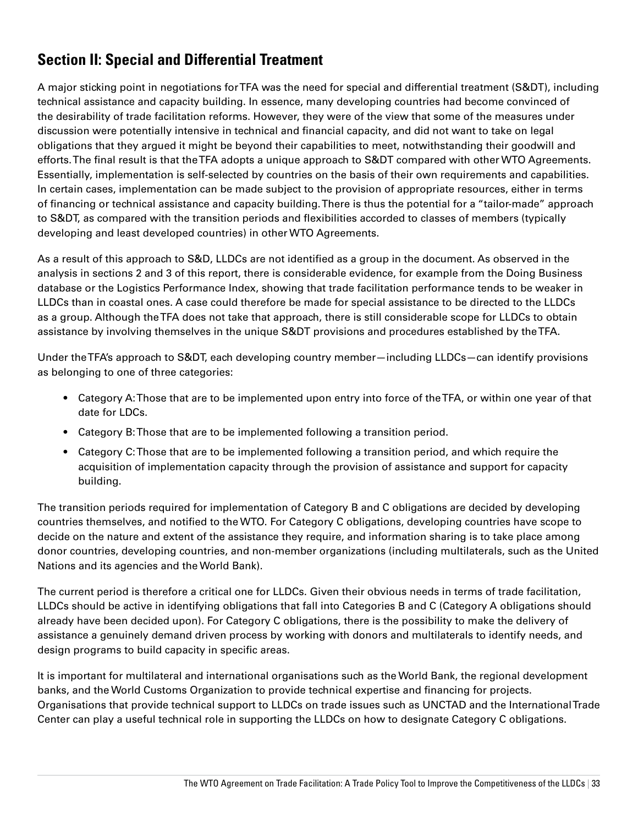# **Section II: Special and Differential Treatment**

A major sticking point in negotiations for TFA was the need for special and differential treatment (S&DT), including technical assistance and capacity building. In essence, many developing countries had become convinced of the desirability of trade facilitation reforms. However, they were of the view that some of the measures under discussion were potentially intensive in technical and financial capacity, and did not want to take on legal obligations that they argued it might be beyond their capabilities to meet, notwithstanding their goodwill and efforts. The final result is that the TFA adopts a unique approach to S&DT compared with other WTO Agreements. Essentially, implementation is self-selected by countries on the basis of their own requirements and capabilities. In certain cases, implementation can be made subject to the provision of appropriate resources, either in terms of financing or technical assistance and capacity building. There is thus the potential for a "tailor-made" approach to S&DT, as compared with the transition periods and flexibilities accorded to classes of members (typically developing and least developed countries) in other WTO Agreements.

As a result of this approach to S&D, LLDCs are not identified as a group in the document. As observed in the analysis in sections 2 and 3 of this report, there is considerable evidence, for example from the Doing Business database or the Logistics Performance Index, showing that trade facilitation performance tends to be weaker in LLDCs than in coastal ones. A case could therefore be made for special assistance to be directed to the LLDCs as a group. Although the TFA does not take that approach, there is still considerable scope for LLDCs to obtain assistance by involving themselves in the unique S&DT provisions and procedures established by the TFA.

Under the TFA's approach to S&DT, each developing country member—including LLDCs—can identify provisions as belonging to one of three categories:

- Category A: Those that are to be implemented upon entry into force of the TFA, or within one year of that date for LDCs.
- Category B: Those that are to be implemented following a transition period.
- Category C: Those that are to be implemented following a transition period, and which require the acquisition of implementation capacity through the provision of assistance and support for capacity building.

The transition periods required for implementation of Category B and C obligations are decided by developing countries themselves, and notified to the WTO. For Category C obligations, developing countries have scope to decide on the nature and extent of the assistance they require, and information sharing is to take place among donor countries, developing countries, and non-member organizations (including multilaterals, such as the United Nations and its agencies and the World Bank).

The current period is therefore a critical one for LLDCs. Given their obvious needs in terms of trade facilitation, LLDCs should be active in identifying obligations that fall into Categories B and C (Category A obligations should already have been decided upon). For Category C obligations, there is the possibility to make the delivery of assistance a genuinely demand driven process by working with donors and multilaterals to identify needs, and design programs to build capacity in specific areas.

It is important for multilateral and international organisations such as the World Bank, the regional development banks, and the World Customs Organization to provide technical expertise and financing for projects. Organisations that provide technical support to LLDCs on trade issues such as UNCTAD and the International Trade Center can play a useful technical role in supporting the LLDCs on how to designate Category C obligations.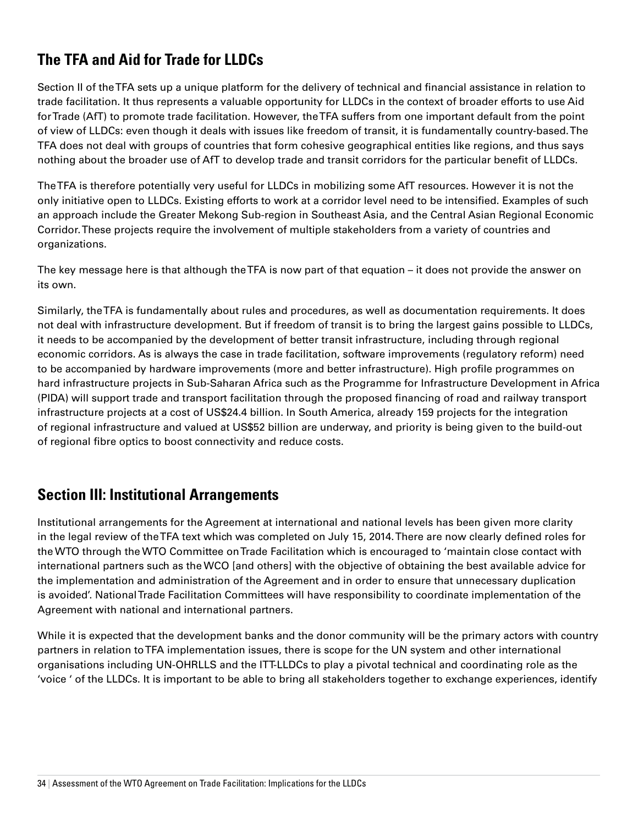# **The TFA and Aid for Trade for LLDCs**

Section II of the TFA sets up a unique platform for the delivery of technical and financial assistance in relation to trade facilitation. It thus represents a valuable opportunity for LLDCs in the context of broader efforts to use Aid for Trade (AfT) to promote trade facilitation. However, the TFA suffers from one important default from the point of view of LLDCs: even though it deals with issues like freedom of transit, it is fundamentally country-based. The TFA does not deal with groups of countries that form cohesive geographical entities like regions, and thus says nothing about the broader use of AfT to develop trade and transit corridors for the particular benefit of LLDCs.

The TFA is therefore potentially very useful for LLDCs in mobilizing some AfT resources. However it is not the only initiative open to LLDCs. Existing efforts to work at a corridor level need to be intensified. Examples of such an approach include the Greater Mekong Sub-region in Southeast Asia, and the Central Asian Regional Economic Corridor. These projects require the involvement of multiple stakeholders from a variety of countries and organizations.

The key message here is that although the TFA is now part of that equation – it does not provide the answer on its own.

Similarly, the TFA is fundamentally about rules and procedures, as well as documentation requirements. It does not deal with infrastructure development. But if freedom of transit is to bring the largest gains possible to LLDCs, it needs to be accompanied by the development of better transit infrastructure, including through regional economic corridors. As is always the case in trade facilitation, software improvements (regulatory reform) need to be accompanied by hardware improvements (more and better infrastructure). High profile programmes on hard infrastructure projects in Sub-Saharan Africa such as the Programme for Infrastructure Development in Africa (PIDA) will support trade and transport facilitation through the proposed financing of road and railway transport infrastructure projects at a cost of US\$24.4 billion. In South America, already 159 projects for the integration of regional infrastructure and valued at US\$52 billion are underway, and priority is being given to the build-out of regional fibre optics to boost connectivity and reduce costs.

## **Section III: Institutional Arrangements**

Institutional arrangements for the Agreement at international and national levels has been given more clarity in the legal review of the TFA text which was completed on July 15, 2014. There are now clearly defined roles for the WTO through the WTO Committee on Trade Facilitation which is encouraged to 'maintain close contact with international partners such as the WCO [and others] with the objective of obtaining the best available advice for the implementation and administration of the Agreement and in order to ensure that unnecessary duplication is avoided'. National Trade Facilitation Committees will have responsibility to coordinate implementation of the Agreement with national and international partners.

While it is expected that the development banks and the donor community will be the primary actors with country partners in relation to TFA implementation issues, there is scope for the UN system and other international organisations including UN-OHRLLS and the ITT-LLDCs to play a pivotal technical and coordinating role as the 'voice ' of the LLDCs. It is important to be able to bring all stakeholders together to exchange experiences, identify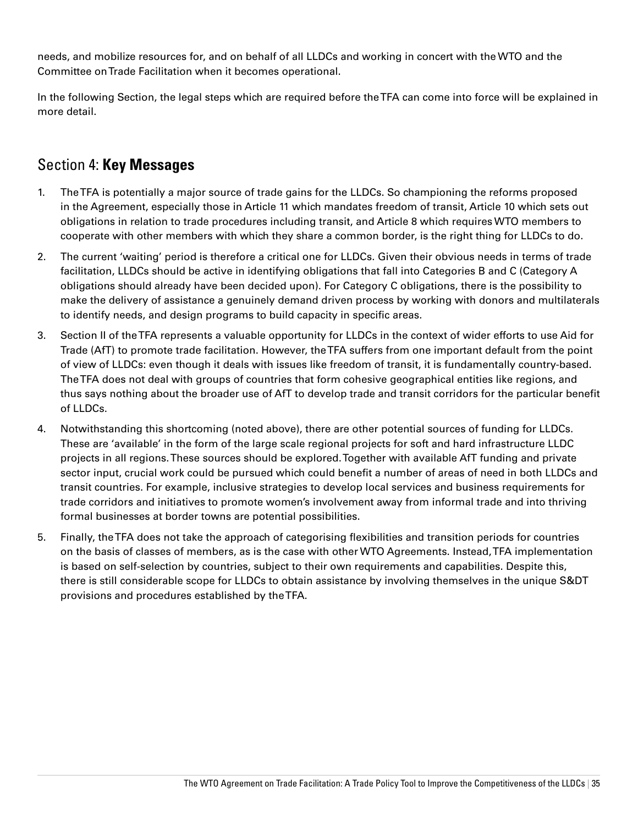needs, and mobilize resources for, and on behalf of all LLDCs and working in concert with the WTO and the Committee on Trade Facilitation when it becomes operational.

In the following Section, the legal steps which are required before the TFA can come into force will be explained in more detail.

# Section 4: **Key Messages**

- 1. The TFA is potentially a major source of trade gains for the LLDCs. So championing the reforms proposed in the Agreement, especially those in Article 11 which mandates freedom of transit, Article 10 which sets out obligations in relation to trade procedures including transit, and Article 8 which requires WTO members to cooperate with other members with which they share a common border, is the right thing for LLDCs to do.
- 2. The current 'waiting' period is therefore a critical one for LLDCs. Given their obvious needs in terms of trade facilitation, LLDCs should be active in identifying obligations that fall into Categories B and C (Category A obligations should already have been decided upon). For Category C obligations, there is the possibility to make the delivery of assistance a genuinely demand driven process by working with donors and multilaterals to identify needs, and design programs to build capacity in specific areas.
- 3. Section II of the TFA represents a valuable opportunity for LLDCs in the context of wider efforts to use Aid for Trade (AfT) to promote trade facilitation. However, the TFA suffers from one important default from the point of view of LLDCs: even though it deals with issues like freedom of transit, it is fundamentally country-based. The TFA does not deal with groups of countries that form cohesive geographical entities like regions, and thus says nothing about the broader use of AfT to develop trade and transit corridors for the particular benefit of LLDCs.
- 4. Notwithstanding this shortcoming (noted above), there are other potential sources of funding for LLDCs. These are 'available' in the form of the large scale regional projects for soft and hard infrastructure LLDC projects in all regions. These sources should be explored. Together with available AfT funding and private sector input, crucial work could be pursued which could benefit a number of areas of need in both LLDCs and transit countries. For example, inclusive strategies to develop local services and business requirements for trade corridors and initiatives to promote women's involvement away from informal trade and into thriving formal businesses at border towns are potential possibilities.
- 5. Finally, the TFA does not take the approach of categorising flexibilities and transition periods for countries on the basis of classes of members, as is the case with other WTO Agreements. Instead, TFA implementation is based on self-selection by countries, subject to their own requirements and capabilities. Despite this, there is still considerable scope for LLDCs to obtain assistance by involving themselves in the unique S&DT provisions and procedures established by the TFA.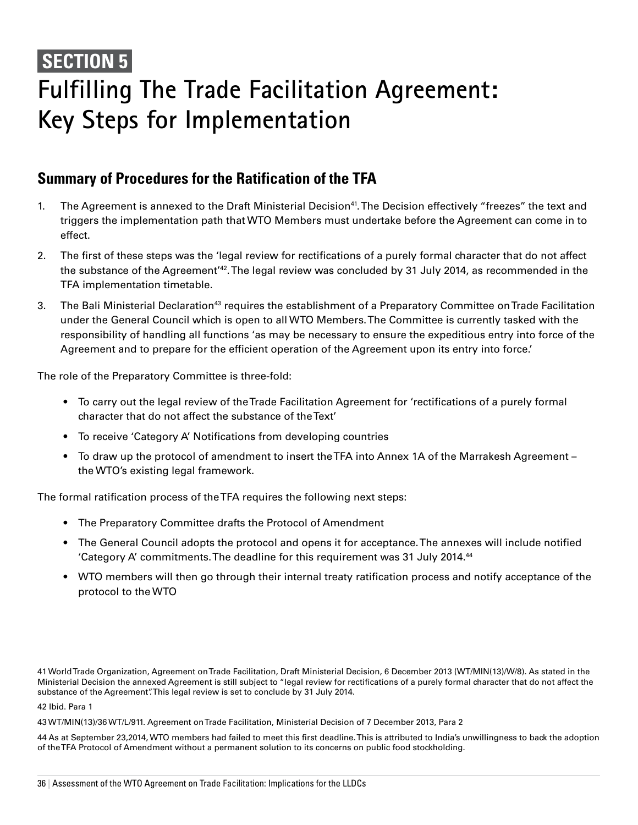# **SECTION 5 Fulfilling The Trade Facilitation Agreement: Key Steps for Implementation**

### **Summary of Procedures for the Ratification of the TFA**

- 1. The Agreement is annexed to the Draft Ministerial Decision<sup>41</sup>. The Decision effectively "freezes" the text and triggers the implementation path that WTO Members must undertake before the Agreement can come in to effect.
- 2. The first of these steps was the 'legal review for rectifications of a purely formal character that do not affect the substance of the Agreement'42. The legal review was concluded by 31 July 2014, as recommended in the TFA implementation timetable.
- 3. The Bali Ministerial Declaration<sup>43</sup> requires the establishment of a Preparatory Committee on Trade Facilitation under the General Council which is open to all WTO Members. The Committee is currently tasked with the responsibility of handling all functions 'as may be necessary to ensure the expeditious entry into force of the Agreement and to prepare for the efficient operation of the Agreement upon its entry into force.'

The role of the Preparatory Committee is three-fold:

- To carry out the legal review of the Trade Facilitation Agreement for 'rectifications of a purely formal character that do not affect the substance of the Text'
- To receive 'Category A' Notifications from developing countries
- To draw up the protocol of amendment to insert the TFA into Annex 1A of the Marrakesh Agreement the WTO's existing legal framework.

The formal ratification process of the TFA requires the following next steps:

- The Preparatory Committee drafts the Protocol of Amendment
- The General Council adopts the protocol and opens it for acceptance. The annexes will include notified 'Category A' commitments. The deadline for this requirement was 31 July 2014.44
- • WTO members will then go through their internal treaty ratification process and notify acceptance of the protocol to the WTO

41 World Trade Organization, Agreement on Trade Facilitation, Draft Ministerial Decision, 6 December 2013 (WT/MIN(13)/W/8). As stated in the Ministerial Decision the annexed Agreement is still subject to "legal review for rectifications of a purely formal character that do not affect the substance of the Agreement". This legal review is set to conclude by 31 July 2014.

42 Ibid. Para 1

43 WT/MIN(13)/36 WT/L/911. Agreement on Trade Facilitation, Ministerial Decision of 7 December 2013, Para 2

44 As at September 23,2014, WTO members had failed to meet this first deadline. This is attributed to India's unwillingness to back the adoption of the TFA Protocol of Amendment without a permanent solution to its concerns on public food stockholding.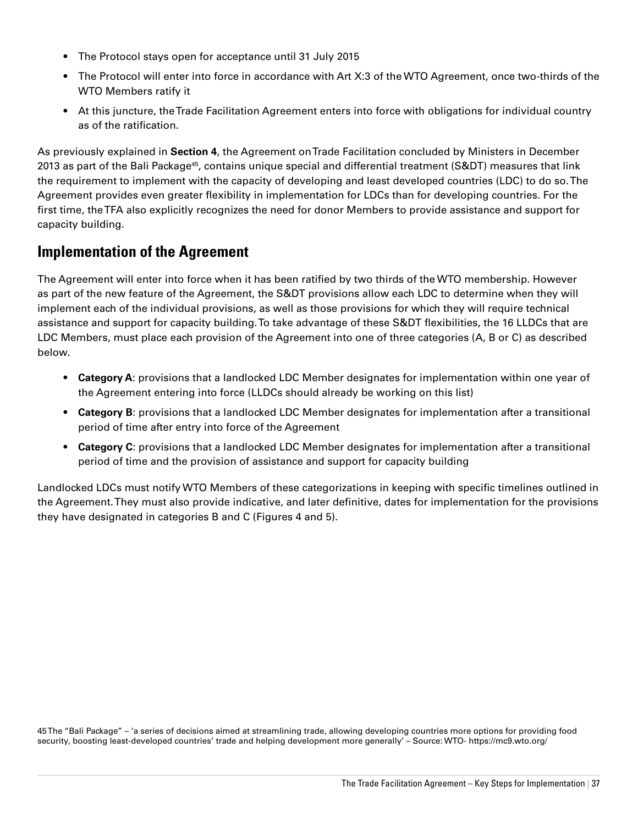- The Protocol stays open for acceptance until 31 July 2015
- The Protocol will enter into force in accordance with Art X:3 of the WTO Agreement, once two-thirds of the WTO Members ratify it
- At this juncture, the Trade Facilitation Agreement enters into force with obligations for individual country as of the ratification.

As previously explained in **Section 4**, the Agreement on Trade Facilitation concluded by Ministers in December 2013 as part of the Bali Package<sup>45</sup>, contains unique special and differential treatment (S&DT) measures that link the requirement to implement with the capacity of developing and least developed countries (LDC) to do so. The Agreement provides even greater flexibility in implementation for LDCs than for developing countries. For the first time, the TFA also explicitly recognizes the need for donor Members to provide assistance and support for capacity building.

### **Implementation of the Agreement**

The Agreement will enter into force when it has been ratified by two thirds of the WTO membership. However as part of the new feature of the Agreement, the S&DT provisions allow each LDC to determine when they will implement each of the individual provisions, as well as those provisions for which they will require technical assistance and support for capacity building. To take advantage of these S&DT flexibilities, the 16 LLDCs that are LDC Members, must place each provision of the Agreement into one of three categories (A, B or C) as described below.

- • **Category A**: provisions that a landlocked LDC Member designates for implementation within one year of the Agreement entering into force (LLDCs should already be working on this list)
- • **Category B**: provisions that a landlocked LDC Member designates for implementation after a transitional period of time after entry into force of the Agreement
- • **Category C**: provisions that a landlocked LDC Member designates for implementation after a transitional period of time and the provision of assistance and support for capacity building

Landlocked LDCs must notify WTO Members of these categorizations in keeping with specific timelines outlined in the Agreement. They must also provide indicative, and later definitive, dates for implementation for the provisions they have designated in categories B and C (Figures 4 and 5).

45 The "Bali Package" – 'a series of decisions aimed at streamlining trade, allowing developing countries more options for providing food security, boosting least-developed countries' trade and helping development more generally' – Source: WTO- https://mc9.wto.org/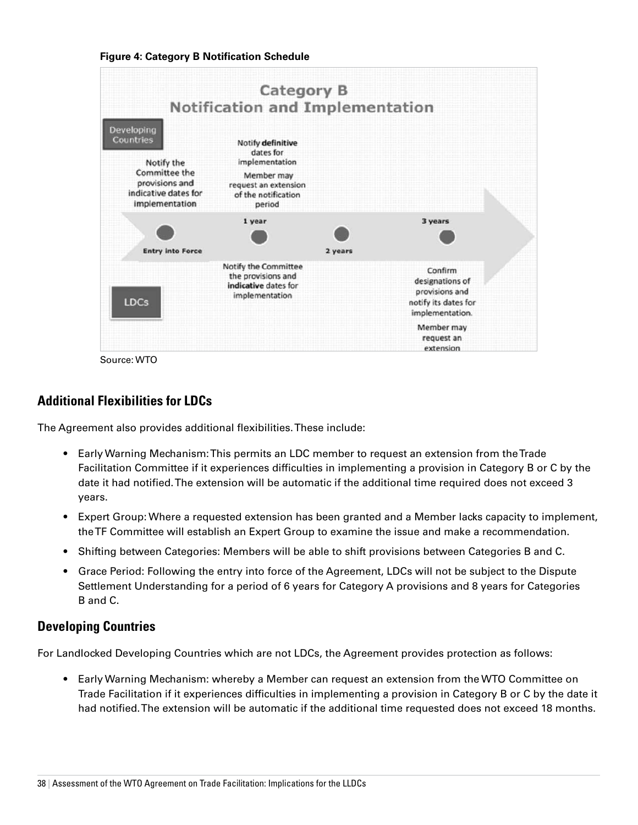



Source: WTO

#### **Additional Flexibilities for LDCs**

The Agreement also provides additional flexibilities. These include:

- Early Warning Mechanism: This permits an LDC member to request an extension from the Trade Facilitation Committee if it experiences difficulties in implementing a provision in Category B or C by the date it had notified. The extension will be automatic if the additional time required does not exceed 3 years.
- Expert Group: Where a requested extension has been granted and a Member lacks capacity to implement, the TF Committee will establish an Expert Group to examine the issue and make a recommendation.
- Shifting between Categories: Members will be able to shift provisions between Categories B and C.
- Grace Period: Following the entry into force of the Agreement, LDCs will not be subject to the Dispute Settlement Understanding for a period of 6 years for Category A provisions and 8 years for Categories B and C.

#### **Developing Countries**

For Landlocked Developing Countries which are not LDCs, the Agreement provides protection as follows:

• Early Warning Mechanism: whereby a Member can request an extension from the WTO Committee on Trade Facilitation if it experiences difficulties in implementing a provision in Category B or C by the date it had notified. The extension will be automatic if the additional time requested does not exceed 18 months.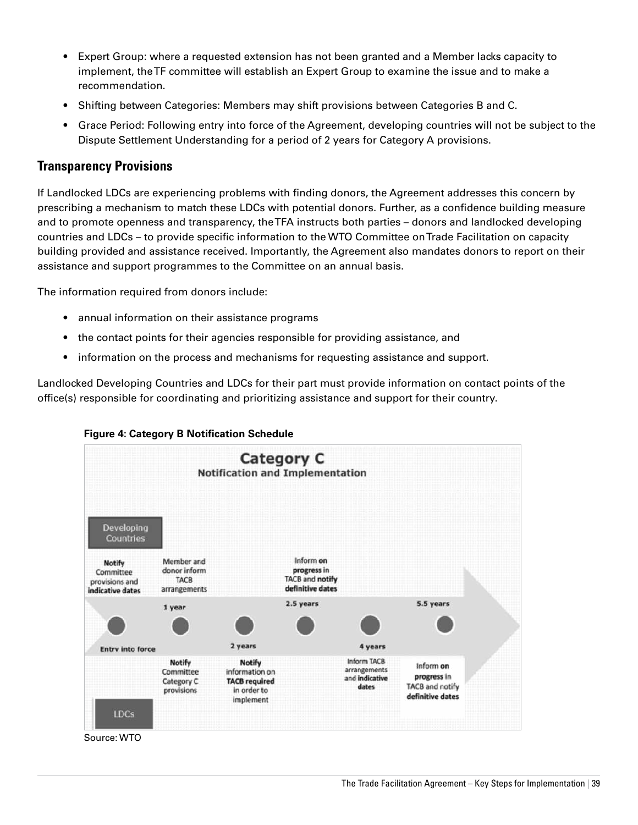- • Expert Group: where a requested extension has not been granted and a Member lacks capacity to implement, the TF committee will establish an Expert Group to examine the issue and to make a recommendation.
- Shifting between Categories: Members may shift provisions between Categories B and C.
- • Grace Period: Following entry into force of the Agreement, developing countries will not be subject to the Dispute Settlement Understanding for a period of 2 years for Category A provisions.

#### **Transparency Provisions**

If Landlocked LDCs are experiencing problems with finding donors, the Agreement addresses this concern by prescribing a mechanism to match these LDCs with potential donors. Further, as a confidence building measure and to promote openness and transparency, the TFA instructs both parties – donors and landlocked developing countries and LDCs – to provide specific information to the WTO Committee on Trade Facilitation on capacity building provided and assistance received. Importantly, the Agreement also mandates donors to report on their assistance and support programmes to the Committee on an annual basis.

The information required from donors include:

- annual information on their assistance programs
- the contact points for their agencies responsible for providing assistance, and
- information on the process and mechanisms for requesting assistance and support.

Landlocked Developing Countries and LDCs for their part must provide information on contact points of the office(s) responsible for coordinating and prioritizing assistance and support for their country.





Source: WTO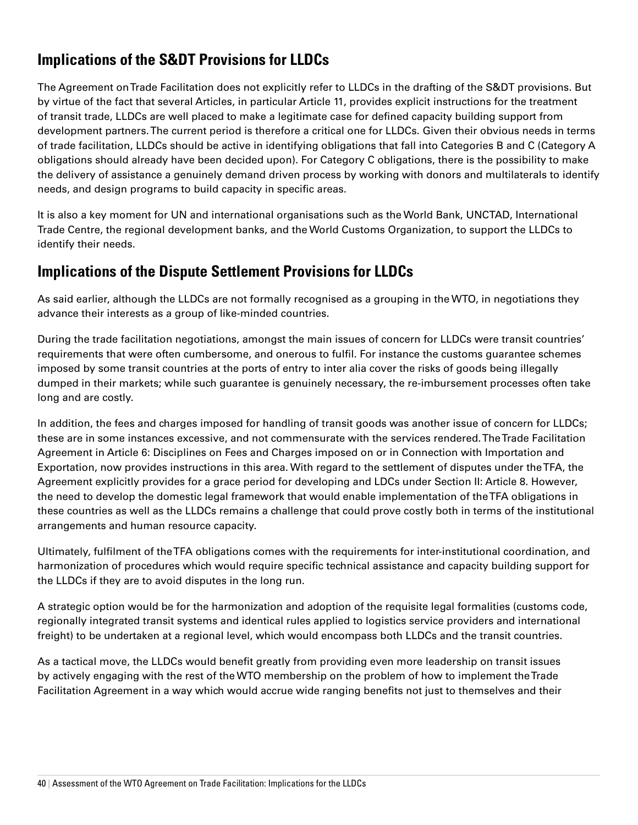# **Implications of the S&DT Provisions for LLDCs**

The Agreement on Trade Facilitation does not explicitly refer to LLDCs in the drafting of the S&DT provisions. But by virtue of the fact that several Articles, in particular Article 11, provides explicit instructions for the treatment of transit trade, LLDCs are well placed to make a legitimate case for defined capacity building support from development partners. The current period is therefore a critical one for LLDCs. Given their obvious needs in terms of trade facilitation, LLDCs should be active in identifying obligations that fall into Categories B and C (Category A obligations should already have been decided upon). For Category C obligations, there is the possibility to make the delivery of assistance a genuinely demand driven process by working with donors and multilaterals to identify needs, and design programs to build capacity in specific areas.

It is also a key moment for UN and international organisations such as the World Bank, UNCTAD, International Trade Centre, the regional development banks, and the World Customs Organization, to support the LLDCs to identify their needs.

# **Implications of the Dispute Settlement Provisions for LLDCs**

As said earlier, although the LLDCs are not formally recognised as a grouping in the WTO, in negotiations they advance their interests as a group of like-minded countries.

During the trade facilitation negotiations, amongst the main issues of concern for LLDCs were transit countries' requirements that were often cumbersome, and onerous to fulfil. For instance the customs guarantee schemes imposed by some transit countries at the ports of entry to inter alia cover the risks of goods being illegally dumped in their markets; while such guarantee is genuinely necessary, the re-imbursement processes often take long and are costly.

In addition, the fees and charges imposed for handling of transit goods was another issue of concern for LLDCs; these are in some instances excessive, and not commensurate with the services rendered. The Trade Facilitation Agreement in Article 6: Disciplines on Fees and Charges imposed on or in Connection with Importation and Exportation, now provides instructions in this area. With regard to the settlement of disputes under the TFA, the Agreement explicitly provides for a grace period for developing and LDCs under Section II: Article 8. However, the need to develop the domestic legal framework that would enable implementation of the TFA obligations in these countries as well as the LLDCs remains a challenge that could prove costly both in terms of the institutional arrangements and human resource capacity.

Ultimately, fulfilment of the TFA obligations comes with the requirements for inter-institutional coordination, and harmonization of procedures which would require specific technical assistance and capacity building support for the LLDCs if they are to avoid disputes in the long run.

A strategic option would be for the harmonization and adoption of the requisite legal formalities (customs code, regionally integrated transit systems and identical rules applied to logistics service providers and international freight) to be undertaken at a regional level, which would encompass both LLDCs and the transit countries.

As a tactical move, the LLDCs would benefit greatly from providing even more leadership on transit issues by actively engaging with the rest of the WTO membership on the problem of how to implement the Trade Facilitation Agreement in a way which would accrue wide ranging benefits not just to themselves and their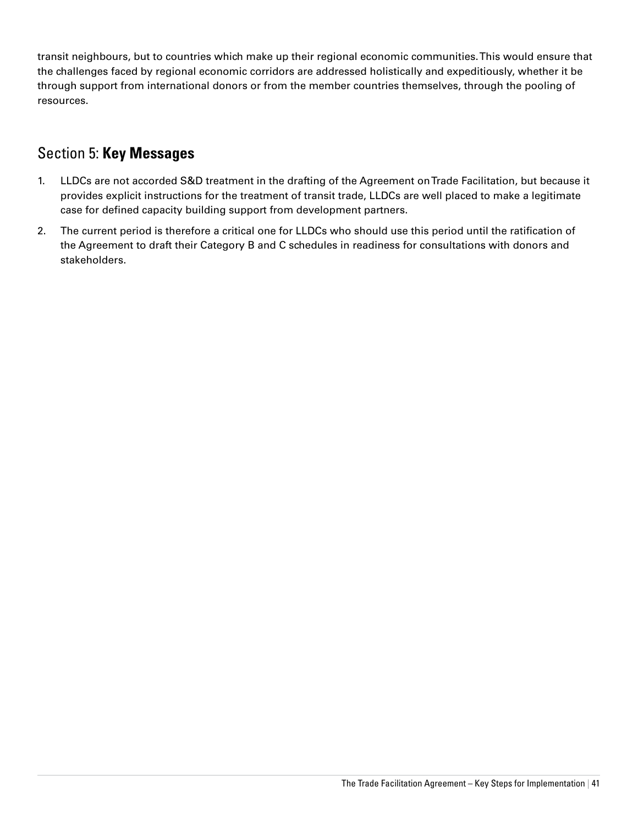transit neighbours, but to countries which make up their regional economic communities. This would ensure that the challenges faced by regional economic corridors are addressed holistically and expeditiously, whether it be through support from international donors or from the member countries themselves, through the pooling of resources.

# Section 5: **Key Messages**

- 1. LLDCs are not accorded S&D treatment in the drafting of the Agreement on Trade Facilitation, but because it provides explicit instructions for the treatment of transit trade, LLDCs are well placed to make a legitimate case for defined capacity building support from development partners.
- 2. The current period is therefore a critical one for LLDCs who should use this period until the ratification of the Agreement to draft their Category B and C schedules in readiness for consultations with donors and stakeholders.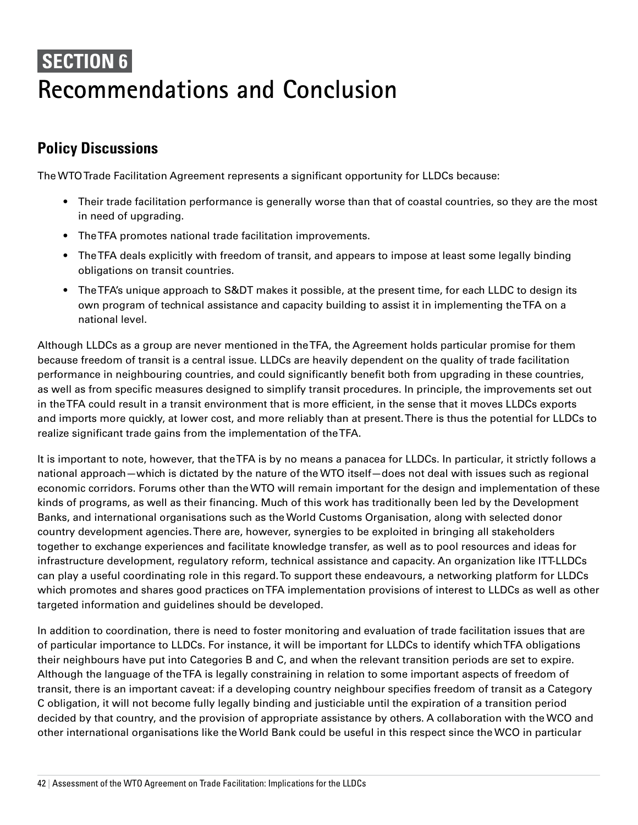# **SECTION 6 Recommendations and Conclusion**

# **Policy Discussions**

The WTO Trade Facilitation Agreement represents a significant opportunity for LLDCs because:

- Their trade facilitation performance is generally worse than that of coastal countries, so they are the most in need of upgrading.
- The TFA promotes national trade facilitation improvements.
- The TFA deals explicitly with freedom of transit, and appears to impose at least some legally binding obligations on transit countries.
- The TFA's unique approach to S&DT makes it possible, at the present time, for each LLDC to design its own program of technical assistance and capacity building to assist it in implementing the TFA on a national level.

Although LLDCs as a group are never mentioned in the TFA, the Agreement holds particular promise for them because freedom of transit is a central issue. LLDCs are heavily dependent on the quality of trade facilitation performance in neighbouring countries, and could significantly benefit both from upgrading in these countries, as well as from specific measures designed to simplify transit procedures. In principle, the improvements set out in the TFA could result in a transit environment that is more efficient, in the sense that it moves LLDCs exports and imports more quickly, at lower cost, and more reliably than at present. There is thus the potential for LLDCs to realize significant trade gains from the implementation of the TFA.

It is important to note, however, that the TFA is by no means a panacea for LLDCs. In particular, it strictly follows a national approach—which is dictated by the nature of the WTO itself—does not deal with issues such as regional economic corridors. Forums other than the WTO will remain important for the design and implementation of these kinds of programs, as well as their financing. Much of this work has traditionally been led by the Development Banks, and international organisations such as the World Customs Organisation, along with selected donor country development agencies. There are, however, synergies to be exploited in bringing all stakeholders together to exchange experiences and facilitate knowledge transfer, as well as to pool resources and ideas for infrastructure development, regulatory reform, technical assistance and capacity. An organization like ITT-LLDCs can play a useful coordinating role in this regard. To support these endeavours, a networking platform for LLDCs which promotes and shares good practices on TFA implementation provisions of interest to LLDCs as well as other targeted information and guidelines should be developed.

In addition to coordination, there is need to foster monitoring and evaluation of trade facilitation issues that are of particular importance to LLDCs. For instance, it will be important for LLDCs to identify which TFA obligations their neighbours have put into Categories B and C, and when the relevant transition periods are set to expire. Although the language of the TFA is legally constraining in relation to some important aspects of freedom of transit, there is an important caveat: if a developing country neighbour specifies freedom of transit as a Category C obligation, it will not become fully legally binding and justiciable until the expiration of a transition period decided by that country, and the provision of appropriate assistance by others. A collaboration with the WCO and other international organisations like the World Bank could be useful in this respect since the WCO in particular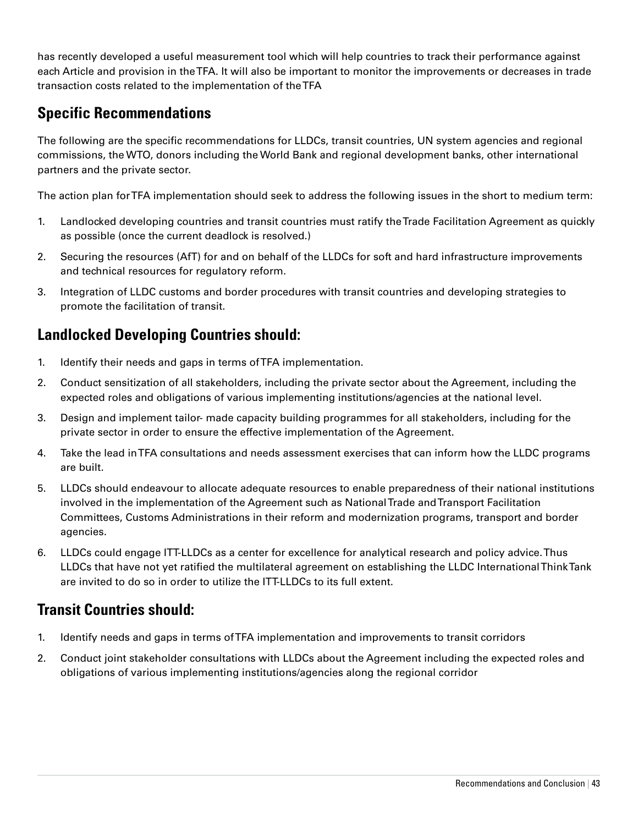has recently developed a useful measurement tool which will help countries to track their performance against each Article and provision in the TFA. It will also be important to monitor the improvements or decreases in trade transaction costs related to the implementation of the TFA

# **Specific Recommendations**

The following are the specific recommendations for LLDCs, transit countries, UN system agencies and regional commissions, the WTO, donors including the World Bank and regional development banks, other international partners and the private sector.

The action plan for TFA implementation should seek to address the following issues in the short to medium term:

- 1. Landlocked developing countries and transit countries must ratify the Trade Facilitation Agreement as quickly as possible (once the current deadlock is resolved.)
- 2. Securing the resources (AfT) for and on behalf of the LLDCs for soft and hard infrastructure improvements and technical resources for regulatory reform.
- 3. Integration of LLDC customs and border procedures with transit countries and developing strategies to promote the facilitation of transit.

# **Landlocked Developing Countries should:**

- 1. Identify their needs and gaps in terms of TFA implementation.
- 2. Conduct sensitization of all stakeholders, including the private sector about the Agreement, including the expected roles and obligations of various implementing institutions/agencies at the national level.
- 3. Design and implement tailor- made capacity building programmes for all stakeholders, including for the private sector in order to ensure the effective implementation of the Agreement.
- 4. Take the lead in TFA consultations and needs assessment exercises that can inform how the LLDC programs are built.
- 5. LLDCs should endeavour to allocate adequate resources to enable preparedness of their national institutions involved in the implementation of the Agreement such as National Trade and Transport Facilitation Committees, Customs Administrations in their reform and modernization programs, transport and border agencies.
- 6. LLDCs could engage ITT-LLDCs as a center for excellence for analytical research and policy advice. Thus LLDCs that have not yet ratified the multilateral agreement on establishing the LLDC International Think Tank are invited to do so in order to utilize the ITT-LLDCs to its full extent.

# **Transit Countries should:**

- 1. Identify needs and gaps in terms of TFA implementation and improvements to transit corridors
- 2. Conduct joint stakeholder consultations with LLDCs about the Agreement including the expected roles and obligations of various implementing institutions/agencies along the regional corridor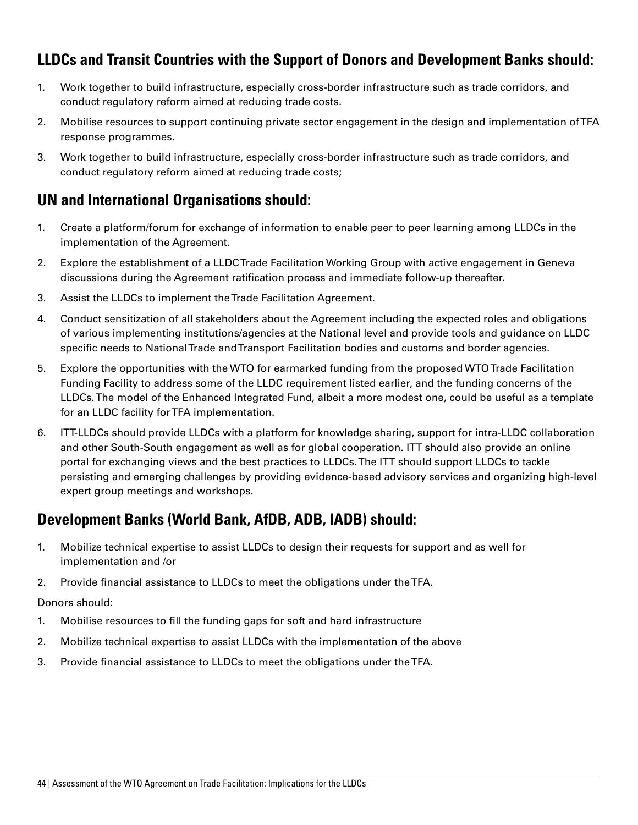# **LLDCs and Transit Countries with the Support of Donors and Development Banks should:**

- 1. Work together to build infrastructure, especially cross-border infrastructure such as trade corridors, and conduct regulatory reform aimed at reducing trade costs.
- 2. Mobilise resources to support continuing private sector engagement in the design and implementation of TFA response programmes.
- 3. Work together to build infrastructure, especially cross-border infrastructure such as trade corridors, and conduct regulatory reform aimed at reducing trade costs;

# **UN and International Organisations should:**

- 1. Create a platform/forum for exchange of information to enable peer to peer learning among LLDCs in the implementation of the Agreement.
- 2. Explore the establishment of a LLDC Trade Facilitation Working Group with active engagement in Geneva discussions during the Agreement ratification process and immediate follow-up thereafter.
- 3. Assist the LLDCs to implement the Trade Facilitation Agreement.
- 4. Conduct sensitization of all stakeholders about the Agreement including the expected roles and obligations of various implementing institutions/agencies at the National level and provide tools and guidance on LLDC specific needs to National Trade and Transport Facilitation bodies and customs and border agencies.
- 5. Explore the opportunities with the WTO for earmarked funding from the proposed WTO Trade Facilitation Funding Facility to address some of the LLDC requirement listed earlier, and the funding concerns of the LLDCs. The model of the Enhanced Integrated Fund, albeit a more modest one, could be useful as a template for an LLDC facility for TFA implementation.
- 6. ITT-LLDCs should provide LLDCs with a platform for knowledge sharing, support for intra-LLDC collaboration and other South-South engagement as well as for global cooperation. ITT should also provide an online portal for exchanging views and the best practices to LLDCs. The ITT should support LLDCs to tackle persisting and emerging challenges by providing evidence-based advisory services and organizing high-level expert group meetings and workshops.

# **Development Banks (World Bank, AfDB, ADB, IADB) should:**

- 1. Mobilize technical expertise to assist LLDCs to design their requests for support and as well for implementation and /or
- 2. Provide financial assistance to LLDCs to meet the obligations under the TFA.

#### Donors should:

- 1. Mobilise resources to fill the funding gaps for soft and hard infrastructure
- 2. Mobilize technical expertise to assist LLDCs with the implementation of the above
- 3. Provide financial assistance to LLDCs to meet the obligations under the TFA.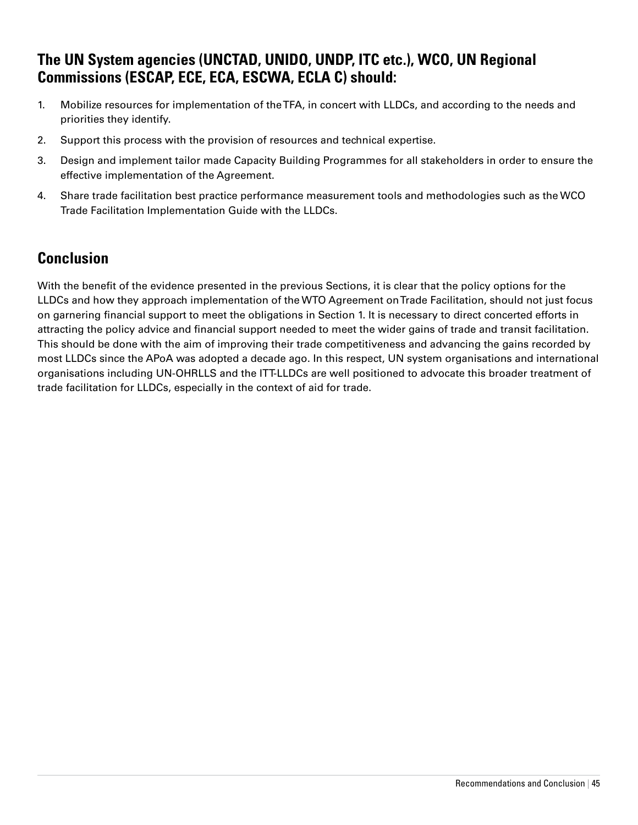# **The UN System agencies (UNCTAD, UNIDO, UNDP, ITC etc.), WCO, UN Regional Commissions (ESCAP, ECE, ECA, ESCWA, ECLA C) should:**

- 1. Mobilize resources for implementation of the TFA, in concert with LLDCs, and according to the needs and priorities they identify.
- 2. Support this process with the provision of resources and technical expertise.
- 3. Design and implement tailor made Capacity Building Programmes for all stakeholders in order to ensure the effective implementation of the Agreement.
- 4. Share trade facilitation best practice performance measurement tools and methodologies such as the WCO Trade Facilitation Implementation Guide with the LLDCs.

# **Conclusion**

With the benefit of the evidence presented in the previous Sections, it is clear that the policy options for the LLDCs and how they approach implementation of the WTO Agreement on Trade Facilitation, should not just focus on garnering financial support to meet the obligations in Section 1. It is necessary to direct concerted efforts in attracting the policy advice and financial support needed to meet the wider gains of trade and transit facilitation. This should be done with the aim of improving their trade competitiveness and advancing the gains recorded by most LLDCs since the APoA was adopted a decade ago. In this respect, UN system organisations and international organisations including UN-OHRLLS and the ITT-LLDCs are well positioned to advocate this broader treatment of trade facilitation for LLDCs, especially in the context of aid for trade.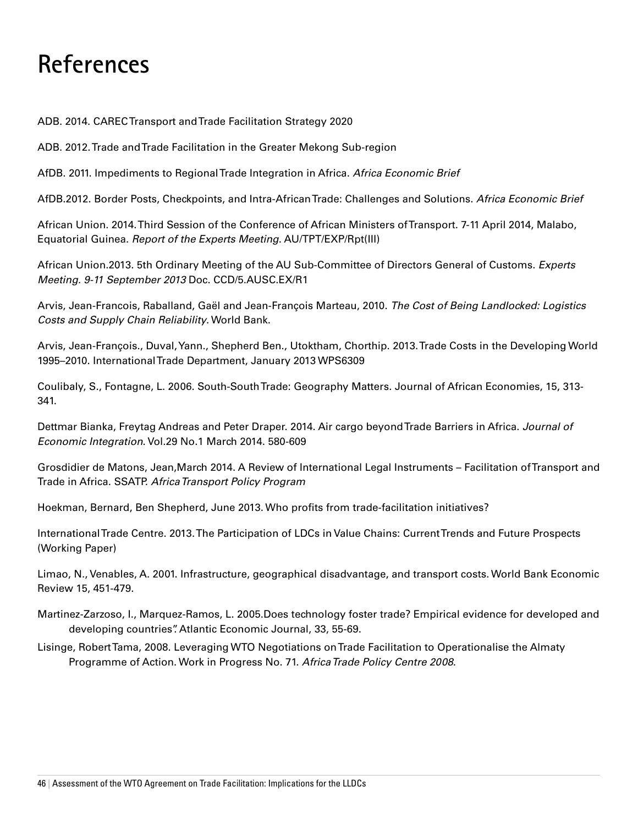# **References**

ADB. 2014. CAREC Transport and Trade Facilitation Strategy 2020

ADB. 2012. Trade and Trade Facilitation in the Greater Mekong Sub-region

AfDB. 2011. Impediments to Regional Trade Integration in Africa. *Africa Economic Brief*

AfDB.2012. Border Posts, Checkpoints, and Intra-African Trade: Challenges and Solutions. *Africa Economic Brief*

African Union. 2014. Third Session of the Conference of African Ministers of Transport. 7-11 April 2014, Malabo, Equatorial Guinea. *Report of the Experts Meeting*. AU/TPT/EXP/Rpt(III)

African Union.2013. 5th Ordinary Meeting of the AU Sub-Committee of Directors General of Customs. *Experts Meeting. 9-11 September 2013* Doc. CCD/5.AUSC.EX/R1

Arvis, Jean-Francois, Raballand, Gaël and Jean-François Marteau, 2010. *The Cost of Being Landlocked: Logistics Costs and Supply Chain Reliability*. World Bank.

Arvis, Jean-François., Duval, Yann., Shepherd Ben., Utoktham, Chorthip. 2013. Trade Costs in the Developing World 1995–2010. International Trade Department, January 2013 WPS6309

Coulibaly, S., Fontagne, L. 2006. South-South Trade: Geography Matters. Journal of African Economies, 15, 313- 341.

Dettmar Bianka, Freytag Andreas and Peter Draper. 2014. Air cargo beyond Trade Barriers in Africa. *Journal of Economic Integration*. Vol.29 No.1 March 2014. 580-609

Grosdidier de Matons, Jean,March 2014. A Review of International Legal Instruments – Facilitation of Transport and Trade in Africa. SSATP. *Africa Transport Policy Program*

Hoekman, Bernard, Ben Shepherd, June 2013. Who profits from trade-facilitation initiatives?

International Trade Centre. 2013. The Participation of LDCs in Value Chains: Current Trends and Future Prospects (Working Paper)

Limao, N., Venables, A. 2001. Infrastructure, geographical disadvantage, and transport costs. World Bank Economic Review 15, 451-479.

- Martinez-Zarzoso, I., Marquez-Ramos, L. 2005.Does technology foster trade? Empirical evidence for developed and developing countries". Atlantic Economic Journal, 33, 55-69.
- Lisinge, Robert Tama, 2008. Leveraging WTO Negotiations on Trade Facilitation to Operationalise the Almaty Programme of Action. Work in Progress No. 71. *Africa Trade Policy Centre 2008*.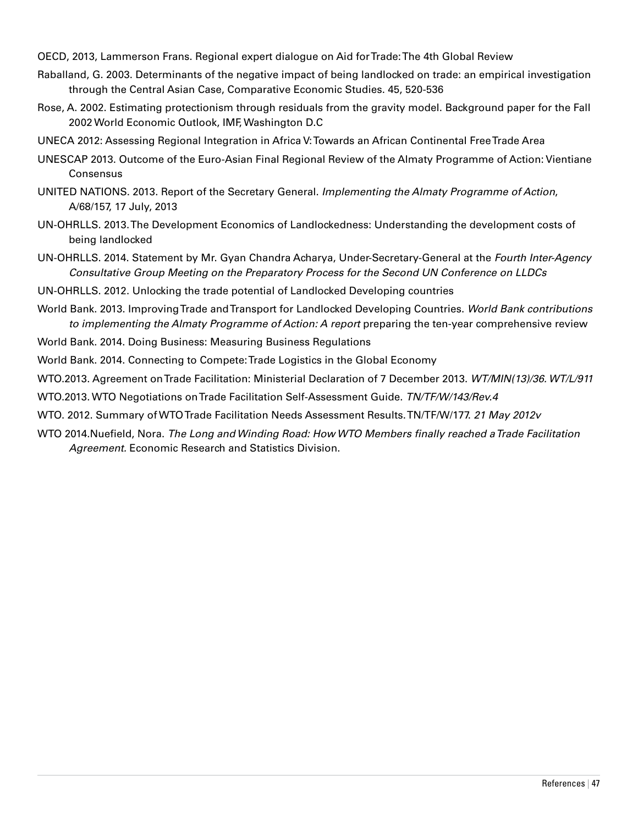OECD, 2013, Lammerson Frans. Regional expert dialogue on Aid for Trade: The 4th Global Review

- Raballand, G. 2003. Determinants of the negative impact of being landlocked on trade: an empirical investigation through the Central Asian Case, Comparative Economic Studies. 45, 520-536
- Rose, A. 2002. Estimating protectionism through residuals from the gravity model. Background paper for the Fall 2002 World Economic Outlook, IMF, Washington D.C
- UNECA 2012: Assessing Regional Integration in Africa V: Towards an African Continental Free Trade Area
- UNESCAP 2013. Outcome of the Euro-Asian Final Regional Review of the Almaty Programme of Action: Vientiane **Consensus**
- UNITED NATIONS. 2013. Report of the Secretary General. *Implementing the Almaty Programme of Action*, A/68/157, 17 July, 2013
- UN-OHRLLS. 2013. The Development Economics of Landlockedness: Understanding the development costs of being landlocked
- UN-OHRLLS. 2014. Statement by Mr. Gyan Chandra Acharya, Under-Secretary-General at the *Fourth Inter-Agency Consultative Group Meeting on the Preparatory Process for the Second UN Conference on LLDCs*
- UN-OHRLLS. 2012. Unlocking the trade potential of Landlocked Developing countries
- World Bank. 2013. Improving Trade and Transport for Landlocked Developing Countries. *World Bank contributions to implementing the Almaty Programme of Action: A report* preparing the ten-year comprehensive review
- World Bank. 2014. Doing Business: Measuring Business Regulations
- World Bank. 2014. Connecting to Compete: Trade Logistics in the Global Economy

WTO.2013. Agreement on Trade Facilitation: Ministerial Declaration of 7 December 2013. *WT/MIN(13)/36. WT/L/911*

WTO.2013. WTO Negotiations on Trade Facilitation Self-Assessment Guide. *TN/TF/W/143/Rev.4*

- WTO. 2012. Summary of WTO Trade Facilitation Needs Assessment Results. TN/TF/W/177. *21 May 2012v*
- WTO 2014.Nuefield, Nora. *The Long and Winding Road: How WTO Members finally reached a Trade Facilitation Agreement.* Economic Research and Statistics Division.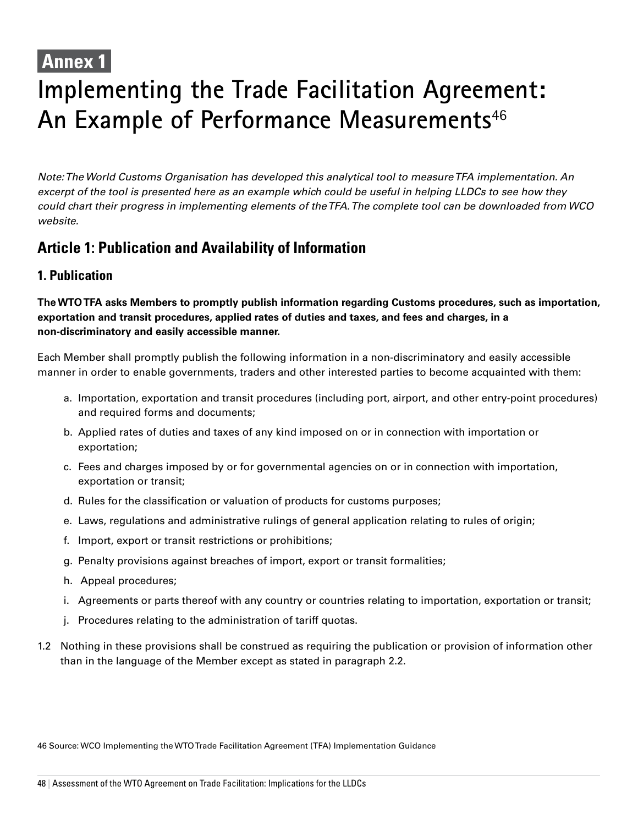# **Annex 1**

# **Implementing the Trade Facilitation Agreement: An Example of Performance Measurements**<sup>46</sup>

*Note: The World Customs Organisation has developed this analytical tool to measure TFA implementation. An excerpt of the tool is presented here as an example which could be useful in helping LLDCs to see how they could chart their progress in implementing elements of the TFA. The complete tool can be downloaded from WCO website.*

# **Article 1: Publication and Availability of Information**

# **1. Publication**

**The WTOTFA asks Members to promptly publish information regarding Customs procedures, such as importation, exportation and transit procedures, applied rates of duties and taxes, and fees and charges, in a non-discriminatory and easily accessible manner.**

Each Member shall promptly publish the following information in a non-discriminatory and easily accessible manner in order to enable governments, traders and other interested parties to become acquainted with them:

- a. Importation, exportation and transit procedures (including port, airport, and other entry-point procedures) and required forms and documents;
- b. Applied rates of duties and taxes of any kind imposed on or in connection with importation or exportation;
- c. Fees and charges imposed by or for governmental agencies on or in connection with importation, exportation or transit;
- d. Rules for the classification or valuation of products for customs purposes;
- e. Laws, regulations and administrative rulings of general application relating to rules of origin;
- f. Import, export or transit restrictions or prohibitions;
- g. Penalty provisions against breaches of import, export or transit formalities;
- h. Appeal procedures;
- i. Agreements or parts thereof with any country or countries relating to importation, exportation or transit;
- j. Procedures relating to the administration of tariff quotas.
- 1.2 Nothing in these provisions shall be construed as requiring the publication or provision of information other than in the language of the Member except as stated in paragraph 2.2.

46 Source: WCO Implementing the WTO Trade Facilitation Agreement (TFA) Implementation Guidance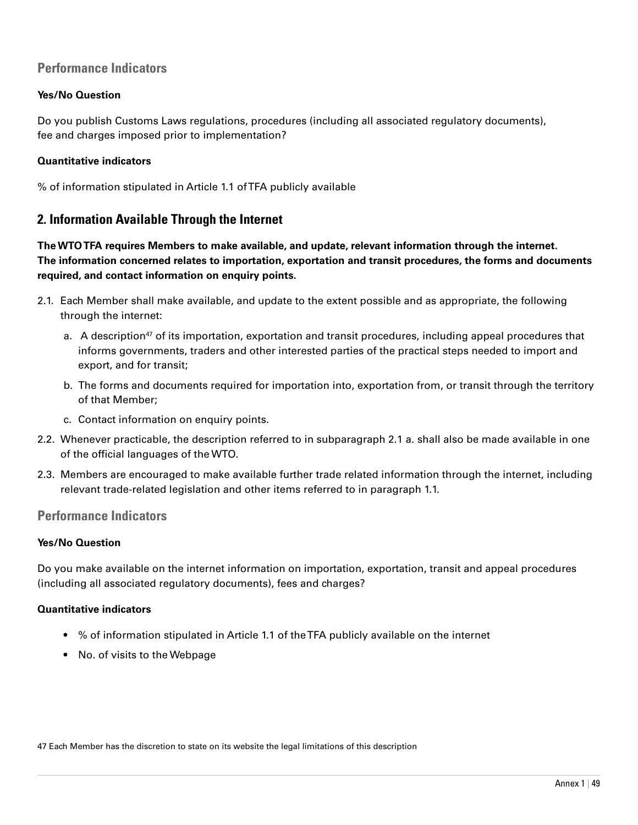# **Performance Indicators**

#### **Yes/No Question**

Do you publish Customs Laws regulations, procedures (including all associated regulatory documents), fee and charges imposed prior to implementation?

#### **Quantitative indicators**

% of information stipulated in Article 1.1 of TFA publicly available

# **2. Information Available Through the Internet**

**The WTOTFA requires Members to make available, and update, relevant information through the internet. The information concerned relates to importation, exportation and transit procedures, the forms and documents required, and contact information on enquiry points.**

- 2.1. Each Member shall make available, and update to the extent possible and as appropriate, the following through the internet:
	- a. A description<sup>47</sup> of its importation, exportation and transit procedures, including appeal procedures that informs governments, traders and other interested parties of the practical steps needed to import and export, and for transit;
	- b. The forms and documents required for importation into, exportation from, or transit through the territory of that Member;
	- c. Contact information on enquiry points.
- 2.2. Whenever practicable, the description referred to in subparagraph 2.1 a. shall also be made available in one of the official languages of the WTO.
- 2.3. Members are encouraged to make available further trade related information through the internet, including relevant trade-related legislation and other items referred to in paragraph 1.1.

## **Performance Indicators**

#### **Yes/No Question**

Do you make available on the internet information on importation, exportation, transit and appeal procedures (including all associated regulatory documents), fees and charges?

#### **Quantitative indicators**

- % of information stipulated in Article 1.1 of the TFA publicly available on the internet
- No. of visits to the Webpage

47 Each Member has the discretion to state on its website the legal limitations of this description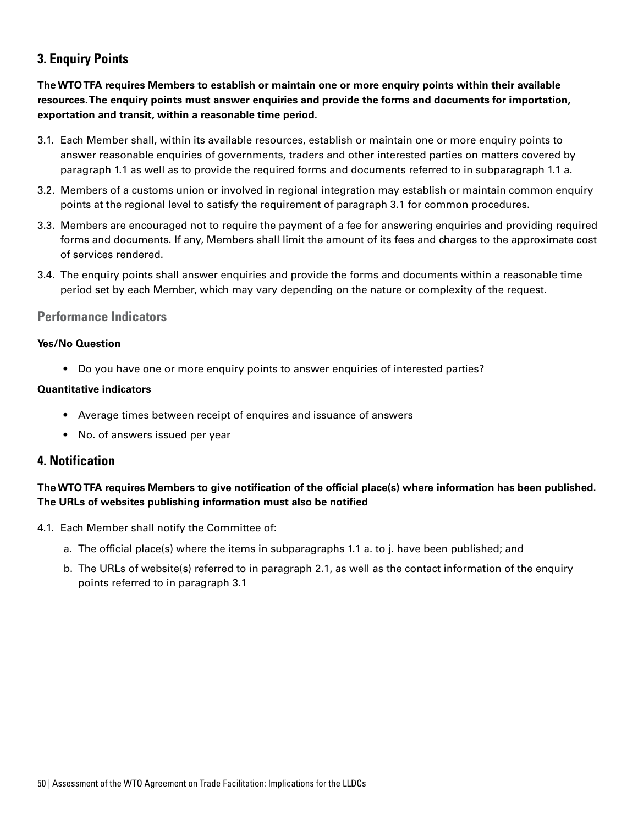# **3. Enquiry Points**

**The WTOTFA requires Members to establish or maintain one or more enquiry points within their available resources. The enquiry points must answer enquiries and provide the forms and documents for importation, exportation and transit, within a reasonable time period.**

- 3.1. Each Member shall, within its available resources, establish or maintain one or more enquiry points to answer reasonable enquiries of governments, traders and other interested parties on matters covered by paragraph 1.1 as well as to provide the required forms and documents referred to in subparagraph 1.1 a.
- 3.2. Members of a customs union or involved in regional integration may establish or maintain common enquiry points at the regional level to satisfy the requirement of paragraph 3.1 for common procedures.
- 3.3. Members are encouraged not to require the payment of a fee for answering enquiries and providing required forms and documents. If any, Members shall limit the amount of its fees and charges to the approximate cost of services rendered.
- 3.4. The enquiry points shall answer enquiries and provide the forms and documents within a reasonable time period set by each Member, which may vary depending on the nature or complexity of the request.

## **Performance Indicators**

#### **Yes/No Question**

• Do you have one or more enquiry points to answer enquiries of interested parties?

#### **Quantitative indicators**

- Average times between receipt of enquires and issuance of answers
- No. of answers issued per year

# **4. Notification**

# **The WTOTFA requires Members to give notification of the official place(s) where information has been published. The URLs of websites publishing information must also be notified**

- 4.1. Each Member shall notify the Committee of:
	- a. The official place(s) where the items in subparagraphs 1.1 a. to j. have been published; and
	- b. The URLs of website(s) referred to in paragraph 2.1, as well as the contact information of the enquiry points referred to in paragraph 3.1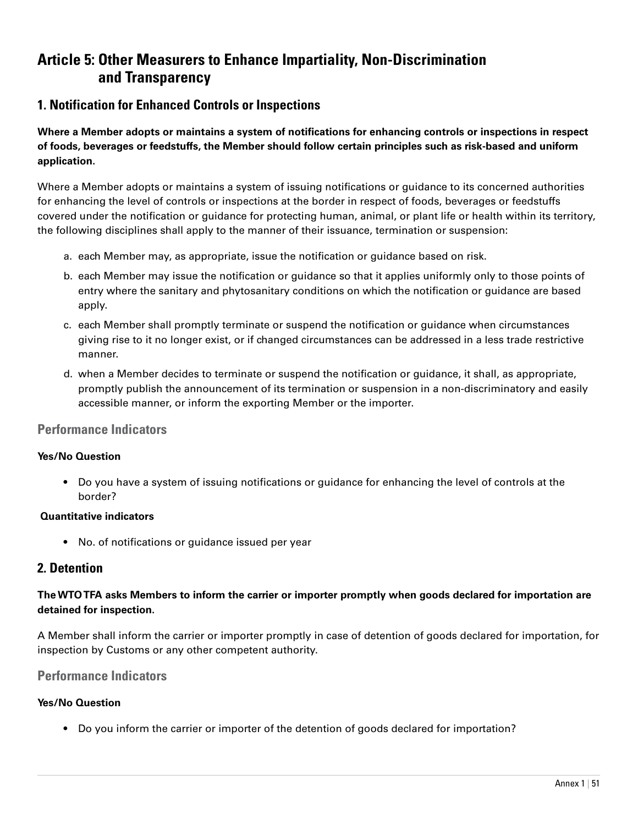# **Article 5: Other Measurers to Enhance Impartiality, Non-Discrimination and Transparency**

# **1. Notification for Enhanced Controls or Inspections**

**Where a Member adopts or maintains a system of notifications for enhancing controls or inspections in respect of foods, beverages or feedstuffs, the Member should follow certain principles such as risk-based and uniform application.**

Where a Member adopts or maintains a system of issuing notifications or guidance to its concerned authorities for enhancing the level of controls or inspections at the border in respect of foods, beverages or feedstuffs covered under the notification or guidance for protecting human, animal, or plant life or health within its territory, the following disciplines shall apply to the manner of their issuance, termination or suspension:

- a. each Member may, as appropriate, issue the notification or guidance based on risk.
- b. each Member may issue the notification or guidance so that it applies uniformly only to those points of entry where the sanitary and phytosanitary conditions on which the notification or guidance are based apply.
- c. each Member shall promptly terminate or suspend the notification or guidance when circumstances giving rise to it no longer exist, or if changed circumstances can be addressed in a less trade restrictive manner.
- d. when a Member decides to terminate or suspend the notification or guidance, it shall, as appropriate, promptly publish the announcement of its termination or suspension in a non-discriminatory and easily accessible manner, or inform the exporting Member or the importer.

#### **Performance Indicators**

#### **Yes/No Question**

• Do you have a system of issuing notifications or guidance for enhancing the level of controls at the border?

#### **Quantitative indicators**

• No. of notifications or guidance issued per year

# **2. Detention**

#### **The WTOTFA asks Members to inform the carrier or importer promptly when goods declared for importation are detained for inspection.**

A Member shall inform the carrier or importer promptly in case of detention of goods declared for importation, for inspection by Customs or any other competent authority.

#### **Performance Indicators**

#### **Yes/No Question**

• Do you inform the carrier or importer of the detention of goods declared for importation?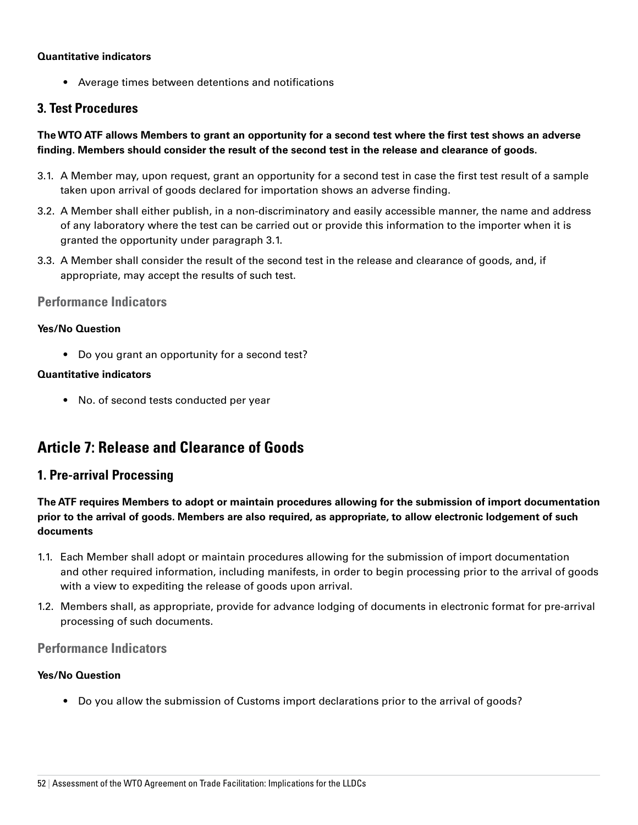#### **Quantitative indicators**

• Average times between detentions and notifications

# **3. Test Procedures**

#### **The WTO ATF allows Members to grant an opportunity for a second test where the first test shows an adverse finding. Members should consider the result of the second test in the release and clearance of goods.**

- 3.1. A Member may, upon request, grant an opportunity for a second test in case the first test result of a sample taken upon arrival of goods declared for importation shows an adverse finding.
- 3.2. A Member shall either publish, in a non-discriminatory and easily accessible manner, the name and address of any laboratory where the test can be carried out or provide this information to the importer when it is granted the opportunity under paragraph 3.1.
- 3.3. A Member shall consider the result of the second test in the release and clearance of goods, and, if appropriate, may accept the results of such test.

#### **Performance Indicators**

#### **Yes/No Question**

• Do you grant an opportunity for a second test?

#### **Quantitative indicators**

• No. of second tests conducted per year

# **Article 7: Release and Clearance of Goods**

# **1. Pre-arrival Processing**

**The ATF requires Members to adopt or maintain procedures allowing for the submission of import documentation prior to the arrival of goods. Members are also required, as appropriate, to allow electronic lodgement of such documents**

- 1.1. Each Member shall adopt or maintain procedures allowing for the submission of import documentation and other required information, including manifests, in order to begin processing prior to the arrival of goods with a view to expediting the release of goods upon arrival.
- 1.2. Members shall, as appropriate, provide for advance lodging of documents in electronic format for pre-arrival processing of such documents.

## **Performance Indicators**

#### **Yes/No Question**

• Do you allow the submission of Customs import declarations prior to the arrival of goods?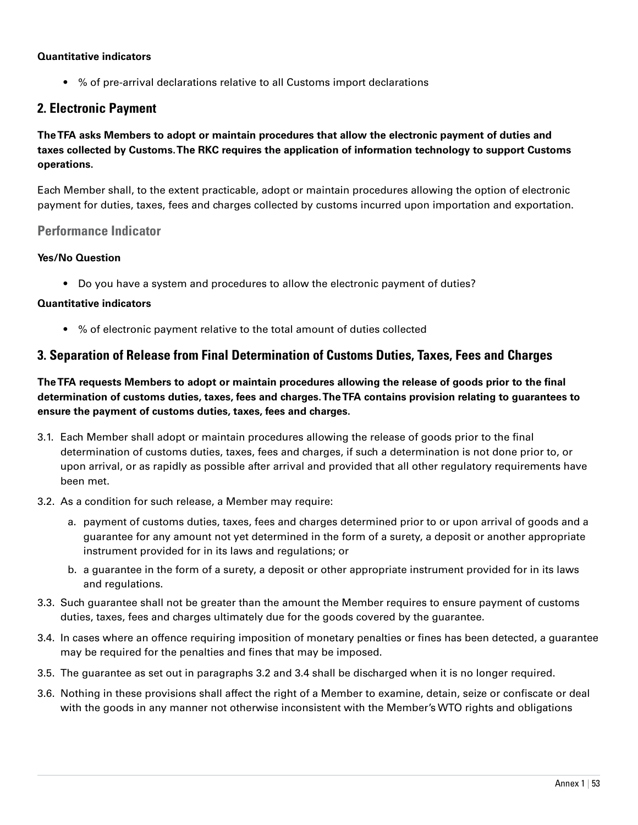#### **Quantitative indicators**

• % of pre-arrival declarations relative to all Customs import declarations

# **2. Electronic Payment**

**The TFA asks Members to adopt or maintain procedures that allow the electronic payment of duties and taxes collected by Customs. The RKC requires the application of information technology to support Customs operations.**

Each Member shall, to the extent practicable, adopt or maintain procedures allowing the option of electronic payment for duties, taxes, fees and charges collected by customs incurred upon importation and exportation.

## **Performance Indicator**

#### **Yes/No Question**

• Do you have a system and procedures to allow the electronic payment of duties?

#### **Quantitative indicators**

• % of electronic payment relative to the total amount of duties collected

## **3. Separation of Release from Final Determination of Customs Duties, Taxes, Fees and Charges**

**The TFA requests Members to adopt or maintain procedures allowing the release of goods prior to the final determination of customs duties, taxes, fees and charges. The TFA contains provision relating to guarantees to ensure the payment of customs duties, taxes, fees and charges.**

- 3.1. Each Member shall adopt or maintain procedures allowing the release of goods prior to the final determination of customs duties, taxes, fees and charges, if such a determination is not done prior to, or upon arrival, or as rapidly as possible after arrival and provided that all other regulatory requirements have been met.
- 3.2. As a condition for such release, a Member may require:
	- a. payment of customs duties, taxes, fees and charges determined prior to or upon arrival of goods and a guarantee for any amount not yet determined in the form of a surety, a deposit or another appropriate instrument provided for in its laws and regulations; or
	- b. a guarantee in the form of a surety, a deposit or other appropriate instrument provided for in its laws and regulations.
- 3.3. Such guarantee shall not be greater than the amount the Member requires to ensure payment of customs duties, taxes, fees and charges ultimately due for the goods covered by the guarantee.
- 3.4. In cases where an offence requiring imposition of monetary penalties or fines has been detected, a guarantee may be required for the penalties and fines that may be imposed.
- 3.5. The guarantee as set out in paragraphs 3.2 and 3.4 shall be discharged when it is no longer required.
- 3.6. Nothing in these provisions shall affect the right of a Member to examine, detain, seize or confiscate or deal with the goods in any manner not otherwise inconsistent with the Member's WTO rights and obligations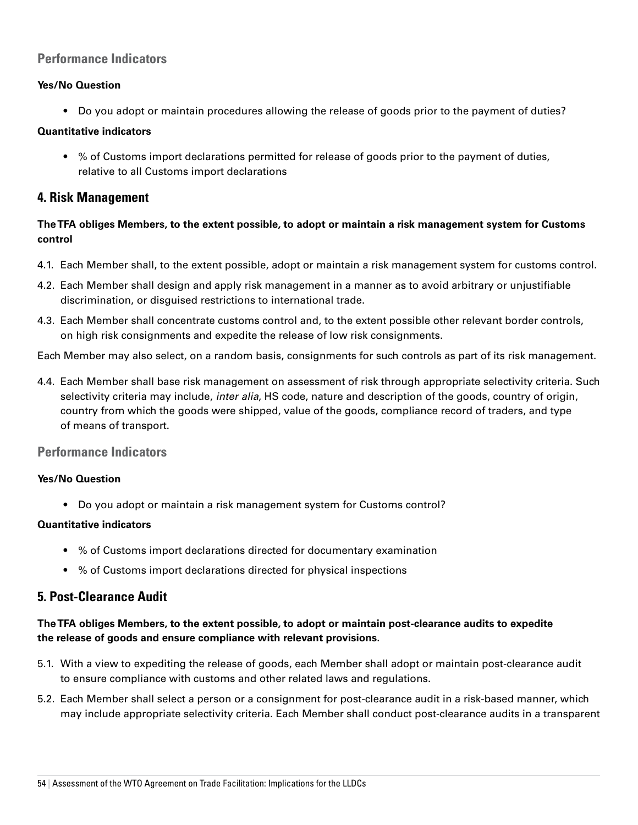# **Performance Indicators**

#### **Yes/No Question**

• Do you adopt or maintain procedures allowing the release of goods prior to the payment of duties?

#### **Quantitative indicators**

• % of Customs import declarations permitted for release of goods prior to the payment of duties, relative to all Customs import declarations

## **4. Risk Management**

## **The TFA obliges Members, to the extent possible, to adopt or maintain a risk management system for Customs control**

- 4.1. Each Member shall, to the extent possible, adopt or maintain a risk management system for customs control.
- 4.2. Each Member shall design and apply risk management in a manner as to avoid arbitrary or unjustifiable discrimination, or disguised restrictions to international trade.
- 4.3. Each Member shall concentrate customs control and, to the extent possible other relevant border controls, on high risk consignments and expedite the release of low risk consignments.

Each Member may also select, on a random basis, consignments for such controls as part of its risk management.

4.4. Each Member shall base risk management on assessment of risk through appropriate selectivity criteria. Such selectivity criteria may include, *inter alia*, HS code, nature and description of the goods, country of origin, country from which the goods were shipped, value of the goods, compliance record of traders, and type of means of transport.

## **Performance Indicators**

#### **Yes/No Question**

• Do you adopt or maintain a risk management system for Customs control?

#### **Quantitative indicators**

- % of Customs import declarations directed for documentary examination
- % of Customs import declarations directed for physical inspections

# **5. Post-Clearance Audit**

#### **The TFA obliges Members, to the extent possible, to adopt or maintain post-clearance audits to expedite the release of goods and ensure compliance with relevant provisions.**

- 5.1. With a view to expediting the release of goods, each Member shall adopt or maintain post-clearance audit to ensure compliance with customs and other related laws and regulations.
- 5.2. Each Member shall select a person or a consignment for post-clearance audit in a risk-based manner, which may include appropriate selectivity criteria. Each Member shall conduct post-clearance audits in a transparent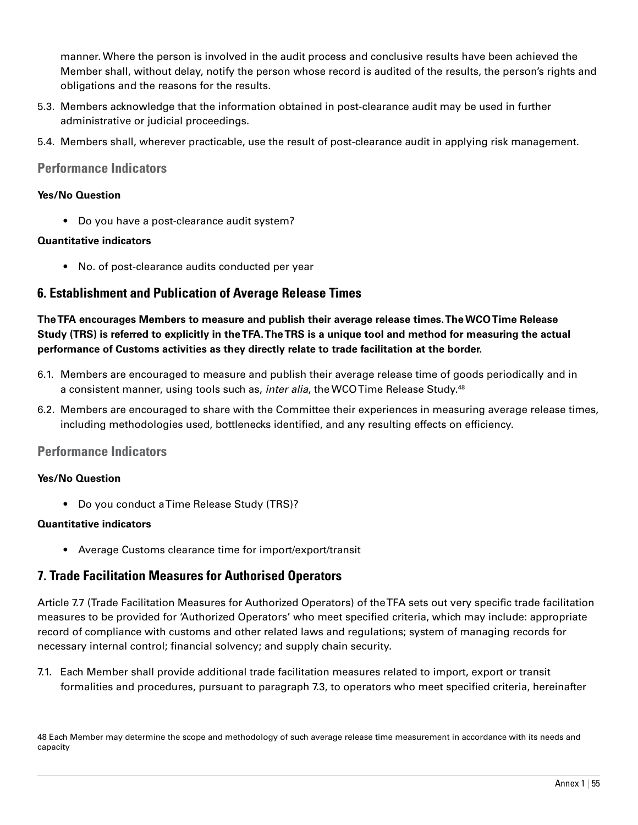manner. Where the person is involved in the audit process and conclusive results have been achieved the Member shall, without delay, notify the person whose record is audited of the results, the person's rights and obligations and the reasons for the results.

- 5.3. Members acknowledge that the information obtained in post-clearance audit may be used in further administrative or judicial proceedings.
- 5.4. Members shall, wherever practicable, use the result of post-clearance audit in applying risk management.

#### **Performance Indicators**

#### **Yes/No Question**

• Do you have a post-clearance audit system?

#### **Quantitative indicators**

• No. of post-clearance audits conducted per year

## **6. Establishment and Publication of Average Release Times**

**The TFA encourages Members to measure and publish their average release times. The WCOTime Release Study (TRS) is referred to explicitly in the TFA. The TRS is a unique tool and method for measuring the actual performance of Customs activities as they directly relate to trade facilitation at the border.**

- 6.1. Members are encouraged to measure and publish their average release time of goods periodically and in a consistent manner, using tools such as, *inter alia*, the WCO Time Release Study.48
- 6.2. Members are encouraged to share with the Committee their experiences in measuring average release times, including methodologies used, bottlenecks identified, and any resulting effects on efficiency.

## **Performance Indicators**

#### **Yes/No Question**

• Do you conduct a Time Release Study (TRS)?

#### **Quantitative indicators**

• Average Customs clearance time for import/export/transit

# **7. Trade Facilitation Measures for Authorised Operators**

Article 7.7 (Trade Facilitation Measures for Authorized Operators) of the TFA sets out very specific trade facilitation measures to be provided for 'Authorized Operators' who meet specified criteria, which may include: appropriate record of compliance with customs and other related laws and regulations; system of managing records for necessary internal control; financial solvency; and supply chain security.

7.1. Each Member shall provide additional trade facilitation measures related to import, export or transit formalities and procedures, pursuant to paragraph 7.3, to operators who meet specified criteria, hereinafter

48 Each Member may determine the scope and methodology of such average release time measurement in accordance with its needs and capacity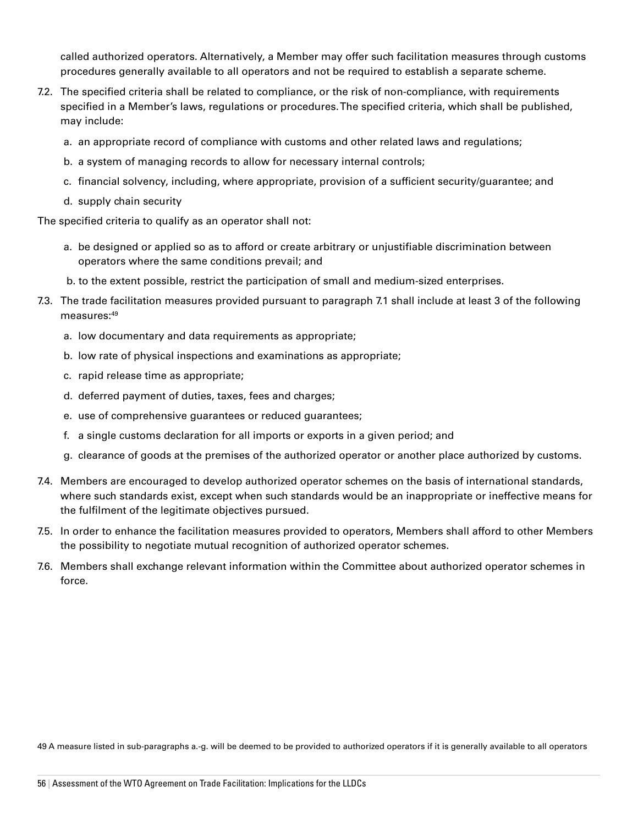called authorized operators. Alternatively, a Member may offer such facilitation measures through customs procedures generally available to all operators and not be required to establish a separate scheme.

- 7.2. The specified criteria shall be related to compliance, or the risk of non-compliance, with requirements specified in a Member's laws, regulations or procedures. The specified criteria, which shall be published, may include:
	- a. an appropriate record of compliance with customs and other related laws and regulations;
	- b. a system of managing records to allow for necessary internal controls;
	- c. financial solvency, including, where appropriate, provision of a sufficient security/guarantee; and
	- d. supply chain security

The specified criteria to qualify as an operator shall not:

- a. be designed or applied so as to afford or create arbitrary or unjustifiable discrimination between operators where the same conditions prevail; and
- b. to the extent possible, restrict the participation of small and medium-sized enterprises.
- 7.3. The trade facilitation measures provided pursuant to paragraph 7.1 shall include at least 3 of the following measures:49
	- a. low documentary and data requirements as appropriate;
	- b. low rate of physical inspections and examinations as appropriate;
	- c. rapid release time as appropriate;
	- d. deferred payment of duties, taxes, fees and charges;
	- e. use of comprehensive guarantees or reduced guarantees;
	- f. a single customs declaration for all imports or exports in a given period; and
	- g. clearance of goods at the premises of the authorized operator or another place authorized by customs.
- 7.4. Members are encouraged to develop authorized operator schemes on the basis of international standards, where such standards exist, except when such standards would be an inappropriate or ineffective means for the fulfilment of the legitimate objectives pursued.
- 7.5. In order to enhance the facilitation measures provided to operators, Members shall afford to other Members the possibility to negotiate mutual recognition of authorized operator schemes.
- 7.6. Members shall exchange relevant information within the Committee about authorized operator schemes in force.

49 A measure listed in sub-paragraphs a.-g. will be deemed to be provided to authorized operators if it is generally available to all operators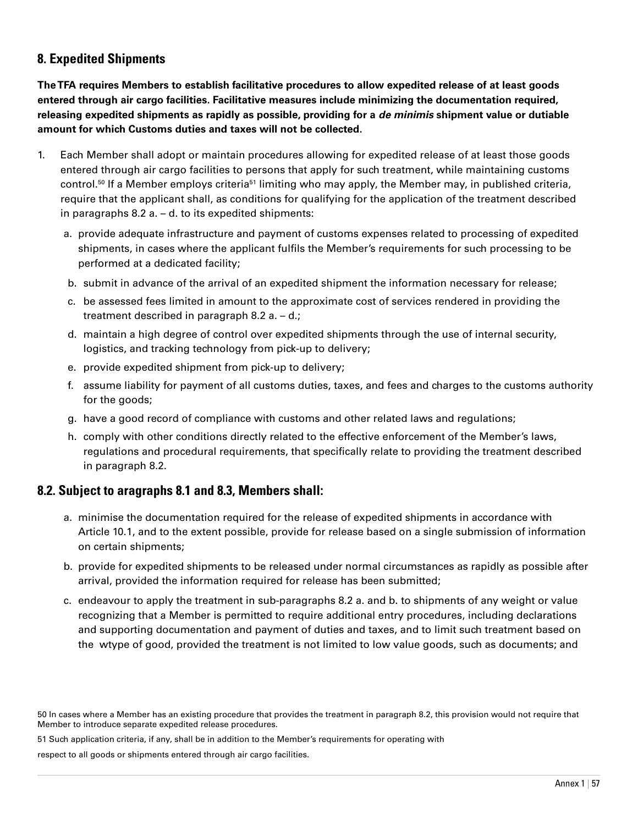# **8. Expedited Shipments**

**The TFA requires Members to establish facilitative procedures to allow expedited release of at least goods entered through air cargo facilities. Facilitative measures include minimizing the documentation required, releasing expedited shipments as rapidly as possible, providing for a** *de minimis* **shipment value or dutiable amount for which Customs duties and taxes will not be collected.**

- 1. Each Member shall adopt or maintain procedures allowing for expedited release of at least those goods entered through air cargo facilities to persons that apply for such treatment, while maintaining customs control.<sup>50</sup> If a Member employs criteria<sup>51</sup> limiting who may apply, the Member may, in published criteria, require that the applicant shall, as conditions for qualifying for the application of the treatment described in paragraphs  $8.2$  a.  $-$  d. to its expedited shipments:
	- a. provide adequate infrastructure and payment of customs expenses related to processing of expedited shipments, in cases where the applicant fulfils the Member's requirements for such processing to be performed at a dedicated facility;
	- b. submit in advance of the arrival of an expedited shipment the information necessary for release;
	- c. be assessed fees limited in amount to the approximate cost of services rendered in providing the treatment described in paragraph 8.2 a. – d.;
	- d. maintain a high degree of control over expedited shipments through the use of internal security, logistics, and tracking technology from pick-up to delivery;
	- e. provide expedited shipment from pick-up to delivery;
	- f. assume liability for payment of all customs duties, taxes, and fees and charges to the customs authority for the goods;
	- g. have a good record of compliance with customs and other related laws and regulations;
	- h. comply with other conditions directly related to the effective enforcement of the Member's laws, regulations and procedural requirements, that specifically relate to providing the treatment described in paragraph 8.2.

# **8.2. Subject to aragraphs 8.1 and 8.3, Members shall:**

- a. minimise the documentation required for the release of expedited shipments in accordance with Article 10.1, and to the extent possible, provide for release based on a single submission of information on certain shipments;
- b. provide for expedited shipments to be released under normal circumstances as rapidly as possible after arrival, provided the information required for release has been submitted;
- c. endeavour to apply the treatment in sub-paragraphs 8.2 a. and b. to shipments of any weight or value recognizing that a Member is permitted to require additional entry procedures, including declarations and supporting documentation and payment of duties and taxes, and to limit such treatment based on the wtype of good, provided the treatment is not limited to low value goods, such as documents; and

51 Such application criteria, if any, shall be in addition to the Member's requirements for operating with

respect to all goods or shipments entered through air cargo facilities.

<sup>50</sup> In cases where a Member has an existing procedure that provides the treatment in paragraph 8.2, this provision would not require that Member to introduce separate expedited release procedures.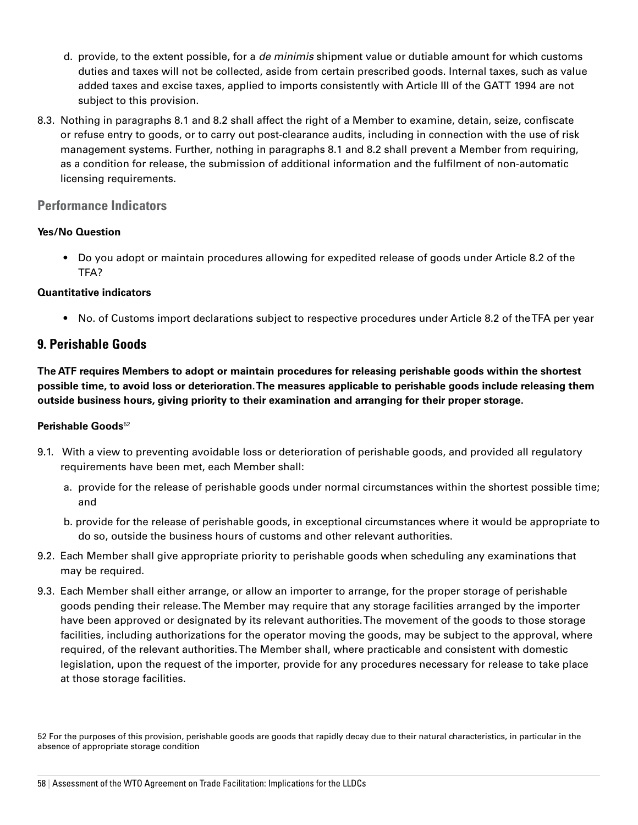- d. provide, to the extent possible, for a *de minimis* shipment value or dutiable amount for which customs duties and taxes will not be collected, aside from certain prescribed goods. Internal taxes, such as value added taxes and excise taxes, applied to imports consistently with Article III of the GATT 1994 are not subject to this provision.
- 8.3. Nothing in paragraphs 8.1 and 8.2 shall affect the right of a Member to examine, detain, seize, confiscate or refuse entry to goods, or to carry out post-clearance audits, including in connection with the use of risk management systems. Further, nothing in paragraphs 8.1 and 8.2 shall prevent a Member from requiring, as a condition for release, the submission of additional information and the fulfilment of non-automatic licensing requirements.

### **Performance Indicators**

#### **Yes/No Question**

• Do you adopt or maintain procedures allowing for expedited release of goods under Article 8.2 of the TFA?

#### **Quantitative indicators**

• No. of Customs import declarations subject to respective procedures under Article 8.2 of the TFA per year

# **9. Perishable Goods**

**The ATF requires Members to adopt or maintain procedures for releasing perishable goods within the shortest possible time, to avoid loss or deterioration. The measures applicable to perishable goods include releasing them outside business hours, giving priority to their examination and arranging for their proper storage.**

#### **Perishable Goods**<sup>52</sup>

- 9.1. With a view to preventing avoidable loss or deterioration of perishable goods, and provided all regulatory requirements have been met, each Member shall:
	- a. provide for the release of perishable goods under normal circumstances within the shortest possible time; and
	- b. provide for the release of perishable goods, in exceptional circumstances where it would be appropriate to do so, outside the business hours of customs and other relevant authorities.
- 9.2. Each Member shall give appropriate priority to perishable goods when scheduling any examinations that may be required.
- 9.3. Each Member shall either arrange, or allow an importer to arrange, for the proper storage of perishable goods pending their release. The Member may require that any storage facilities arranged by the importer have been approved or designated by its relevant authorities. The movement of the goods to those storage facilities, including authorizations for the operator moving the goods, may be subject to the approval, where required, of the relevant authorities. The Member shall, where practicable and consistent with domestic legislation, upon the request of the importer, provide for any procedures necessary for release to take place at those storage facilities.

52 For the purposes of this provision, perishable goods are goods that rapidly decay due to their natural characteristics, in particular in the absence of appropriate storage condition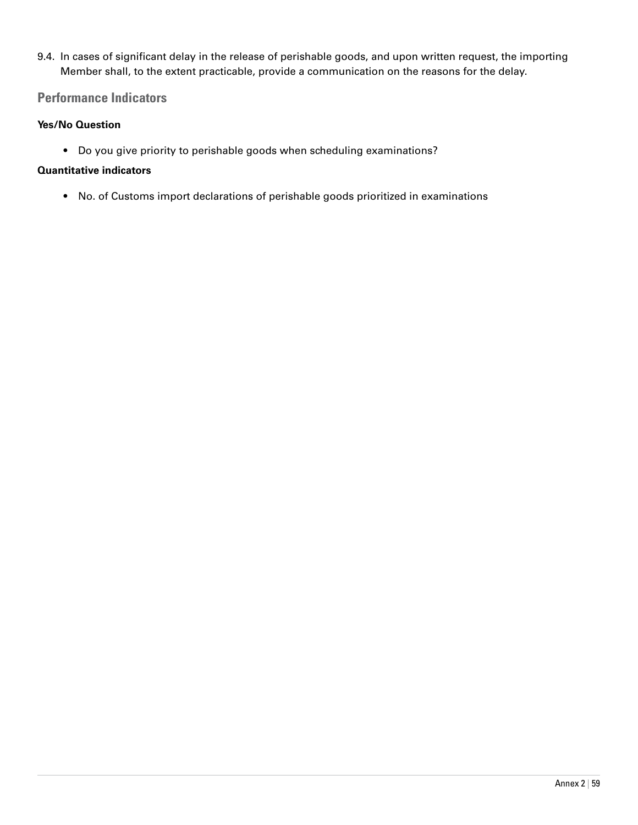9.4. In cases of significant delay in the release of perishable goods, and upon written request, the importing Member shall, to the extent practicable, provide a communication on the reasons for the delay.

# **Performance Indicators**

#### **Yes/No Question**

• Do you give priority to perishable goods when scheduling examinations?

#### **Quantitative indicators**

• No. of Customs import declarations of perishable goods prioritized in examinations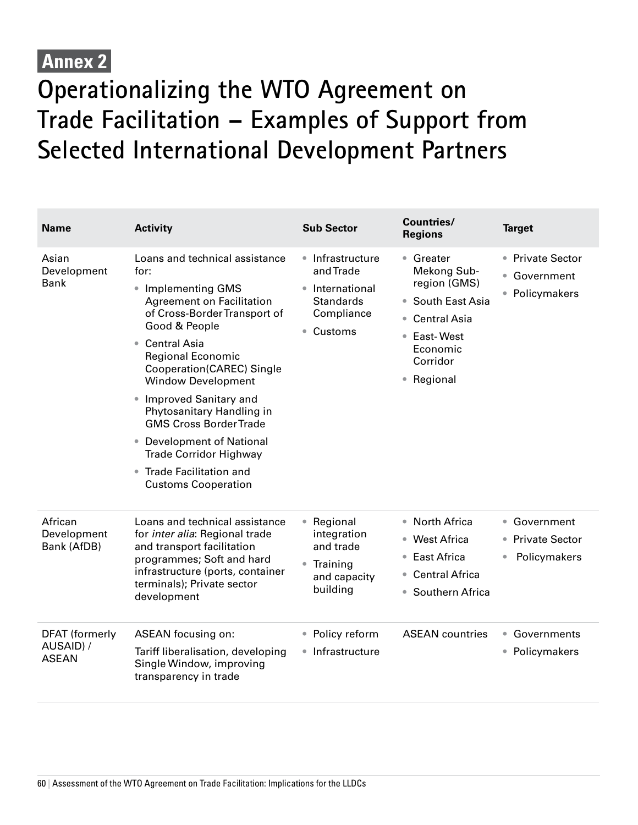# **Annex 2**

# **Operationalizing the WTO Agreement on Trade Facilitation – Examples of Support from Selected International Development Partners**

| <b>Name</b>                                        | <b>Activity</b>                                                                                                                                                                                                                                                                                                                                                                                                                                                                              | <b>Sub Sector</b>                                                                                        | <b>Countries/</b><br><b>Regions</b>                                                                                                  | <b>Target</b>                                      |
|----------------------------------------------------|----------------------------------------------------------------------------------------------------------------------------------------------------------------------------------------------------------------------------------------------------------------------------------------------------------------------------------------------------------------------------------------------------------------------------------------------------------------------------------------------|----------------------------------------------------------------------------------------------------------|--------------------------------------------------------------------------------------------------------------------------------------|----------------------------------------------------|
| Asian<br>Development<br><b>Bank</b>                | Loans and technical assistance<br>for:<br>• Implementing GMS<br><b>Agreement on Facilitation</b><br>of Cross-Border Transport of<br>Good & People<br>• Central Asia<br><b>Regional Economic</b><br>Cooperation(CAREC) Single<br><b>Window Development</b><br>• Improved Sanitary and<br>Phytosanitary Handling in<br><b>GMS Cross Border Trade</b><br>• Development of National<br><b>Trade Corridor Highway</b><br><b>Trade Facilitation and</b><br>$\bullet$<br><b>Customs Cooperation</b> | • Infrastructure<br>and Trade<br>International<br><b>Standards</b><br>Compliance<br>Customs<br>$\bullet$ | • Greater<br>Mekong Sub-<br>region (GMS)<br>• South East Asia<br>• Central Asia<br>• East-West<br>Economic<br>Corridor<br>• Regional | • Private Sector<br>• Government<br>• Policymakers |
| African<br>Development<br>Bank (AfDB)              | Loans and technical assistance<br>for <i>inter alia</i> : Regional trade<br>and transport facilitation<br>programmes; Soft and hard<br>infrastructure (ports, container<br>terminals); Private sector<br>development                                                                                                                                                                                                                                                                         | Regional<br>$\bullet$<br>integration<br>and trade<br>• Training<br>and capacity<br>building              | • North Africa<br>• West Africa<br><b>East Africa</b><br>$\qquad \qquad \bullet$<br><b>Central Africa</b><br>• Southern Africa       | • Government<br>• Private Sector<br>Policymakers   |
| <b>DFAT</b> (formerly<br>AUSAID) /<br><b>ASEAN</b> | ASEAN focusing on:<br>Tariff liberalisation, developing<br>Single Window, improving<br>transparency in trade                                                                                                                                                                                                                                                                                                                                                                                 | Policy reform<br>$\bullet$<br>Infrastructure<br>$\bullet$                                                | <b>ASEAN</b> countries                                                                                                               | • Governments<br>• Policymakers                    |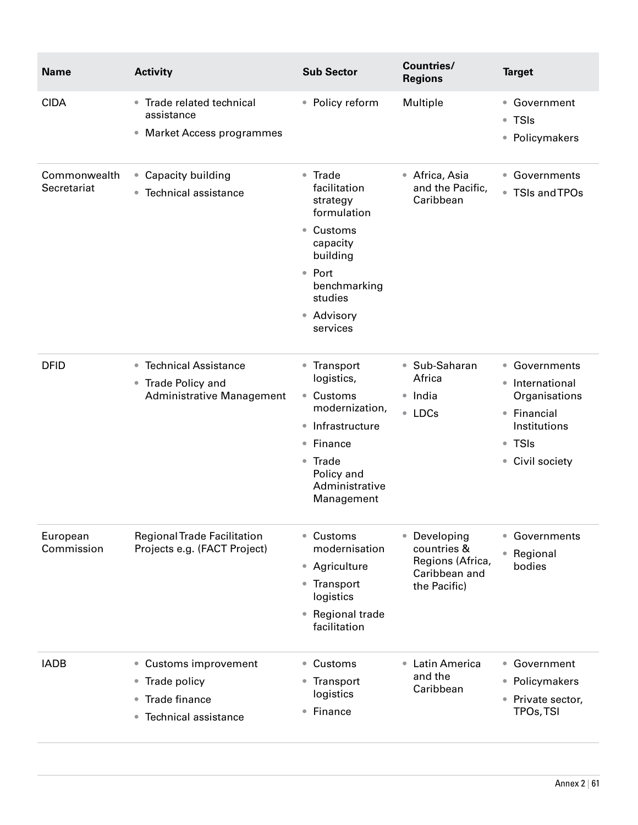| <b>Name</b>                 | <b>Activity</b>                                                                                            | <b>Sub Sector</b>                                                                                                                                                                              | <b>Countries/</b><br><b>Regions</b>                                                         | <b>Target</b>                                                                                                 |
|-----------------------------|------------------------------------------------------------------------------------------------------------|------------------------------------------------------------------------------------------------------------------------------------------------------------------------------------------------|---------------------------------------------------------------------------------------------|---------------------------------------------------------------------------------------------------------------|
| <b>CIDA</b>                 | • Trade related technical<br>assistance<br>• Market Access programmes                                      | • Policy reform                                                                                                                                                                                | Multiple                                                                                    | • Government<br>● TSIs<br>• Policymakers                                                                      |
| Commonwealth<br>Secretariat | • Capacity building<br>• Technical assistance                                                              | • Trade<br>facilitation<br>strategy<br>formulation<br>Customs<br>$\bullet$<br>capacity<br>building<br>• Port<br>benchmarking<br>studies<br>• Advisory<br>services                              | • Africa, Asia<br>and the Pacific,<br>Caribbean                                             | • Governments<br>● TSIs and TPOs                                                                              |
| <b>DFID</b>                 | ● Technical Assistance<br>• Trade Policy and<br>Administrative Management                                  | • Transport<br>logistics,<br>Customs<br>$\bullet$<br>modernization,<br>Infrastructure<br>$\bullet$<br>Finance<br>$\bullet$<br>Trade<br>$\bullet$<br>Policy and<br>Administrative<br>Management | • Sub-Saharan<br>Africa<br>$\bullet$ India<br>• LDCs                                        | • Governments<br>· International<br>Organisations<br>• Financial<br>Institutions<br>• TSIs<br>• Civil society |
| European<br>Commission      | <b>Regional Trade Facilitation</b><br>Projects e.g. (FACT Project)                                         | Customs<br>$\bullet$<br>modernisation<br>• Agriculture<br>Transport<br>$\bullet$<br>logistics<br>Regional trade<br>$\bullet$<br>facilitation                                                   | Developing<br>$\bullet$<br>countries &<br>Regions (Africa,<br>Caribbean and<br>the Pacific) | Governments<br>$\bullet$<br>Regional<br>$\bullet$<br>bodies                                                   |
| <b>IADB</b>                 | • Customs improvement<br>• Trade policy<br>Trade finance<br>$\bullet$<br>Technical assistance<br>$\bullet$ | Customs<br>$\bullet$<br>Transport<br>$\bullet$<br>logistics<br>Finance<br>$\bullet$                                                                                                            | • Latin America<br>and the<br>Caribbean                                                     | • Government<br>• Policymakers<br>Private sector,<br>$\bullet$<br><b>TPOs, TSI</b>                            |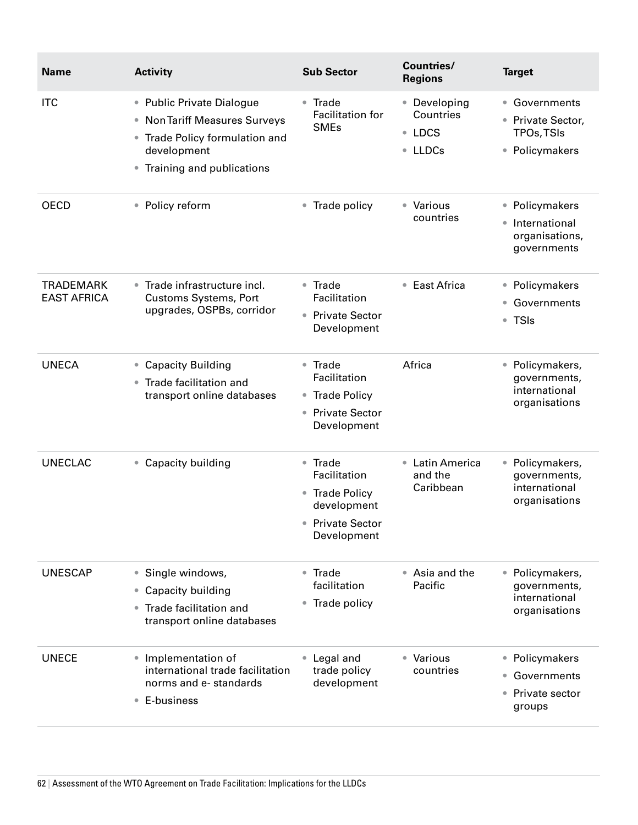| <b>Name</b>                            | <b>Activity</b>                                                                                                                            | <b>Sub Sector</b>                                                                                         | <b>Countries/</b><br><b>Regions</b>                              | <b>Target</b>                                                      |
|----------------------------------------|--------------------------------------------------------------------------------------------------------------------------------------------|-----------------------------------------------------------------------------------------------------------|------------------------------------------------------------------|--------------------------------------------------------------------|
| <b>ITC</b>                             | • Public Private Dialogue<br>• Non Tariff Measures Surveys<br>• Trade Policy formulation and<br>development<br>• Training and publications | Trade<br>$\bullet$<br>Facilitation for<br><b>SMEs</b>                                                     | • Developing<br>Countries<br><b>LDCS</b><br>$\bullet$<br>• LLDCs | • Governments<br>• Private Sector,<br>TPOs, TSIs<br>• Policymakers |
| <b>OECD</b>                            | • Policy reform                                                                                                                            | Trade policy<br>$\bullet$                                                                                 | • Various<br>countries                                           | • Policymakers<br>· International<br>organisations,<br>governments |
| <b>TRADEMARK</b><br><b>EAST AFRICA</b> | • Trade infrastructure incl.<br><b>Customs Systems, Port</b><br>upgrades, OSPBs, corridor                                                  | • Trade<br>Facilitation<br>• Private Sector<br>Development                                                | • East Africa                                                    | • Policymakers<br>• Governments<br>● TSIs                          |
| <b>UNECA</b>                           | • Capacity Building<br>Trade facilitation and<br>$\bullet$<br>transport online databases                                                   | Trade<br>$\bullet$<br>Facilitation<br>• Trade Policy<br><b>Private Sector</b><br>$\bullet$<br>Development | Africa                                                           | • Policymakers,<br>governments,<br>international<br>organisations  |
| <b>UNECLAC</b>                         | • Capacity building                                                                                                                        | Trade<br>$\bullet$<br>Facilitation<br>• Trade Policy<br>development<br>• Private Sector<br>Development    | • Latin America<br>and the<br>Caribbean                          | • Policymakers,<br>governments,<br>international<br>organisations  |
| <b>UNESCAP</b>                         | • Single windows,<br>• Capacity building<br>Trade facilitation and<br>$\bullet$<br>transport online databases                              | • Trade<br>facilitation<br>Trade policy<br>$\bullet$                                                      | • Asia and the<br>Pacific                                        | · Policymakers,<br>governments,<br>international<br>organisations  |
| <b>UNECE</b>                           | Implementation of<br>$\bullet$<br>international trade facilitation<br>norms and e-standards<br>E-business<br>$\bullet$                     | Legal and<br>trade policy<br>development                                                                  | • Various<br>countries                                           | • Policymakers<br>• Governments<br>• Private sector<br>groups      |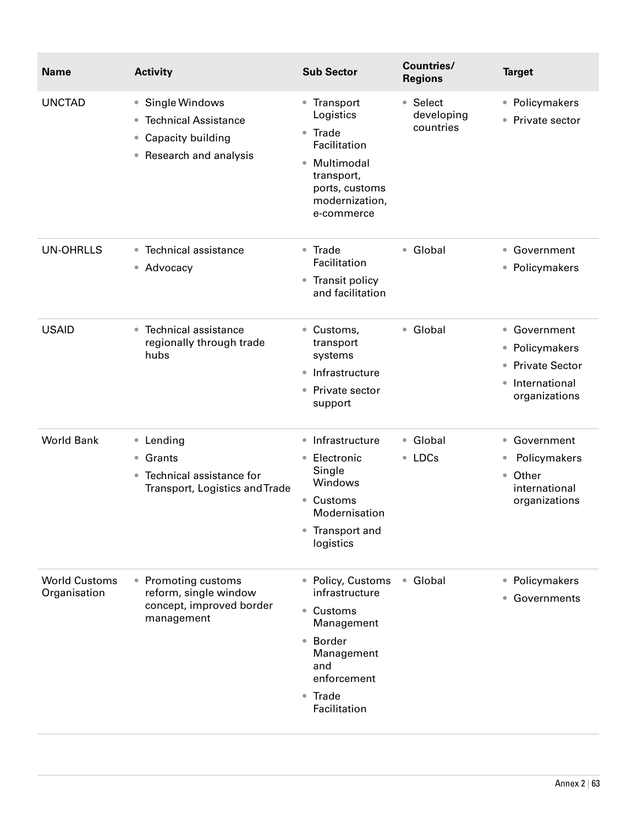| <b>Name</b>                          | <b>Activity</b>                                                                              | <b>Sub Sector</b>                                                                                                                              | <b>Countries/</b><br><b>Regions</b> | <b>Target</b>                                                                                     |
|--------------------------------------|----------------------------------------------------------------------------------------------|------------------------------------------------------------------------------------------------------------------------------------------------|-------------------------------------|---------------------------------------------------------------------------------------------------|
| <b>UNCTAD</b>                        | • Single Windows<br>• Technical Assistance<br>• Capacity building<br>• Research and analysis | • Transport<br>Logistics<br>• Trade<br>Facilitation<br>Multimodal<br>$\bullet$<br>transport,<br>ports, customs<br>modernization,<br>e-commerce | • Select<br>developing<br>countries | • Policymakers<br>• Private sector                                                                |
| <b>UN-OHRLLS</b>                     | • Technical assistance<br>• Advocacy                                                         | • Trade<br>Facilitation                                                                                                                        | • Global                            | • Government<br>• Policymakers                                                                    |
|                                      |                                                                                              | • Transit policy<br>and facilitation                                                                                                           |                                     |                                                                                                   |
| <b>USAID</b>                         | • Technical assistance<br>regionally through trade<br>hubs                                   | • Customs,<br>transport<br>systems                                                                                                             | • Global                            | • Government<br>• Policymakers<br>• Private Sector<br>International<br>$\bullet$<br>organizations |
|                                      |                                                                                              | Infrastructure<br>$\qquad \qquad \bullet$                                                                                                      |                                     |                                                                                                   |
|                                      |                                                                                              | Private sector<br>$\qquad \qquad \bullet$<br>support                                                                                           |                                     |                                                                                                   |
| <b>World Bank</b>                    | • Lending<br>• Grants<br>Technical assistance for<br>Transport, Logistics and Trade          | • Infrastructure                                                                                                                               | • Global<br>• LDCs                  | • Government<br>Policymakers<br>Other<br>$\bullet$<br>international<br>organizations              |
|                                      |                                                                                              | Electronic<br>$\qquad \qquad \bullet$<br>Single<br>Windows                                                                                     |                                     |                                                                                                   |
|                                      |                                                                                              | Customs<br>$\qquad \qquad \bullet$<br>Modernisation                                                                                            |                                     |                                                                                                   |
|                                      |                                                                                              | Transport and<br>$\bullet$<br>logistics                                                                                                        |                                     |                                                                                                   |
| <b>World Customs</b><br>Organisation | • Promoting customs<br>reform, single window<br>concept, improved border<br>management       | • Policy, Customs<br>infrastructure                                                                                                            | • Global                            | • Policymakers<br>• Governments                                                                   |
|                                      |                                                                                              | • Customs<br>Management                                                                                                                        |                                     |                                                                                                   |
|                                      |                                                                                              | • Border<br>Management<br>and<br>enforcement                                                                                                   |                                     |                                                                                                   |
|                                      |                                                                                              | • Trade<br>Facilitation                                                                                                                        |                                     |                                                                                                   |